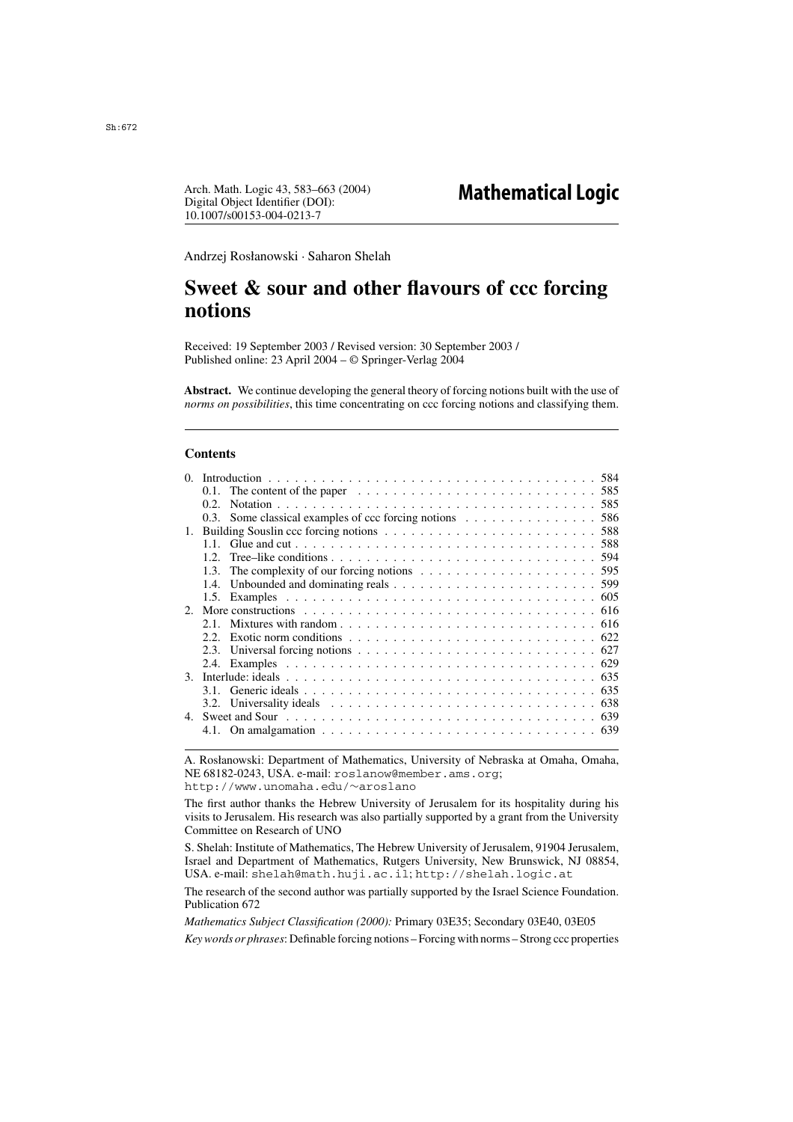Digital Object Identifier (DOI): 10.1007/s00153-004-0213-7 Arch. Math. Logic 43, 583–663 (2004)

Andrzej Rosłanowski · Saharon Shelah

# **Sweet & sour and other flavours of ccc forcing notions**

Received: 19 September 2003 / Revised version: 30 September 2003 / Published online: 23 April 2004 – © Springer-Verlag 2004

**Abstract.** We continue developing the general theory of forcing notions built with the use of *norms on possibilities*, this time concentrating on ccc forcing notions and classifying them.

# **Contents**

| 0  |         |                                                                                                              |  |  |  |
|----|---------|--------------------------------------------------------------------------------------------------------------|--|--|--|
|    | $0.1$ . | The content of the paper $\ldots \ldots \ldots \ldots \ldots \ldots \ldots \ldots \ldots \ldots 585$         |  |  |  |
|    | 0.2.    |                                                                                                              |  |  |  |
|    | 0.3     | Some classical examples of ccc forcing notions 586                                                           |  |  |  |
| 1. |         |                                                                                                              |  |  |  |
|    |         |                                                                                                              |  |  |  |
|    | 12      |                                                                                                              |  |  |  |
|    | 1.3.    |                                                                                                              |  |  |  |
|    | 1.4.    |                                                                                                              |  |  |  |
|    |         |                                                                                                              |  |  |  |
|    |         |                                                                                                              |  |  |  |
|    | 21      |                                                                                                              |  |  |  |
|    |         | Exotic norm conditions $\ldots \ldots \ldots \ldots \ldots \ldots \ldots \ldots \ldots \ldots$               |  |  |  |
|    | 2.3.    | Universal forcing notions $\ldots \ldots \ldots \ldots \ldots \ldots \ldots \ldots \ldots \ldots \ldots$ 627 |  |  |  |
|    |         |                                                                                                              |  |  |  |
|    |         |                                                                                                              |  |  |  |
|    |         |                                                                                                              |  |  |  |
|    |         | 3.2. Universality ideals $\ldots \ldots \ldots \ldots \ldots \ldots \ldots \ldots \ldots \ldots \ldots$ 638  |  |  |  |
|    |         |                                                                                                              |  |  |  |
|    |         |                                                                                                              |  |  |  |
|    |         |                                                                                                              |  |  |  |

A. Rosłanowski: Department of Mathematics, University of Nebraska at Omaha, Omaha, NE 68182-0243, USA. e-mail: roslanow@member.ams.org; http://www.unomaha.edu/∼aroslano

The first author thanks the Hebrew University of Jerusalem for its hospitality during his visits to Jerusalem. His research was also partially supported by a grant from the University Committee on Research of UNO

S. Shelah: Institute of Mathematics, The Hebrew University of Jerusalem, 91904 Jerusalem, Israel and Department of Mathematics, Rutgers University, New Brunswick, NJ 08854, USA. e-mail: shelah@math.huji.ac.il; http://shelah.logic.at

The research of the second author was partially supported by the Israel Science Foundation. Publication 672

*Mathematics Subject Classification (2000):* Primary 03E35; Secondary 03E40, 03E05 *Key words or phrases*: Definable forcing notions – Forcing with norms – Strong ccc properties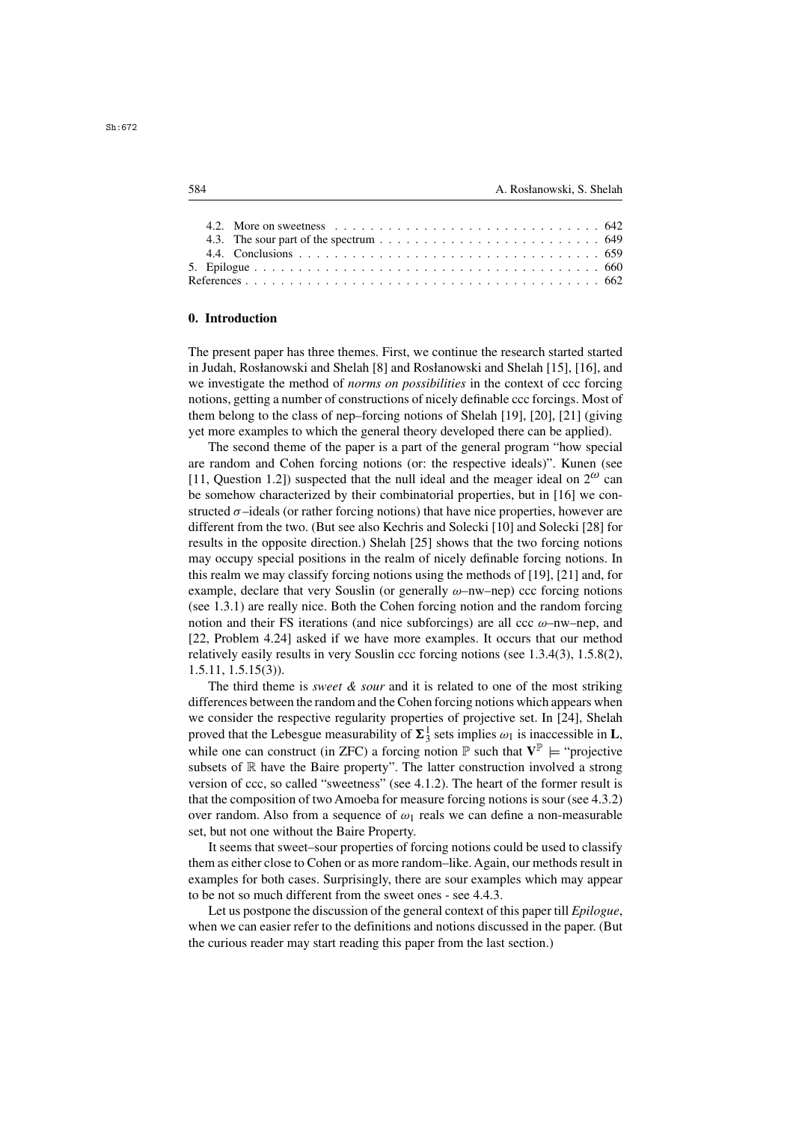|  | 4.2. More on sweetness $\ldots$ , $\ldots$ , $\ldots$ , $\ldots$ , $\ldots$ , $\ldots$ , $\ldots$ , $\ldots$ , $642$ |  |
|--|----------------------------------------------------------------------------------------------------------------------|--|
|  | 4.3. The sour part of the spectrum $\ldots \ldots \ldots \ldots \ldots \ldots \ldots \ldots \ldots \ldots$ 649       |  |
|  |                                                                                                                      |  |
|  |                                                                                                                      |  |
|  |                                                                                                                      |  |

### **0. Introduction**

The present paper has three themes. First, we continue the research started started in Judah, Rosłanowski and Shelah [8] and Rosłanowski and Shelah [15], [16], and we investigate the method of *norms on possibilities* in the context of ccc forcing notions, getting a number of constructions of nicely definable ccc forcings. Most of them belong to the class of nep–forcing notions of Shelah [19], [20], [21] (giving yet more examples to which the general theory developed there can be applied).

The second theme of the paper is a part of the general program "how special are random and Cohen forcing notions (or: the respective ideals)". Kunen (see [11, Question 1.2]) suspected that the null ideal and the meager ideal on  $2^{\omega}$  can be somehow characterized by their combinatorial properties, but in [16] we constructed  $\sigma$ –ideals (or rather forcing notions) that have nice properties, however are different from the two. (But see also Kechris and Solecki [10] and Solecki [28] for results in the opposite direction.) Shelah [25] shows that the two forcing notions may occupy special positions in the realm of nicely definable forcing notions. In this realm we may classify forcing notions using the methods of [19], [21] and, for example, declare that very Souslin (or generally  $\omega$ –nw–nep) ccc forcing notions (see 1.3.1) are really nice. Both the Cohen forcing notion and the random forcing notion and their FS iterations (and nice subforcings) are all  $ccc \omega$ –nw–nep, and [22, Problem 4.24] asked if we have more examples. It occurs that our method relatively easily results in very Souslin ccc forcing notions (see 1.3.4(3), 1.5.8(2), 1.5.11, 1.5.15(3)).

The third theme is *sweet & sour* and it is related to one of the most striking differences between the random and the Cohen forcing notions which appears when we consider the respective regularity properties of projective set. In [24], Shelah proved that the Lebesgue measurability of  $\Sigma_3^1$  sets implies  $\omega_1$  is inaccessible in **L**, while one can construct (in **ZEC**) a foreing notion  $\mathbb{R}$  auch that  $\mathbf{V}^{\mathbb{P}}$  is "projective while one can construct (in ZFC) a forcing notion  $\mathbb{P}$  such that  $V^{\mathbb{P}} \models$  "projective" subsets of  $\mathbb R$  have the Baire property". The latter construction involved a strong version of ccc, so called "sweetness" (see 4.1.2). The heart of the former result is that the composition of two Amoeba for measure forcing notions is sour (see 4.3.2) over random. Also from a sequence of  $\omega_1$  reals we can define a non-measurable set, but not one without the Baire Property.

It seems that sweet–sour properties of forcing notions could be used to classify them as either close to Cohen or as more random–like. Again, our methods result in examples for both cases. Surprisingly, there are sour examples which may appear to be not so much different from the sweet ones - see 4.4.3.

Let us postpone the discussion of the general context of this paper till *Epilogue*, when we can easier refer to the definitions and notions discussed in the paper. (But the curious reader may start reading this paper from the last section.)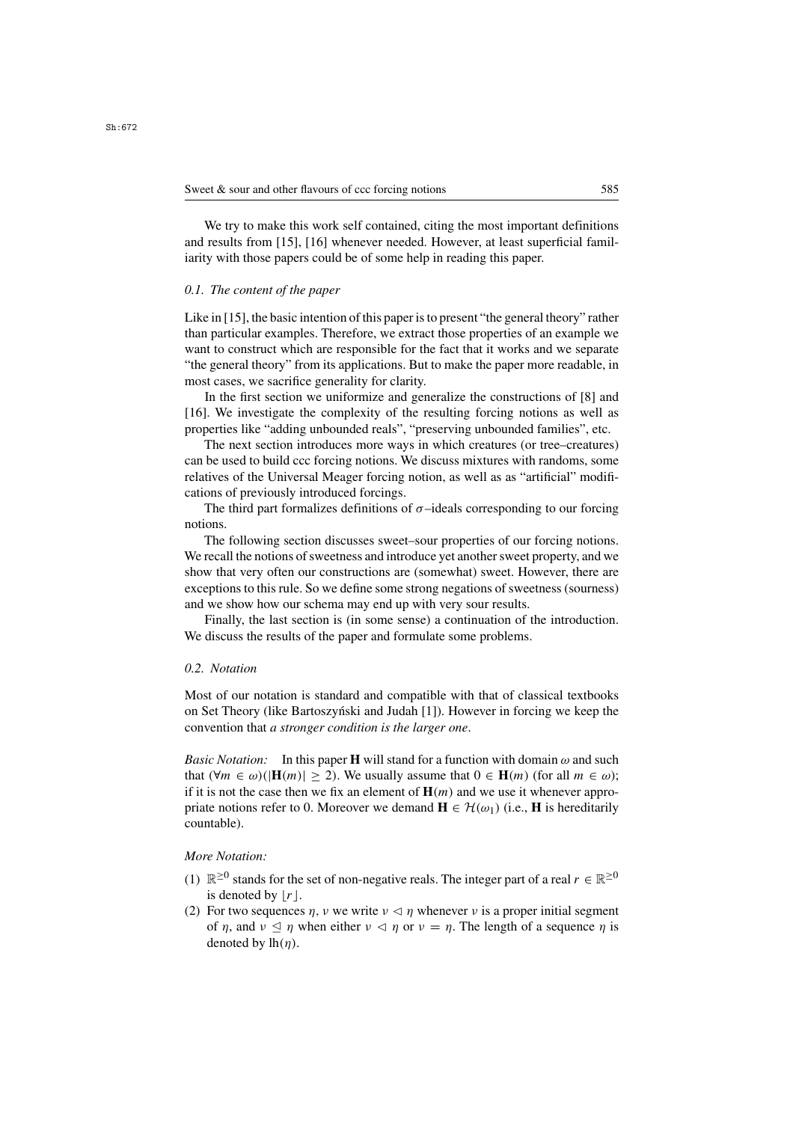We try to make this work self contained, citing the most important definitions and results from [15], [16] whenever needed. However, at least superficial familiarity with those papers could be of some help in reading this paper.

### *0.1. The content of the paper*

Like in [15], the basic intention of this paper is to present "the general theory" rather than particular examples. Therefore, we extract those properties of an example we want to construct which are responsible for the fact that it works and we separate "the general theory" from its applications. But to make the paper more readable, in most cases, we sacrifice generality for clarity.

In the first section we uniformize and generalize the constructions of [8] and [16]. We investigate the complexity of the resulting forcing notions as well as properties like "adding unbounded reals", "preserving unbounded families", etc.

The next section introduces more ways in which creatures (or tree–creatures) can be used to build ccc forcing notions. We discuss mixtures with randoms, some relatives of the Universal Meager forcing notion, as well as as "artificial" modifications of previously introduced forcings.

The third part formalizes definitions of  $\sigma$ -ideals corresponding to our forcing notions.

The following section discusses sweet–sour properties of our forcing notions. We recall the notions of sweetness and introduce yet another sweet property, and we show that very often our constructions are (somewhat) sweet. However, there are exceptions to this rule. So we define some strong negations of sweetness (sourness) and we show how our schema may end up with very sour results.

Finally, the last section is (in some sense) a continuation of the introduction. We discuss the results of the paper and formulate some problems.

# *0.2. Notation*

Most of our notation is standard and compatible with that of classical textbooks on Set Theory (like Bartoszynski and Judah [1]). However in forcing we keep the convention that *a stronger condition is the larger one*.

*Basic Notation:* In this paper **H** will stand for a function with domain  $\omega$  and such that  $(\forall m \in \omega)(|\mathbf{H}(m)| \ge 2)$ . We usually assume that  $0 \in \mathbf{H}(m)$  (for all  $m \in \omega$ ); if it is not the case then we fix an element of  $\mathbf{H}(m)$  and we use it whenever appropriate notions refer to 0. Moreover we demand  $\mathbf{H} \in \mathcal{H}(\omega_1)$  (i.e., **H** is hereditarily countable).

# *More Notation:*

- (1)  $\mathbb{R}^{\geq 0}$  stands for the set of non-negative reals. The integer part of a real  $r \in \mathbb{R}^{\geq 0}$ is denoted by  $|r|$ .
- (2) For two sequences  $\eta$ ,  $\nu$  we write  $\nu \leq \eta$  whenever  $\nu$  is a proper initial segment of  $\eta$ , and  $\nu \leq \eta$  when either  $\nu \leq \eta$  or  $\nu = \eta$ . The length of a sequence  $\eta$  is denoted by  $\ln(n)$ denoted by  $lh(\eta)$ .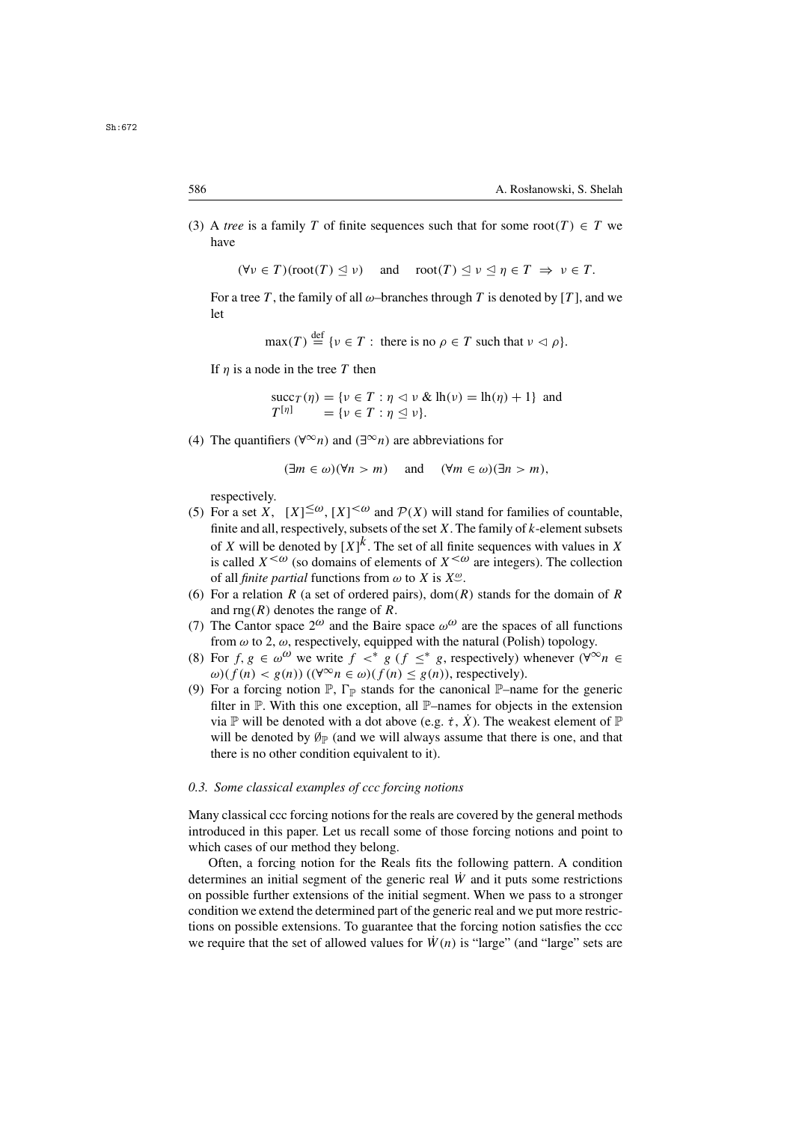(3) A *tree* is a family T of finite sequences such that for some root(T)  $\in T$  we have

> $(\forall v \in T)(\text{root}(T) \triangleleft v)$  $\leq \nu$ ) and  $\operatorname{root}(T) \leq \nu \leq \eta \in T \Rightarrow \nu \in T$ .

For a tree T, the family of all  $\omega$ -branches through T is denoted by [T], and we let

$$
\max(T) \stackrel{\text{def}}{=} \{ \nu \in T : \text{ there is no } \rho \in T \text{ such that } \nu \vartriangleleft \rho \}.
$$

If  $\eta$  is a node in the tree T then

 $\begin{array}{l}\n\text{succ}_{T}(\eta) = \{v \in T : \eta \vartriangleleft v \& \text{lh}(v) = \text{lh}(\eta) + 1\} \text{ and } \\
T^{[\eta]} = \{v \in T : n \vartriangleleft v\} \n\end{array}$  $T^{[\eta]}$  = { $\nu \in T : \eta \leq \nu$  }.

(4) The quantifiers ( $\forall^{\infty}n$ ) and ( $\exists^{\infty}n$ ) are abbreviations for

 $(\exists m \in \omega)(\forall n > m)$  and  $(\forall m \in \omega)(\exists n > m)$ ,

respectively.

- (5) For a set X,  $[X] \leq \omega$ ,  $[X] \leq \omega$  and  $\mathcal{P}(X)$  will stand for families of countable, finite and all respectively subsets of the set X. The family of k-element subsets finite and all, respectively, subsets of the set X. The family of k-element subsets of X will be denoted by  $[X]^k$ . The set of all finite sequences with values in X of X will be denoted by  $[X]^k$ . The set of all finite sequences with values in X<br>is called  $X^{\leq \omega}$  (so domains of elements of  $X^{\leq \omega}$  are integers). The collection is called  $X^{\leq \omega}$  (so domains of elements of  $X^{\leq \omega}$  are integers). The collection of all finite partial functions from  $\omega$  to X is  $X^{\omega}$ . of all *finite partial* functions from  $\omega$  to X is  $X^{\omega}$ .<br>For a relation R (a set of ordered pairs) dom(k
- (6) For a relation R (a set of ordered pairs), dom(R) stands for the domain of R and rng(R) denotes the range of R. and rng(R) denotes the range of R.<br>The Cantor space  $2^{\omega}$  and the Bair
- (7) The Cantor space  $2^{\omega}$  and the Baire space  $\omega^{\omega}$  are the spaces of all functions from  $\omega$  to 2.  $\omega$  respectively equipped with the natural (Polish) topology from  $\omega$  to 2,  $\omega$ , respectively, equipped with the natural (Polish) topology.
- (8) For f,  $g \in \omega^{\omega}$  we write  $f \prec^* g$  ( $f \leq^* g$ , respectively) whenever  $(\forall^{\infty} n \in$  $\omega$ )(f(n) < g(n))( $(\forall^{\infty} n \in \omega)$ (f(n)  $\leq g(n)$ ), respectively).
- (9) For a forcing notion  $\mathbb{P}, \Gamma_{\mathbb{P}}$  stands for the canonical  $\mathbb{P}-$ name for the generic filter in P. With this one exception, all P–names for objects in the extension via P will be denoted with a dot above (e.g.  $\dot{\tau}$ , X). The weakest element of P will be denoted by  $\mathcal{O}_P$  (and we will always assume that there is one, and that there is no other condition equivalent to it).

### *0.3. Some classical examples of ccc forcing notions*

Many classical ccc forcing notions for the reals are covered by the general methods introduced in this paper. Let us recall some of those forcing notions and point to which cases of our method they belong.

Often, a forcing notion for the Reals fits the following pattern. A condition determines an initial segment of the generic real  $\dot{W}$  and it puts some restrictions on possible further extensions of the initial segment. When we pass to a stronger condition we extend the determined part of the generic real and we put more restrictions on possible extensions. To guarantee that the forcing notion satisfies the ccc we require that the set of allowed values for  $\dot{W}(n)$  is "large" (and "large" sets are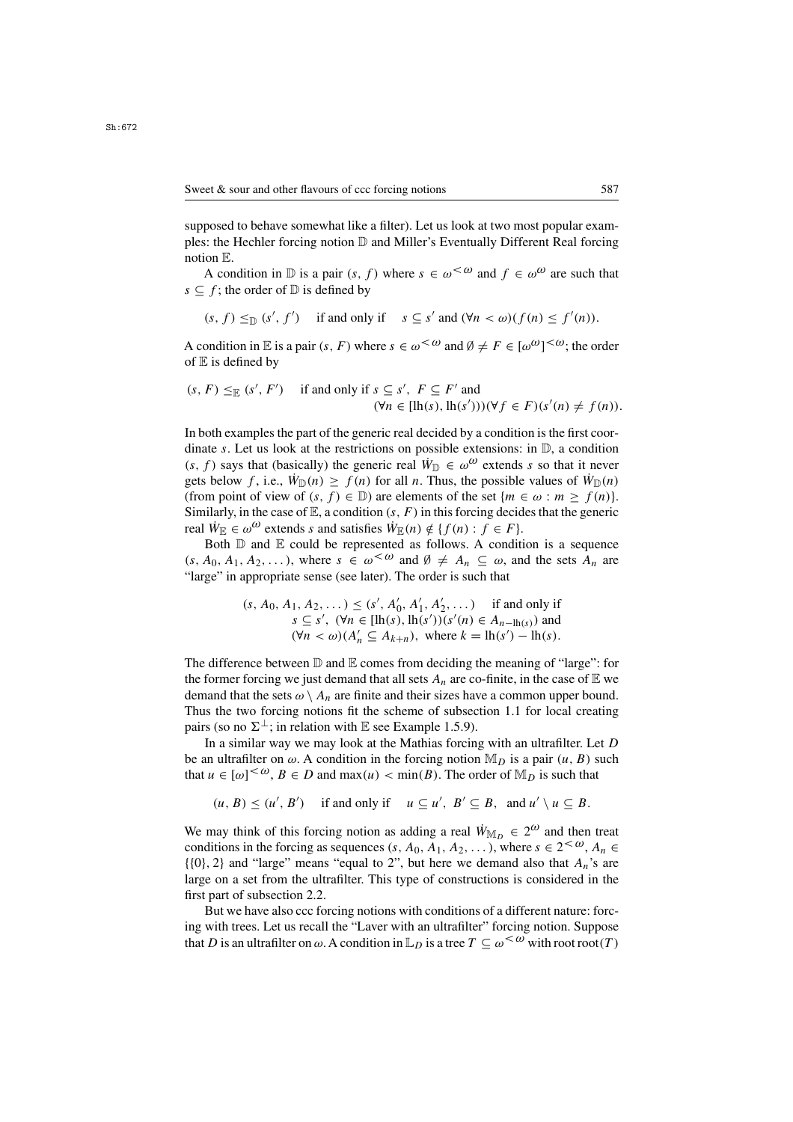supposed to behave somewhat like a filter). Let us look at two most popular examples: the Hechler forcing notion  $D$  and Miller's Eventually Different Real forcing notion E.

A condition in D is a pair  $(s, f)$  where  $s \in \omega^{\lt \omega}$  and  $f \in \omega^\omega$  are such that  $s \subseteq f$ ; the order of  $D$  is defined by

$$
(s, f) \leq_{\mathbb{D}} (s', f')
$$
 if and only if  $s \subseteq s'$  and  $(\forall n < \omega)(f(n) \leq f'(n)).$ 

A condition in  $\mathbb E$  is a pair  $(s, F)$  where  $s \in \omega^{\lt \omega}$  and  $\emptyset \neq F \in [\omega^\omega]^{<\omega}$ ; the order of  $\mathbb E$  is defined by of  $E$  is defined by

$$
(s, F) \leq_{\mathbb{E}} (s', F')
$$
 if and only if  $s \subseteq s', F \subseteq F'$  and  
 $(\forall n \in [\text{lh}(s), \text{lh}(s')))(\forall f \in F)(s'(n) \neq f(n)).$ 

In both examples the part of the generic real decided by a condition is the first coordinate s. Let us look at the restrictions on possible extensions: in  $\mathbb{D}$ , a condition  $(s, f)$  says that (basically) the generic real  $\dot{W}_{\mathbb{D}} \in \omega^{\omega}$  extends s so that it never gets below f, i.e.,  $\dot{W}_D(n) \ge f(n)$  for all n. Thus, the possible values of  $\dot{W}_D(n)$ (from point of view of  $(s, f) \in \mathbb{D}$ ) are elements of the set  $\{m \in \omega : m \ge f(n)\}.$ Similarly, in the case of  $\mathbb{E}$ , a condition  $(s, F)$  in this forcing decides that the generic real  $\dot{W}_{\mathbb{F}} \in \omega^{\omega}$  extends s and satisfies  $\dot{W}_{\mathbb{F}}(n) \notin \{f(n): f \in F\}.$ 

Both  $\mathbb D$  and  $\mathbb E$  could be represented as follows. A condition is a sequence  $(s, A_0, A_1, A_2,...)$ , where  $s \in \omega^{\text{&0}}$  and  $\emptyset \neq A_n \subseteq \omega$ , and the sets  $A_n$  are "large" in appropriate sense (see later). The order is such that

$$
(s, A_0, A_1, A_2, \dots) \le (s', A'_0, A'_1, A'_2, \dots) \text{ if and only if}
$$
  

$$
s \subseteq s', \ (\forall n \in [\text{lh}(s), \text{lh}(s'))(s'(n) \in A_{n-\text{lh}(s)}) \text{ and}
$$
  

$$
(\forall n < \omega)(A'_n \subseteq A_{k+n}), \text{ where } k = \text{lh}(s') - \text{lh}(s).
$$

The difference between  $\mathbb D$  and  $\mathbb E$  comes from deciding the meaning of "large": for the former forcing we just demand that all sets  $A_n$  are co-finite, in the case of  $E$  we demand that the sets  $\omega \setminus A_n$  are finite and their sizes have a common upper bound. Thus the two forcing notions fit the scheme of subsection 1.1 for local creating pairs (so no  $\Sigma^{\perp}$ ; in relation with E see Example 1.5.9).

In a similar way we may look at the Mathias forcing with an ultrafilter. Let  $D$ be an ultrafilter on  $\omega$ . A condition in the forcing notion  $\mathbb{M}_D$  is a pair  $(u, B)$  such that  $u \in [\omega]^{<\omega}$ ,  $B \in D$  and  $\max(u) < \min(B)$ . The order of  $\mathbb{M}_D$  is such that

$$
(u, B) \le (u', B')
$$
 if and only if  $u \subseteq u', B' \subseteq B$ , and  $u' \setminus u \subseteq B$ .

We may think of this forcing notion as adding a real  $\dot{W}_{\mathbb{M}_D} \in 2^{\omega}$  and then treat conditions in the forcing as sequences (s,  $A_0$ ,  $A_1$ ,  $A_2$ ,...), where  $s \in 2^{<\omega}$ ,  $A_n \in$  $\{\{0\}, 2\}$  and "large" means "equal to 2", but here we demand also that  $A_n$ 's are large on a set from the ultrafilter. This type of constructions is considered in the first part of subsection 2.2.

But we have also ccc forcing notions with conditions of a different nature: forcing with trees. Let us recall the "Laver with an ultrafilter" forcing notion. Suppose that D is an ultrafilter on  $\omega$ . A condition in  $\mathbb{L}_D$  is a tree  $T \subseteq \omega^{\lt \omega}$  with root root(T)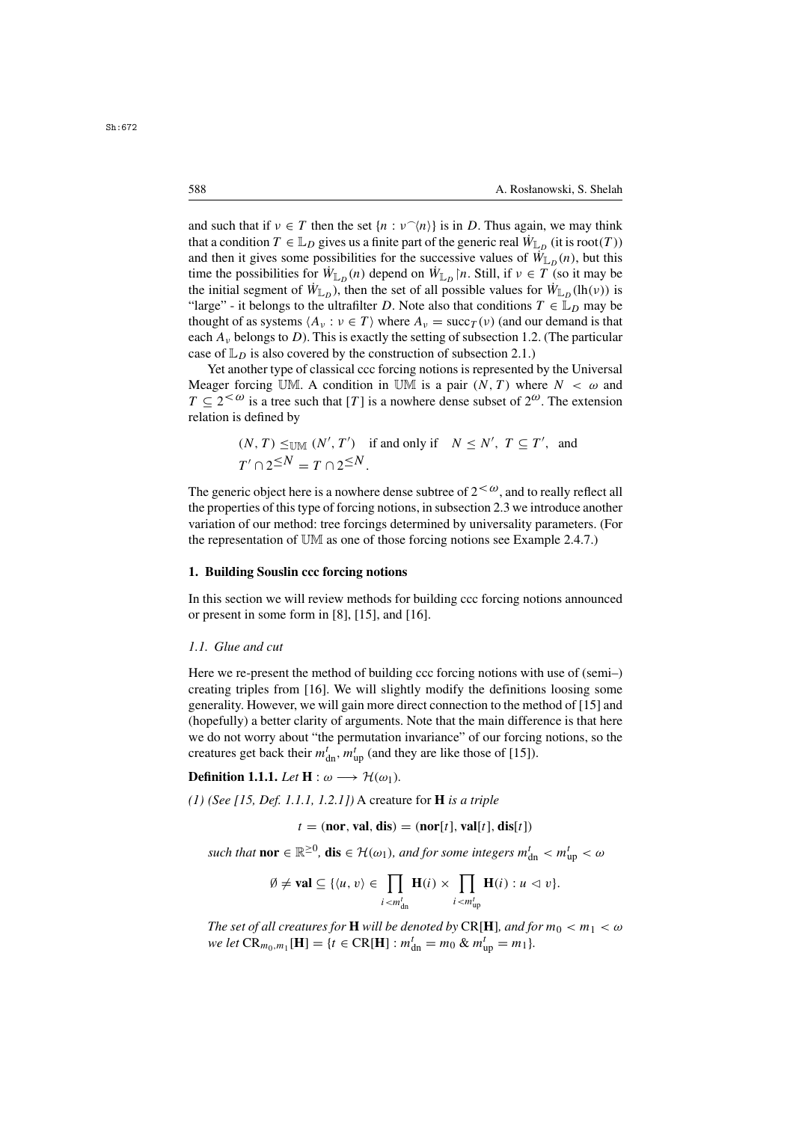and such that if  $v \in T$  then the set  $\{n : v^{\frown}\langle n \rangle\}$  is in D. Thus again, we may think that a condition  $T \in \mathbb{L}_D$  gives us a finite part of the generic real  $\dot{W}_\mathbb{L}$  (it is root(T)) that a condition  $T \in \mathbb{L}_D$  gives us a finite part of the generic real  $\dot{W}_{\mathbb{L}_D}$  (it is root(T)) and then it gives some possibilities for the successive values of  $\dot{W}_{L_n}(n)$ , but this time the possibilities for  $\dot{W}_{\mathbb{L}_D}(n)$  depend on  $\dot{W}_{\mathbb{L}_D}[n]$ . Still, if  $v \in T$  (so it may be the initial segment of  $\dot{W}_{\mathbb{L}_D}$ , then the set of all possible values for  $\dot{W}_{\mathbb{L}_D}(\mathrm{lh}(\nu))$  is "large" - it belongs to the ultrafilter D. Note also that conditions  $T \in \mathbb{L}_D$  may be thought of as systems  $\langle A_v : v \in T \rangle$  where  $A_v = \text{succ}_T(v)$  (and our demand is that each  $A<sub>v</sub>$  belongs to D). This is exactly the setting of subsection 1.2. (The particular case of  $\mathbb{L}_D$  is also covered by the construction of subsection 2.1.)

Yet another type of classical ccc forcing notions is represented by the Universal Meager forcing UM. A condition in UM is a pair  $(N, T)$  where  $N < \omega$  and  $T \n\t\subseteq 2^{<\omega}$  is a tree such that [T] is a nowhere dense subset of  $2^{\omega}$ . The extension relation is defined by

$$
(N, T) \leq_{\text{UM}} (N', T')
$$
 if and only if  $N \leq N', T \subseteq T'$ , and  
 $T' \cap 2^{\leq N} = T \cap 2^{\leq N}$ .

The generic object here is a nowhere dense subtree of  $2<\omega$ , and to really reflect all the properties of this type of forcing notions, in subsection 2.3 we introduce another variation of our method: tree forcings determined by universality parameters. (For the representation of UM as one of those forcing notions see Example 2.4.7.)

# **1. Building Souslin ccc forcing notions**

In this section we will review methods for building ccc forcing notions announced or present in some form in [8], [15], and [16].

# *1.1. Glue and cut*

Here we re-present the method of building ccc forcing notions with use of (semi–) creating triples from [16]. We will slightly modify the definitions loosing some generality. However, we will gain more direct connection to the method of [15] and (hopefully) a better clarity of arguments. Note that the main difference is that here we do not worry about "the permutation invariance" of our forcing notions, so the creatures get back their  $m_{dn}^t$ ,  $m_{up}^t$  (and they are like those of [15]).

**Definition 1.1.1.** *Let*  $H : \omega \longrightarrow \mathcal{H}(\omega_1)$ *.* 

*(1) (See [15, Def. 1.1.1, 1.2.1])* A creature for **H** *is a triple*

$$
t = (nor, val, dis) = (nor[t], val[t], dis[t])
$$

*such that*  $\textbf{nor } \in \mathbb{R}^{\geq 0}$ ,  $\textbf{dis } \in \mathcal{H}(\omega_1)$ , and for some integers  $m^t_{\text{dn}} < m^t_{\text{up}} < \omega$ 

$$
\emptyset \neq \mathbf{val} \subseteq \{ \langle u, v \rangle \in \prod_{i < m_{\rm dn}^t} \mathbf{H}(i) \times \prod_{i < m_{\rm up}^t} \mathbf{H}(i) : u \vartriangleleft v \}.
$$

*The set of all creatures for* **H** *will be denoted by* CR[**H**]*, and for*  $m_0 < m_1 < \omega$  $we let CR_{m_0,m_1}[\mathbf{H}] = \{t \in CR[\mathbf{H}] : m_{\text{dn}}^t = m_0 \& m_{\text{up}}^t = m_1\}.$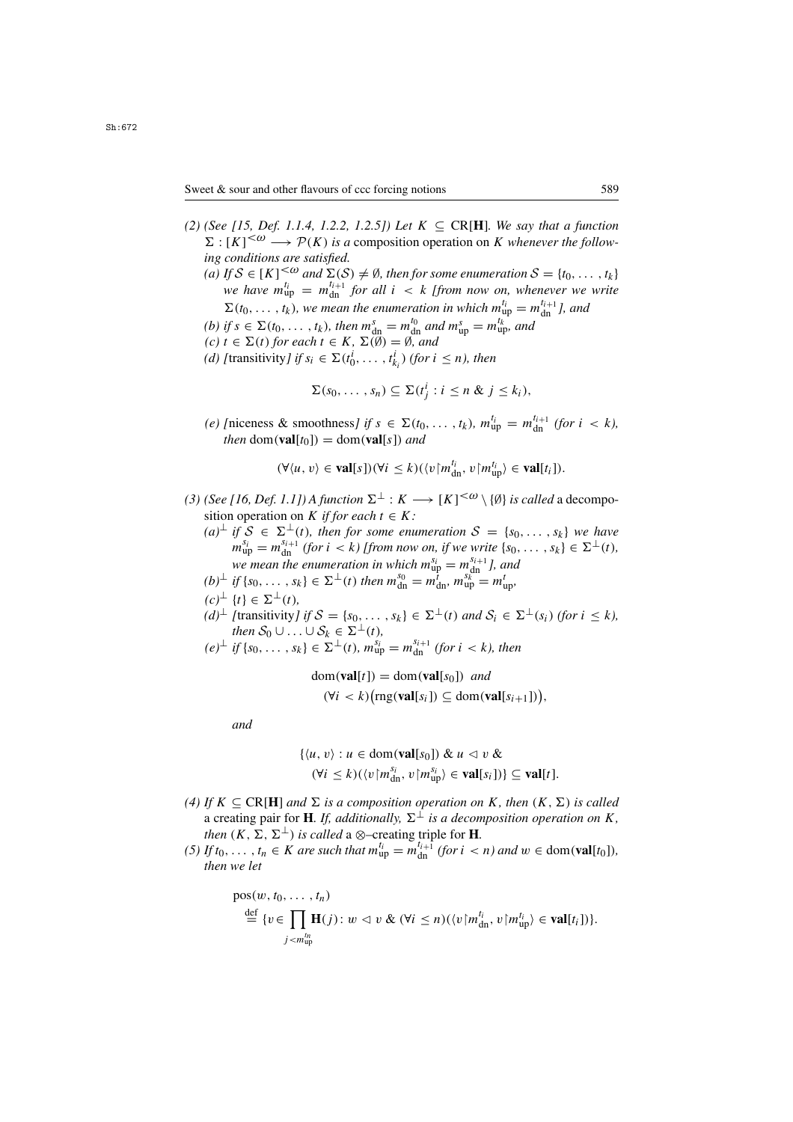- *(2) (See [15, Def. 1.1.4, 1.2.2, 1.2.5]) Let*  $K ⊆ CR[H]$ *. We say that a function*  $\Sigma : [K]^{<\omega} \longrightarrow \mathcal{P}(K)$  is a composition operation on K whenever the follow- $\Sigma : [K]^{<\omega} \longrightarrow \mathcal{P}(K)$  is a<br>ing conditions are satisfied.  $\leq \omega \longrightarrow \mathcal{P}(K)$  is a composition operation on K *whenever the follow-*<br>ditions are satisfied
	- (a) If S ∈ [K]<sup><ω</sup> and  $\Sigma(S) \neq \emptyset$ , then for some enumeration  $S = \{t_0, \ldots, t_k\}$ <br>we have  $m_{i-}^{t_i} = m^{t_i+1}$  for all  $i \lt k$  [from now on whenever we write *we have*  $m_{\mathrm{u}}^{t_i}$ <br> $\nabla$  (*t*<sub>c</sub>  $u_{ij}^{l_i} = m_{di+1}^{l_i+1}$  for all  $i < k$  [from now on, whenever we write<br>  $u_{ij}^{l_i} = m_{ij}^{l_i+1}$  and  $\Sigma(t_0, \ldots, t_k)$ , we mean the enumeration in which  $m_{\text{up}}^{t_i} = m_{\text{dm}}^{t_{i+1}}$ , and<br>if  $s \in \Sigma(t_0, t_1)$ , then  $m_s = m_{\text{up}}^{t_0}$  and  $m_s^s = m_{\text{up}}^{t_k}$  and

(b) if  $s \in \Sigma(t_0, \ldots, t_k)$ , then  $m_{\text{dR}}^s = m_{\text{dR}}^{t_0}$  and  $m_{\text{up}}^s = m_{\text{up}}^{t_k}$ , and  $(c)$   $t \in \Sigma(t)$  for each  $t \in K$ ,  $\Sigma(\emptyset) = \emptyset$  and

- $(c)$   $t \in \Sigma(t)$  *for each*  $t \in K$ ,  $\Sigma(\emptyset) = \emptyset$ *, and*
- *(d)* [transitivity] if  $s_i \in \Sigma(t_0^l, \ldots, t_{k_i}^l)$  (for  $i \leq n$ ), then

$$
\Sigma(s_0,\ldots,s_n)\subseteq\Sigma(t_j^i : i\leq n \& j\leq k_i),
$$

(e) [niceness & smoothness] if  $s \in \Sigma(t_0, ..., t_k)$ ,  $m_{\text{up}}^{t_i} = m_{\text{dn}}^{t_{i+1}}$  (for  $i < k$ ), then dom(**val**[t<sub>0</sub>]) = dom(**val**[s]) and *then* dom(**val**[ $t_0$ ]) = dom(**val**[ $s$ ]) *and* 

ki

$$
(\forall \langle u, v \rangle \in \mathbf{val}[s])(\forall i \leq k)(\langle v | m_{\mathrm{dn}}^{l_i}, v | m_{\mathrm{up}}^{l_i} \rangle \in \mathbf{val}[t_i]).
$$

- (3) (See [16, Def. 1.1]) A function  $\Sigma^{\perp}$  :  $K \longrightarrow [K]^{<\omega} \setminus {\emptyset}$  *is called* a decomposition operation on K if for each  $t \in K$ . sition operation on K *if for each*  $t \in K$ :
	- $(a)$ <sup>⊥</sup> *if*  $S$  ∈  $\Sigma$ <sup>⊥</sup>(*t*)*, then for some enumeration*  $S = \{s_0, \ldots, s_k\}$  *we have*  $m_{\rm up}^{s_i} = m_{\rm dn}^{s_{i+1}}$  $m_{\rm up}^{s_i} = m_{\rm dn}^{s_{i+1}}$  (for  $i < k$ ) [from now on, if we write  $\{s_0, \ldots, s_k\} \in \Sigma^{\perp}(t)$ , *we mean the enumeration in which*  $m_{\text{up}}^{s_i} = m_{\text{sh}}^{s_{i+1}} I$ , and if  $\{s_0, \ldots, s_k\} \in \sum_{i=1}^{k} (t)$  then  $m_{\text{sh}}^{s_0} = m_{\text{sh}}^{t} = m_{\text{sh}}^{s_k} = m_{\text{sh}}^{t}$
	- $(b)^{\perp}$  *if*  $\{s_0, \ldots, s_k\} \in \Sigma^{\perp}(t)$  *then*  $m_{dn}^{s_0} = m_{dn}^{i}$ ,  $m_{up}^{s_k^{m}} = m_{up}^{t}$ ,  $(a)^{\perp}$   $(a)^{\perp}$   $(a) \in \Sigma^{\perp}(t)$ .
	- $(c)^{\perp} \{t\} \in \Sigma^{\perp}(t),$ <br> $(d)^{\perp}$  [transitivity]  $(d)^{\perp}$  *[transitivity] if*  $S = \{s_0, \ldots, s_k\} \in \Sigma^{\perp}(t)$  *and*  $S_i \in \Sigma^{\perp}(s_i)$  *(for*  $i \leq k$ *), then*  $S_0 \sqcup \cdots \sqcup S_i \in \Sigma^{\perp}(t)$ 
		- *then*  $S_0 \cup ... \cup S_k \in \Sigma^{\perp}(t)$ ,<br>*if*  $\{s_0, s_1\} \in \Sigma^{\perp}(t)$ ,  $m^{S_i}$  $(e)^{\perp}$  *if*  $\{s_0, \ldots, s_k\} \in \Sigma^{\perp}(t)$ *,*  $m_{\rm up}^{s_i} = m_{\rm dn}^{s_{i+1}}$  (for  $i < k$ )*, then*

dom(**val**[*t*]) = dom(**val**[*s*<sub>0</sub>]) and  
(
$$
\forall i < k
$$
)( $rng(\text{val}[s_i]) \subseteq dom(\text{val}[s_{i+1}])$ ),

*and*

$$
\{\langle u, v \rangle : u \in \text{dom}(\textbf{val}[s_0]) \& u \langle v \& ( \forall i \leq k ) (\langle v | m_{\text{dn}}^{s_i}, v | m_{\text{up}}^{s_i} \rangle \in \textbf{val}[s_i] ) \} \subseteq \textbf{val}[t].
$$

- *(4)* If  $K \subseteq \text{CR}[\mathbf{H}]$  *and*  $\Sigma$  *is a composition operation on* K, *then*  $(K, \Sigma)$  *is called* a creating pair for **H***. If, additionally,*  $\Sigma^{\perp}$  *is a decomposition operation on* K, *then*  $(K, \Sigma, \Sigma^{\perp})$  *is called* a ⊗–creating triple for **H**.<br>*If the the K are such that*  $m^{t_i} - m^{t_{i+1}}$  *(for i <*
- (5) If  $t_0, \ldots, t_n \in K$  are such that  $m_{\text{up}}^{t_i} = m_{\text{dn}}^{t_{i+1}}$  (for  $i < n$ ) and  $w \in \text{dom}(\text{val}[t_0]),$ <br>then we let *then we let*

$$
\text{pos}(w, t_0, \dots, t_n) \n\stackrel{\text{def}}{=} \{v \in \prod_{j < m_{\text{up}}^{t_n}} \mathbf{H}(j) : w \vartriangleleft v \& (\forall i \leq n) (\langle v | m_{\text{dn}}^{t_i}, v | m_{\text{up}}^{t_i} \rangle \in \text{val}[t_i])\}.
$$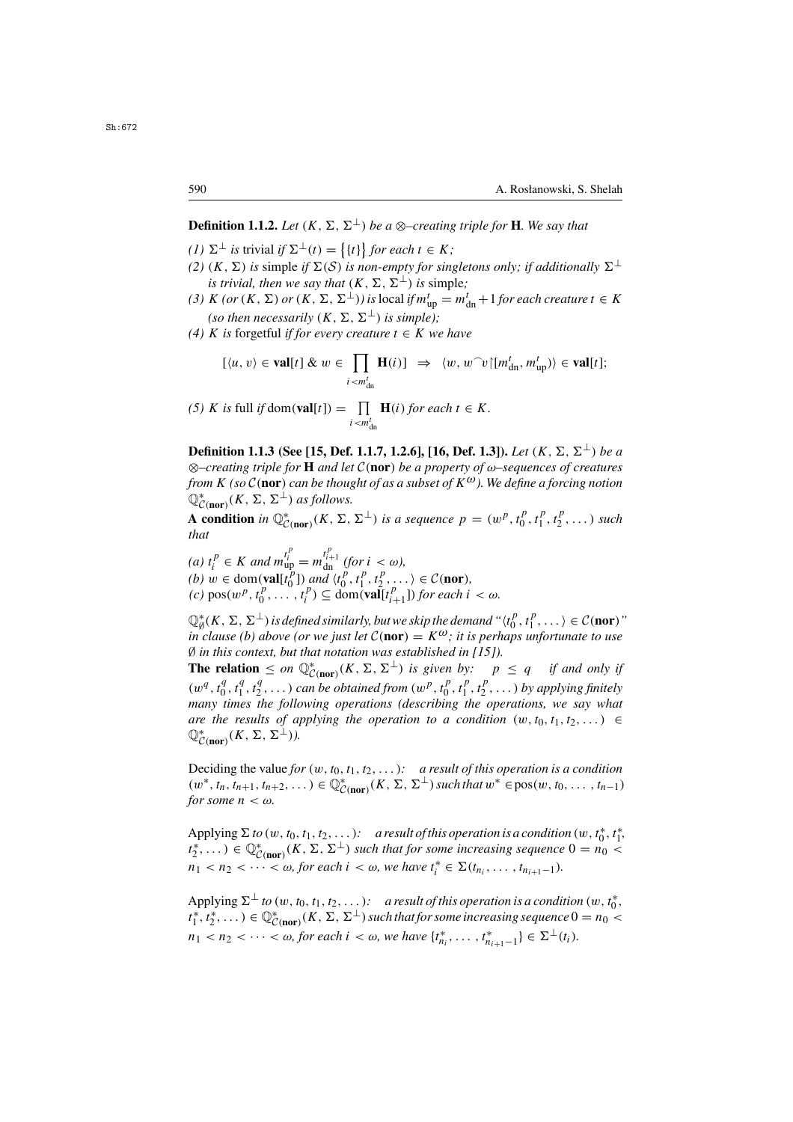**Definition 1.1.2.** *Let*  $(K, \Sigma, \Sigma^{\perp})$  *be a*  $\otimes$ *-creating triple for* **H***. We say that* 

- *(1)*  $\Sigma^{\perp}$  *is* trivial *if*  $\Sigma^{\perp}(t) = \{\{t\}\}\$  *for each*  $t \in K$ *; (2) (K)*  $\Sigma$ *) is simple if*  $\Sigma(S)$  *is non empty for simple*
- *(2)*  $(K, \Sigma)$  *is* simple *if*  $\Sigma(S)$  *is non-empty for singletons only; if additionally*  $\Sigma^{\perp}$ *is trivial, then we say that*  $(K, \Sigma, \Sigma^{\perp})$  *is simple;*
- (3) K  $(or (K, \Sigma) or (K, \Sigma, \Sigma^{\perp}))$  is local if  $m_{\text{up}}^t = m_{\text{dn}}^t + 1$  *for each creature*  $t \in K$ *(so then necessarily*  $(K, \Sigma, \Sigma^{\perp})$  *is simple);*
- *(4)* K *is* forgetful *if for every creature*  $t \in K$  *we have*

$$
[\langle u, v \rangle \in \mathbf{val}[t] \& w \in \prod_{i < m_{dn}^t} \mathbf{H}(i)] \Rightarrow \langle w, w^\frown v | [m_{dn}^t, m_{up}^t] \rangle \in \mathbf{val}[t];
$$

*(5) K is* full *if* dom(**val**[t]) =  $\prod_{i \leq m^t}$ **H**(*i*) *for each*  $t \in K$ *.*  $u < m_{dn}$ 

**Definition 1.1.3 (See [15, Def. 1.1.7, 1.2.6], [16, Def. 1.3]).** *Let*  $(K, \Sigma, \Sigma^{\perp})$  *be a* <sup>⊗</sup>*–creating triple for* **<sup>H</sup>** *and let* <sup>C</sup>(**nor**) *be a property of* ω*–sequences of creatures from*  $K$  *(so*  $C$  (nor) *can be thought of as a subset of*  $K^{\omega}$ *). We define a forcing notion*  $\mathbb{Q}^*_{\mathcal{C}(\text{nor})}(K, \Sigma, \Sigma^{\perp})$  *as follows.* 

 $\mathcal{L}_{\mathcal{C}(\textbf{nor})}^{\mathcal{C}(\textbf{nor})}(\mathbf{A}, \mathbf{\Sigma}, \mathbf{\Sigma})$  *is a sequence*  $p = (w^p, t_0^p, t_1^p, t_2^p, \dots)$  *such* that *that*

(*a*)  $t_i^p$  ∈ *K and*  $m_{\text{up}}^{t_i^i} = m_{\text{dn}}^{t_{i+1}^i}$  (for  $i < \omega$ ),<br>
(*b*)  $w \in \text{dom}(\text{val}(t^p))$  and  $(t^p - t^p - t^p)$ *(b)*  $w \in \text{dom}(\text{val}[t_0^p])$  and  $\langle t_0^p, t_1^p, t_2^p, \dots \rangle \in \mathcal{C}(\text{nor}),$ <br>
(c)  $\text{pos}(w^p, t^p) \subset \text{dom}(\text{val}[t^p, \dots])$  for each i  $f(c) \operatorname{pos}(w^p, t_0^p, \ldots, t_i^p) \subseteq \operatorname{dom}(\operatorname{val}[t_{i+1}^p])$  *for each*  $i < \omega$ *.* 

 $\mathbb{Q}_{\phi}^{*}(K, \Sigma, \Sigma^{\perp})$  is defined similarly, but we skip the demand " $\langle t_0^p, t_1^p, \ldots \rangle \in \mathcal{C}(\text{nor})$ "<br>in clause (b) above (or we just let  $\mathcal{C}(\text{nor}) = K^{\omega}$  ; it is perhaps unfortunate to use  $\frac{1}{0}$ ,  $t_1$ <br>ns  $\mu$ *in clause (b) above (or we just let*  $C(\textbf{nor}) = K^{\omega}$ ; *it is perhaps unfortunate to use*<br> $\emptyset$  *in this context, but that notation was established in [151*] ∅ *in this context, but that notation was established in [15]).*

**The relation**  $\leq$  *on*  $\mathbb{Q}_{\text{CNOT}}^*(K, \Sigma, \Sigma^{\perp})$  *is given by:*  $p \leq q$  *if and only if* <sup>C</sup>(**nor**)  $(w^q, t_0^q, t_1^q, t_2^q, \ldots)$  can be obtained from  $(w^p, t_0^p, t_1^p, t_2^p, \ldots)$  by applying finitely<br>many times the following operations (describing the operations we say what *many times the following operations (describing the operations, we say what are the results of applying the operation to a condition*  $(w, t_0, t_1, t_2,...) \in$  $\mathbb{Q}_{\mathcal{C}(\text{nor})}^*(K, \Sigma, \Sigma^{\perp}).$ 

Deciding the value *for*  $(w, t_0, t_1, t_2, \ldots)$ : a result of this operation is a condition  $(w^*, t_n, t_{n+1}, t_{n+2}, \dots) \in \mathbb{Q}^*_{\mathcal{C}(\textbf{nor})}(K, \Sigma, \Sigma^{\perp})$  *such that*  $w^* \in \text{pos}(w, t_0, \dots, t_{n-1})$  for some  $n < \omega$ . *for some*  $n < \omega$ *.* 

Applying  $\Sigma$  *to* (w, t<sub>0</sub>, t<sub>1</sub>, t<sub>2</sub>,...): a result of this operation is a condition (w, t<sub>0</sub><sup>\*</sup>, t<sub>1</sub><sup>\*</sup>,<br>  $t_2^*,\ldots$ )  $\in \mathbb{Q}_{\mathcal{C}(\text{nor})}^*(K, \Sigma, \Sigma^{\perp})$  such that for some increasing sequence  $0 = n_0 < n_1$  $n_1 < n_2 < \cdots < \omega$ , for each  $i < \omega$ , we have  $t_i^* \in \Sigma(t_{n_i}, \ldots, t_{n_{i+1}-1})$ .

Applying  $\Sigma^{\perp}$  *to*  $(w, t_0, t_1, t_2, \ldots)$ *: a result of this operation is a condition*  $(w, t_0^*,$  $\mathcal{L}_{1}^{(k)}$ ,  $t_{2}^{*}, \ldots$ )  $\in \mathbb{Q}_{\mathcal{C}(nor)}^{*}(K, \Sigma, \Sigma^{\perp})$  such that for some increasing sequence  $0 = n_{0} < n_{1}$ ,  $t_{2}^{*}, \ldots$ )  $\in \mathbb{Q}_{\mathcal{C}(nor)}^{*}(K, \Sigma, \Sigma^{\perp})$  such that for some increasing sequence  $0 = n_{0} < n_{1}$  $n_1 \times n_2 \times \cdots \times \omega$ , for each  $i < \omega$ , we have  $\{t_{n_i}^*, \ldots, t_{n_{i+1}-1}^* \} \in \Sigma^{\perp}(t_i)$ . ni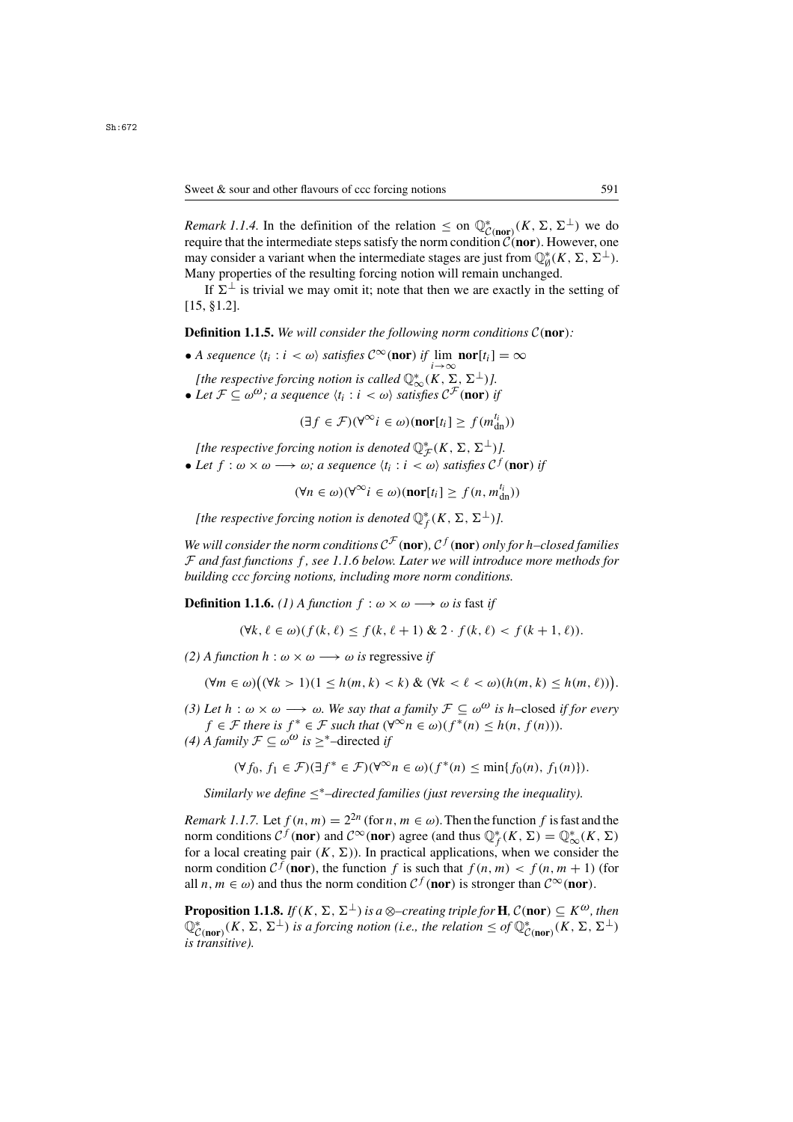*Remark 1.1.4.* In the definition of the relation  $\leq$  on  $\mathbb{Q}_{\mathcal{C}(\text{nor})}^*(K, \Sigma, \Sigma^{\perp})$  we do require that the intermediate steps satisfy the norm condition  $\mathcal{C}(\text{nor})$ . However, one require that the intermediate steps satisfy the norm condition  $\mathcal{C}(\mathbf{nor})$ . However, one<br>may consider a variant when the intermediate stages are just from  $\mathbb{O}^*(K, \Sigma, \Sigma^{\perp})$ may consider a variant when the intermediate stages are just from  $\mathbb{Q}_{\theta}^{*}(K, \Sigma, \Sigma^{\perp})$ .<br>Many properties of the resulting forcing notion will remain unchanged Many properties of the resulting forcing notion will remain unchanged.

If  $\Sigma^{\perp}$  is trivial we may omit it; note that then we are exactly in the setting of [15, §1.2].

**Definition 1.1.5.** *We will consider the following norm conditions* <sup>C</sup>(**nor**)*:*

• *A sequence*  $\langle t_i : i < \omega \rangle$  *satisfies*  $\mathcal{C}^\infty(\textbf{nor})$  *if*  $\lim_{i \to \infty} \textbf{nor}[t_i] = \infty$ <br> *i* the respective foreign potion is called ①\*  $(K \sum \sum \pm)1$ 

*[the respective forcing notion is called*  $\mathbb{Q}^*_{\infty}(K, \Sigma, \Sigma^{\perp})$ ].<br>Let  $\mathcal{F} \subset \omega^{\omega}$ : a sequence  $(t, \cdot, i < \omega)$  satisfies  $\mathcal{C}^{\mathcal{F}}$  (nor) i • Let  $\mathcal{F} \subseteq \omega^{\omega}$ ; a sequence  $\langle t_i : i \langle \omega \rangle$  satisfies  $\mathcal{C}^{\mathcal{F}}$  (nor) *if* 

 $(\exists f \in \mathcal{F})(\forall^\infty i \in \omega)(\textbf{nor}[t_i] \geq f(m_{\text{dn}}^{t_i}))$ 

*[the respective forcing notion is denoted*  $\mathbb{Q}_{\mathcal{F}}^*(K, \Sigma, \Sigma^{\perp})$ ].<br>Let  $f : \omega \times \omega \longrightarrow \omega$ ; a sequence it  $\psi : \omega \times \omega$  satisfies  $\mathcal{E}^f$ .

• Let  $f : \omega \times \omega \longrightarrow \omega$ ; a sequence  $\langle t_i : i \langle \omega \rangle \rangle$  satisfies  $\mathcal{C}^f(\text{nor})$  if

$$
(\forall n \in \omega)(\forall^{\infty} i \in \omega)(\textbf{nor}[t_i] \ge f(n, m_{\text{dn}}^{t_i}))
$$

*[the respective forcing notion is denoted*  $\mathbb{Q}_f^*(K, \Sigma, \Sigma^{\perp})$ *].* 

*We will consider the norm conditions*  $C^{\mathcal{F}}$  (**nor**)*,*  $C^f$  (**nor**) *only for h–closed families* <sup>F</sup> *and fast functions* f *, see 1.1.6 below. Later we will introduce more methods for building ccc forcing notions, including more norm conditions.*

**Definition 1.1.6.** *(1)* A function  $f : \omega \times \omega \longrightarrow \omega$  is fast if

$$
(\forall k,\ell \in \omega)(f(k,\ell) \le f(k,\ell+1) \& 2 \cdot f(k,\ell) < f(k+1,\ell)).
$$

*(2)* A function  $h : \omega \times \omega \longrightarrow \omega$  is regressive *if* 

$$
(\forall m \in \omega) \big( (\forall k > 1) (1 \leq h(m, k) < k) \& (\forall k < \ell < \omega) (h(m, k) \leq h(m, \ell)) \big).
$$

*(3) Let*  $h : \omega \times \omega \longrightarrow \omega$ *. We say that a family*  $\mathcal{F} \subseteq \omega^{\omega}$  *is h*–closed *if for every*  $f \in \mathcal{F}$  *there is*  $f^* \in \mathcal{F}$  *such that*  $(\forall^\infty n \in \omega)(f^*(n) \leq h(n, f(n))).$ 

*(4) A family*  $\mathcal{F} \subseteq \omega^{\omega}$  *is* ≥<sup>\*</sup>−directed *if* 

$$
(\forall f_0, f_1 \in \mathcal{F})(\exists f^* \in \mathcal{F})(\forall^\infty n \in \omega)(f^*(n) \le \min\{f_0(n), f_1(n)\}).
$$

*Similarly we define* ≤∗*–directed families (just reversing the inequality).*

*Remark 1.1.7.* Let  $f(n, m) = 2^{2n}$  (for  $n, m \in \omega$ ). Then the function f is fast and the norm conditions  $C^f$  (**nor**) and  $C^\infty$  (**nor**) agree (and thus  $\mathbb{Q}_f^*(K, \Sigma) = \mathbb{Q}_\infty^*$  for a local creating pair  $(K, \Sigma)$ ). In practical applications, when we constant for a local creating pair  $(K, \Sigma)$ ). In practical applications, when we consider the<br>norm condition  $C^f$  (nor) the function f is such that  $f(n, m) < f(n, m+1)$  (for norm condition  $C^f$  (**nor**), the function f is such that  $f(n, m) < f(n, m + 1)$  (for all  $n, m \in \omega$ ) and thus the norm condition  $\mathcal{C}^f$  (**nor**) is stronger than  $\mathcal{C}^{\infty}$  (**nor**).

**Proposition 1.1.8.** *If*(*K*,  $\Sigma$ ,  $\Sigma^{\perp}$ ) *is a* ⊗–*creating triple for* **H***,*  $C$ (**nor**)  $\subseteq K^{\omega}$ *, then*  $\mathbb{Q}^*_{C(\textbf{nor})}(K, \Sigma, \Sigma^{\perp})$  is a forcing notion (i.e., the relation  $\leq$  of  $\mathbb{Q}^*_{C(\textbf{nor})}(K, \Sigma, \Sigma^{\perp})$ <br>is transitive). <sup>C</sup>(**nor**) *is transitive).*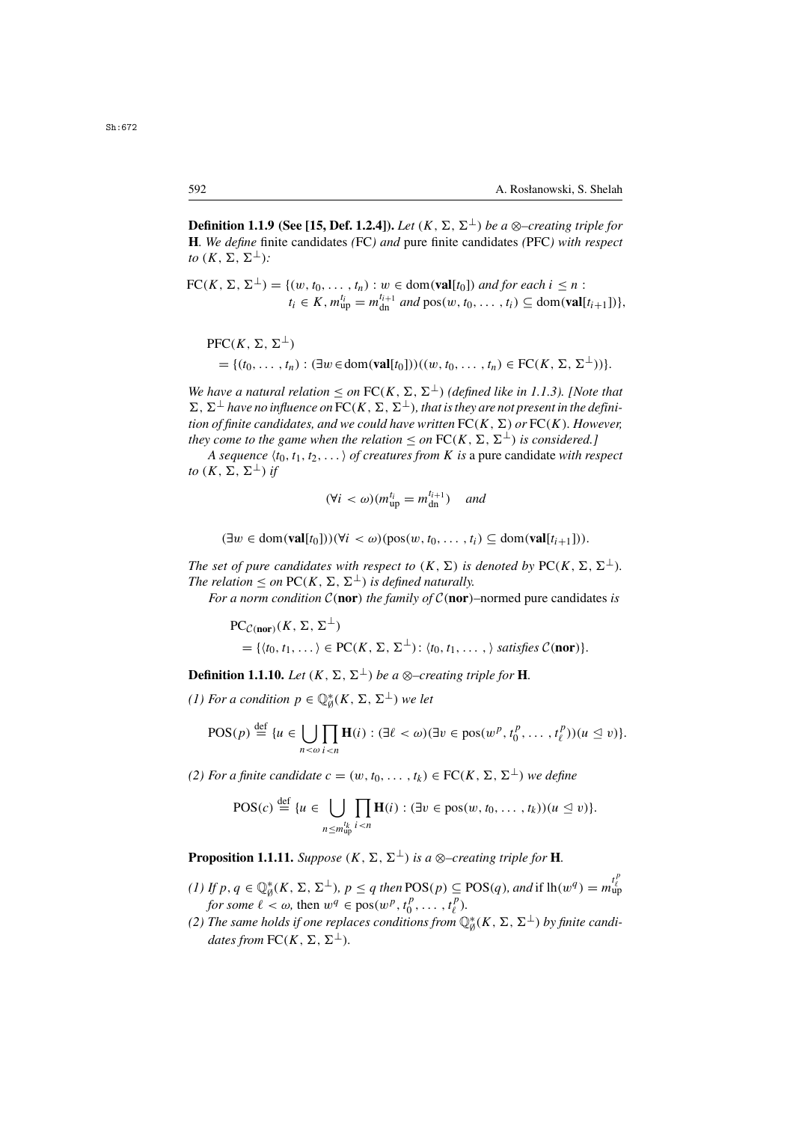**Definition 1.1.9 (See [15, Def. 1.2.4]).** *Let*  $(K, \Sigma, \Sigma^{\perp})$  *be a* ⊗–*creating triple for* **H***. We define* finite candidates *(*FC*) and* pure finite candidates *(*PFC*) with respect to*  $(K, \Sigma, \Sigma^{\perp})$ :

$$
\text{FC}(K, \Sigma, \Sigma^{\perp}) = \{ (w, t_0, \dots, t_n) : w \in \text{dom}(\textbf{val}[t_0]) \text{ and for each } i \leq n : t_i \in K, m_{\text{up}}^{t_i} = m_{\text{dn}}^{t_{i+1}} \text{ and } \text{pos}(w, t_0, \dots, t_i) \subseteq \text{dom}(\textbf{val}[t_{i+1}]) \},
$$

PFC $(K, \Sigma, \Sigma^{\perp})$  $= \{(t_0, \ldots, t_n) : (\exists w \in \text{dom}(\textbf{val}[t_0]))((w, t_0, \ldots, t_n) \in \text{FC}(K, \Sigma, \Sigma^{\perp}))\}.$ 

*We have a natural relation*  $\leq$  *on*  $FC(K, \Sigma, \Sigma^{\perp})$  *(defined like in 1.1.3). [Note that*  $\Sigma$ ,  $\Sigma^{\perp}$  have no influence on  $\overline{FC}(K, \Sigma, \Sigma^{\perp})$ , that is they are not present in the defini*tion of finite candidates, and we could have written*  $FC(K, \Sigma)$  *or*  $FC(K)$ *. However, they come to the game when the relation*  $\leq$  *on*  $FC(K, \Sigma, \Sigma^{\perp})$  *is considered.]* 

*A sequence*  $\langle t_0, t_1, t_2, \ldots \rangle$  *of creatures from K is* a pure candidate *with respect to*  $(K, \Sigma, \Sigma^{\perp})$  *if* 

$$
(\forall i < \omega)(m_{\text{up}}^{t_i} = m_{\text{dn}}^{t_{i+1}}) \quad \text{and} \quad
$$

 $(\exists w \in \text{dom}(\textbf{val}[t_0]))(\forall i < \omega)(\text{pos}(w, t_0, \ldots, t_i) \subseteq \text{dom}(\textbf{val}[t_{i+1}])).$ 

*The set of pure candidates with respect to*  $(K, \Sigma)$  *is denoted by* PC $(K, \Sigma, \Sigma^{\perp})$ *. The relation*  $\leq$  *on* PC(*K*,  $\Sigma$ ,  $\Sigma^{\perp}$ ) *is defined naturally.* 

*For a norm condition*  $C$ (**nor**) *the family of*  $C$ (**nor**)–normed pure candidates *is* 

$$
\begin{aligned} \text{PC}_{\mathcal{C}(\text{nor})}(K, \Sigma, \Sigma^{\perp}) \\ &= \{ \langle t_0, t_1, \dots \rangle \in \text{PC}(K, \Sigma, \Sigma^{\perp}) \colon \langle t_0, t_1, \dots, \rangle \text{ satisfies } \mathcal{C}(\text{nor}) \}. \end{aligned}
$$

**Definition 1.1.10.** *Let*  $(K, \Sigma, \Sigma^{\perp})$  *be a* ⊗–*creating triple for* **H**.

*(1) For a condition*  $p \in \mathbb{Q}_{\emptyset}^{*}(K, \Sigma, \Sigma^{\perp})$  *we let* 

$$
\mathrm{POS}(p) \stackrel{\mathrm{def}}{=} \{u \in \bigcup_{n < \omega} \prod_{i < n} \mathbf{H}(i) : (\exists \ell < \omega) (\exists v \in \mathrm{pos}(w^p, t_0^p, \ldots, t_\ell^p))(u \leq v)\}.
$$

*(2) For a finite candidate*  $c = (w, t_0, \ldots, t_k) \in \text{FC}(K, \Sigma, \Sigma^{\perp})$  *we define* 

$$
\text{POS}(c) \stackrel{\text{def}}{=} \{u \in \bigcup_{n \le m_{\text{up}}^{lk}} \prod_{i < n} \mathbf{H}(i) : (\exists v \in \text{pos}(w, t_0, \dots, t_k))(u \le v)\}.
$$

**Proposition 1.1.11.** *Suppose*  $(K, \Sigma, \Sigma^{\perp})$  *is a* ⊗–*creating triple for* **H**.

- (1) If p,  $q \in \mathbb{Q}_{\phi}^{*}(K, \Sigma, \Sigma^{\perp})$ ,  $p \leq q$  *then* POS(p)  $\subseteq$  POS(q)*, and* if  $lh(w^q) = m_{\text{up}}^{l_{\xi}^{*}}$  $f$  *for some*  $\ell < \omega$ , then  $w^q \in \text{pos}(w^p, t^p_0, \ldots, t^p_\ell)$ .<br>The same holds if one replaces conditions from  $\mathbb O$
- (2) The same holds if one replaces conditions from  $\mathbb{Q}_{\theta}^{*}(K, \Sigma, \Sigma^{\perp})$  by finite candi-<br>dates from  $\mathrm{FC}(K, \Sigma, \Sigma^{\perp})$ *dates from*  $FC(K, \Sigma, \Sigma^{\perp}).$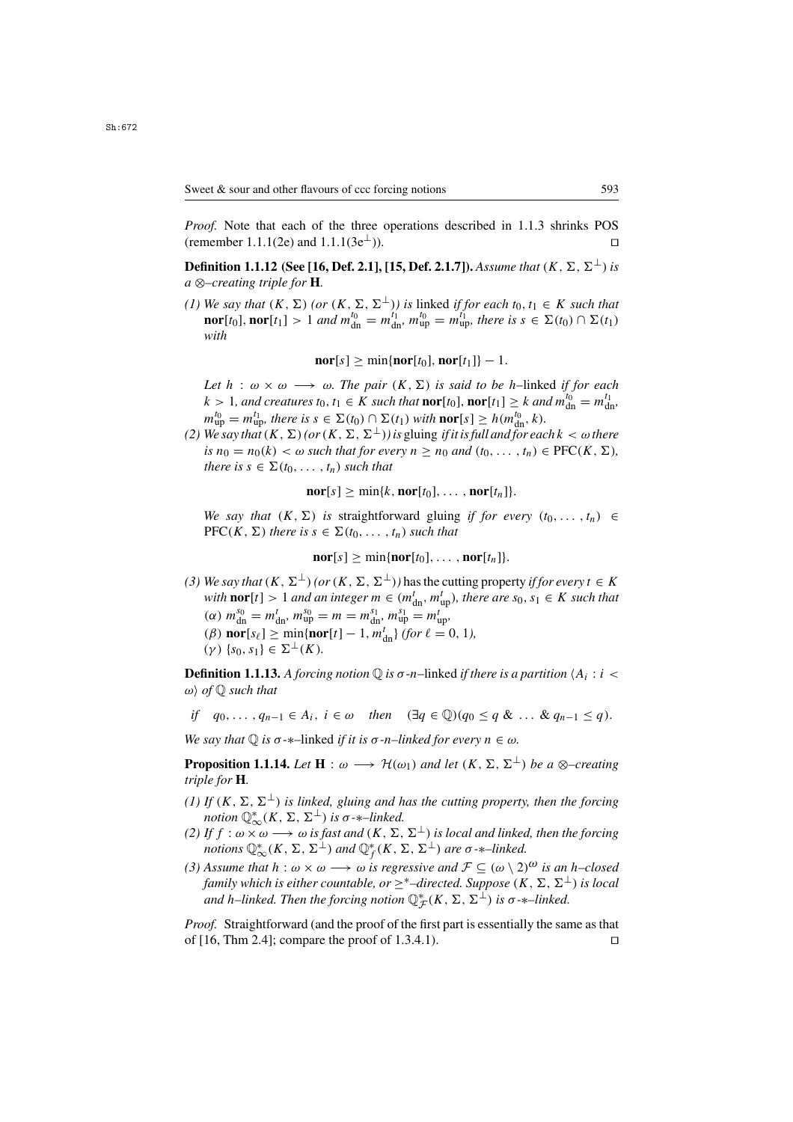*Proof.* Note that each of the three operations described in 1.1.3 shrinks POS (remember 1.1.1(2e) and 1.1.1(3e⊥)). □

**Definition 1.1.12 (See [16, Def. 2.1], [15, Def. 2.1.7]).** *Assume that*  $(K, \Sigma, \Sigma^{\perp})$  *is a* ⊗*–creating triple for* **H***.*

*(1) We say that*  $(K, \Sigma)$  *(or*  $(K, \Sigma, \Sigma^{\perp})$ *) is* linked *if for each*  $t_0, t_1 \in K$  *such that*<br>**nor**[t] **nor**[t] > 1 *and*  $m^{t_0} = m^{t_1}$   $m^{t_0} = m^{t_1}$  there is  $s \in \Sigma(t_0) \cap \Sigma(t_1)$ **nor**[t<sub>0</sub>], **nor**[t<sub>1</sub>] > 1 *and*  $m_{dn}^{t_0} = m_{dn}^{t_1}$ ,  $m_{up}^{t_0} = m_{up}^{t_1}$ , there is  $s \in \Sigma(t_0) \cap \Sigma(t_1)$  with *with*

 $\textbf{nor}[s] > \min\{\textbf{nor}[t_0], \textbf{nor}[t_1]\} - 1.$ 

*Let*  $h : \omega \times \omega \longrightarrow \omega$ *. The pair*  $(K, \Sigma)$  *is said to be h*–linked *if for each*  $k > 1$ , and creatures  $t_0, t_1 \in K$  such that  $\textbf{nor}[t_0]$ ,  $\textbf{nor}[t_1] \geq k$  and  $m_{dn}^{t_0} = m_{dn}^{t_1}$ ,<br> $m_{n}^{t_0} = m_{n}^{t_1}$ , there is  $s \in \Sigma(t_0) \cap \Sigma(t_1)$  with  $\textbf{nor}[s] > k(m_{n}^{t_0} - k)$  $m_{\text{up}}^{l_0} = m_{\text{up}}^{l_1}$ , there is  $s \in \Sigma(t_0) \cap \Sigma(t_1)$  with  $\text{nor}[s] \geq h(m_{\text{up}}^{l_0}, k)$ .<br>We say that  $(K - \Sigma)$  (or  $(K - \Sigma^{-\perp})$ ) is gluing if it is full and for each

*(2) We say that*  $(K, \Sigma)$  *(or*  $(K, \Sigma, \Sigma^{\perp})$ *) is gluing if it is full and for each*  $k < \omega$  *there is*  $n_0 = n_0(k) < \omega$  *such that for every*  $n \geq n_0$  *and*  $(t_0, \ldots, t_n) \in \text{PFC}(K, \Sigma)$ *, there is*  $s \in \Sigma(t_0, \ldots, t_n)$  *such that* 

 $\textbf{nor}[s] > \min\{k, \textbf{nor}[t_0], \ldots, \textbf{nor}[t_n]\}.$ 

*We say that*  $(K, \Sigma)$  *is straightforward gluing if for every*  $(t_0, \ldots, t_n) \in$  $\text{PFC}(K, \Sigma)$  *there is*  $s \in \Sigma(t_0, \ldots, t_n)$  *such that* 

 $\mathbf{nor}[s] > \min\{\mathbf{nor}[t_0], \ldots, \mathbf{nor}[t_n]\}.$ 

*(3) We say that*  $(K, \Sigma^{\perp})$  *(or*  $(K, \Sigma, \Sigma^{\perp})$ *)* has the cutting property *if for every*  $t \in K$ *with* **nor**[t] > 1 *and an integer*  $m \in (m_{dn}^t, m_{up}^t)$ , *there are*  $s_0, s_1 \in K$  *such that*  $(a)$   $m_{g0}^{s_0} - m_{g1}^{t} - m_{g1}^{s_1} - m_{g1}^{t} - m_{g1}^{t}$  $\frac{dn}{m_1}$  $\alpha(n)$   $m_{00}^{s_0} = m_{\rm dn}^t$ ,  $m_{00}^{s_0} = m = m_{\rm dn}^{s_1}$ ,  $m_{\rm up}^{s_1} = m_{\rm up}^t$ ,<br> $\beta(n)$  parts  $\beta$  min  $\lambda$  partt)  $\alpha(n)$   $\beta(n)$  $(\beta)$  **nor**[s $_{\ell}$ ]  $\geq$  min{**nor**[t] - 1, m<sup>t</sup><sub>dn</sub>} *(for*  $\ell = 0, 1$ *),*<br> $(\gamma)$  {so s<sub>1</sub>}  $\in \Sigma^{\perp}(K)$  $(\gamma) \{s_0, s_1\} \in \Sigma^{\perp}(K)$ .

**Definition 1.1.13.** A forcing notion  $\mathbb{Q}$  is  $\sigma$ -n-linked *if there is a partition*  $\langle A_i : i \rangle$  $\omega$ *)* of  $\mathbb Q$  such that

if 
$$
q_0, \ldots, q_{n-1} \in A_i
$$
,  $i \in \omega$  then  $(\exists q \in \mathbb{Q})(q_0 \leq q \& \ldots \& q_{n-1} \leq q)$ .

*We say that*  $\mathbb{O}$  *is*  $\sigma$ -\*–linked *if it is*  $\sigma$ -*n–linked for every*  $n \in \omega$ *.* 

**Proposition 1.1.14.** *Let*  $H : \omega \longrightarrow \mathcal{H}(\omega_1)$  *and let*  $(K, \Sigma, \Sigma^{\perp})$  *be a* ⊗–*creating triple for* **H***.*

- *(1) If*  $(K, \Sigma, \Sigma^{\perp})$  *is linked, gluing and has the cutting property, then the forcing notion*  $\mathbb{Q}_{\infty}^{*}(K, \Sigma, \Sigma^{\perp})$  *is*  $\sigma$ - $*$ *–linked.*<br>*If*  $f : \omega \times \omega \longrightarrow \omega$  *is fast and*  $(K, \Sigma)$
- *(2) If*  $f : \omega \times \omega \longrightarrow \omega$  *is fast and*  $(K, \Sigma, \Sigma^{\perp})$  *is local and linked, then the forcing notions*  $\mathbb{Q}_{\infty}^{*}(K, \Sigma, \Sigma^{\perp})$  *and*  $\mathbb{Q}_{f}^{*}(K, \Sigma, \Sigma^{\perp})$  *are*  $\sigma$ -*\**–linked.
- *(3) Assume that*  $h : \omega \times \omega \longrightarrow \omega$  *is regressive and*  $\mathcal{F} \subseteq (\omega \setminus 2)^{\omega}$  *is an h–closed family which is either countable, or*  $\geq^*$ –directed. Suppose  $(K, \Sigma, \Sigma^{\perp})$  *is local* and h–linked. Then the forcing notion  $\mathbb{Q}_{\mathcal{F}}^{*}(K,\Sigma,\Sigma^{\perp})$  is  $\sigma$ - $*$ –linked.

*Proof.* Straightforward (and the proof of the first part is essentially the same as that of  $[16, Thm 2.4]$ ; compare the proof of 1.3.4.1).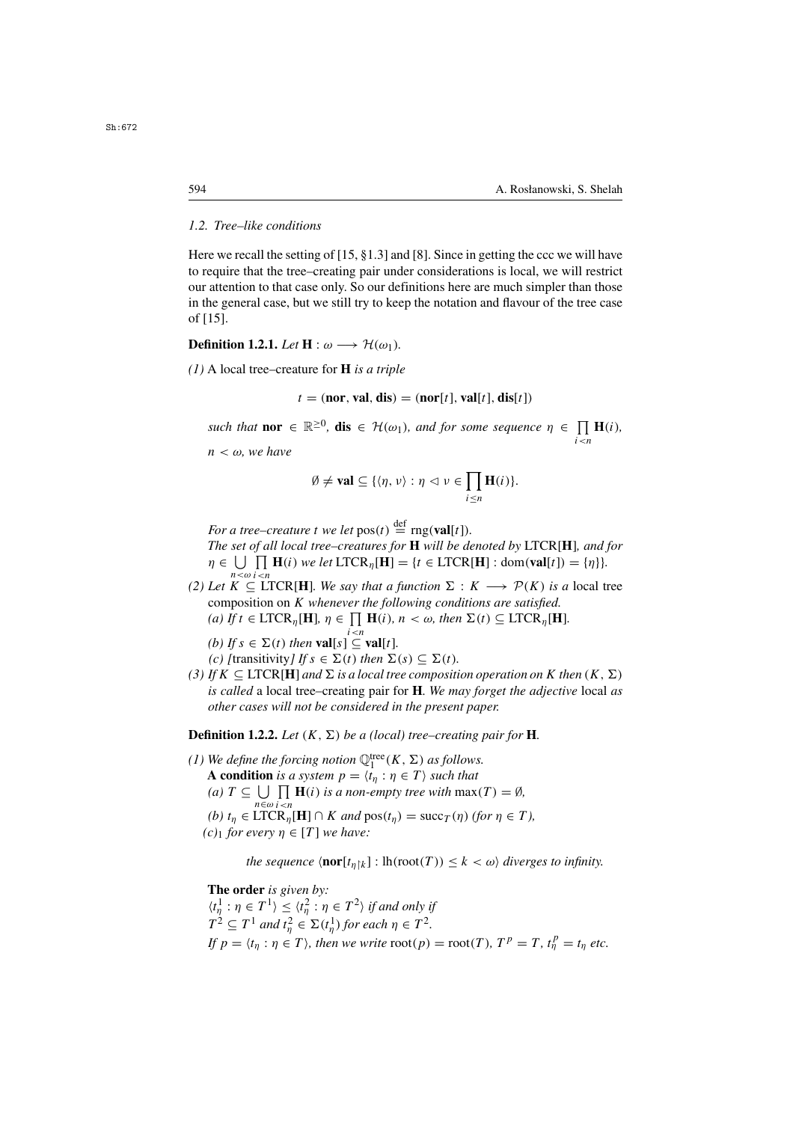# *1.2. Tree–like conditions*

Here we recall the setting of [15, §1.3] and [8]. Since in getting the ccc we will have to require that the tree–creating pair under considerations is local, we will restrict our attention to that case only. So our definitions here are much simpler than those in the general case, but we still try to keep the notation and flavour of the tree case of [15].

**Definition 1.2.1.** *Let*  $H: \omega \longrightarrow H(\omega_1)$ *.* 

*(1)* A local tree–creature for **H** *is a triple*

$$
t = (nor, val, dis) = (nor[t], val[t], dis[t])
$$

*such that* **nor**  $\in \mathbb{R}^{\geq 0}$ , **dis**  $\in$   $\mathcal{H}(\omega_1)$ , *and for some sequence*  $\eta \in \prod_{i \leq n} \mathbf{H}(i)$ ,  $n < \omega$ , we have

$$
\emptyset \neq \mathbf{val} \subseteq \{ \langle \eta, \nu \rangle : \eta \vartriangleleft \nu \in \prod_{i \leq n} \mathbf{H}(i) \}.
$$

For a tree–creature t we let  $pos(t) \stackrel{\text{def}}{=} rng(\text{val}[t]).$ <br>The set of all local tree–creatures for **H** will be de

*The set of all local tree–creatures for* **H** *will be denoted by* LTCR[**H**]*, and for*  $\eta \in \bigcup_{n < \omega} \prod_{i < n} \mathbf{H}(i)$  we let  $\text{LTCR}_{\eta}[\mathbf{H}] = \{t \in \text{LTCR}[\mathbf{H}] : \text{dom}(\mathbf{val}[t]) = \{\eta\}\}.$ 

(2) Let  $K \subseteq \text{LTCR}[\mathbf{H}]$ *. We say that a function*  $\Sigma : K \longrightarrow \mathcal{P}(K)$  *is a* local tree composition on *K* whenever the following conditions are satisfied composition on K *whenever the following conditions are satisfied.*

(a) If 
$$
t \in \text{LTCR}_{\eta}[\mathbf{H}], \eta \in \prod_{i \leq n} \mathbf{H}(i), n < \omega
$$
, then  $\Sigma(t) \subseteq \text{LTCR}_{\eta}[\mathbf{H}].$ 

(b) If 
$$
s \in \Sigma(t)
$$
 then  $\text{val}[s] \subseteq \text{val}[t]$ .  
(c) *[transitivity] If*  $s \in \Sigma(t)$  then  $\Sigma(s)$ 

- *(c)* [transitivity] If  $s \in \Sigma(t)$  then  $\Sigma(s) \subseteq \Sigma(t)$ .<br>If  $K \subset \text{ITCR[II]}$  and  $\Sigma$  is a local tree composition
- *(3)* If  $K \subseteq \text{LTCR}[\mathbf{H}]$  and  $\Sigma$  is a local tree composition operation on K then  $(K, \Sigma)$ *is called* a local tree–creating pair for **H***. We may forget the adjective* local *as other cases will not be considered in the present paper.*

**Definition 1.2.2.** *Let*  $(K, \Sigma)$  *be a (local) tree–creating pair for* **H**.

(1) We define the forcing notion  $\mathbb{Q}_1^{\text{tree}}(K, \Sigma)$  as follows.<br> **A condition** is a system  $n - \langle t : n \in \mathcal{T} \rangle$  such that **A condition** *is a system*  $p = \langle t_n : \eta \in T \rangle$  *such that (a)*  $T \subseteq \bigcup_{n \in \omega} \prod_{i < n} \mathbf{H}(i)$  *is a non-empty tree with*  $\max(T) = \emptyset$ *,*  $n \in \omega \in \mathbb{R}$ <br> *(b)*  $t_{\eta} \in \text{LTCR}_{\eta}[\mathbf{H}] \cap K$  and  $\text{pos}(t_{\eta}) = \text{succ}_{T}(\eta)$  (for  $\eta \in T$ ),<br> *c)*, for every  $n \in [T]$  we have: *(c)*<sup>1</sup> *for every*  $\eta \in [T]$  *we have:* 

*the sequence*  $\langle \textbf{nor}[t_{n\upharpoonright k}] : \text{lh}(\text{root}(T)) \leq k < \omega \rangle$  *diverges to infinity.* 

**The order** *is given by:*

 $\langle t_n^1 : \eta \in T^1 \rangle \le \langle t_n^2 : \eta \in T^2 \rangle$  *if and only if*<br> $T^2 \subset T^1$  and  $t^2 \subset \Sigma$  (th) for each  $n \in T^2$  $T^2 \subseteq T^1$  and  $t^2_\eta \in \Sigma(t^1_\eta)$  for each  $\eta \in T^2$ .<br>If  $n = \langle t, x \rangle \in T^1$  then we write root(n) *If*  $p = \langle t_{\eta} : \eta \in T \rangle$ , then we write  $\text{root}(p) = \text{root}(T)$ ,  $T^p = T$ ,  $t_{\eta}^p = t_{\eta}$  etc.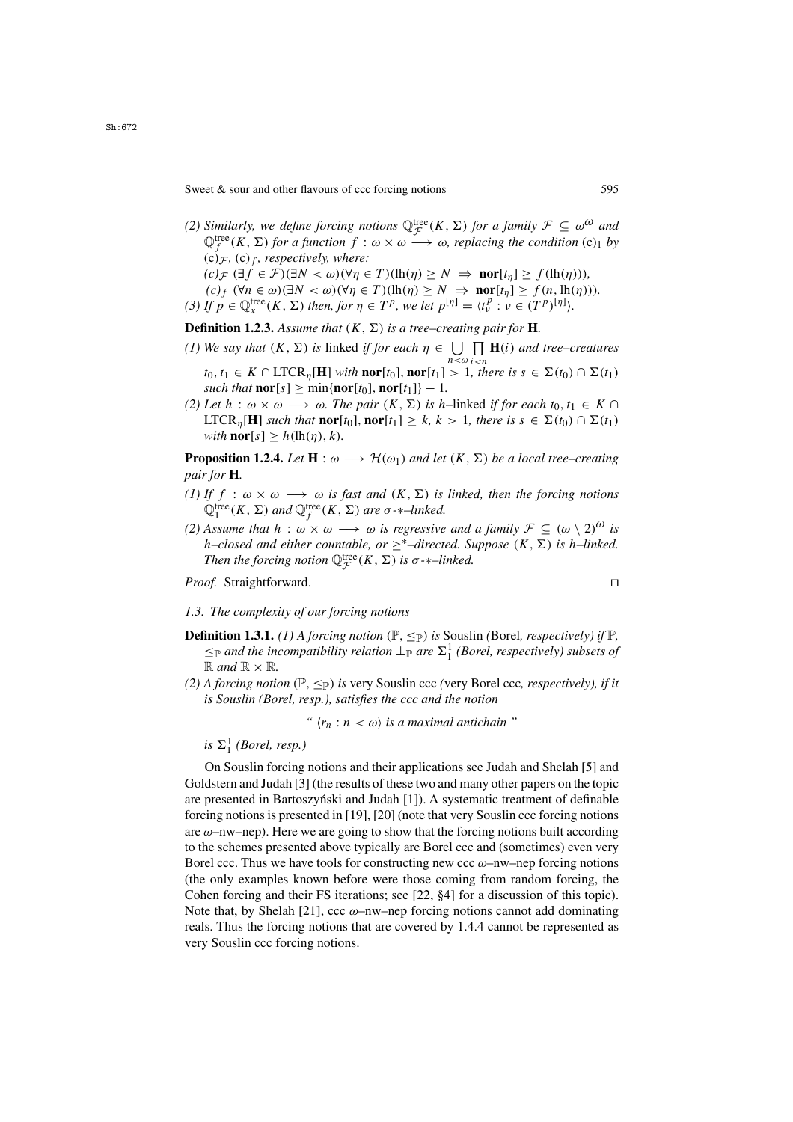Sweet & sour and other flavours of ccc forcing notions 595

*(2) Similarly, we define forcing notions*  $\mathbb{Q}_{\mathcal{F}}^{\text{tree}}(K, \Sigma)$  *for a family*  $\mathcal{F} \subseteq \omega^{\omega}$  and  $\mathbb{Q}^{\text{tree}}(K, \Sigma)$  *for a function*  $f : \omega \times \omega \longrightarrow \omega$  *replacing the condition*  $(\mathcal{C})$ , *hy*  $\mathbb{Q}_{f}^{\text{tree}}(K, \Sigma)$  *for a function*  $f : \omega \times \omega \longrightarrow \omega$ *, replacing the condition* (c)<sub>1</sub> *by* (c)  $\epsilon$ , (c)  $\epsilon$ , respectively, where:  $(c)$ <sub>F</sub>, (c)<sub>f</sub>, respectively, where:

$$
(c)_{\mathcal{F}} (\exists f \in \mathcal{F}) (\exists N < \omega) (\forall \eta \in T) (\mathrm{lh}(\eta) \ge N \implies \mathrm{nor}[t_{\eta}] \ge f(\mathrm{lh}(\eta))),
$$
\n
$$
(c)_f (\forall n \in \omega) (\exists N < \omega) (\forall \eta \in T) (\mathrm{lh}(\eta) \ge N \implies \mathrm{nor}[t_{\eta}] \ge f(n, \mathrm{lh}(\eta))).
$$
\n
$$
(d)_{f \in \mathcal{F}} (\forall n \in \omega) (\exists N < \omega) (\forall \eta \in T) (\mathrm{lh}(\eta) \ge N \implies \mathrm{nor}[t_{\eta}] \ge f(n, \mathrm{lh}(\eta))).
$$

*(3) If*  $p \in \mathbb{Q}_x^{\text{tree}}(K, \Sigma)$  *then, for*  $\eta \in T^p$ *, we let*  $p^{[\eta]} = \langle t^p_\nu : \nu \in (T^p)^{[\eta]} \rangle$ *.* 

**Definition 1.2.3.** Assume that  $(K, \Sigma)$  is a tree–creating pair for **H**.

- *(1) We say that*  $(K, \Sigma)$  *is* linked *if for each*  $\eta \in \bigcup_{n < \omega} \prod_{i < n} \mathbf{H}(i)$  *and tree–creatures t*<sub>0</sub>, *t*<sub>1</sub> ∈ *K* ∩ LTCR<sub>*η*</sub>[**H**] *with* **nor**[*t*<sub>0</sub>], **nor**[*t*<sub>1</sub>] > 1*, there is*  $s \in \Sigma(t_0) \cap \Sigma(t_1)$ <br>such that **nor**[s] > min{**nor**[*t*<sub>0</sub>] **nor**[*t*<sub>1</sub>]} – 1
- *such that*  $\textbf{nor}[s] \geq \min\{\textbf{nor}[t_0], \textbf{nor}[t_1]\} 1$ . *(2) Let*  $h : \omega \times \omega \longrightarrow \omega$ *. The pair*  $(K, \Sigma)$  *is h*–linked *if for each*  $t_0, t_1 \in K \cap$  $\text{LTCR}_{\eta}[\mathbf{H}]$  *such that*  $\text{nor}[t_0]$ ,  $\text{nor}[t_1] \geq k, k > 1$ , there is  $s \in \Sigma(t_0) \cap \Sigma(t_1)$ *with*  $\textbf{nor}[s] > h(\text{lh}(\eta), k)$ .

**Proposition 1.2.4.** *Let*  $H : \omega \longrightarrow H(\omega_1)$  *and let*  $(K, \Sigma)$  *be a local tree–creating pair for* **H***.*

- *(1) If*  $f : \omega \times \omega \longrightarrow \omega$  *is fast and*  $(K, \Sigma)$  *is linked, then the forcing notions*  $\mathbb{Q}_1^{\text{tree}}(K, \Sigma)$  and  $\mathbb{Q}_f^{\text{tree}}(K, \Sigma)$  are  $\sigma$ -\*-linked.<br>Assume that  $h : \omega \times \omega \longrightarrow \omega$  is rearcsive.
- *(2) Assume that*  $h : \omega \times \omega \longrightarrow \omega$  *is regressive and a family*  $\mathcal{F} \subseteq (\omega \setminus 2)^{\omega}$  *is*  $h$ –closed and either countable, or  $\geq$ <sup>\*</sup>–directed. Suppose (K, ∑) is h–linked. *Then the forcing notion*  $\mathbb{Q}_{\mathcal{F}}^{\text{tree}}(K, \Sigma)$  *is*  $\sigma$ - $\ast$ *–linked.*

*Proof.* Straightforward.

### *1.3. The complexity of our forcing notions*

- **Definition 1.3.1.** *(1)* A forcing notion  $(\mathbb{P}, \leq_{\mathbb{P}})$  is Souslin *(Borel, respectively)* if  $\mathbb{P}$ *,*  $\leq_{\mathbb{P}}$  *and the incompatibility relation*  $\perp_{\mathbb{P}}$  *are*  $\Sigma_1^1$  *(Borel, respectively) subsets of*  $\mathbb{R}$  *and*  $\mathbb{R}$   $\times$   $\mathbb{R}$  $\mathbb{R}$  *and*  $\mathbb{R} \times \mathbb{R}$ *.*
- *(2) A forcing notion* ( $\mathbb{P}, \leq_{\mathbb{P}}$ ) *is* very Souslin ccc *(very Borel ccc, respectively), if it is Souslin (Borel, resp.), satisfies the ccc and the notion*

*"*  $\langle r_n : n < \omega \rangle$  *is a maximal antichain* "

 $is \ \Sigma^1_1$  *(Borel, resp.)* 

On Souslin forcing notions and their applications see Judah and Shelah [5] and Goldstern and Judah [3] (the results of these two and many other papers on the topic are presented in Bartoszyński and Judah  $[1]$ ). A systematic treatment of definable forcing notions is presented in [19], [20] (note that very Souslin ccc forcing notions are  $\omega$ –nw–nep). Here we are going to show that the forcing notions built according to the schemes presented above typically are Borel ccc and (sometimes) even very Borel ccc. Thus we have tools for constructing new ccc  $\omega$ –nw–nep forcing notions (the only examples known before were those coming from random forcing, the Cohen forcing and their FS iterations; see [22, §4] for a discussion of this topic). Note that, by Shelah [21], ccc  $\omega$ -nw-nep forcing notions cannot add dominating reals. Thus the forcing notions that are covered by 1.4.4 cannot be represented as very Souslin ccc forcing notions.

$$
\Box
$$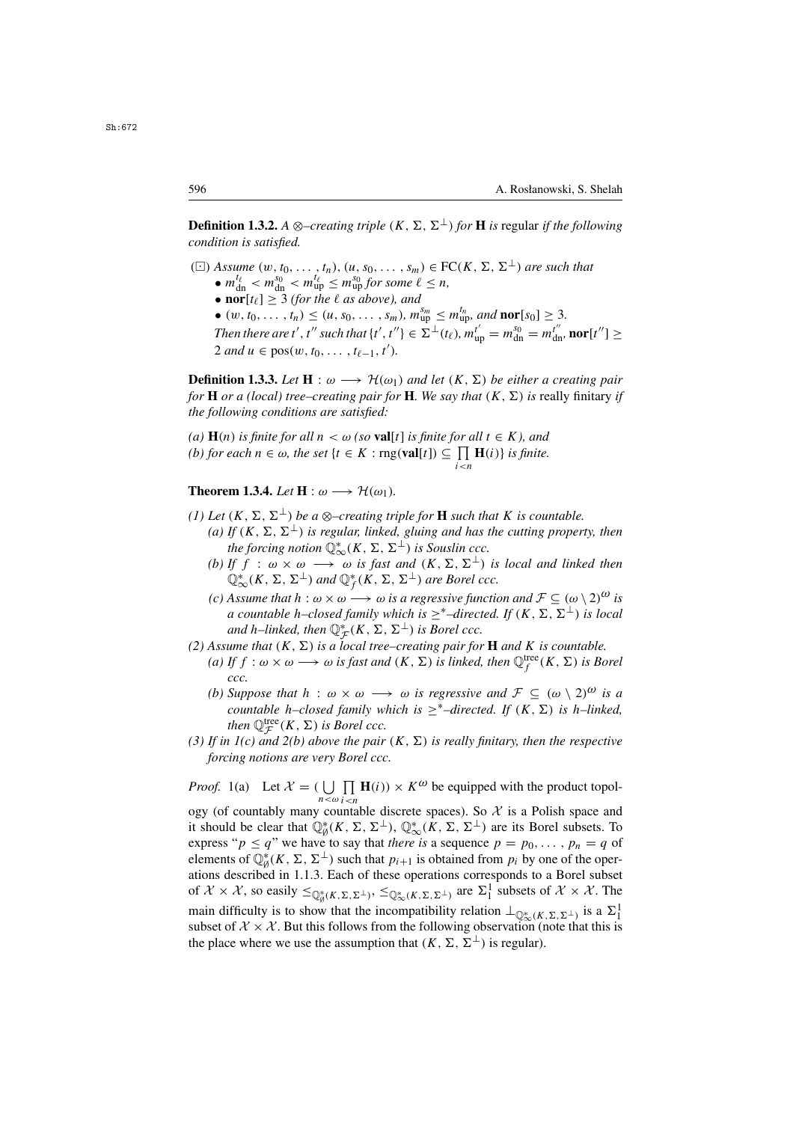**Definition 1.3.2.** *A* ⊗–*creating triple* (*K*,  $\Sigma$ ,  $\Sigma^{\perp}$ ) *for* **H** *is* regular *if the following condition is satisfied.*

( $\Box$ ) *Assume* (w,  $t_0, \ldots, t_n$ ), (u,  $s_0, \ldots, s_m$ )  $\in$  FC( $K, \Sigma, \Sigma^{\perp}$ ) *are such that* 

- $m_{\text{d}}^{\ell\ell} < m_{\text{d}}^{s_0} < m_{\text{u}}^{\ell\ell} \le m_{\text{u}}^{s_0}$  for some  $\ell \le n$ ,<br>• **nor**[te] > 3 (for the *f* as above) and
- **nor**[ $t_{\ell}$ ]  $\geq$  3 *(for the l as above), and*
- $(w, t_0, \ldots, t_n) \leq (u, s_0, \ldots, s_m)$ ,  $m_{up}^{s_m} \leq m_{up}^{t_n}$ , and **nor**[s<sub>0</sub>]  $\geq$  3*.*<br>Then there are t', t'' quak that  $(t', t'') \in \sum_{i=1}^{n} (t_i)$ ,  $m_t' = m_{g}^{s_0} = m_t''$

*Then there are t', t'' such that*  $\{t', t''\} \in \Sigma^{\perp}(t_{\ell}), m_{\text{up}}^{t'} = m_{\text{dn}}^{s_0} = m_{\text{dn}}^{t''}, \text{nor}[t''] \geq 2$  *and*  $u \in \text{pos}(w, t_0, \ldots, t_{\ell-1}, t')$  $2 \text{ and } u \in \text{pos}(w, t_0, \ldots, t_{\ell-1}, t').$ 

**Definition 1.3.3.** *Let*  $H : \omega \longrightarrow H(\omega_1)$  *and let*  $(K, \Sigma)$  *be either a creating pair for* **H** *or a (local) tree–creating pair for* **H***. We say that*  $(K, \Sigma)$  *is* really finitary *if the following conditions are satisfied:*

*(a)*  $H(n)$  *is finite for all*  $n < \omega$  *(so* **val**[t] *is finite for all*  $t \in K$ *), and (b) for each*  $n \in \omega$ *, the set* {*t* ∈ *K* : rng(**val**[*t*]) ⊆  $\prod_{i \le n}$ **H**(*i*)} *is finite.* 

**Theorem 1.3.4.** *Let*  $H : \omega \longrightarrow \mathcal{H}(\omega_1)$ *.* 

- *(1)* Let  $(K, \Sigma, \Sigma^{\perp})$  be a  $\otimes$ -creating triple for **H** such that K is countable.
	- *(a)* If  $(K, \Sigma, \Sigma^{\perp})$  *is regular, linked, gluing and has the cutting property, then the forcing notion*  $\mathbb{Q}^*_{\infty}(K, \Sigma, \Sigma^{\perp})$  *is Souslin ccc.*<br>*If*  $f : \omega \times \omega \longrightarrow \omega$  *is fast and*  $(K, \Sigma, \Sigma^{\perp})$
	- *(b)* If f :  $\omega \times \omega \longrightarrow \omega$  *is fast and*  $(K, \Sigma, \Sigma^{\perp})$  *is local and linked then*  $\mathbb{Q}^*_{\infty}(K, \Sigma, \Sigma^{\perp})$  and  $\mathbb{Q}^*_{f}(K, \Sigma, \Sigma^{\perp})$  are Borel ccc.<br>Assume that  $h: \omega \times \omega \longrightarrow \omega$  is a regressive function
	- *(c) Assume that*  $h : \omega \times \omega \longrightarrow \omega$  *is a regressive function and*  $\mathcal{F} \subseteq (\omega \setminus 2)^{\omega}$  *is a countable h–closed family which is*  $\geq$ <sup>\*</sup>–*directed. If* (*K*, ∑, ∑<sup>⊥</sup>) *is local and* h–linked, then  $\mathbb{Q}_{\mathcal{F}}^{*}(K, \Sigma, \Sigma^{\perp})$  *is Borel ccc.*<br>ume that  $(K, \Sigma)$  is a local tree–creating pair for
- *(2) Assume that*  $(K, \Sigma)$  *is a local tree–creating pair for* **H** *and* K *is countable.* 
	- (a) If  $f : \omega \times \omega \longrightarrow \omega$  *is fast and*  $(K, \Sigma)$  *is linked, then*  $\mathbb{Q}_f^{\text{tree}}(K, \Sigma)$  *is Borel ccc. ccc.*
	- *(b)* Suppose that  $h : \omega \times \omega \longrightarrow \omega$  *is regressive and*  $\mathcal{F} \subseteq (\omega \setminus 2)^{\omega}$  *is a countable* h–closed family which is  $\geq^*$ –directed. If  $(K, \Sigma)$  is h–linked, *then*  $\mathbb{Q}_{\mathcal{F}}^{\text{tree}}(K, \Sigma)$  *is Borel ccc.*<br>*p. 1(c) and 2(b) above the pair*
- (3) If in  $I(c)$  and  $2(b)$  above the pair  $(K, \Sigma)$  is really finitary, then the respective *forcing notions are very Borel ccc.*

*Proof.* 1(a) Let  $X = \left( \bigcup_{n < \omega} \prod_{i < n} \mathbf{H}(i) \right) \times K^{\omega}$  be equipped with the product topology (of countably many countable discrete spaces). So  $\mathcal X$  is a Polish space and it should be clear that  $\mathbb{Q}_{\emptyset}^*(K, \Sigma, \Sigma^{\perp})$ ,  $\mathbb{Q}_{\infty}^*(K, \Sigma, \Sigma^{\perp})$  are its Borel subsets. To express " $p \le q$ " we have to say that *there is* a sequence  $p = p_0, \ldots, p_n = q$  of elements of  $\mathbb{Q}_{\phi}^{*}(K, \Sigma, \Sigma^{\perp})$  such that  $p_{i+1}$  is obtained from  $p_i$  by one of the oper-<br>ations described in 1.1.3. Each of these operations corresponds to a Borel subset ations described in 1.1.3. Each of these operations corresponds to a Borel subset of  $\mathcal{X} \times \mathcal{X}$ , so easily  $\leq_{\mathbb{Q}_{\emptyset}^*(K,\Sigma,\Sigma^{\perp})}$ ,  $\leq_{\mathbb{Q}_{\infty}^*(K,\Sigma,\Sigma^{\perp})}$  are  $\Sigma^1_1$  subsets of  $\mathcal{X} \times \mathcal{X}$ . The main difficulty is to show that the incompatibility relation  $\perp_{\mathbb{Q}^*_{\infty}(K,\Sigma,\Sigma^{\perp})}$  is a  $\Sigma^1_1$ <br>subset of  $X \times X$ . But this follows from the following observation (note that this is subset of  $\mathcal{X} \times \mathcal{X}$ . But this follows from the following observation (note that this is the place where we use the assumption that  $(K, \Sigma, \Sigma^{\perp})$  is regular).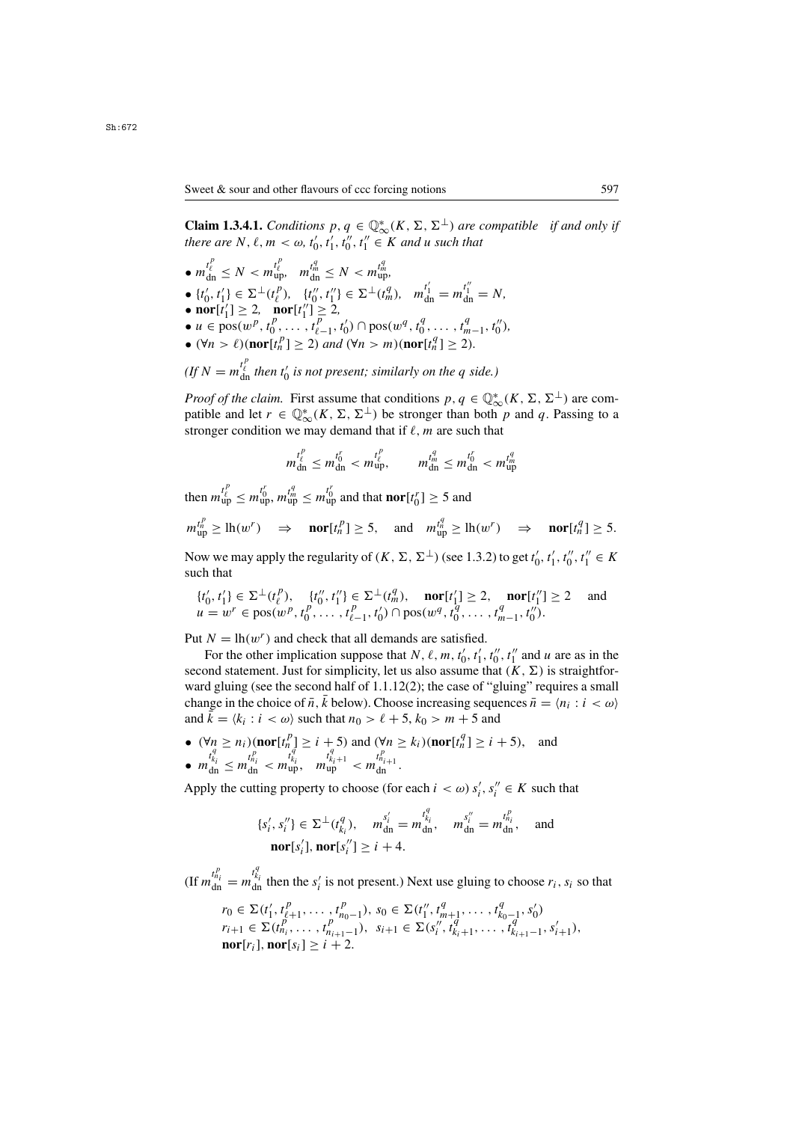**Claim 1.3.4.1.** *Conditions*  $p, q \in \mathbb{Q}_{\infty}^{*}(K, \Sigma, \Sigma^{\perp})$  *are compatible if and only if* there are N  $\ell$  m <  $\omega$  t', t', t', t', t' E K and u such that *there are*  $N, \ell, m < \omega, t'_0, t'_1, t''_0, t''_1 \in K$  *and u such that* 

•  $m_{\text{dn}}^{\ell} \leq N < m_{\text{up}}^{\ell}$ ,  $m_{\text{dn}}^{\ell_m} \leq N < m_{\text{u}}^{\ell}$  $\frac{d}{dt}_{\text{ln}} \leq N < m_{\text{up}}^{t_{\ell}^i}, \quad m_{\text{dn}}^{t_m^i} \leq N < m_{\text{up}}^{t_m^i},$ •  $\{t'_0, t'_1\} \in \Sigma^{\perp}(t_\ell^p), \quad \{t''_0, t''_1\} \in \Sigma^{\perp}(t_m^q), \quad m_{dn}^{t'_1} = m_{dn}^{t''_1} = N,$ <br>• nor $[t'_1] > 2$ , nor $[t''_1] > 2$ , •  $\text{nor}[t'_1] \geq 2$ ,  $\text{nor}[t''_1] \geq 2$ ,<br>
•  $u \in \text{pos}(w^p, t^p, t^p)$ •  $u \in \text{pos}(w^p, t_0^p, \ldots, t_{\ell-1}^p, t_0') \cap \text{pos}(w^q, t_0^q, \ldots, t_{m-1}^q, t_0''),$ <br>•  $(\forall n > \ell) (\text{nor}[t^p] > 2)$  and  $(\forall n > m) (\text{nor}[t^q] > 2)$ •  $(\forall n > l)$ (**nor**[ $t_n^p$ ]  $\geq 2$ ) *and*  $(\forall n > m)$ (**nor**[ $t_n^q$ ]  $\geq 2$ )*.* 

(*If* 
$$
N = m_{\text{dn}}^{t_{\ell}^{c}}
$$
 then  $t_{0}^{r}$  is not present; similarly on the *q* side.)

*Proof of the claim.* First assume that conditions  $p, q \in \mathbb{Q}_{\infty}^{*}(K, \Sigma, \Sigma^{\perp})$  are com-<br>patible and let  $r \in \mathbb{Q}^{*}(K, \Sigma, \Sigma^{\perp})$  be stronger than both *n* and *a*. Passing to a patible and let  $r \in \mathbb{Q}_{\infty}^{*}(K, \Sigma, \Sigma^{\perp})$  be stronger than both p and q. Passing to a stronger condition we may demand that if  $\ell$  m are such that stronger condition we may demand that if  $\ell$ , m are such that

$$
m_{\rm dn}^{t_{\ell}^p} \le m_{\rm dn}^{t_0^r} < m_{\rm up}^{t_{\ell}^p}, \qquad m_{\rm dn}^{t_m^q} \le m_{\rm dn}^{t_0^r} < m_{\rm up}^{t_m^q}
$$

then  $m_{\text{up}}^{t_{\ell}^{i}} \leq m_{\text{up}}^{t_{0}^{i}}$ ,  $m_{\text{up}}^{t_{m}^{i}} \leq m_{\text{up}}^{t_{0}^{i}}$  and that  $\textbf{nor}[t_{0}^{r}] \geq 5$  and

$$
m_{\text{up}}^{t_n^p} \ge \ln(w^r) \Rightarrow \text{nor}[t_n^p] \ge 5, \text{ and } m_{\text{up}}^{t_n^q} \ge \ln(w^r) \Rightarrow \text{nor}[t_n^q] \ge 5.
$$

Now we may apply the regularity of  $(K, \Sigma, \Sigma^{\perp})$  (see 1.3.2) to get  $t'_0, t'_1, t''_0, t''_1 \in K$ such that

$$
\{t'_0, t'_1\} \in \Sigma^{\perp}(t''_{\ell}), \quad \{t''_0, t''_1\} \in \Sigma^{\perp}(t''_m), \quad \text{nor}[t'_1] \ge 2, \quad \text{nor}[t''_1] \ge 2 \quad \text{and}
$$
\n
$$
u = w^r \in \text{pos}(w^p, t^p_0, \dots, t^p_{\ell-1}, t'_0) \cap \text{pos}(w^q, t^q_0, \dots, t^q_{m-1}, t''_0).
$$

Put  $N = \ln(w^r)$  and check that all demands are satisfied.

For the other implication suppose that  $N$ ,  $\ell$ ,  $m$ ,  $t'_{0}$ ,  $t'_{1}$ ,  $t''_{0}$ ,  $t''_{1}$  and  $u$  are as in the nod statement. Just for simplicity, let us also assume that  $(K, \Sigma)$  is straightforsecond statement. Just for simplicity, let us also assume that  $(K, \Sigma)$  is straightforward gluing (see the second half of 1.1.12(2); the case of "gluing" requires a small change in the choice of  $\bar{n}, \bar{k}$  below). Choose increasing sequences  $\bar{n} = \langle n_i : i \langle \omega \rangle$ and  $k = \langle k_i : i \langle \omega \rangle$  such that  $n_0 > \ell + 5$ ,  $k_0 > m + 5$  and

•  $(\forall n \ge n_i)$  (**nor** $[t_n^p] \ge i + 5$ ) and  $(\forall n \ge k_i)$  (**nor** $[t_n^q] \ge i + 5$ ), and  $t_n^q$ •  $m_{dn}^{t_{k_i}^+} \leq m_{dn}^{t_{n_i}^+} < m_{up}^{t_{k_i}^+}$ ,  $m_{up}^{t_{k_i}^++1} < m_{dn}^{t_{n_i}^++1}$ .

Apply the cutting property to choose (for each  $i < \omega$ )  $s'_i$ ,  $s''_i \in K$  such that

$$
\{s'_i, s''_i\} \in \Sigma^{\perp}(t^{q}_{k_i}), \quad m^{s'_i}_{\text{dn}} = m^{t^{q}_{k_i}}_{\text{dn}}, \quad m^{s''}_{\text{dn}} = m^{t^{q}_{k_i}}_{\text{dn}}, \quad \text{and}
$$
  

$$
\textbf{nor}[s'_i], \textbf{nor}[s''_i] \ge i+4.
$$

(If  $m_{dn}^{t_{h_i}^r} = m_{dn}^{t_{k_i}^r}$  then the  $s_i'$  is not present.) Next use gluing to choose  $r_i$ ,  $s_i$  so that

$$
r_0 \in \Sigma(t'_1, t_{\ell+1}^p, \dots, t_{n_0-1}^p), s_0 \in \Sigma(t''_1, t''_{m+1}, \dots, t''_{k_0-1}, s'_0)
$$
  
\n
$$
r_{i+1} \in \Sigma(t''_{n_i}, \dots, t''_{n_{i+1}-1}), s_{i+1} \in \Sigma(s''_i, t''_{k_i+1}, \dots, t''_{k_{i+1}-1}, s'_{i+1}),
$$
  
\n
$$
\text{nor}[r_i], \text{nor}[s_i] \geq i+2.
$$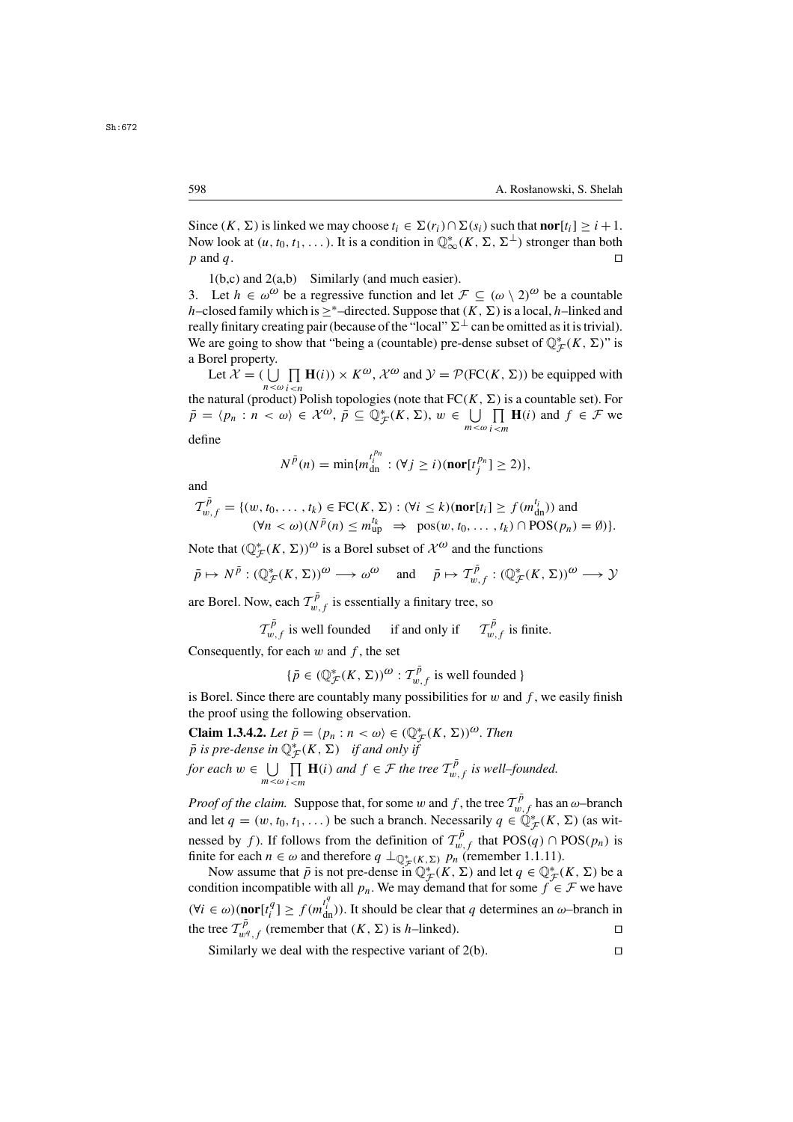Since  $(K, \Sigma)$  is linked we may choose  $t_i \in \Sigma(r_i) \cap \Sigma(s_i)$  such that **nor**[ $t_i$ ] >  $i + 1$ . Now look at  $(u, t_0, t_1, \dots)$ . It is a condition in  $\mathbb{Q}^*_{\infty}(K, \Sigma, \Sigma^{\perp})$  stronger than both *n* and *a*  $p$  and  $q$ .

 $1(b,c)$  and  $2(a,b)$  Similarly (and much easier).

3. Let  $h \in \omega^{\omega}$  be a regressive function and let  $\mathcal{F} \subseteq (\omega \setminus 2)^{\omega}$  be a countable h–closed family which is ><sup>\*</sup>–directed. Suppose that  $(K, \Sigma)$  is a local, h–linked and really finitary creating pair (because of the "local"  $\Sigma^{\perp}$  can be omitted as it is trivial). We are going to show that "being a (countable) pre-dense subset of  $\mathbb{Q}_{\mathcal{F}}^{*}(K, \Sigma)$ " is a Borel property a Borel property.

Let  $\mathcal{X} = (\bigcup_{n \leq \omega} \prod_{i \leq n} \mathbf{H}(i)) \times K^{\omega}, \mathcal{X}^{\omega}$  and  $\mathcal{Y} = \mathcal{P}(\text{FC}(K, \Sigma))$  be equipped with oduct) I the natural (product) Polish topologies (note that  $FC(K, \Sigma)$  is a countable set). For  $\bar{p} = (p_1 : n < \omega) \in \mathcal{X}^{\omega}$ ,  $\bar{p} \subset \mathbb{O}^*(K, \Sigma)$ ,  $w \in \Box \Box$  **H**(i) and  $f \in \mathcal{F}$  we  $\bar{p} = \langle p_n : n \langle \omega \rangle \in \mathcal{X}^{\omega}, \, \bar{p} \subseteq \mathbb{Q}_{\mathcal{F}}^*(K, \Sigma), w \in \bigcup_{m \leq \omega}$  $\prod_{i \le m}$ **H**(*i*) and  $f \in \mathcal{F}$  we

define

$$
N^{\bar{p}}(n) = \min\{m_{\text{dn}}^{t_i^{p_n}} : (\forall j \ge i)(\text{nor}[t_j^{p_n}] \ge 2)\},\
$$

and

$$
\mathcal{T}_{w,f}^{\bar{p}} = \{ (w, t_0, \dots, t_k) \in \mathrm{FC}(K, \Sigma) : (\forall i \leq k)(\mathrm{nor}[t_i] \geq f(m_{\mathrm{dn}}^{t_i})) \text{ and } (\forall n < \omega)(N^{\bar{p}}(n) \leq m_{\mathrm{up}}^{t_k} \implies \mathrm{pos}(w, t_0, \dots, t_k) \cap \mathrm{POS}(p_n) = \emptyset ) \}.
$$

Note that  $(\mathbb{Q}_{\mathcal{F}}^*(K, \Sigma))^{\omega}$  is a Borel subset of  $\mathcal{X}^{\omega}$  and the functions

$$
\bar{p} \mapsto N^{\bar{p}} : (\mathbb{Q}_{\mathcal{F}}^*(K, \Sigma))^{\omega} \longrightarrow \omega^{\omega}
$$
 and  $\bar{p} \mapsto \mathcal{T}_{w,f}^{\bar{p}} : (\mathbb{Q}_{\mathcal{F}}^*(K, \Sigma))^{\omega} \longrightarrow \mathcal{Y}$ 

are Borel. Now, each  $\mathcal{T}_{w,f}^{\bar{p}}$  is essentially a finitary tree, so

$$
\mathcal{T}_{w,f}^{\bar{p}}
$$
 is well founded if and only if 
$$
\mathcal{T}_{w,f}^{\bar{p}}
$$
 is finite.

Consequently, for each  $w$  and  $f$ , the set

$$
\{\bar{p} \in (\mathbb{Q}_{\mathcal{F}}^*(K, \Sigma))^{\omega} : \mathcal{T}_{w,f}^{\bar{p}} \text{ is well founded }\}
$$

is Borel. Since there are countably many possibilities for  $w$  and  $f$ , we easily finish the proof using the following observation the proof using the following observation.

**Claim 1.3.4.2.** *Let*  $\bar{p} = \langle p_n : n \langle \omega \rangle \in (\mathbb{Q}_{\mathcal{F}}^*(K, \Sigma))^{\omega}$ . Then  $\bar{p}$  is pre-dense in  $\mathbb{Q}^*(K, \Sigma)$  if and only if  $\bar{p}$  *is pre-dense in*  $\mathbb{Q}_{\mathcal{F}}^{*}(K, \Sigma)$  *if and only if for each*  $w \in \bigcup_{m < \omega}$  $\prod_{m \leq m} \mathbf{H}(i)$  *and*  $f \in \mathcal{F}$  *the tree*  $T_{w,f}^{\bar{p}}$  *is well–founded.* 

*Proof of the claim.* Suppose that, for some w and f, the tree  $T_{w,f}^{\bar{p}}$  has an  $\omega$ -branch and let  $a = (w, t_0, t_1, \ldots)$  be such a branch. Necessarily  $a \in \mathbb{O}^*$  (K,  $\Sigma$ ) (as witand let  $q = (w, t_0, t_1, \dots)$  be such a branch. Necessarily  $q \in \tilde{\mathbb{Q}}_F^*(K, \Sigma)$  (as witnessed by f). If follows from the definition of  $\mathcal{T}_{w,f}^{\bar{p}}$  that  $POS(q) \cap POS(p_n)$  is finite for each  $n \in \omega$  and therefore  $q \mid \alpha * (K, \Sigma)$ ,  $p_n$  (remember 1 1 11) finite for each  $n \in \omega$  and therefore  $q \perp_{\mathbb{Q}_{\mathcal{F}}^*(K,\Sigma)} p_n$  (remember 1.1.11).<br>Now assume that  $\bar{p}$  is not pre-dense in  $\mathbb{Q}^*(K,\Sigma)$  and let  $q \in \mathbb{Q}^*(\Sigma)$ 

Now assume that  $\bar{p}$  is not pre-dense in  $\mathbb{Q}^*_{\mathcal{F}}(K, \Sigma)$  and let  $q \in \mathbb{Q}^*_{\mathcal{F}}(K, \Sigma)$  be a dition incompatible with all  $p$ . We may demand that for some  $f \in \mathcal{F}$  we have condition incompatible with all  $p_n$ . We may demand that for some  $f \in \mathcal{F}$  we have  $(\forall i \in \omega)$ (**nor**[ $t_i^q$ ]  $\geq f(m_{dn}^{t_i})$ ). It should be clear that q determines an  $\omega$ -branch in the tree  $\tau \bar{P}$  (*remember that*  $(K, \Sigma)$  is h linked) the tree  $\mathcal{T}_{w^q, f}^{\bar{p}}$  (remember that  $(K, \Sigma)$  is *h*–linked).

Similarly we deal with the respective variant of  $2(b)$ .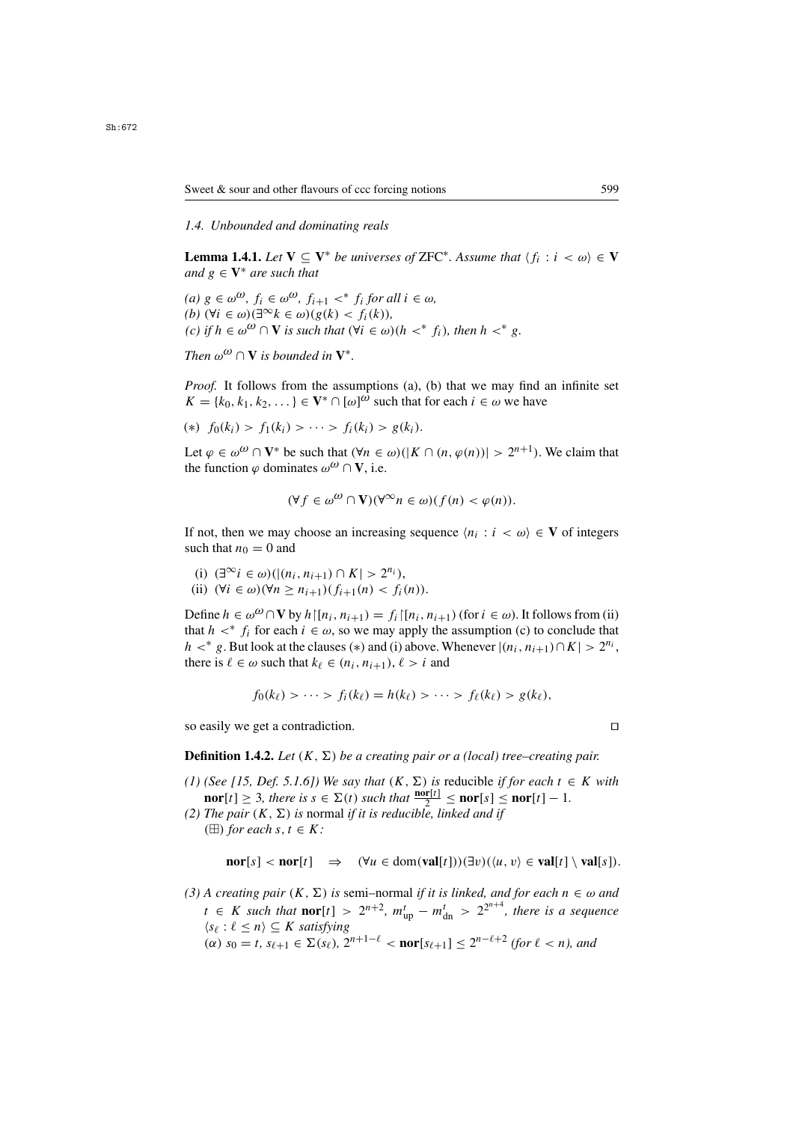### *1.4. Unbounded and dominating reals*

**Lemma 1.4.1.** *Let*  $V \subseteq V^*$  *be universes of* ZFC<sup>\*</sup>. Assume that  $\langle f_i : i \leq \omega \rangle \in V$ *and*  $g \in V^*$  *are such that* 

 $(a)$  g ∈  $\omega^{\omega}$ ,  $f_i$  ∈  $\omega^{\omega}$ ,  $f_{i+1}$  <\*  $f_i$  *for all*  $i \in \omega$ , (*b*)  $(∀i ∈ ω)(∃^∞k ∈ ω)(g(k) < f<sub>i</sub>(k))$ ,  $(c)$  *if*  $h \in \omega^{\omega} \cap V$  *is such that*  $(\forall i \in \omega)(h <^* f_i)$ *, then*  $h <^* g$ *.* 

*Then*  $\omega^{\omega} \cap V$  *is bounded in*  $V^*$ .

*Proof.* It follows from the assumptions (a), (b) that we may find an infinite set  $K = \{k_0, k_1, k_2, \dots\} \in V^* \cap [\omega]^\omega$  such that for each  $i \in \omega$  we have

$$
(*)\ \ f_0(k_i) > f_1(k_i) > \cdots > f_i(k_i) > g(k_i).
$$

Let  $\varphi \in \omega^{\omega} \cap V^*$  be such that  $(\forall n \in \omega)(|K \cap (n, \varphi(n))| > 2^{n+1})$ . We claim that the function  $\varphi$  dominates  $\omega^{\omega} \cap V$ , i.e.

$$
(\forall f \in \omega^{\omega} \cap \mathbf{V})(\forall^{\infty} n \in \omega)(f(n) < \varphi(n)).
$$

If not, then we may choose an increasing sequence  $\langle n_i : i \langle \omega \rangle \in V$  of integers such that  $n_0 = 0$  and

- (i)  $(\exists^{\infty} i \in \omega) (|(n_i, n_{i+1}) \cap K| > 2^{n_i}),$
- (ii)  $(\forall i \in \omega)(\forall n > n_{i+1})$   $(f_{i+1}(n) < f_i(n)).$

Define  $h \in \omega^{(1)} \cap V$  by  $h \mid [n_i, n_{i+1}) = f_i \mid [n_i, n_{i+1})$  (for  $i \in \omega$ ). It follows from (ii) that  $h <^* f_i$  for each  $i \in \omega$ , so we may apply the assumption (c) to conclude that  $h <^* g$ . But look at the clauses (\*) and (i) above. Whenever  $|(n_i, n_{i+1}) \cap K| > 2^{n_i}$ , there is  $\ell \in \omega$  such that  $k_{\ell} \in (n_i, n_{i+1}), \ell > i$  and

$$
f_0(k_\ell) > \cdots > f_i(k_\ell) = h(k_\ell) > \cdots > f_\ell(k_\ell) > g(k_\ell),
$$

so easily we get a contradiction.

**Definition 1.4.2.** *Let*  $(K, \Sigma)$  *be a creating pair or a (local) tree–creating pair.* 

- *(1) (See [15, Def. 5.1.6]) We say that*  $(K, \Sigma)$  *is reducible if for each*  $t \in K$  *with* **nor**[t] ≥ 3*, there is*  $s \in \Sigma(t)$  *such that*  $\frac{\text{nor}[t]}{2} \le \text{nor}[s] \le \text{nor}[t] - 1$ *.*<br>*The noir*  $(K \Sigma)$  is normal if it is reducible linked and if
- *(2) The pair*  $(K, \Sigma)$  *is* normal *if it is reducible, linked and if* ( $\boxplus$ ) *for each s*, *t*  $\in$  *K:*

$$
\mathbf{nor}[s] < \mathbf{nor}[t] \quad \Rightarrow \quad (\forall u \in \mathbf{dom}(\mathbf{val}[t]))(\exists v)(\langle u, v \rangle \in \mathbf{val}[t] \setminus \mathbf{val}[s]).
$$

*(3) A creating pair*  $(K, \Sigma)$  *is semi–normal if it is linked, and for each*  $n \in \omega$  *and*  $t \in K$  *such that* **nor**[t] >  $2^{n+2}$ ,  $m_{\text{up}}^t - m_{\text{dn}}^t$  >  $2^{2^{n+4}}$ , *there is a sequence*<br>*lse i*  $\ell$  < *n*) ⊂ *K satisfying*  $\langle s_\ell : \ell \leq n \rangle \subseteq K$  *satisfying*<br> $(\alpha)$   $s_0 = t$   $s_{\ell+1} \in \Sigma(s_\ell)$  2  $(\alpha)$   $s_0 = t$ ,  $s_{\ell+1} \in \Sigma(s_{\ell}), 2^{n+1-\ell} < \text{nor}[s_{\ell+1}] \leq 2^{n-\ell+2}$  *(for*  $\ell < n$ *), and* 

$$
\Box
$$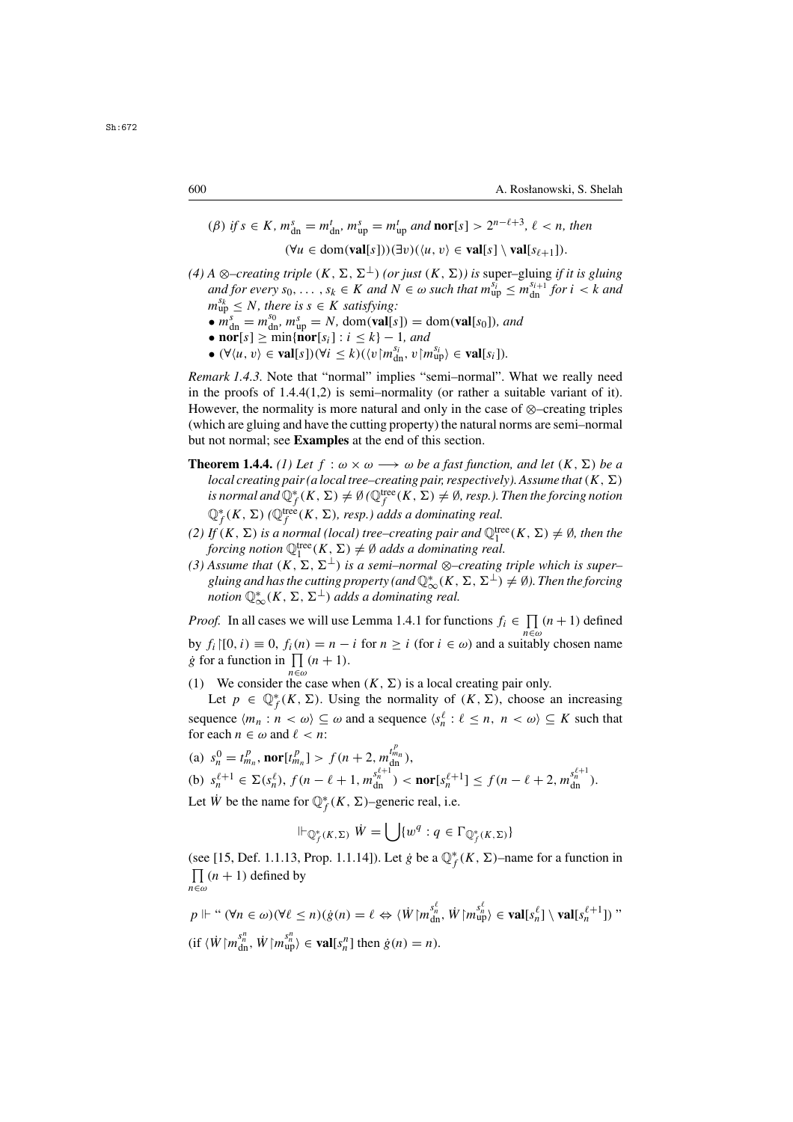$$
\begin{aligned} \text{(}\beta) \text{ if } s \in K, \, m_{\text{dn}}^s = m_{\text{dn}}^t, \, m_{\text{up}}^s = m_{\text{up}}^t \text{ and } \text{nor}[s] > 2^{n-\ell+3}, \, \ell < n, \text{ then} \\ \text{(}\forall u \in \text{dom}(\text{val}[s]))(\exists v)(\langle u, v \rangle \in \text{val}[s] \setminus \text{val}[s_{\ell+1}]). \end{aligned}
$$

- *(4) A* ⊗–*creating triple*  $(K, \Sigma, \Sigma^{\perp})$  *(or just*  $(K, \Sigma)$ *) is* super–gluing *if it is gluing* and for every so  $s_k \in K$  and  $N \in \omega$  such that  $m_{2k}^{S_i} \le m_{2k}^{S_i+1}$  for  $i \le k$  and  $\alpha$  and for every  $s_0, \ldots, s_k \in K$  and  $N \in \omega$  such that  $m_{\text{up}}^{s_i} \leq m_{\text{dm}}^{s_{i+1}}$  for  $i < k$  and  $m_{\text{up}}^{s_k} < N$  there is  $s \in K$  satisfying:  $m_{\text{up}}^{s_k} \leq N$ , there is  $s \in K$  satisfying:
	- $m_{\rm up}$ •  $m_{\text{dn}}^s = m_{\text{dm}}^{s_0}, m_{\text{up}}^s = N$ , dom(**val**[s]) = dom(**val**[s<sub>0</sub>])*, and*<br>• nor[s] > min{nor[s.] :  $i \le k$ } = 1, and
	- **nor**[s]  $\geq$  min{**nor**[s<sub>i</sub>] :  $i \leq k$ } 1*, and*<br>•  $(\forall (u, v) \in$  **val**[s]) $(\forall i \leq k)$  ((*v*] $m^{S_i}$  *v*] $n$
	- $(\forall \langle u, v \rangle \in \textbf{val}[s])(\forall i \leq k)(\langle v | m_{\text{dn}}^{s_i}, v | m_{\text{up}}^{s_i} \rangle \in \textbf{val}[s_i]).$

*Remark 1.4.3.* Note that "normal" implies "semi–normal". What we really need in the proofs of  $1.4.4(1,2)$  is semi-normality (or rather a suitable variant of it). However, the normality is more natural and only in the case of ⊗–creating triples (which are gluing and have the cutting property) the natural norms are semi–normal but not normal; see **Examples** at the end of this section.

- **Theorem 1.4.4.** *(1) Let*  $f : \omega \times \omega \longrightarrow \omega$  *be a fast function, and let*  $(K, \Sigma)$  *be a local creating pair (a local tree–creating pair, respectively). Assume that*  $(K, \Sigma)$ *is normal and*  $\mathbb{Q}_f^*(K, \Sigma) \neq \emptyset$  ( $\mathbb{Q}_f^{\text{tree}}(K, \Sigma) \neq \emptyset$ , resp.). Then the forcing notion  $\mathbb{Q}_f^*(K, \Sigma)$  ( $\mathbb{Q}_f^{\text{tree}}(K, \Sigma)$ ) resp.), adds a dominating real  $\mathbb{Q}_f^*(K, \Sigma)$  *(* $\mathbb{Q}_f^{\text{tree}}(K, \Sigma)$ *, resp.) adds a dominating real.*<br>*H*<sup>(K</sup>, N) is a normal (local) tree, creating pair and  $\mathbb{Q}^{\text{HF}}$
- (2) If  $(K, \Sigma)$  is a normal (local) tree–creating pair and  $\mathbb{Q}_1^{\text{tree}}(K, \Sigma) \neq \emptyset$ , then the<br>forcing notion  $\mathbb{Q}_1^{\text{tree}}(K, \Sigma) \neq \emptyset$  adds a dominating real *forcing notion*  $\mathbb{Q}_1^{\text{tree}}(K, \Sigma) \neq \emptyset$  adds a dominating real.<br>Assume that  $(K, \Sigma, \Sigma^{\perp})$  is a semi-normal  $\otimes$ -creating
- $(3)$  Assume that  $(K, \Sigma, \Sigma^{\perp})$  *is a semi–normal* ⊗–creating triple which is super– *gluing and has the cutting property (and*  $\mathbb{Q}_{\infty}^{*}(K, \Sigma, \Sigma^{\perp}) \neq \emptyset$ ). Then the forcing notion  $\mathbb{Q}^{*}(K, \Sigma, \Sigma^{\perp})$  adds a dominating real *notion*  $\mathbb{Q}^*_{\infty}(K, \Sigma, \Sigma^{\perp})$  *adds a dominating real.*

*Proof.* In all cases we will use Lemma 1.4.1 for functions  $f_i \in \prod_{n \in \omega} (n + 1)$  defined by  $f_i$ [0, i)  $\equiv 0$ ,  $f_i(n) = n - i$  for  $n \ge i$  (for  $i \in \omega$ ) and a suitably chosen name  $\phi$  for a function in  $\Pi(n+1)$ *g* for a function in  $\prod_{n \in \omega} (n + 1)$ .

(1) We consider the case when  $(K, \Sigma)$  is a local creating pair only. (1) We consider the case when  $(K, \Sigma)$  is a local creating pair only.<br>Let  $n \in \mathbb{O}^*(K, \Sigma)$ . Using the normality of  $(K, \Sigma)$ , choose

Let  $p \in \mathbb{Q}_{\mathcal{F}}^*(K, \Sigma)$ . Using the normality of  $(K, \Sigma)$ , choose an increasing sequence  $\langle m_n : n < \omega \rangle \subseteq \omega$  and a sequence  $\langle s_n^{\ell} : \ell \leq n, n < \omega \rangle \subseteq K$  such that for each  $n \in \omega$  and  $\ell < n$ . for each  $n \in \omega$  and  $\ell < n$ :

(a) 
$$
s_n^0 = t_{m_n}^p
$$
, **nor**[ $t_{m_n}^p$ ] >  $f(n+2, m_{dn}^{t_{m_n}^p})$ ,  
(b)  $s_n^{\ell+1} \in \Sigma(s_n^{\ell})$ ,  $f(n-\ell+1, m_{dn}^{s_{n+1}^{\ell+1}}) <$ **nor**[ $s_n^{\ell+1}$ ]  $\leq f(n-\ell+2, m_{dn}^{s_{n+1}^{\ell+1}})$ .

Let  $\dot{W}$  be the name for  $\mathbb{Q}_f^*(K, \Sigma)$ –generic real, i.e.

$$
\Vdash_{\mathbb{Q}_f^*(K,\Sigma)} \dot{W} = \bigcup \{ w^q : q \in \Gamma_{\mathbb{Q}_f^*(K,\Sigma)} \}
$$

(see [15, Def. 1.1.13, Prop. 1.1.14]). Let  $\dot{g}$  be a  $\mathbb{Q}_f^*(K, \Sigma)$ –name for a function in  $\Pi$  (*n* + 1) defined by  $\prod_{n \in \omega} (n + 1)$  defined by n∈ω

$$
p \Vdash " (\forall n \in \omega) (\forall \ell \le n) (\dot{g}(n) = \ell \Leftrightarrow \langle \dot{W} | m_{\text{dn}}^{s_n^{\ell}}, \dot{W} | m_{\text{up}}^{s_n^{\ell}} \rangle \in \text{val}[s_n^{\ell}] \setminus \text{val}[s_n^{\ell+1}])"
$$
  
(if  $\langle \dot{W} | m_{\text{dn}}^{s_n^{\eta}}, \dot{W} | m_{\text{up}}^{s_n^{\eta}} \rangle \in \text{val}[s_n^{\eta}]$  then  $\dot{g}(n) = n$ ).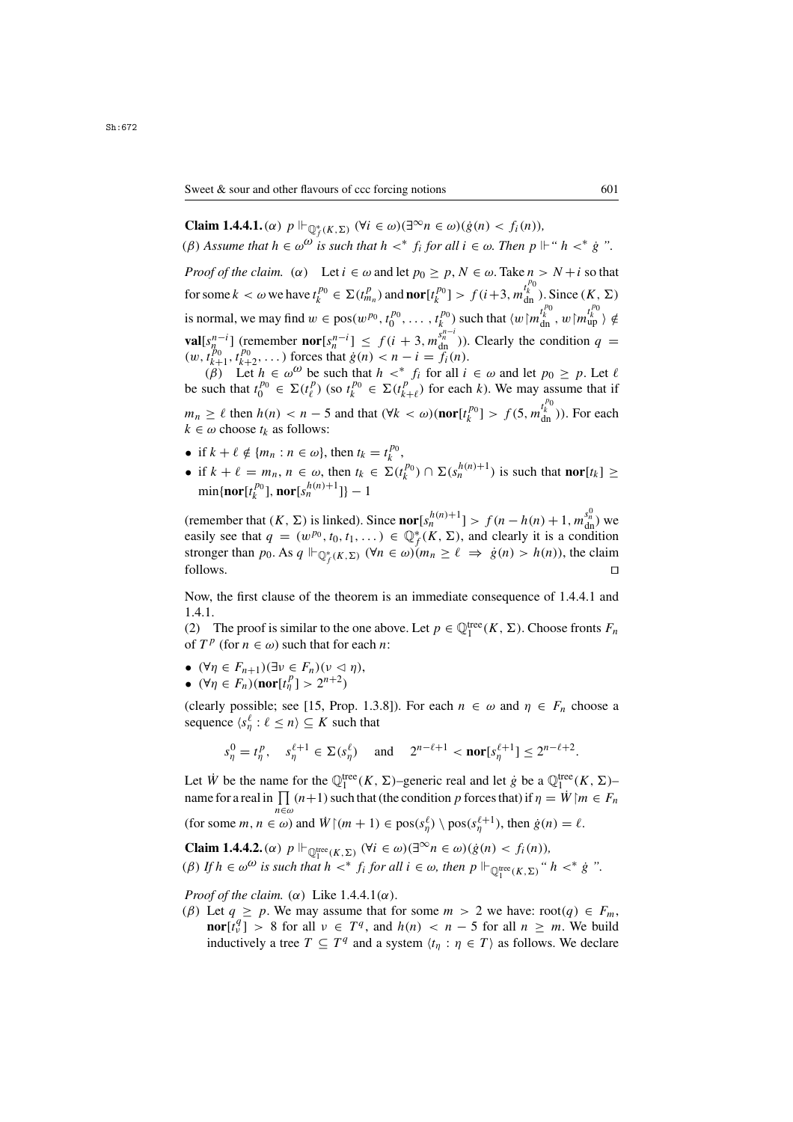**Claim 1.4.4.1.** ( $\alpha$ )  $p \Vdash_{\mathbb{Q}_f^*(K,\Sigma)} (\forall i \in \omega)(\exists^\infty n \in \omega)(\dot{g}(n) < f_i(n)),$ <br>( $\theta$ ) Agguy a that  $h \in \Omega$ ,  $\mathbb{Q}_i$  is qualitated by  $x^*$  f, for all  $i \in \Omega$ . Then,  $n \Vdash_{\Omega}$ (β) Assume that  $h \in \omega^{\omega}$  is such that  $h \lt^* f_i$  for all  $i \in \omega$ . Then  $p \Vdash "h \lt^* g"$ .

*Proof of the claim.* ( $\alpha$ ) Let  $i \in \omega$  and let  $p_0 \geq p$ ,  $N \in \omega$ . Take  $n > N + i$  so that for some  $k < \omega$  we have  $t_k^{p_0} \in \Sigma(t_{m_n}^p)$  and  $\text{nor}[t_k^{p_0}] > f(i+3, m_{\text{dn}}^{t_k^{p_0}})$ . Since  $(K, \Sigma)$ is normal, we may find  $w \in \text{pos}(w^{p_0}, t_0^{p_0}, \dots, t_k^{p_0})$  such that  $\langle w | m_{dn}^{t_k^{p_0}}, w | m_{up}^{t_k^{p_0}} \rangle \notin$ **val**[s<sup>n-i</sup>] (remember **nor**[s<sup>n-i</sup>] ≤  $f(i + 3, m_{dn}^{s_n^{-i}})$ ). Clearly the condition  $q = (m, t^{p_0}, t^{p_0})$ . ) forces that  $\dot{q}(n) < n - i = f_i(n)$  $(w, t_{k+1}^{p_0}, t_{k+2}^{p_0}, \dots)$  forces that  $\dot{g}(n) < n - i = f_i(n)$ .<br>  $(\beta)$  Let  $h \in \omega^{\omega}$  be such that  $h \leq^* f$  for all i

(β) Let  $h \in \omega^{\omega}$  be such that  $h <^* f_i$  for all  $i \in \omega$  and let  $p_0 \ge p$ . Let  $\ell$ <br>such that  $t^{p_0} \in \Sigma(t^p)$  (so  $t^{p_0} \in \Sigma(t^p)$ ) for each k). We may assume that if be such that  $t_0^{p_0} \in \Sigma(t_\ell^p)$  (so  $t_k^{p_0} \in \Sigma(t_{k+\ell}^p)$  for each k). We may assume that if  $m_n \ge \ell$  then  $h(n) < n-5$  and that  $(\forall k < \omega)$ (**nor**[ $t_k^{p_0}$ ] >  $f(5, m_{dn}^{t_k^{p_0}})$ ). For each  $k \in \omega$  choose  $t_k$  as follows:  $k \in \omega$  choose  $t_k$  as follows:

- if  $k + \ell \notin \{m_n : n \in \omega\}$ , then  $t_k = t_k^{p_0}$  $k^{\rho_0}$ ,<br> $k^{\rho_0}$ ,
- if  $k + \ell = m_n$ ,  $n \in \omega$ , then  $t_k \in \Sigma(t_k^{p_0}) \cap \Sigma(s_n^{h(n)+1})$  is such that **nor**[ $t_k$ ]  $\geq$  min(nor[ $t_k^{p_0}$ ] nor[ $s_n^{h(n)+1}$ ]] 1  $\min\{\mathbf{nor}[t_k^{p_0}], \mathbf{nor}[s_n^{h(n)+1}]\} - 1$

(remember that  $(K, \Sigma)$  is linked). Since **nor** $[s_n^{h(n)+1}] > f(n-h(n)+1, m_{dn}^{s_n^0})$  we<br>easily see that  $a = (m^{p_0} \text{ to } t_1) \in \mathbb{O}^*(K, \Sigma)$  and clearly it is a condition easily see that  $q = (w^{p_0}, t_0, t_1, \dots) \in \mathbb{Q}_f^*(K, \Sigma)$ , and clearly it is a condition stronger than  $p_0$ . As  $q \Vdash_{\mathbb{Q}_F^*(K, \Sigma)} (\forall n \in \omega)(m_n > \ell \implies \dot{g}(n) > h(n))$  the claim stronger than  $p_0$ . As  $q \Vdash_{\mathbb{Q}_f^*(K,\Sigma)} (\forall n \in \omega)(m_n \ge \ell \Rightarrow \dot{g}(n) > h(n))$ , the claim  $\Box$  follows.

Now, the first clause of the theorem is an immediate consequence of 1.4.4.1 and 1.4.1.

(2) The proof is similar to the one above. Let  $p \in \mathbb{Q}_1^{\text{tree}}(K, \Sigma)$ . Choose fronts  $F_n$  of  $T^p$  (for  $n \in \omega$ ) such that for each *n*: of  $T^p$  (for  $n \in \omega$ ) such that for each *n*:

- $(\forall \eta \in F_{n+1})(\exists \nu \in F_n)(\nu \leq \eta),$ <br>•  $(\forall \eta \in F)(\text{nor}[f^p] \leq 2^{n+2})$
- $(\forall \eta \in F_n)(\text{nor}[t^n_{\eta}] > 2^{n+2})$

(clearly possible; see [15, Prop. 1.3.8]). For each  $n \in \omega$  and  $\eta \in F_n$  choose a sequence  $\langle s_\eta^\ell : \ell \leq n \rangle \subseteq K$  such that

$$
s_{\eta}^0 = t_{\eta}^p
$$
,  $s_{\eta}^{\ell+1} \in \Sigma(s_{\eta}^{\ell})$  and  $2^{n-\ell+1} < \text{nor}[s_{\eta}^{\ell+1}] \le 2^{n-\ell+2}$ .

Let  $\dot{W}$  be the name for the  $\mathbb{Q}_1^{\text{tree}}(K, \Sigma)$ –generic real and let  $\dot{g}$  be a  $\mathbb{Q}_1^{\text{tree}}(K, \Sigma)$ –<br>name for a real in  $\Pi$  (n | 1) such that (the condition n forces that) if  $n = \dot{W}$  for  $\subset F$ name for a real in  $\prod_{n \in \omega} (n+1)$  such that (the condition p forces that) if  $\eta = \dot{W} \mid m \in F_n$ (for some  $m, n \in \omega$ ) and  $\dot{W} \upharpoonright (m+1) \in \text{pos}(s_{\eta}^{\ell}) \setminus \text{pos}(s_{\eta}^{\ell+1})$ , then  $\dot{g}(n) = \ell$ .

**Claim 1.4.4.2.** ( $\alpha$ )  $p \Vdash_{\mathbb{Q}_1^{\text{tree}}(K,\Sigma)} (\forall i \in \omega)(\exists^\infty n \in \omega)(g(n) < f_i(n)),$ <br>(*e*) If  $h \in \omega^n$  is such that  $h \rightarrow^* f$  for all  $i \in \omega$ , then  $n \Vdash_{\omega}$ (*β*) *If*  $h \in \omega^{\omega}$  *is such that*  $h \lt^* f_i$  *for all*  $i \in \omega$ *, then*  $p \Vdash_{\mathbb{Q}_1^{\text{tree}}(K,\Sigma)} "h \lt^* \dot{g}".$ 

*Proof of the claim.* ( $\alpha$ ) Like 1.4.4.1( $\alpha$ ).

(β) Let  $q \ge p$ . We may assume that for some  $m > 2$  we have: root(q)  $\in F_m$ , **nor**[ $t_v^q$ ] > 8 for all  $v \in T^q$ , and  $h(n) < n-5$  for all  $n \ge m$ . We build inductively a tree  $T \subset T^q$  and a system  $(t \cdot n \in T)$  as follows. We declare inductively a tree  $T \subseteq T^q$  and a system  $\langle t_\eta : \eta \in T \rangle$  as follows. We declare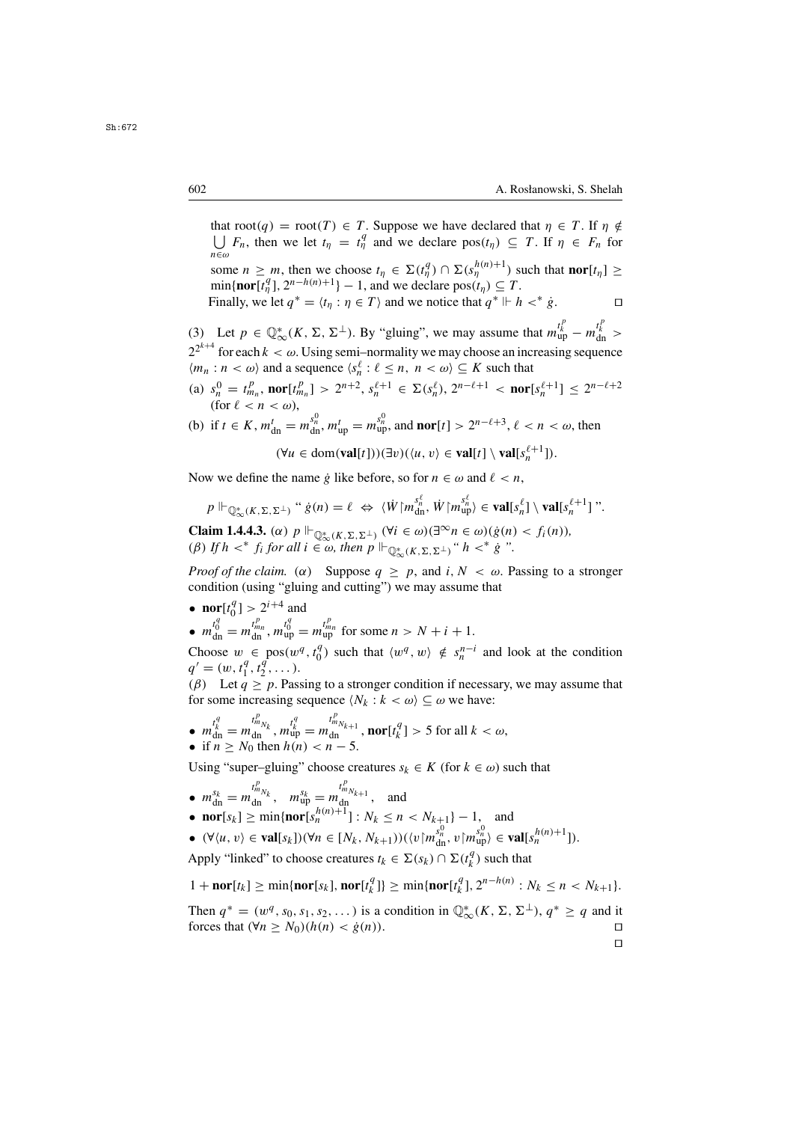$\Box$ 

that root(q) = root(T)  $\in T$ . Suppose we have declared that  $\eta \in T$ . If  $\eta \notin$ <br>  $\Box F$ , then we let  $t_n = t_n^q$  and we declare  $\text{pos}(t_n) \subset T$ . If  $n \in F$ , for  $\bigcup_{n \in \omega} F_n$ , then we let  $t_\eta = t_\eta^q$  and we declare  $pos(t_\eta) \subseteq T$ . If  $\eta \in F_n$  for  $n \in \omega$ some  $n \ge m$ , then we choose  $t_{\eta} \in \Sigma(t_{\eta}^{q}) \cap \Sigma(s_{\eta}^{h(n)+1})$  such that **nor**[ $t_{\eta}$ ]  $\ge$  min{**nor**[ $t_{\eta}$ ]  $\eta$ <sup>2</sup> = 1 and we declare pos( $t_{\eta}$ )  $\subset T$ 

 $\min{\{\mathbf{nor}[t_{\eta}^q], 2^{n-h(n)+1}\}-1}$ , and we declare  $\text{pos}(t_{\eta}) \subseteq T$ .<br>Finally we let  $a^* = (t_1 : n \in T)$  and we notice that  $a^* \vdash h$ Finally, we let  $q^* = \langle t_n : \eta \in T \rangle$  and we notice that  $q^* \Vdash h <^* \dot{g}$ .

(3) Let  $p \in \mathbb{Q}^*_{\infty}(K, \Sigma, \Sigma^{\perp})$ . By "gluing", we may assume that  $m_{\text{up}}^{t_k} - m_{\text{up}}^{t_k} >$ <br> $2^{2^{k+4}}$  for each  $k_{\text{up}}$  we Heine coming compatitions were also as an increasing converges  $2^{2^{k+4}}$  for each  $k < \omega$ . Using semi–normality we may choose an increasing sequence<br> $\langle m_{n} : n < \omega \rangle$  and a sequence  $\langle s^{\ell} : \ell < n, n < \omega \rangle \subset K$  such that  $\langle m_n : n < \omega \rangle$  and a sequence  $\langle s_n^{\ell} : \ell \leq n, n < \omega \rangle \subseteq K$  such that

(a)  $s_n^0 = t_{m_n}^p$ ,  $\text{nor}[t_{m_n}^p] > 2^{n+2}$ ,  $s_n^{\ell+1} \in \Sigma(s_n^{\ell}), 2^{n-\ell+1} < \text{nor}[s_n^{\ell+1}] \le 2^{n-\ell+2}$ <br>(for  $\ell < n < \omega$ ) (for  $\ell < n < \omega$ ),

(b) if 
$$
t \in K
$$
,  $m_{dn}^t = m_{dn}^{s_n^0}$ ,  $m_{up}^t = m_{up}^{s_n^0}$ , and **nor**[ $t$ ] >  $2^{n-\ell+3}$ ,  $\ell < n < \omega$ , then

$$
(\forall u \in \text{dom}(\textbf{val}[t]))(\exists v)(\langle u, v \rangle \in \textbf{val}[t] \setminus \textbf{val}[s_n^{\ell+1}]).
$$

Now we define the name g like before, so for  $n \in \omega$  and  $\ell < n$ ,

$$
p \Vdash_{\mathbb{Q}^*_{\infty}(K,\Sigma,\Sigma^{\perp})} \text{``}\; \dot{g}(n) = \ell \; \Leftrightarrow \; \langle \dot{W} \rangle \left[ m_{\text{dn}}^{s_n^{\ell}}, \dot{W} \right] \left[ m_{\text{up}}^{s_n^{\ell}} \right] \in \text{val}[s_n^{\ell}] \setminus \text{val}[s_n^{\ell+1}] \text{''}.
$$

**Claim 1.4.4.3.** (α)  $p \Vdash_{\mathbb{Q}^*_{\infty}(K,\Sigma,\Sigma^{\perp})} (\forall i \in \omega)(\exists^{\infty} n \in \omega)(\dot{g}(n) < f_i(n)),$ <br>(*β*) If  $h \leq^* f_i$  for all  $i \in \omega$ , then  $n \Vdash_{\mathbb{Q}^*} (x, n, n)$ , " $h \leq^* \dot{g}$ " (*β*) *If*  $h <^* f_i$  *for all*  $i \in \omega$ *, then*  $p \Vdash_{\mathbb{Q}^*_{\infty}(K,\Sigma,\Sigma^{\perp})}$  " $h <^* g$ ".

*Proof of the claim.* ( $\alpha$ ) Suppose  $q \geq p$ , and  $i, N < \omega$ . Passing to a stronger condition (using "gluing and cutting") we may assume that

•  $\operatorname{nor}_{t_q^q} [t]$  $\binom{q}{0}$  > 2<sup>*i*+4</sup> and •  $m_{\text{dn}}^{t_0} = m_{\text{dn}}^{t_{m_n}}$ ,  $m_{\text{up}}^{t_0} = m_{\text{up}}^{t_{m_n}}$  for some  $n > N + i + 1$ .

Choose  $w \in \text{pos}(w^q, t_0^q)$  such that  $\langle w^q, w \rangle \notin s_n^{n-i}$  and look at the condition  $a' = (w, t^q, t^q)$  $q' = (w, t_1^q, t_2^q, \ldots).$ <br>(*B*) Let  $q > p$  Pass

( $\beta$ ) Let  $q \geq p$ . Passing to a stronger condition if necessary, we may assume that for some increasing sequence  $\langle N_k : k \langle \omega \rangle \subseteq \omega$  we have:

• 
$$
m_{\text{dn}}^{t_k^q} = m_{\text{dn}}^{t_{mN_k}^q}
$$
,  $m_{\text{up}}^{t_k^q} = m_{\text{dn}}^{t_{mN_{k+1}}^q}$ , **nor**[ $t_k^q$ ] > 5 for all  $k < \omega$ ,  
• if  $n > N_0$  then  $h(n) < n - 5$ 

• if 
$$
n \geq N_0
$$
 then  $h(n) < n - 5$ .

Using "super–gluing" choose creatures  $s_k \in K$  (for  $k \in \omega$ ) such that

•  $m_{\text{dn}}^{s_k} = m_{\text{dn}}^{t_{m_{N_k}}}$ ,  $m_{\text{up}}^{s_k} = m_{\text{dn}}^{t_{m_{N_{k+1}}}^*}$ , and • **nor**[ $s_k$ ]  $\geq$  min{**nor**[ $s_n^{h(n)+1}$ ] :  $N_k \leq n < N_{k+1}$ } – 1, and •  $(\forall \langle u, v \rangle \in \textbf{val}[s_k])(\forall n \in [N_k, N_{k+1}))(\langle v | m_{\text{un}}^{s_n^0}, v | m_{\text{un}}^{s_n^0} \rangle \in \textbf{val}[s_n^{h(n)+1}]).$ 

Apply "linked" to choose creatures  $t_k \in \Sigma(s_k) \cap \Sigma(t_k^q)$  such that

1 + **nor**[t<sub>k</sub>] ≥ min{**nor**[ $s_k$ ], **nor**[ $t_k^q$ ]} ≥ min{**nor**[ $t_k^q$ ],  $2^{n-h(n)}$  :  $N_k \le n < N_{k+1}$ }.

Then  $q^* = (w^q, s_0, s_1, s_2, \dots)$  is a condition in  $\mathbb{Q}_{\infty}^*(K, \Sigma, \Sigma^{\perp}), q^* \ge q$  and it forces that  $(\forall n > N_0)(h(n) < \hat{q}(n))$ forces that  $(\forall n \ge N_0)(h(n) < \dot{g}(n))$ .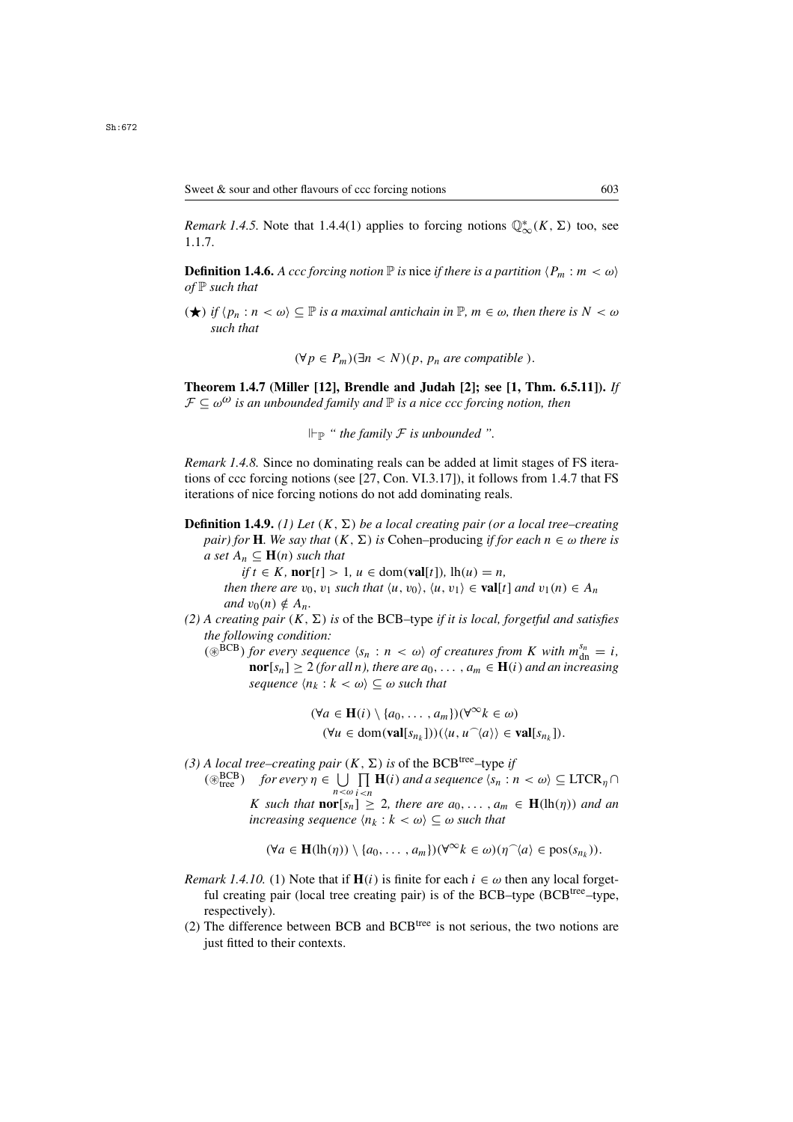**Definition 1.4.6.** *A ccc forcing notion*  $\mathbb P$  *is nice if there is a partition*  $\langle P_m : m < \omega \rangle$ *of* P *such that*

 $(\star)$  *if*  $\langle p_n : n < \omega \rangle \subseteq \mathbb{P}$  *is a maximal antichain in*  $\mathbb{P}, m \in \omega$ *, then there is*  $N < \omega$ *such that*

$$
(\forall p \in P_m)(\exists n < N)(p, p_n \text{ are compatible}).
$$

**Theorem 1.4.7 (Miller [12], Brendle and Judah [2]; see [1, Thm. 6.5.11]).** *If*  $\mathcal{F} \subseteq \omega^{\omega}$  *is an unbounded family and*  $\mathbb{P}$  *is a nice ccc forcing notion, then* 

 $\Vdash_{\mathbb{P}}$  " the family F is unbounded ".

*Remark 1.4.8.* Since no dominating reals can be added at limit stages of FS iterations of ccc forcing notions (see [27, Con. VI.3.17]), it follows from 1.4.7 that FS iterations of nice forcing notions do not add dominating reals.

**Definition 1.4.9.** *(1) Let*  $(K, \Sigma)$  *be a local creating pair (or a local tree–creating pair) for* **H***. We say that*  $(K, \Sigma)$  *is* Cohen–producing *if for each*  $n \in \omega$  *there is a set*  $A_n \subseteq \mathbf{H}(n)$  *such that* 

 $if$   $t \in K$ *,*  $\textbf{nor}[t] > 1$ *,*  $u \in \text{dom}(\textbf{val}[t])$ *,*  $\text{lh}(u) = n$ *,* 

*then there are*  $v_0$ ,  $v_1$  *such that*  $\langle u, v_0 \rangle$ ,  $\langle u, v_1 \rangle \in \textbf{val}[t]$  *and*  $v_1(n) \in A_n$ *and*  $v_0(n) \notin A_n$ .

- (2) A creating pair  $(K, \Sigma)$  is of the BCB–type *if it is local, forgetful and satisfies the following condition:*
	- ( $\circledast^{BCB}$ ) *for every sequence*  $\langle s_n : n \langle \omega \rangle$  *of creatures from* K *with*  $m_{dn}^{s_n} = i$ ,<br> **nor**[s ] > 2 (*for all n*) *there are do*  $a \in H(i)$  *and an increasing* **nor**[ $s_n$ ] ≥ 2 *(for all n), there are*  $a_0$ , ...,  $a_m$  ∈ **H**(*i*) *and an increasing sequence*  $\langle n_k : k < \omega \rangle \subseteq \omega$  *such that*

$$
(\forall a \in \mathbf{H}(i) \setminus \{a_0, \ldots, a_m\}) (\forall^{\infty} k \in \omega)
$$
  

$$
(\forall u \in \text{dom}(\mathbf{val}[s_{n_k}])) (\langle u, u^{\frown}\langle a \rangle) \in \mathbf{val}[s_{n_k}]).
$$

*(3) A local tree–creating pair*  $(K, \Sigma)$  *is* of the BCB<sup>tree</sup>–type *if*  $(\circledast_{tree}^{BCB})$  $f_{\text{tree}}^{BCB}$  *for every*  $\eta \in \bigcup_{n < \omega} \prod_{i < n} \mathbf{H}(i)$  *and a sequence*  $\langle s_n : n < \omega \rangle \subseteq \text{LTCR}_{\eta} \cap \Omega$ K such that  $\textbf{nor}[s_n] \geq 2$ , there are  $a_0, \ldots, a_m \in \textbf{H}(\text{lh}(\eta))$  and an increasing sequence  $\{n_1 : k < \omega\} \subseteq \omega$  such that *increasing sequence*  $\langle n_k : k \langle \omega \rangle \subseteq \omega$  *such that* 

$$
(\forall a \in \mathbf{H}(\mathrm{lh}(\eta)) \setminus \{a_0, \ldots, a_m\}) (\forall^\infty k \in \omega) (\eta^\frown \langle a \rangle \in \mathrm{pos}(s_{n_k})).
$$

- *Remark 1.4.10.* (1) Note that if  $\mathbf{H}(i)$  is finite for each  $i \in \omega$  then any local forgetful creating pair (local tree creating pair) is of the BCB–type (BCB<sup>tree</sup>–type, respectively).
- (2) The difference between BCB and  $BCB<sup>tree</sup>$  is not serious, the two notions are just fitted to their contexts.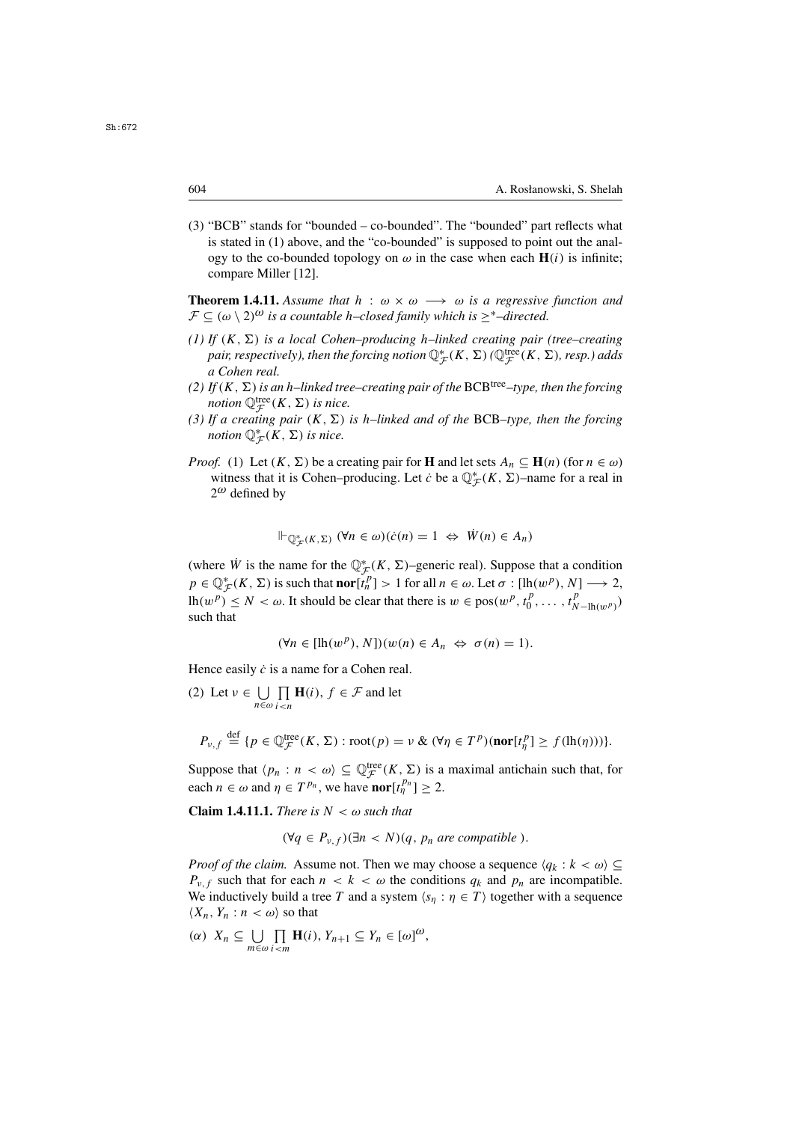(3) "BCB" stands for "bounded – co-bounded". The "bounded" part reflects what is stated in (1) above, and the "co-bounded" is supposed to point out the analogy to the co-bounded topology on  $\omega$  in the case when each  $H(i)$  is infinite; compare Miller [12].

**Theorem 1.4.11.** *Assume that*  $h : \omega \times \omega \longrightarrow \omega$  *is a regressive function and*  $\mathcal{F}$  ⊂ ( $\omega$  \ 2)<sup> $\omega$ </sup> *is a countable h–closed family which is* ><sup>\*</sup>–directed.

- (1) If  $(K, \Sigma)$  *is a local Cohen–producing h–linked creating pair (tree–creating* pair, respectively), then the forcing notion  $\mathbb{Q}_{\mathcal{F}}^{*}(K, \Sigma)$  ( $\mathbb{Q}_{\mathcal{F}}^{\text{tree}}(K, \Sigma)$ , resp.) adds<br>a Cohen real *a Cohen real.*
- (2) If  $(K, \Sigma)$  is an h–linked tree–creating pair of the BCB<sup>tree</sup>–type, then the forcing *notion*  $\mathbb{Q}_{\mathcal{F}}^{\text{tree}}(K, \Sigma)$  *is nice.*<br>If a creating pair  $(K, \Sigma)$
- (3) If a creating pair  $(K, \Sigma)$  is h–linked and of the BCB–type, then the forcing *notion*  $\mathbb{Q}_{\mathcal{F}}^{*}(K, \Sigma)$  *is nice.*
- *Proof.* (1) Let  $(K, \Sigma)$  be a creating pair for **H** and let sets  $A_n \subseteq \mathbf{H}(n)$  (for  $n \in \omega$ ) witness that it is Cohen–producing. Let *c*<sup>*b*</sup> be a  $\mathbb{Q}_{\mathcal{F}}^{*}(K, \Sigma)$ –name for a real in  $2^{\omega}$  defined by  $2^{\omega}$  defined by

$$
\Vdash_{\mathbb{Q}_{\mathcal{F}}^*(K,\Sigma)} (\forall n \in \omega)(\dot{c}(n) = 1 \Leftrightarrow \dot{W}(n) \in A_n)
$$

(where W is the name for the  $\mathbb{Q}_{\mathcal{F}}^*(K, \Sigma)$ –generic real). Suppose that a condition  $\mathbb{R} \subset \mathbb{R}^*(K, \Sigma)$  is such that  $\text{rank}(P) \geq 1$  for all  $\mathbb{R} \subset \mathbb{R}$ . If  $\mathbb{R}^*(W, \Sigma) \geq 2$  $p \in \mathbb{Q}_{\mathcal{F}}^{*}(K, \Sigma)$  is such that **nor**[t<sub>*n*</sub><sup>n</sup>] > 1 for all  $n \in \omega$ . Let  $\sigma : [\text{lh}(w^{p}), N] \longrightarrow 2$ ,<br> $\text{lh}(w^{p}) \leq N \leq \omega$ , It should be clear that there is  $w \in \text{pos}(w^{p}, t^{p}, t^{p}, t^{p})$ lh $(w^p) \le N < \omega$ . It should be clear that there is  $w \in \text{pos}(w^p, t_0^p, \dots, t_{N-\text{lh}(w^p)}^p)$ such that

$$
(\forall n \in [\mathrm{lh}(w^p), N])(w(n) \in A_n \Leftrightarrow \sigma(n) = 1).
$$

Hence easily  $\dot{c}$  is a name for a Cohen real.

(2) Let  $v \in \bigcup_{n \in \omega}$ П  $\prod_{i \leq n} \mathbf{H}(i)$ ,  $f \in \mathcal{F}$  and let

$$
P_{\nu,f} \stackrel{\text{def}}{=} \{ p \in \mathbb{Q}_{\mathcal{F}}^{\text{tree}}(K,\Sigma) : \text{root}(p) = \nu \& (\forall \eta \in T^p)(\text{nor}[t_\eta^p] \ge f(\ln(\eta))) \}.
$$

Suppose that  $\langle p_n : n \langle \omega \rangle \subseteq \mathbb{Q}^{\text{tree}}_{\mathcal{F}}(K, \Sigma)$  is a maximal antichain such that, for each  $n \in \omega$  and  $\eta \in T^{p_n}$ , we have **nor**  $[t_{\eta}^{p_n}] \geq 2$ .

**Claim 1.4.11.1.** *There is*  $N < \omega$  *such that* 

$$
(\forall q \in P_{v,f})(\exists n < N)(q, p_n \text{ are compatible}).
$$

*Proof of the claim.* Assume not. Then we may choose a sequence  $\langle q_k : k \langle \omega \rangle \subseteq$  $P_{\nu,f}$  such that for each  $n < k < \omega$  the conditions  $q_k$  and  $p_n$  are incompatible. We inductively build a tree T and a system  $\langle s_n : \eta \in T \rangle$  together with a sequence  $\langle X_n, Y_n : n \langle \omega \rangle$  so that

(*a*)  $X_n \subseteq \bigcup_{m \in \omega}$  $\prod_{m}$ **H**(i),  $Y_{n+1} \subseteq Y_n \in [\omega]^{\omega}$ ,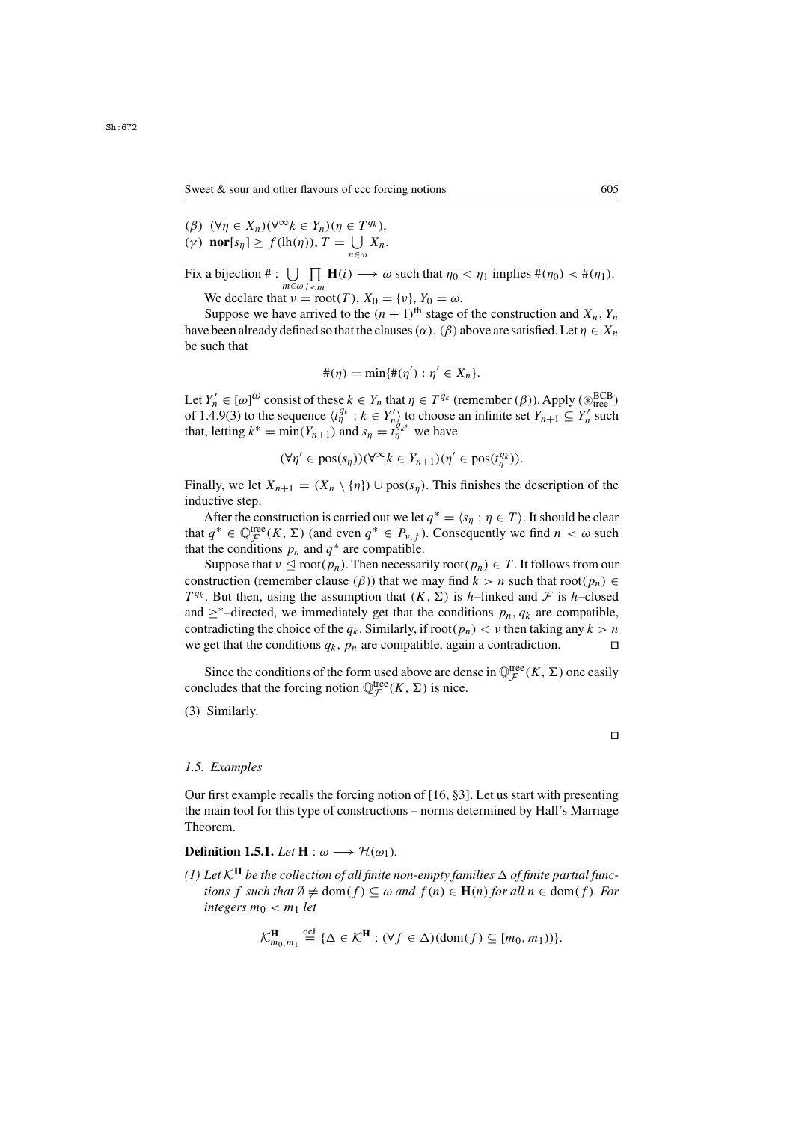(β)  $(\forall n \in X_n)(\forall^{\infty} k \in Y_n)(n \in T^{q_k}).$ (γ) **nor**[ $s_{\eta}$ ]  $\geq f(\text{lh}(\eta)), T = \bigcup_{n \in \omega} X_n$ . n∈ω

Fix a bijection  $\#\colon \bigcup_{m \in \omega} \prod_{i < m} \mathbf{H}(i) \longrightarrow \omega$  such that  $\eta_0 \lhd \eta_1$  implies  $\#(\eta_0) \lhd \#(\eta_1)$ .  $m \in \omega$   $i < m$ 

We declare that  $v = root(T)$ ,  $X_0 = \{v\}$ ,  $Y_0 = \omega$ .<br>Suppose we have arrived to the  $(n + 1)$ <sup>th</sup> stage of

Suppose we have arrived to the  $(n + 1)$ <sup>th</sup> stage of the construction and  $X_n$ ,  $Y_n$ have been already defined so that the clauses  $(\alpha)$ ,  $(\beta)$  above are satisfied. Let  $\eta \in X_n$ be such that

$$
\#(\eta)=\min\{\#(\eta'):\eta'\in X_n\}.
$$

Let  $Y'_n \in [\omega]^\omega$  consist of these  $k \in Y_n$  that  $\eta \in T^{q_k}$  (remember  $(\beta)$ ). Apply ( $\mathcal{B}_{\text{tree}}^{\text{BCB}}$ <br>of 1.4.9(3) to the sequence  $(t^{q_k} \cdot k \in Y')$  to choose an infinite set  $Y_{n+1} \subset Y'$  such Let  $I_n \in [a]$  consist of these  $k \in I_n$  that  $\eta \in I^{a_k}$  (tellermolet  $(p)$ ). Apply  $(\mathcal{L}_{tree})$ <br>of 1.4.9(3) to the sequence  $\langle t_n^{q_k} : k \in Y_n' \rangle$  to choose an infinite set  $Y_{n+1} \subseteq Y_n'$  such<br>that letting  $k^* = \min(Y_{n+1})$  and  $s_n$ that, letting  $k^* = \min(Y_{n+1})$  and  $s_\eta = t_\eta^{q_k*}$  we have

$$
(\forall \eta' \in \text{pos}(s_{\eta})) (\forall^{\infty} k \in Y_{n+1}) (\eta' \in \text{pos}(t_{\eta}^{q_k})).
$$

Finally, we let  $X_{n+1} = (X_n \setminus \{\eta\}) \cup \text{pos}(s_\eta)$ . This finishes the description of the inductive step.

After the construction is carried out we let  $q^* = \langle s_\eta : \eta \in T \rangle$ . It should be clear that  $q^* \in \mathbb{Q}_{\mathcal{F}}^{\text{tree}}(K, \Sigma)$  (and even  $q^* \in P_{\nu, f}$ ). Consequently we find  $n < \omega$  such that the conditions  $n$  and  $q^*$  are compatible that the conditions  $p_n$  and  $q^*$  are compatible.

Suppose that  $v \leq root(p_n)$ . Then necessarily root $(p_n) \in T$ . It follows from our struction (remember clause  $(\beta)$ ) that we may find  $k > n$  such that root $(n) \in$ construction (remember clause ( $\beta$ )) that we may find  $k > n$  such that root( $p_n$ ) ∈  $T^{q_k}$ . But then, using the assumption that  $(K, \Sigma)$  is h–linked and F is h–closed and  $\geq^*$ –directed, we immediately get that the conditions  $p_n, q_k$  are compatible, contradicting the choice of the  $q_k$ . Similarly, if root $(p_n) \lhd \nu$  then taking any  $k > n$  we get that the conditions  $a_k$ ,  $p_n$  are compatible, again a contradiction. we get that the conditions  $q_k$ ,  $p_n$  are compatible, again a contradiction.

Since the conditions of the form used above are dense in  $\mathbb{Q}_{\mathcal{F}}^{\text{tree}}(K, \Sigma)$  one easily cludes that the forcing notion  $\mathbb{Q}_{\text{tree}}^{\text{tree}}(K, \Sigma)$  is nice concludes that the forcing notion  $\mathbb{Q}_{\mathcal{F}}^{\text{tree}}(K, \Sigma)$  is nice.

(3) Similarly.

### *1.5. Examples*

Our first example recalls the forcing notion of [16, §3]. Let us start with presenting the main tool for this type of constructions – norms determined by Hall's Marriage Theorem.

# **Definition 1.5.1.** *Let*  $H : \omega \longrightarrow \mathcal{H}(\omega_1)$ *.*

*(1)* Let  $K^{\mathbf{H}}$  be the collection of all finite non-empty families  $\Delta$  of finite partial func*tions* f *such that*  $\emptyset \neq \text{dom}(f) \subseteq \omega$  *and*  $f(n) \in \mathbf{H}(n)$  for all  $n \in \text{dom}(f)$ *. For integers*  $m_0 < m_1$  *let* 

$$
\mathcal{K}_{m_0,m_1}^{\mathbf{H}} \stackrel{\text{def}}{=} \{\Delta \in \mathcal{K}^{\mathbf{H}} : (\forall f \in \Delta)(\text{dom}(f) \subseteq [m_0, m_1))\}.
$$

 $\Box$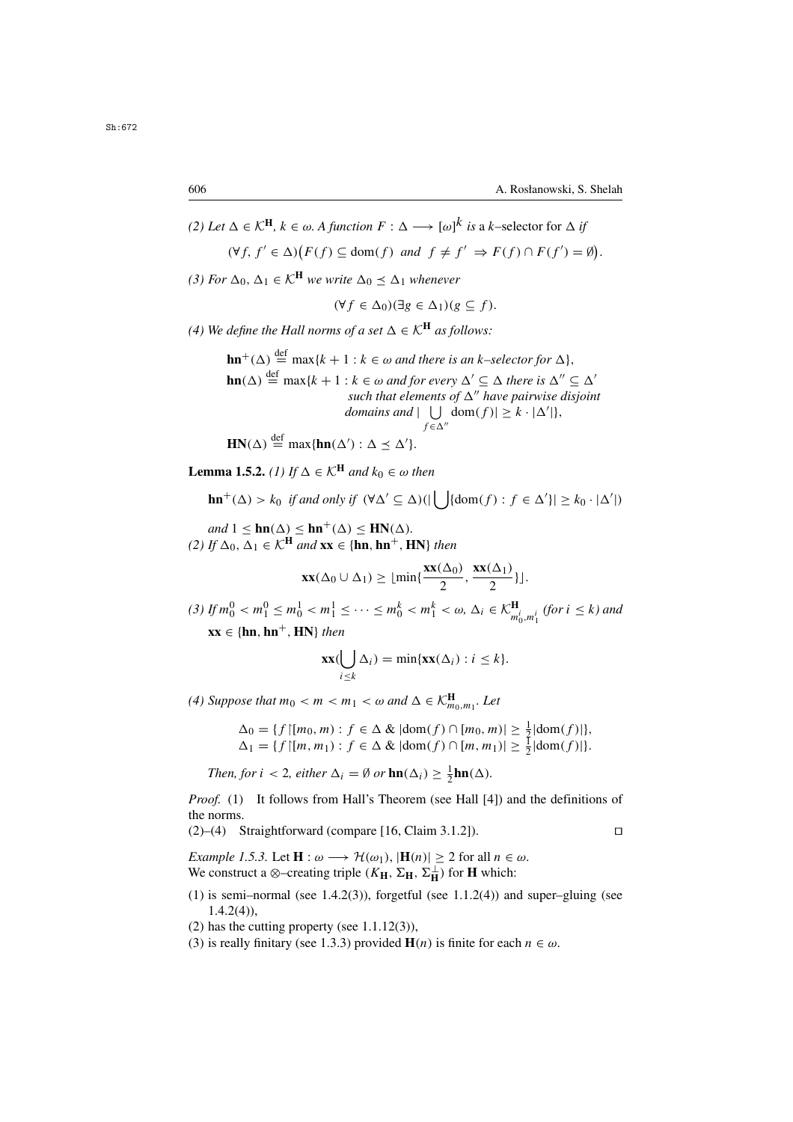*(2) Let*  $\Delta \in \mathcal{K}^{\mathbf{H}}$ ,  $k \in \omega$ . *A function*  $F : \Delta \longrightarrow [\omega]^k$  *is* a *k*-selector for  $\Delta$  *if*  $(\forall f, f' \in \Delta) (F(f) \subseteq \text{dom}(f) \text{ and } f \neq f' \Rightarrow F(f) \cap F(f') = \emptyset)$ 

*(3) For*  $\Delta_0$ ,  $\Delta_1 \in \mathcal{K}^H$  *we write*  $\Delta_0 \prec \Delta_1$  *whenever* 

$$
(\forall f \in \Delta_0)(\exists g \in \Delta_1)(g \subseteq f).
$$

*(4) We define the Hall norms of a set*  $\Delta \in \mathcal{K}^H$  *as follows:* 

**hn**<sup>+</sup>( $\Delta$ )  $\stackrel{\text{def}}{=} \max\{k+1 : k \in \omega \text{ and there is an } k \text{-selector for } \Delta\},$ **hn**( $\Delta$ )  $\stackrel{\text{def}}{=} \max\{k+1 : k \in \omega \text{ and for every } \Delta' \subseteq \Delta \text{ there is } \Delta'' \subseteq \Delta'$ <br>such that elements of  $\Delta''$  have pairwise disjoin *such that elements of*  $\Delta''$  *have pairwise disjoint domains and*  $|\bigcup_{f \in \Delta''} \text{dom}(f)| \geq k \cdot |\Delta'|$ ,  $f \in \Delta''$ 

$$
HN(\Delta) \stackrel{\text{def}}{=} \max\{hn(\Delta') : \Delta \leq \Delta'\}.
$$

**Lemma 1.5.2.** *(1)* If  $\Delta \in \mathcal{K}^H$  *and*  $k_0 \in \omega$  *then* 

$$
\mathbf{hn}^+(\Delta) > k_0 \text{ if and only if } (\forall \Delta' \subseteq \Delta)(|\bigcup \{\text{dom}(f) : f \in \Delta'\}| \geq k_0 \cdot |\Delta'|)
$$

 $and$   $1 \leq \text{hn}(\Delta) \leq \text{hn}^+(\Delta) \leq \text{HN}(\Delta)$ .<br>*If*  $\Delta_0, \Delta_1 \in \mathcal{K}^{\text{H}}$  and  $\text{xx} \in \text{Inn}^+$  **H**  $(2)$  *If* ∆<sub>0</sub>, ∆<sub>1</sub> ∈  $\mathcal{K}^{\mathbf{H}}$  *and* **xx** ∈ {**hn**, **hn**<sup>+</sup>, **HN**} *then* 

$$
\mathbf{xx}(\Delta_0 \cup \Delta_1) \geq \lfloor \min\{\frac{\mathbf{xx}(\Delta_0)}{2}, \frac{\mathbf{xx}(\Delta_1)}{2}\}\rfloor.
$$

(3) If  $m_0^0 < m_1^0 \le m_0^1 < m_1^1 \le \cdots \le m_0^k < m_1^k < \omega$ ,  $\Delta_i \in \mathcal{K}_{m_0^i, m_1^i}^{\mathbf{H}}$  (for  $i \le k$ ) and  $\mathbf{r} = \mathbf{r}$  for  $\mathbf{r} = \mathbf{r}$  and  $\mathbf{x} \mathbf{x} \in \{\mathbf{hn}, \mathbf{hn}^+, \mathbf{HN}\}\$  then

$$
\mathbf{xx}(\bigcup_{i\leq k}\Delta_i)=\min\{\mathbf{xx}(\Delta_i):i\leq k\}.
$$

*(4) Suppose that*  $m_0 < m < m_1 < \omega$  and  $\Delta \in \mathcal{K}_{m_0,m_1}^{\mathbf{H}}$ . Let

$$
\Delta_0 = \{ f \mid [m_0, m) : f \in \Delta \& | \text{dom}(f) \cap [m_0, m) | \ge \frac{1}{2} | \text{dom}(f) | \},
$$
  

$$
\Delta_1 = \{ f \mid [m, m_1) : f \in \Delta \& | \text{dom}(f) \cap [m, m_1) | \ge \frac{1}{2} | \text{dom}(f) | \}.
$$

*Then, for*  $i < 2$ *, either*  $\Delta_i = \emptyset$  *or*  $\text{hn}(\Delta_i) \geq \frac{1}{2}\text{hn}(\Delta)$ *.* 

*Proof.* (1) It follows from Hall's Theorem (see Hall [4]) and the definitions of the norms.

 $(2)$ – $(4)$  Straightforward (compare [16, Claim 3.1.2]).

*Example 1.5.3.* Let  $\mathbf{H}: \omega \longrightarrow \mathcal{H}(\omega_1)$ ,  $|\mathbf{H}(n)| > 2$  for all  $n \in \omega$ . We construct a ⊗–creating triple  $(K_{\mathbf{H}}, \Sigma_{\mathbf{H}}, \Sigma_{\mathbf{H}}^{\perp})$  for **H** which:

- (1) is semi–normal (see 1.4.2(3)), forgetful (see 1.1.2(4)) and super–gluing (see  $1.4.2(4)$ ),
- $(2)$  has the cutting property (see 1.1.12 $(3)$ ),
- (3) is really finitary (see 1.3.3) provided **H**(*n*) is finite for each  $n \in \omega$ .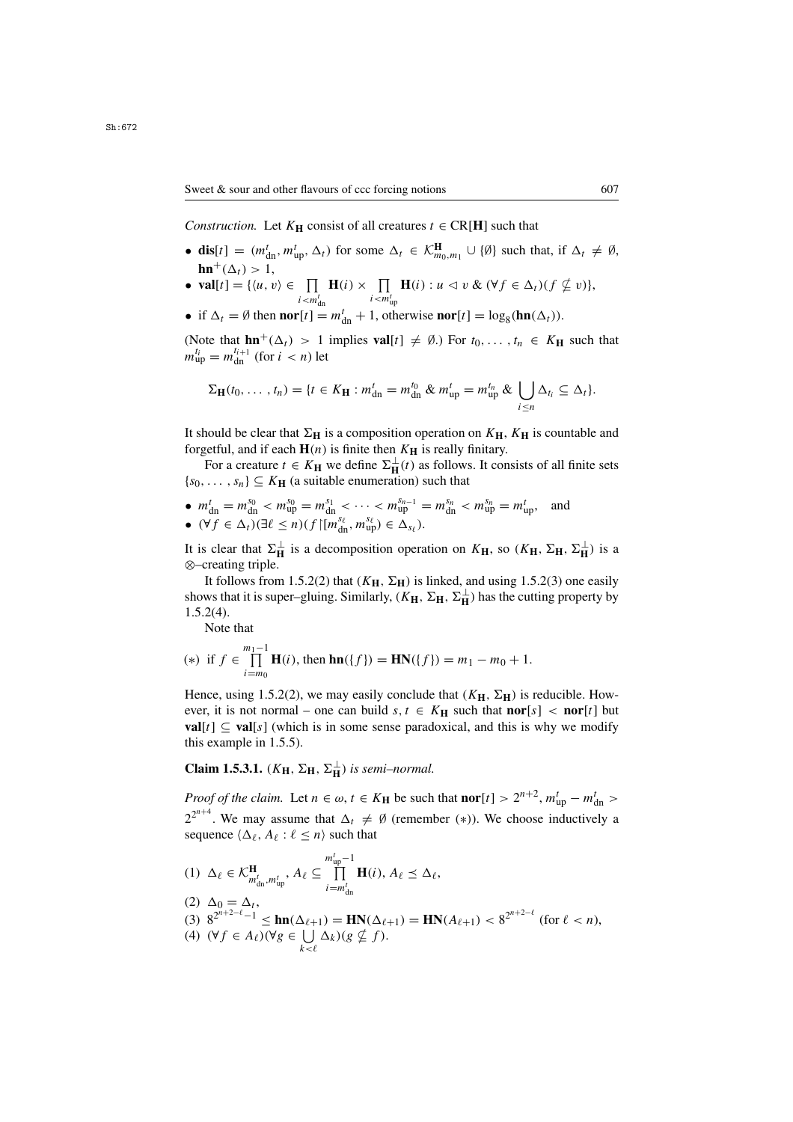*Construction.* Let  $K_H$  consist of all creatures  $t \in \text{CR}[H]$  such that

- **dis**[t] =  $(m_{dn}^t, m_{up}^t, \Delta_t)$  for some  $\Delta_t \in \mathcal{K}_{m_0, m_1}^{\mathbf{H}} \cup \{\emptyset\}$  such that, if  $\Delta_t \neq \emptyset$ ,  $\mathbf{hn}^+(\Delta_t) > 1,$ <br>  $\mathbf{vall}[t] = \{ (u, t) \}$
- **val**[t] = { $\langle u, v \rangle \in \prod_{i < m_{\text{dn}}'} \mathbf{H}(i) \times \prod_{i < m_{\text{up}}'} \mathbf{H}(i) : u \leq v \& (\forall f \in \Delta_t)(f \nsubseteq v)$ },
- if  $\Delta_t = \emptyset$  then **nor**[t] =  $m_{dn}^t + 1$ , otherwise **nor**[t] =  $\log_8(\mathbf{hn}(\Delta_t))$ .

(Note that  $\mathbf{hn}^+(\Delta_t) > 1$  implies  $\mathbf{val}[t] \neq \emptyset$ .) For  $t_0, \ldots, t_n \in K_\mathbf{H}$  such that  $m_{\text{up}}^{t_i} = m_{\text{dn}}^{t_{i+1}}$  (for  $i < n$ ) let

$$
\Sigma_{\mathbf{H}}(t_0,\ldots,t_n)=\{t\in K_{\mathbf{H}}: m_{\mathrm{dn}}^t=m_{\mathrm{dn}}^{t_0} \& m_{\mathrm{up}}^t=m_{\mathrm{up}}^{t_n} \& \bigcup_{i\leq n}\Delta_{t_i}\subseteq\Delta_t\}.
$$

It should be clear that  $\Sigma_H$  is a composition operation on  $K_H$ ,  $K_H$  is countable and forgetful, and if each  $H(n)$  is finite then  $K_H$  is really finitary.

For a creature  $t \in K_H$  we define  $\Sigma_H^{\perp}(t)$  as follows. It consists of all finite sets  $\{s_0, \ldots, s_n\} \subseteq K_H$  (a suitable enumeration) such that

- $m_{\text{dn}}^t = m_{\text{up}}^{s_0} < m_{\text{up}}^{s_0} = m_{\text{dn}}^{s_1} < \cdots < m_{\text{up}}^{s_{n-1}} = m_{\text{dn}}^{s_n} < m_{\text{up}}^{s_n} = m_{\text{up}}^t$ , and •  $(\forall f \in \Delta_t)(\exists \ell \leq n)(f \upharpoonright [m_{\text{dn}}^{s_{\ell}}, m_{\text{up}}^{s_{\ell}}) \in \Delta_{s_{\ell}}).$
- It is clear that  $\Sigma_{\mathbf{H}}^{\perp}$  is a decomposition operation on  $K_{\mathbf{H}}$ , so  $(K_{\mathbf{H}}, \Sigma_{\mathbf{H}}, \Sigma_{\mathbf{H}}^{\perp})$  is a  $\otimes$ -creating triple ⊗–creating triple.

It follows from 1.5.2(2) that  $(K_{\mathbf{H}}, \Sigma_{\mathbf{H}})$  is linked, and using 1.5.2(3) one easily shows that it is super–gluing. Similarly,  $(K_{\mathbf{H}}, \Sigma_{\mathbf{H}}, \Sigma_{\mathbf{H}}^{\perp})$  has the cutting property by 1.5.2(*A*) 1.5.2(4).

Note that

(\*) if 
$$
f \in \prod_{i=m_0}^{m_1-1} \mathbf{H}(i)
$$
, then  $\mathbf{hn}(\{f\}) = \mathbf{HN}(\{f\}) = m_1 - m_0 + 1$ .

Hence, using 1.5.2(2), we may easily conclude that  $(K_{\mathbf{H}}, \Sigma_{\mathbf{H}})$  is reducible. However, it is not normal – one can build  $s, t \in K_H$  such that **nor**[s] < **nor**[t] but **val**[t]  $\subseteq$  **val**[s] (which is in some sense paradoxical, and this is why we modify this example in 1.5.5).

**Claim 1.5.3.1.**  $(K_{\mathbf{H}}, \Sigma_{\mathbf{H}}, \Sigma_{\mathbf{H}}^{\perp})$  *is semi–normal.* 

*Proof of the claim.* Let  $n \in \omega$ ,  $t \in K_H$  be such that  $\textbf{nor}[t] > 2^{n+2}$ ,  $m_{\text{up}}^t - m_{\text{g}}^t$  $2^{2^{n+4}}$ . We may assume that  $\Delta_t \neq \emptyset$  (remember (\*)). We choose inductively a sequence  $(\Delta_{\ell}, A_{\ell}, \ell \leq n)$  such that sequence  $\langle \Delta_{\ell}, A_{\ell} : \ell \leq n \rangle$  such that

(1)  $\Delta_{\ell} \in \mathcal{K}_{m_{dn}^t, m_{up}^t}^{\mathbf{H}}, A_{\ell} \subseteq \prod_{i=m_{dn}^t}^{m_{up}^t - 1}$  $\prod_{i=m_{\text{dn}}^t} \mathbf{H}(i), A_\ell \preceq \Delta_\ell,$ 

(2) 
$$
\Delta_0 = \Delta_t
$$
,  
\n(3)  $8^{2^{n+2-\ell}-1} \le \ln(\Delta_{\ell+1}) = \text{HN}(\Delta_{\ell+1}) = \text{HN}(A_{\ell+1}) < 8^{2^{n+2-\ell}}$  (for  $\ell < n$ ),  
\n(4)  $(\forall f \in A_{\ell})(\forall g \in \bigcup_{k < \ell} \Delta_k)(g \nsubseteq f)$ .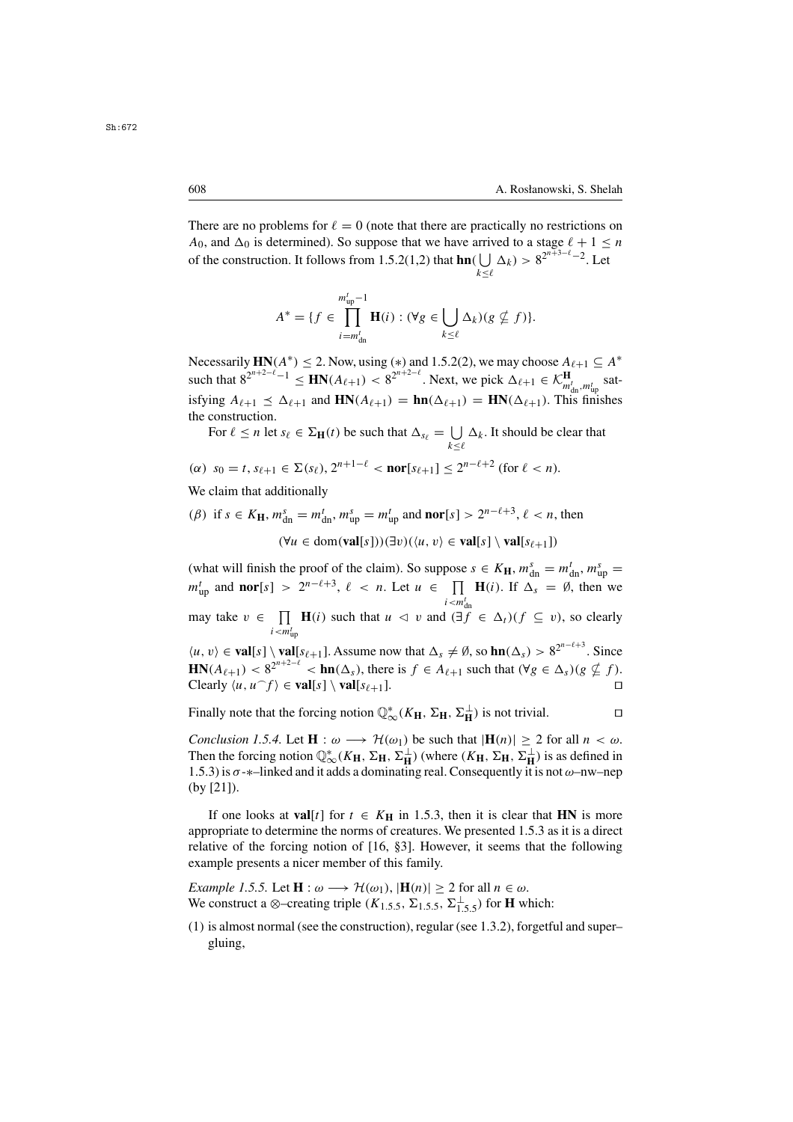There are no problems for  $\ell = 0$  (note that there are practically no restrictions on  $A_0$ , and  $\Delta_0$  is determined). So suppose that we have arrived to a stage  $\ell + 1 \leq n$ of the construction. It follows from 1.5.2(1,2) that  $\ln(\bigcup_{k \leq \ell} \Delta_k) > 8^{2^{n+3-\ell}-2}$ . Let  $k \leq \ell$ 

$$
A^* = \{f \in \prod_{i=m_{\text{dn}}^t}^{m_{\text{up}}^t - 1} \mathbf{H}(i) : (\forall g \in \bigcup_{k \le \ell} \Delta_k)(g \nsubseteq f)\}.
$$

Necessarily **HN**( $A^*$ ) ≤ 2. Now, using (\*) and 1.5.2(2), we may choose  $A_{\ell+1} \subseteq A^*$ <br>such that  $2^{2^{n+2-\ell}} - 1 \le \text{HN}(A_{\ell+1}) \le 2^{2^{n+2-\ell}}$ . Now we pick  $A_{\ell+1} \subseteq A^*$ such that  $8^{2^{n+2-\ell}-1} \leq \mathbf{HN}(A_{\ell+1}) < 8^{2^{n+2-\ell}}$ . Next, we pick  $\Delta_{\ell+1} \in \mathcal{K}_{m_{\text{dn}}',m_{\text{up}}'}^{\mathbf{H}}$  satisfying  $A_{\ell+1} \leq \Delta_{\ell+1}$  and  $\mathbf{HN}(A_{\ell+1}) = \mathbf{hn}(\Delta_{\ell+1}) = \mathbf{HN}(\Delta_{\ell+1})$ . This finishes the construction the construction.

For  $\ell \le n$  let  $s_{\ell} \in \Sigma_{\mathbf{H}}(t)$  be such that  $\Delta_{s_{\ell}} = \bigcup_{k \le \ell} \Delta_k$ . It should be clear that

$$
(\alpha) \ \ s_0 = t, \ s_{\ell+1} \in \Sigma(s_{\ell}), \ 2^{n+1-\ell} < \text{nor}[s_{\ell+1}] \le 2^{n-\ell+2} \ \text{(for } \ell < n).
$$

We claim that additionally

(*β*) if  $s \in K_H$ ,  $m_{dn}^s = m_{dn}^t$ ,  $m_{up}^s = m_{up}^t$  and  $\textbf{nor}[s] > 2^{n-\ell+3}$ ,  $\ell < n$ , then  $(\forall u \in \text{dom}(\text{val}[s]))(\exists v)(\langle u, v \rangle \in \text{val}[s] \setminus \text{val}[s_{\ell+1}])$ 

(what will finish the proof of the claim). So suppose  $s \in K_H$ ,  $m_{\text{d}}^s = m_{\text{d}}^t$ ,  $m_{\text{up}}^s = m_t^t$ ,  $m_{\text{up}}^s = m_t^t$ ,  $m_{\text{up}}^s = m_t^t$ ,  $m_{\text{up}}^s = m_t^t$ ,  $m_{\text{up}}^s = m_t^t$ ,  $m_{\text{up}}^s = m_t^t$ ,  $m_{\text{up}}^s = m_t^s$ ,  $m_{\text{up}}^$  $m_{\text{up}}^t$  and **nor**[s] >  $2^{n-\ell+3}$ ,  $\ell < n$ . Let  $u \in \prod_{i \leq m'} \mathbf{H}(i)$ . If  $\Delta_s = \emptyset$ , then we  $\sum_{i=1}^{\infty}$ may take  $v \in \prod_{i \le m_{\text{tm}}} \mathbf{H}(i)$  such that  $u \le v$  and  $(\exists f \in \Delta_t)(f \subseteq v)$ , so clearly  $\langle u, v \rangle$  ∈ **val**[s] \ **val**[s<sub>l+1</sub>]. Assume now that  $\Delta_s \neq \emptyset$ , so **hn**( $\Delta_s$ ) > 8<sup>2n−l+3</sup>. Since  $i < m_{\text{un}}^t$  $\mathbf{HN}(A_{\ell+1}) < 8^{2^{n+2-\ell}} < \mathbf{hn}(\Delta_s)$ , there is  $f \in A_{\ell+1}$  such that  $(\forall g \in \Delta_s)(g \nsubseteq f)$ .<br>Clearly  $(u, u \cap f) \in \mathbf{val}[s] \setminus \mathbf{val}[s_{\ell+1}]$ Clearly  $\langle u, u^{\frown} f \rangle \in \textbf{val}[s] \setminus \textbf{val}[s_{\ell+1}].$ 

Finally note that the forcing notion  $\mathbb{Q}_{\infty}^*(K_H, \Sigma_H, \Sigma_H^{\perp})$  is not trivial.

*Conclusion 1.5.4.* Let  $\mathbf{H}: \omega \longrightarrow \mathcal{H}(\omega_1)$  be such that  $|\mathbf{H}(n)| \geq 2$  for all  $n < \omega$ . Then the forcing notion  $\mathbb{Q}_{\infty}^*(K_H, \Sigma_H, \Sigma_H^{\perp})$  (where  $(K_H, \Sigma_H, \Sigma_H^{\perp})$  is as defined in 1.5.3) is  $\sigma_*$  +-linked and it adds a dominating real. Consequently it is not  $\omega$ -nw-nen 1.5.3) is  $\sigma$ -\*-linked and it adds a dominating real. Consequently it is not  $\omega$ -nw-nep (by [21]).

If one looks at **val**[t] for  $t \in K_H$  in 1.5.3, then it is clear that **HN** is more appropriate to determine the norms of creatures. We presented 1.5.3 as it is a direct relative of the forcing notion of [16, §3]. However, it seems that the following example presents a nicer member of this family.

*Example 1.5.5.* Let  $\mathbf{H} : \omega \longrightarrow \mathcal{H}(\omega_1)$ ,  $|\mathbf{H}(n)| > 2$  for all  $n \in \omega$ . We construct a ⊗–creating triple ( $K_{1.5.5}$ ,  $\Sigma_{1.5.5}$ ,  $\Sigma_{1.5.5}^{\perp}$ ) for **H** which:

(1) is almost normal (see the construction), regular (see 1.3.2), forgetful and super– gluing,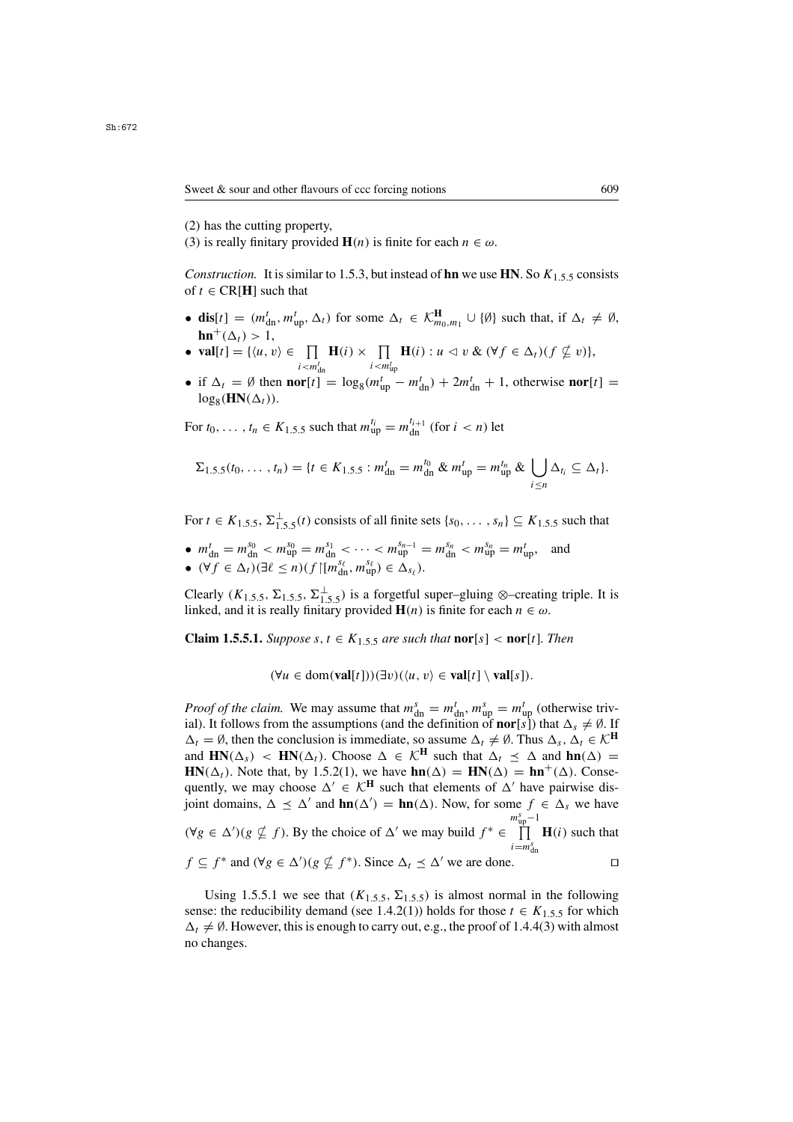- (2) has the cutting property,
- (3) is really finitary provided **H**(*n*) is finite for each  $n \in \omega$ .

*Construction.* It is similar to 1.5.3, but instead of **hn** we use **HN**. So  $K_{1.5.5}$  consists of  $t \in \text{CR}[H]$  such that

- **dis**[t] =  $(m_{dn}^t, m_{up}^t, \Delta_t)$  for some  $\Delta_t \in \mathcal{K}_{m_0, m_1}^{\mathbf{H}} \cup \{\emptyset\}$  such that, if  $\Delta_t \neq \emptyset$ ,  $\mathbf{hn}^+(\Delta_t) > 1,$ <br> **val**[t] = {/u \)
- **val**[t] = { $\langle u, v \rangle \in \prod_{i \le m'}$  $\prod_{i \leq m_{\text{dn}}^t} \mathbf{H}(i) \times \prod_{i \leq m_{\text{up}}^t} \mathbf{H}(i) : u \leq v \& (\forall f \in \Delta_t) (f \nsubseteq v) \},$
- if  $\Delta_t = \emptyset$  then  $\textbf{nor}[t] = \log_8(m_{\text{up}}^t m_{\text{dn}}^t) + 2m_{\text{dn}}^t + 1$ , otherwise  $\textbf{nor}[t] = \log_8(\textbf{HN}(\Delta_t))$  $log_8(HN(\Delta_t)).$

For  $t_0, ..., t_n \in K_{1.5.5}$  such that  $m_{\text{up}}^{t_i} = m_{\text{dn}}^{t_{i+1}}$  (for  $i < n$ ) let

$$
\Sigma_{1.5.5}(t_0,\ldots,t_n)=\{t\in K_{1.5.5}: m_{\rm dn}^t=m_{\rm dn}^{t_0} \& m_{\rm up}^t=m_{\rm up}^{t_n} \& \bigcup_{i\leq n}\Delta_{t_i}\subseteq\Delta_t\}.
$$

For  $t \in K_{1.5.5}$ ,  $\Sigma_{1.5.5}^{\perp}(t)$  consists of all finite sets  $\{s_0, \ldots, s_n\} \subseteq K_{1.5.5}$  such that

• 
$$
m_{dn}^t = m_{dn}^{s_0} < m_{up}^{s_0} = m_{dn}^{s_1} < \cdots < m_{up}^{s_{n-1}} = m_{dn}^{s_n} < m_{up}^{s_n} = m_{up}^t
$$
, and  
\n•  $(\forall f \in \Delta_t)(\exists \ell \le n)(f \mid [m_{dn}^{s_\ell}, m_{up}^{s_\ell}) \in \Delta_{s_\ell})$ .

Clearly  $(K_{1.5.5}, \Sigma_{1.5.5}, \Sigma_{1.5.5}^{\perp})$  is a forgetful super–gluing ⊗–creating triple. It is linked and it is really finitary provided  $H(n)$  is finite for each  $n \in \omega$ linked, and it is really finitary provided  $\mathbf{H}(n)$  is finite for each  $n \in \omega$ .

**Claim 1.5.5.1.** *Suppose*  $s, t \in K_{1.5.5}$  *are such that*  $\text{nor}[s] < \text{nor}[t]$ *. Then* 

$$
(\forall u \in \text{dom}(\textbf{val}[t]))(\exists v)(\langle u, v \rangle \in \textbf{val}[t] \setminus \textbf{val}[s]).
$$

*Proof of the claim.* We may assume that  $m_{dn}^s = m_{dn}^t$ ,  $m_{up}^s = m_{up}^t$  (otherwise triv-<br>ial) It follows from the assumptions (and the definition of **nor** [s]) that  $\Delta \neq \emptyset$  If ial). It follows from the assumptions (and the definition of **nor**[s]) that  $\Delta_s \neq \emptyset$ . If  $\Delta_t = \emptyset$ , then the conclusion is immediate, so assume  $\Delta_t \neq \emptyset$ . Thus  $\Delta_s$ ,  $\Delta_t \in \mathcal{K}^H$ and  $\mathbf{HN}(\Delta_s)$  <  $\mathbf{HN}(\Delta_t)$ . Choose  $\Delta \in \mathcal{K}^{\mathbf{H}}$  such that  $\Delta_t \preceq \Delta$  and  $\mathbf{hn}(\Delta)$  = **HN**( $\Delta_t$ ). Note that, by 1.5.2(1), we have **hn**( $\Delta$ ) = **HN**( $\Delta$ ) = **hn**<sup>+</sup>( $\Delta$ ). Consequently, we may choose  $\Delta' \in \mathcal{K}^H$  such that elements of  $\Delta'$  have pairwise disjoint domains,  $\Delta \preceq \Delta'$  and  $\text{hn}(\Delta') = \text{hn}(\Delta)$ . Now, for some  $f \in \Delta_s$  we have  $(\forall g \in \Delta') (g \nsubseteq f)$ . By the choice of  $\Delta'$  we may build  $f^* \in \prod_{i=m_1^s}^{m_{\text{up}}^s-1} \mathbf{H}(i)$  such that  $i=$  $m_d^s$ dn  $f \subseteq f^*$  and  $(\forall g \in \Delta') (g \nsubseteq f^*)$ . Since  $\Delta_t \preceq \Delta'$  we are done.

Using 1.5.5.1 we see that  $(K_{1.5.5}, \Sigma_{1.5.5})$  is almost normal in the following sense: the reducibility demand (see 1.4.2(1)) holds for those  $t \in K_{1,5,5}$  for which  $\Delta_t \neq \emptyset$ . However, this is enough to carry out, e.g., the proof of 1.4.4(3) with almost no changes.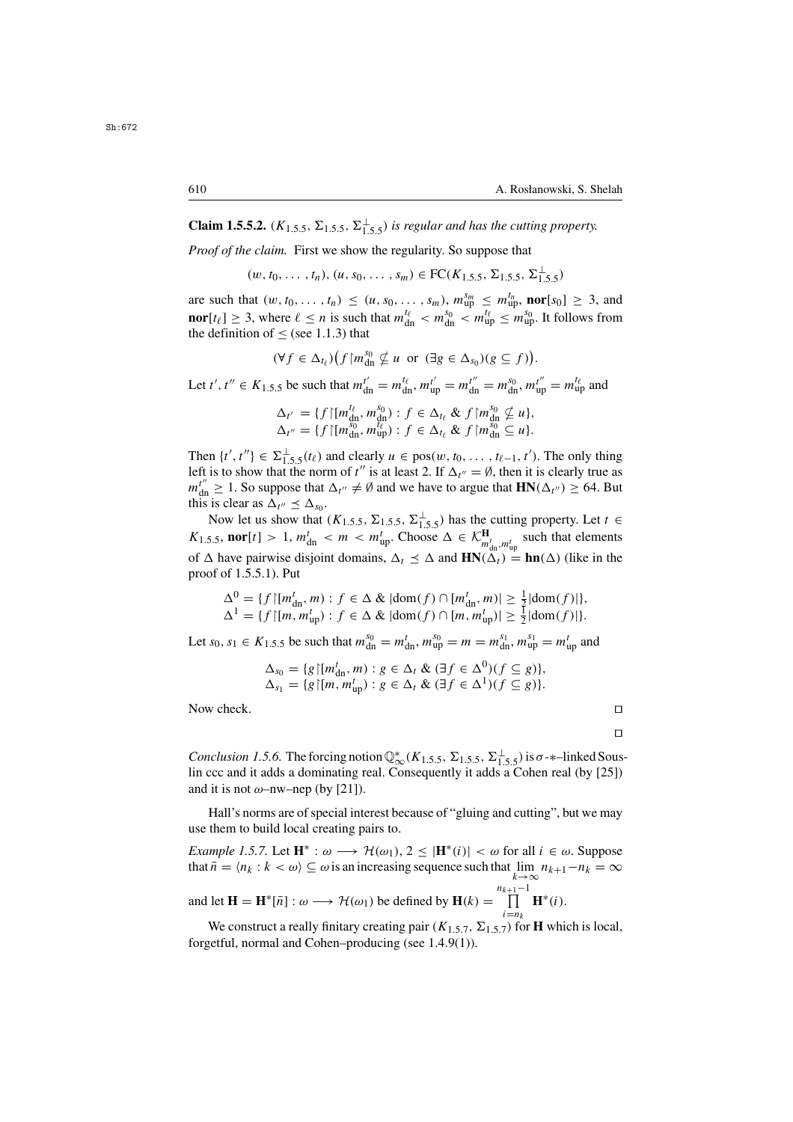**Claim 1.5.5.2.** ( $K_{1,5,5}$ ,  $\Sigma_{1,5,5}$ ,  $\Sigma_{1,5,5}$ ) *is regular and has the cutting property.* 

*Proof of the claim.* First we show the regularity. So suppose that

 $(w, t_0, \ldots, t_n), (u, s_0, \ldots, s_m) \in \text{FC}(K_{1.5.5}, \Sigma_{1.5.5}, \Sigma_{1.5.5}^{\perp})$ 

are such that  $(w, t_0, \ldots, t_n) \le (u, s_0, \ldots, s_m)$ ,  $m_{up}^{s_m} \le m_{up}^{t_n}$ , **nor**[s<sub>0</sub>]  $\ge 3$ , and  $\text{per}[\mathbf{t}_1] > 3$ , where  $\ell > n$  is such that  $m^{t_\ell} \le m^{s_0} \le m^{t_\ell} \le m^{s_0}$ . It follows from **nor**[ $t_{\ell}$ ]  $\geq$  3, where  $\ell \leq n$  is such that  $m_{dn}^{i\ell} < m_{dn}^{s_0} < m_{up}^{i\ell} \leq m_{up}^{s_0}$ . It follows from the definition of  $\lt$  (see 1.1.3) that the definition of  $\le$  (see 1.1.3) that

$$
(\forall f \in \Delta_{t_\ell})(f \upharpoonright m_{\text{dn}}^{s_0} \nsubseteq u \text{ or } (\exists g \in \Delta_{s_0})(g \subseteq f)).
$$

Let  $t', t'' \in K_{1.5.5}$  be such that  $m_{dn}^{t'} = m_{dn}^{t\ell}, m_{up}^{t'} = m_{dn}^{t''} = m_{dn}^{s_0}, m_{up}^{t''} = m_{up}^{t\ell}$  and

$$
\Delta_{t'} = \{f \mid [m_{\mathrm{dn}}^{t_{\ell}}, m_{\mathrm{dn}}^{s_0}) : f \in \Delta_{t_{\ell}} \& f \mid m_{\mathrm{dn}}^{s_0} \nsubseteq u\},\newline \Delta_{t''} = \{f \mid [m_{\mathrm{dn}}^{s_0}, m_{\mathrm{up}}^{t_{\ell}}) : f \in \Delta_{t_{\ell}} \& f \mid m_{\mathrm{dn}}^{s_0} \subseteq u\}.
$$

Then  $\{t', t''\} \in \Sigma^{\perp}_{1.5.5}(t_\ell)$  and clearly  $u \in \text{pos}(w, t_0, \ldots, t_{\ell-1}, t')$ . The only thing left is to show that the norm of  $t''$  is at least 2. If  $\Delta w = \emptyset$ , then it is clearly true as left is to show that the norm of t'' is at least 2. If  $\Delta_{t''} = \emptyset$ , then it is clearly true as  $m_{\text{dn}}^{t''} \ge 1$ . So suppose that  $\Delta_{t''} \ne \emptyset$  and we have to argue that  $\text{HN}(\Delta_{t''}) \ge 64$ . But this is clear as  $\Delta_{t''} \le \Delta$ this is clear as  $\Delta_{t''} \leq \Delta_{s_0}$ .

Now let us show that  $(K_{1.5.5}, \Sigma_{1.5.5}, \Sigma_{1.5.5})$  has the cutting property. Let  $t \in \mathbf{nor}[t] > 1$   $m^t < m < m^t$ . Choose  $\Delta \in \mathcal{K}^H$  such that elements  $K_{1.5.5}$ , **nor**[t] > 1,  $m_{dn}^t < m < m_{up}^t$ . Choose  $\Delta \in \mathcal{K}_{m_{dn}^t, m_{up}^t}^{\mathbf{H}}$  such that elements of A house pointing disjoint domains  $\Delta \leq \Delta$  and  $\mathbf{HN}(\Delta) = \mathbf{hn}(\Delta)$  (like in the of  $\Delta$  have pairwise disjoint domains,  $\Delta_t \leq \Delta$  and  $\mathbf{HN}(\Delta_t) = \mathbf{hn}(\Delta)$  (like in the proof of 1.5.5.1). Put proof of 1.5.5.1). Put

$$
\Delta^0 = \{ f \mid [m_{\mathrm{dn}}^t, m) : f \in \Delta \& \vert \mathrm{dom}(f) \cap [m_{\mathrm{dn}}^t, m) \vert \ge \frac{1}{2} \vert \mathrm{dom}(f) \vert \},
$$
  

$$
\Delta^1 = \{ f \mid [m, m_{\mathrm{up}}^t) : f \in \Delta \& \vert \mathrm{dom}(f) \cap [m, m_{\mathrm{up}}^t) \vert \ge \frac{1}{2} \vert \mathrm{dom}(f) \vert \}.
$$

Let  $s_0, s_1 \in K_{1.5.5}$  be such that  $m_{dn}^{s_0} = m_{dn}^t, m_{up}^{s_0} = m = m_{dn}^{s_1}, m_{up}^{s_1} = m_{up}^t$  and

$$
\Delta_{s_0} = \{ g \mid [m_{\rm dn}^t, m) : g \in \Delta_t \& (\exists f \in \Delta^0)(f \subseteq g) \},
$$
  

$$
\Delta_{s_1} = \{ g \mid [m, m_{\rm up}^t) : g \in \Delta_t \& (\exists f \in \Delta^1)(f \subseteq g) \}.
$$

Now check.

*Conclusion 1.5.6.* The forcing notion  $\mathbb{Q}_{\infty}^{*}(K_{1.5.5}, \Sigma_{1.5.5}, \Sigma_{1.5.5}^{\perp})$  is  $\sigma$ - $*$ –linked Sous-<br>lin ccc and it adds a dominating real. Consequently it adds a Cohen real (by [25]) lin ccc and it adds a dominating real. Consequently it adds a Cohen real (by [25]) and it is not  $\omega$ –nw–nep (by [21]).

Hall's norms are of special interest because of "gluing and cutting", but we may use them to build local creating pairs to.

*Example 1.5.7.* Let  $\mathbf{H}^* : \omega \longrightarrow \mathcal{H}(\omega_1), 2 \leq |\mathbf{H}^*(i)| < \omega$  for all  $i \in \omega$ . Suppose that  $\hat{n} = \langle n_k : k < \omega \rangle \subseteq \omega$  is an increasing sequence such that  $\lim_{k \to \infty} n_{k+1} - n_k = \infty$ and let  $\mathbf{H} = \mathbf{H}^*[\bar{n}] : \omega \longrightarrow \mathcal{H}(\omega_1)$  be defined by  $\mathbf{H}(k) =$  $n_{k+1}-1$  $\prod_{n=1}^{+1-1}$ **H**\*(*i*).

 $i=n_k$ <br> $\rightarrow$  fc We construct a really finitary creating pair  $(K_{1.5.7}, \Sigma_{1.5.7})$  for **H** which is local, forgetful, normal and Cohen–producing (see 1.4.9(1)).

$$
\Box
$$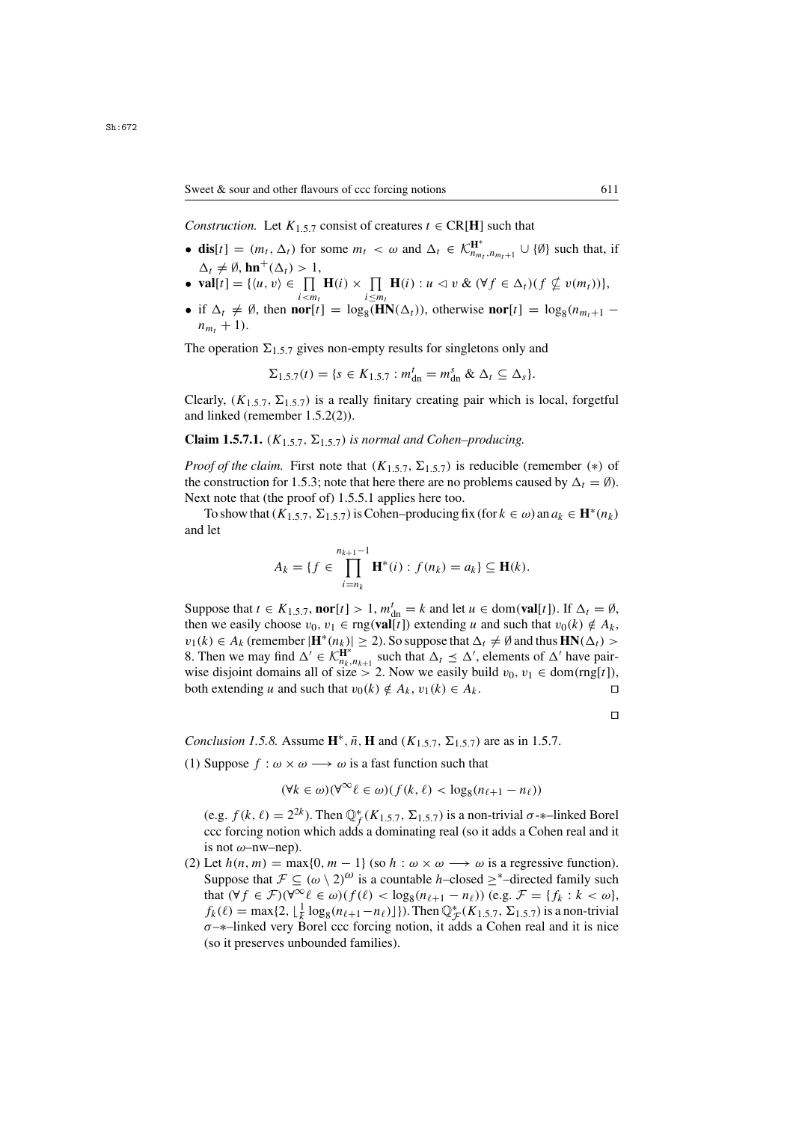*Construction.* Let  $K_{1,5,7}$  consist of creatures  $t \in \text{CR}[H]$  such that

- **dis**[t] =  $(m_t, \Delta_t)$  for some  $m_t < \omega$  and  $\Delta_t \in \mathcal{K}_{n_{m_t}, n_{m_t+1}}^{\mathbf{H}^*} \cup \{\emptyset\}$  such that, if  $\Delta_t \neq \emptyset$ ,  $\mathbf{hn}^+(\Delta_t) > 1$ ,<br> **val**[t] =  $\{(\mu, \nu)\in \Pi\}$
- **val**[t] = { $\langle u, v \rangle \in \prod_{i \le m_t} \mathbf{H}(i) \times \prod_{i \le m_t} \mathbf{H}(i) : u \le v \& (\forall f \in \Delta_t)(f \nsubseteq v(m_t))$ },<br>
 if  $\Delta_t \neq \emptyset$  then **por**[t] = log. (HN( $\Delta_t$ )) otherwise **por**[t] = log. (n, a)
- if  $\Delta_t \neq \emptyset$ , then **nor**[t] = log<sub>8</sub>( $\overline{HN}(\Delta_t)$ ), otherwise **nor**[t] = log<sub>8</sub>( $n_{m_t+1}$  n + 1)  $n_{m_{\tau}} + 1$ .

The operation  $\Sigma_{1,5,7}$  gives non-empty results for singletons only and

$$
\Sigma_{1.5.7}(t) = \{s \in K_{1.5.7} : m_{\rm dn}^t = m_{\rm dn}^s \& \Delta_t \subseteq \Delta_s\}.
$$

Clearly,  $(K_{1,5,7}, \Sigma_{1,5,7})$  is a really finitary creating pair which is local, forgetful and linked (remember 1.5.2(2)).

**Claim 1.5.7.1.**  $(K_{1,5,7}, \Sigma_{1,5,7})$  *is normal and Cohen–producing.* 

*Proof of the claim.* First note that  $(K_{1.5.7}, \Sigma_{1.5.7})$  is reducible (remember  $(*)$  of the construction for 1.5.3; note that here there are no problems caused by  $\Delta_t = \emptyset$ . Next note that (the proof of) 1.5.5.1 applies here too.

To show that  $(K_{1,5,7}, \Sigma_{1,5,7})$  is Cohen–producing fix (for  $k \in \omega$ ) an  $a_k \in \mathbf{H}^*(n_k)$ and let

$$
A_k = \{ f \in \prod_{i=n_k}^{n_{k+1}-1} \mathbf{H}^*(i) : f(n_k) = a_k \} \subseteq \mathbf{H}(k).
$$

Suppose that  $t \in K_{1,5,7}$ , **nor**[t] > 1,  $m_{dn}^t = k$  and let  $u \in \text{dom}(\textbf{val}[t])$ . If  $\Delta_t = \emptyset$ ,<br>then we easily choose  $y_0, y_1 \in \text{mo}(\textbf{val}[t])$  extending u and such that  $y_0(k) \notin A_t$ . then we easily choose  $v_0, v_1 \in \text{rng}(\text{val}[t])$  extending u and such that  $v_0(k) \notin A_k$ ,  $v_1(k) \in A_k$  (remember  $|\mathbf{H}^*(n_k)| \ge 2$ ). So suppose that  $\Delta_t \ne \emptyset$  and thus  $\mathbf{HN}(\Delta_t) >$ 8. Then we may find  $\Delta' \in \widehat{\mathcal{K}_{n_k, n_{k+1}}^{H^*}}$  such that  $\Delta_t \leq \Delta'$ , elements of  $\Delta'$  have pair-<br>wise disjoint domains all of size > 2. Now we easily build *v*<sub>0</sub>, *v*<sub>1</sub> ∈ dom(rng[t]) wise disjoint domains all of size > 2. Now we easily build  $v_0$ ,  $v_1 \in \text{dom}(rng[t])$ ,<br>both extending u and such that  $v_0(k) \notin A_1$ ,  $v_1(k) \in A_1$ both extending u and such that  $v_0(k) \notin A_k$ ,  $v_1(k) \in A_k$ .

 $\Box$ 

*Conclusion 1.5.8.* Assume  $\mathbf{H}^*, \bar{n}, \mathbf{H}$  and  $(K_{1.5.7}, \Sigma_{1.5.7})$  are as in 1.5.7.

(1) Suppose  $f : \omega \times \omega \longrightarrow \omega$  is a fast function such that

$$
(\forall k \in \omega)(\forall^{\infty}\ell \in \omega)(f(k,\ell) < \log_8(n_{\ell+1} - n_{\ell}))
$$

(e.g.  $f(k, \ell) = 2^{2k}$ ). Then  $\mathbb{Q}_f^*(K_{1,5,7}, \Sigma_{1,5,7})$  is a non-trivial  $\sigma$ - $*$ -linked Borel ccc forcing notion which adds a dominating real (so it adds a Cohen real and it ccc forcing notion which adds a dominating real (so it adds a Cohen real and it is not  $\omega$ –nw–nep).

(2) Let  $h(n, m) = \max\{0, m - 1\}$  (so  $h : \omega \times \omega \longrightarrow \omega$  is a regressive function). Suppose that  $\mathcal{F} \subseteq (\omega \setminus 2)^{\omega}$  is a countable h–closed  $\geq^*$ –directed family such that  $(\forall f \in \mathcal{F})(\forall^{\infty} \ell \in \omega)(f(\ell) < \log_8(n_{\ell+1} - n_{\ell}))$  (e.g.  $\mathcal{F} = \{f_k : k < \omega\},\$  $f_k(\ell) = \max\{2, \lfloor\frac{1}{k}\log_8(n_{\ell+1}-n_{\ell})\rfloor\}$ . Then  $\mathbb{Q}_{\mathcal{F}}^*(K_{1.5.7}, \Sigma_{1.5.7})$  is a non-trivial  $\sigma$ -\*-linked very Borel ccc forcing notion it adds a Cohen real and it is nice  $\sigma$ – $*$ –linked very Borel ccc forcing notion, it adds a Cohen real and it is nice (so it preserves unbounded families).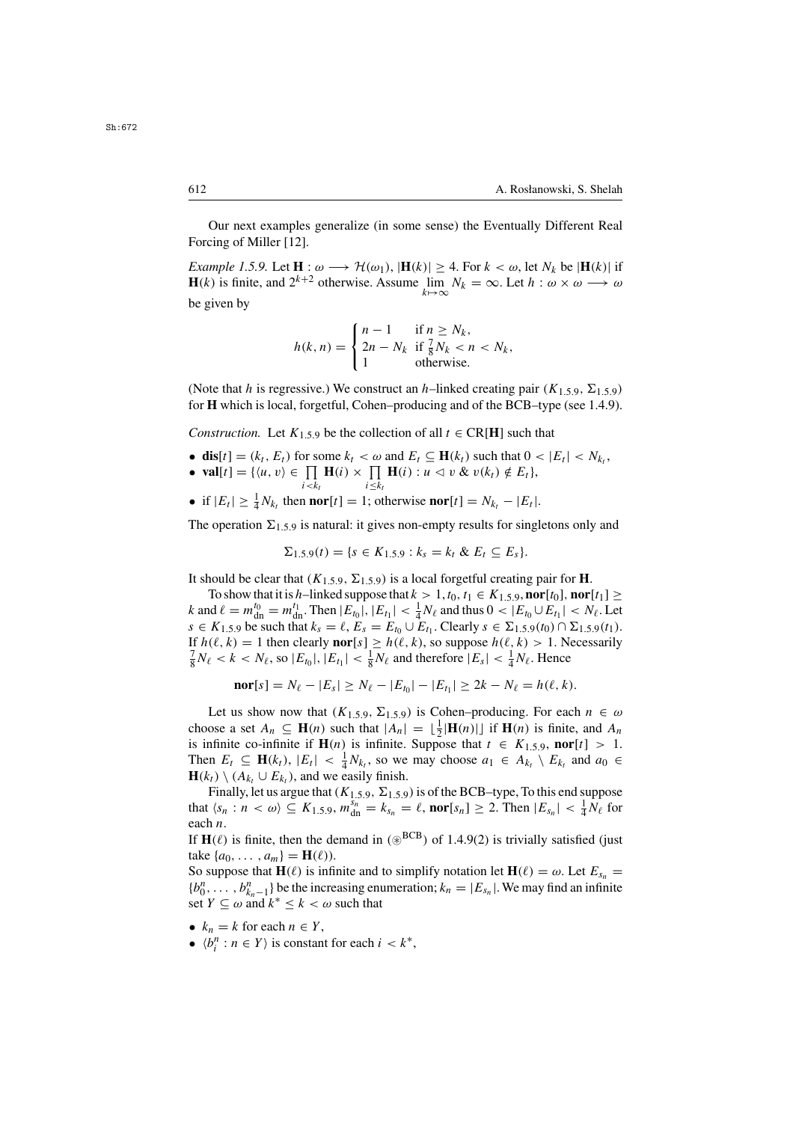Our next examples generalize (in some sense) the Eventually Different Real Forcing of Miller [12].

*Example 1.5.9.* Let  $\mathbf{H}: \omega \longrightarrow \mathcal{H}(\omega_1)$ ,  $|\mathbf{H}(k)| \geq 4$ . For  $k < \omega$ , let  $N_k$  be  $|\mathbf{H}(k)|$  if  $\mathbf{H}(k)$  is finite and  $2^{k+2}$  otherwise. Assume,  $\lim_{k \to \infty} N_k = \infty$ . Let  $h : \omega \times \omega \longrightarrow \omega$ . **H**(k) is finite, and  $2^{k+2}$  otherwise. Assume  $\lim_{k \to \infty} N_k = \infty$ . Let  $h : \omega \times \omega \longrightarrow \omega$ <br>be given by be given by

$$
h(k,n) = \begin{cases} n-1 & \text{if } n \ge N_k, \\ 2n - N_k & \text{if } \frac{7}{8}N_k < n < N_k, \\ 1 & \text{otherwise.} \end{cases}
$$

(Note that h is regressive.) We construct an h–linked creating pair  $(K_{1,5,9}, \Sigma_{1,5,9})$ for **H** which is local, forgetful, Cohen–producing and of the BCB–type (see 1.4.9).

*Construction.* Let  $K_{1,5,9}$  be the collection of all  $t \in \text{CR}[\textbf{H}]$  such that

- **dis**[t] = ( $k_t$ ,  $E_t$ ) for some  $k_t < \omega$  and  $E_t \subseteq H(k_t)$  such that  $0 < |E_t| < N_{k_t}$ ,
- **val**[t] = { $\langle u, v \rangle \in \prod_{i \le k_t} \mathbf{H}(i) \times \prod_{i \le k_t} \mathbf{H}(i) : u \le v \& v(k_t) \notin E_t$ },<br>
is  $\mathbf{H} \cup \mathbf{H}$  is a set of the integrated  $N_t = |F|$ .
- 
- if  $|E_t| \geq \frac{1}{4}N_{k_t}$  then **nor**[t] = 1; otherwise **nor**[t] =  $N_{k_t} |E_t|$ .

The operation  $\Sigma_{1,5,9}$  is natural: it gives non-empty results for singletons only and

$$
\Sigma_{1.5.9}(t) = \{s \in K_{1.5.9} : k_s = k_t \& E_t \subseteq E_s\}.
$$

It should be clear that  $(K_{1,5,9}, \Sigma_{1,5,9})$  is a local forgetful creating pair for **H**.

To show that it is h–linked suppose that  $k > 1$ ,  $t_0$ ,  $t_1 \in K_{1,5,9}$ , **nor**[ $t_0$ ], **nor**[ $t_1$ ] ≥ k and  $\ell = m_0^{t_0} = m_0^{t_1}$ . Then  $|E_{t_0}|, |E_{t_1}| < \frac{1}{4}N_\ell$  and thus  $0 < |E_{t_0} \cup E_{t_1}| < N_\ell$ . Let  $s \in K_1$  so be such that  $k = \ell, F = F$ . Let  $E$ . Clearly  $s \in \Sigma_1$  so  $(t_0) \cap \Sigma_1$  so  $(t_1)$ .  $s \in K_{1,5,9}$  be such that  $k_s = \ell$ ,  $E_s = E_{t_0} \cup E_{t_1}$ . Clearly  $s \in \Sigma_{1,5,9}(t_0) \cap \Sigma_{1,5,9}(t_1)$ . If  $h(\ell, k) = 1$  then clearly **nor**[s]  $\geq h(\ell, k)$ , so suppose  $h(\ell, k) > 1$ . Necessarily  $\frac{7}{8}N_{\ell} < k < N_{\ell}$ , so  $|E_{t_0}|, |E_{t_1}| < \frac{1}{8}N_{\ell}$  and therefore  $|E_s| < \frac{1}{4}N_{\ell}$ . Hence

$$
nor[s] = N_{\ell} - |E_s| \ge N_{\ell} - |E_{t_0}| - |E_{t_1}| \ge 2k - N_{\ell} = h(\ell, k).
$$

Let us show now that  $(K_{1,5,9}, \Sigma_{1,5,9})$  is Cohen–producing. For each  $n \in \omega$ choose a set  $A_n \subseteq \mathbf{H}(n)$  such that  $|A_n| = \lfloor \frac{1}{2} |\mathbf{H}(n)| \rfloor$  if  $\mathbf{H}(n)$  is finite, and  $A_n$  is infinite co-infinite if  $\mathbf{H}(n)$  is infinite. Suppose that  $t \in K$  is a **nor**  $[t] \geq 1$ is infinite co-infinite if  $\mathbf{H}(n)$  is infinite. Suppose that  $t \in K_{1,5,9}$ , **nor**[t] > 1. Then  $E_t \subseteq \mathbf{H}(k_t)$ ,  $|E_t| < \frac{1}{4} N_{k_t}$ , so we may choose  $a_1 \in A_{k_t} \setminus E_{k_t}$  and  $a_0 \in \mathbf{H}(k_t) \setminus (A_t | E_t)$  and we easily finish **H**( $k_t$ ) \ ( $A_{k_t}$  ∪  $E_{k_t}$ ), and we easily finish.

Finally, let us argue that ( $K_{1,5,9}$ ,  $\Sigma_{1,5,9}$ ) is of the BCB–type, To this end suppose that  $\langle s_n : n \langle \omega \rangle \subseteq K_{1,5,9}, m_{\text{dn}}^{s_n} = k_{s_n} = \ell$ , **nor**[ $s_n$ ]  $\geq$  2. Then  $|E_{s_n}| < \frac{1}{4}N_{\ell}$  for each *n* .<br>1f **H**(0)

If **H**( $\ell$ ) is finite, then the demand in ( $\circledast^{BCB}$ ) of 1.4.9(2) is trivially satisfied (just take  $I_{40}$ ,  $\qquad$   $l = H(\ell)$ ) take  $\{a_0, ..., a_m\} = H(\ell)$ .

So suppose that **H**( $\ell$ ) is infinite and to simplify notation let **H**( $\ell$ ) =  $\omega$ . Let  $E_{s_n}$  =  ${b_0^n, \ldots, b_{k_n-1}^n}$  be the increasing enumeration;  $k_n = |E_{s_n}|$ . We may find an infinite set  $Y \subset \omega$  and  $k^* \le k \le \omega$  such that set  $Y \subseteq \omega$  and  $k^* \leq k < \omega$  such that

- $k_n = k$  for each  $n \in Y$ ,
- $\langle b_i^n : n \in Y \rangle$  is constant for each  $i < k^*$ ,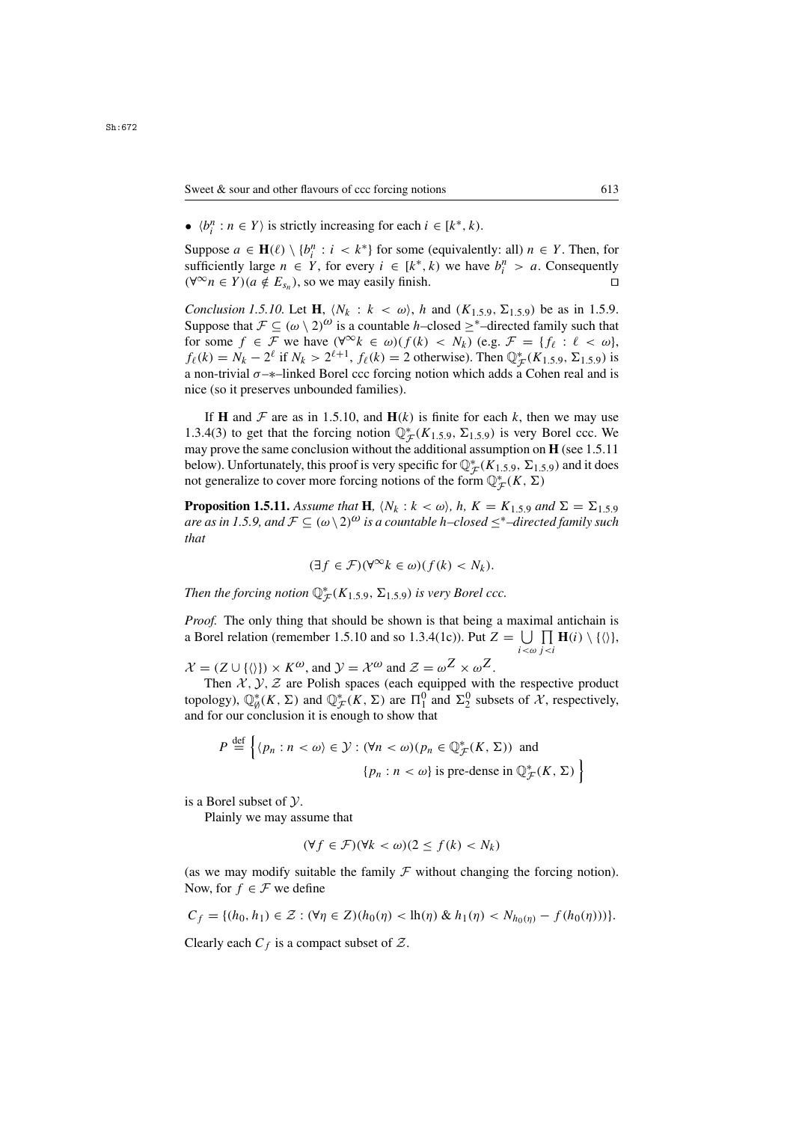•  $\langle b_i^n : n \in Y \rangle$  is strictly increasing for each  $i \in [k^*, k)$ .

Suppose  $a \in \mathbf{H}(\ell) \setminus \{b_i^n : i < k^*\}$  for some (equivalently: all)  $n \in Y$ . Then, for sufficiently large  $n \in Y$ , for every  $i \in [k^*, k)$  we have  $b_i^n > a$ . Consequently sufficiently large  $n \in Y$ , for every  $i \in [k^*, k)$  we have  $b_i^n > a$ . Consequently  $(\forall^{\infty} n \in Y) (a \notin E_{\alpha})$ , so we may easily finish.  $(\forall^{\infty} n \in Y) (a \notin E_{s_n})$ , so we may easily finish.

*Conclusion 1.5.10.* Let **H**,  $\langle N_k : k \langle \omega \rangle$ , h and  $(K_{1.5.9}, \Sigma_{1.5.9})$  be as in 1.5.9. Suppose that  $\mathcal{F} \subseteq (\omega \setminus 2)^{\omega}$  is a countable h–closed  $\geq^*$ –directed family such that for some  $f \in \mathcal{F}$  we have  $(\forall^{\infty} k \in \omega)(f(k) < N_k)$  (e.g.  $\mathcal{F} = \{f_\ell : \ell < \omega\},\$  $f_{\ell}(k) = N_k - 2^{\ell}$  if  $N_k > 2^{\ell+1}$ ,  $f_{\ell}(k) = 2$  otherwise). Then  $\mathbb{Q}_{\mathcal{F}}^{*}(K_{1.5,9}, \Sigma_{1.5,9})$  is a non-trivial  $\sigma_{\mathcal{F}}$ -linked Borel ccc forcing notion which adds a Cohen real and is a non-trivial  $\sigma$ - $*$ –linked Borel ccc forcing notion which adds a Cohen real and is nice (so it preserves unbounded families).

If **H** and  $\mathcal F$  are as in 1.5.10, and  $\mathbf H(k)$  is finite for each k, then we may use 1.3.4(3) to get that the forcing notion  $\mathbb{Q}_{\mathcal{F}}^*(K_{1,5,9}, \Sigma_{1,5,9})$  is very Borel ccc. We may prove the same conclusion without the additional assumption on **H** (see 1.5.11) may prove the same conclusion without the additional assumption on **H** (see 1.5.11 below). Unfortunately, this proof is very specific for  $\mathbb{Q}_{\mathcal{F}}^*(K_{1,5,9}, \Sigma_{1,5,9})$  and it does not generalize to cover more forcing notions of the form  $\mathbb{O}^*(K, \Sigma)$ not generalize to cover more forcing notions of the form  $\mathbb{Q}_{\mathcal{F}}^*(K,\Sigma)$ 

**Proposition 1.5.11.** *Assume that* **H***,*  $\langle N_k : k \langle \omega \rangle$ *, h,*  $K = K_{1,5,9}$  *and*  $\Sigma = \Sigma_{1,5,9}$ *are as in 1.5.9, and*  $\mathcal{F} \subseteq (\omega \setminus 2)^{\omega}$  *is a countable h–closed*  $\leq^*$ –directed family such *that*

$$
(\exists f \in \mathcal{F})(\forall^{\infty} k \in \omega)(f(k) < N_k).
$$

Then the forcing notion  $\mathbb{Q}_{\mathcal{F}}^*(K_{1.5.9}, \Sigma_{1.5.9})$  *is very Borel ccc.* 

*Proof.* The only thing that should be shown is that being a maximal antichain is a Borel relation (remember 1.5.10 and so 1.3.4(1c)). Put  $Z = \bigcup_{i < \omega} \prod_{j < i} \mathbf{H}(i) \setminus \{ \langle \rangle \},$ 

 $\mathcal{L}$ 

 $\mathcal{X} = (Z \cup \{\langle \rangle\}) \times K^{\omega}$ , and  $\mathcal{Y} = \mathcal{X}^{\omega}$  and  $\mathcal{Z} = \omega^Z \times \omega^Z$ .

Then  $X, Y, Z$  are Polish spaces (each equipped with the respective product topology),  $\mathbb{Q}_{\beta}^{*}(K, \Sigma)$  and  $\mathbb{Q}_{\mathcal{F}}^{*}(K, \Sigma)$  are  $\Pi_{1}^{0}$  and  $\Sigma_{2}^{0}$  subsets of  $\mathcal{X}$ , respectively, and for our conclusion it is enough to show that

$$
P \stackrel{\text{def}}{=} \left\{ \langle p_n : n < \omega \rangle \in \mathcal{Y} : (\forall n < \omega) (p_n \in \mathbb{Q}_{\mathcal{F}}^*(K, \Sigma)) \text{ and } \right\}
$$
\n
$$
\{ p_n : n < \omega \} \text{ is pre-dense in } \mathbb{Q}_{\mathcal{F}}^*(K, \Sigma) \right\}
$$

is a Borel subset of Y.

Plainly we may assume that

$$
(\forall f \in \mathcal{F})(\forall k < \omega)(2 \le f(k) < N_k)
$$

(as we may modify suitable the family  $\mathcal F$  without changing the forcing notion). Now, for  $f \in \mathcal{F}$  we define

$$
C_f = \{ (h_0, h_1) \in \mathcal{Z} : (\forall \eta \in Z) (h_0(\eta) < \text{lh}(\eta) \& h_1(\eta) < N_{h_0(\eta)} - f(h_0(\eta))) \}.
$$

Clearly each  $C_f$  is a compact subset of  $\mathcal{Z}$ .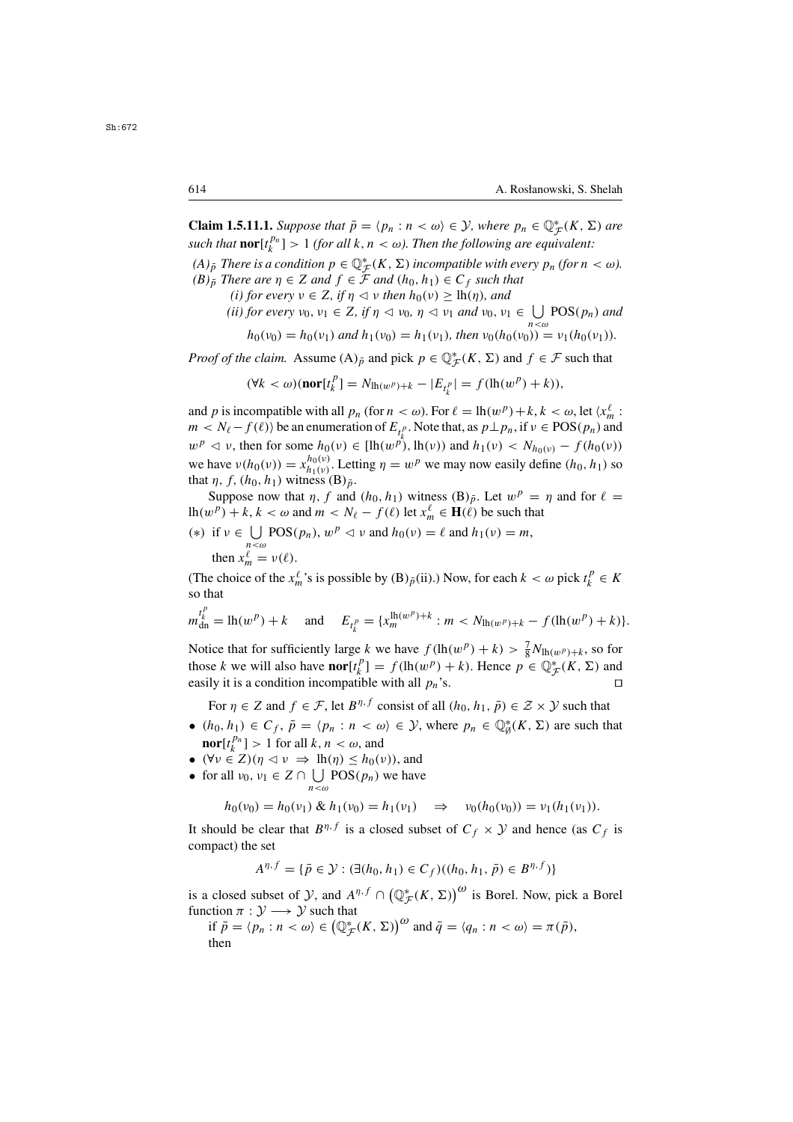**Claim 1.5.11.1.** *Suppose that*  $\bar{p} = \langle p_n : n \le \omega \rangle \in \mathcal{Y}$ *, where*  $p_n \in \mathbb{Q}_{\mathcal{F}}^*(K, \Sigma)$  *are such that* **nor**<sup>[*tPn*<sub>1</sub> > 1 *(for all k, n*  $\leq \omega$ ). Then the following are aquivalent:</sup> *such that*  $\text{nor}[t_k^{pn}] > 1$  *(for all* k,  $n < \omega$ ). Then the following are equivalent:<br>(A) There is a soudition  $n \in \mathbb{R}^*$  (K, N) insegmentials with graps  $n$  *(form*)

 $(A)_{\bar{p}}$  *There is a condition*  $p \in \mathbb{Q}_{\mathcal{F}}^{*}(K, \Sigma)$  *incompatible with every*  $p_n$  *(for*  $n < \omega$ ).<br>*(B)* = *There are*  $n \in \mathbb{Z}$  *and*  $f \in \mathcal{F}$  *and*  $(h_0, h_1) \in C$  *s* such that  $(B)_{\bar{p}}$  *There are*  $\eta \in Z$  *and*  $f \in \mathcal{F}$  *and*  $(h_0, h_1) \in C_f$  *such that* 

- *(i) for every*  $v \in Z$ *, if*  $\eta \le v$  *then*  $h_0(v) \ge \ln(\eta)$ *, and* 
	- *(ii) for every*  $v_0, v_1 \in Z$ , *if*  $\eta \le v_0$ ,  $\eta \le v_1$  *and*  $v_0, v_1 \in \bigcup_{n < \omega} \text{POS}(p_n)$  *and*

$$
h_0(v_0) = h_0(v_1) \text{ and } h_1(v_0) = h_1(v_1), \text{ then } v_0(h_0(v_0)) = v_1(h_0(v_1)).
$$

*Proof of the claim.* Assume  $(A)_{\bar{p}}$  and pick  $p \in \mathbb{Q}_{\mathcal{F}}^{*}(K, \Sigma)$  and  $f \in \mathcal{F}$  such that

$$
(\forall k < \omega)(\textbf{nor}[t_k^P] = N_{\ln(w^P)+k} - |E_{t_k^P}| = f(\ln(w^P) + k)),
$$

and p is incompatible with all  $p_n$  (for  $n < \omega$ ). For  $\ell = \ln(w^p) + k, k < \omega$ , let  $\langle x_n^{\ell} : m \rangle \le N_{\ell} - f(\ell)$ ) be an enumeration of  $E_n$ . Note that as  $n \mid n_n$  if  $y \in POS(n_n)$  and  $m < N_{\ell} - f(\ell)$  be an enumeration of  $E_{t_{\ell}}$ . Note that, as  $p \perp p_n$ , if  $\nu \in POS(p_n)$  and<br> $w_{\ell}^p \leq v$ , then for some  $h_2(v) \in \text{Bl}_2(w)$ ,  $h_3(v)$  and  $h_4(v) \leq N_{\ell}$ ,  $\ell_{\ell}$ ,  $f(h_2(v))$  $w^p \le v$ , then for some  $h_0(v) \in [\ln(w^p), \ln(v))$  and  $h_1(v) \le N_{h_0(v)} - f(h_0(v))$ <br>we have  $u(h_0(v)) \le \frac{h_0(v)}{h_0(v)}$ . Letting  $u_0 \le w^p$  we may now assily define  $(h_0, h_0)$  as we have  $v(h_0(v)) = x_{h_1(v)}^{n_0(v)}$ . Letting  $\eta = w^p$  we may now easily define  $(h_0, h_1)$  so that  $n, f, (h_0, h_1)$  witness (B). that  $\eta$ ,  $f$ ,  $(h_0, h_1)$  witness  $(B)_{\bar{p}}$ .

Suppose now that  $\eta$ , f and  $(h_0, h_1)$  witness  $(B)_{\bar{p}}$ . Let  $w^p = \eta$  and for  $\ell =$ lh(w<sup>p</sup>) + k, k <  $\omega$  and  $m < N_\ell - f(\ell)$  let  $x_m^{\ell} \in H(\ell)$  be such that

(\*) if  $v \in \bigcup_{n < \omega} \text{POS}(p_n)$ ,  $w^p \lhd v$  and  $h_0(v) = \ell$  and  $h_1(v) = m$ , then  $x_m^{\ell} = v(\ell)$ .

(The choice of the  $x_m^{\ell}$ 's is possible by (B) $_{\bar{p}}$ (ii).) Now, for each  $k < \omega$  pick  $t_k^p \in K$  so that so that

$$
m_{\text{dn}}^{t_k^p} = \ln(w^p) + k \quad \text{and} \quad E_{t_k^p} = \{x_m^{\ln(w^p) + k} : m < N_{\ln(w^p) + k} - f(\ln(w^p) + k)\}.
$$

Notice that for sufficiently large k we have  $f(\ln(w^p) + k) > \frac{7}{8}N_{\ln(w^p)+k}$ , so for those k we will also have  $\text{nor}(t^p) = f(\ln(w^p) + k)$ . Hence  $n \in \mathbb{R}^*$  (K, N) and those k we will also have **nor**[t<sup>p</sup><sub>i</sub> $[1] = f(\ln(w^p) + k)$ . Hence  $p \in \mathbb{Q}_{\mathcal{F}}^*(K, \Sigma)$  and easily it is a condition incompatible with all  $p_n$ 's easily it is a condition incompatible with all  $p_n$ 's.

For  $\eta \in Z$  and  $f \in \mathcal{F}$ , let  $B^{\eta,f}$  consist of all  $(h_0, h_1, \bar{p}) \in \mathcal{Z} \times \mathcal{Y}$  such that

- $(h_0, h_1) \in C_f$ ,  $\overline{p} = \langle p_n : n \langle \omega \rangle \in \mathcal{Y}$ , where  $p_n \in \mathbb{Q}_{\emptyset}^*(K, \Sigma)$  are such that
- **nor**[ $t_k^{p_n}$ ] > 1 for all k,  $n < \omega$ , and<br>( $\forall v \in Z$ )( $n < v \implies$  lh(n) <  $h_0$ (1) •  $(\forall v \in Z)(\eta \triangleleft v \Rightarrow \text{lh}(\eta) \leq h_0(v))$ , and
- for all  $v_0, v_1 \in Z \cap \bigcup_{n < \omega} \text{POS}(p_n)$  we have

$$
h_0(v_0) = h_0(v_1) \& h_1(v_0) = h_1(v_1) \quad \Rightarrow \quad v_0(h_0(v_0)) = v_1(h_1(v_1)).
$$

It should be clear that  $B^{\eta,f}$  is a closed subset of  $C_f \times Y$  and hence (as  $C_f$  is compact) the set compact) the set

$$
A^{\eta,f} = \{ \bar{p} \in \mathcal{Y} : (\exists (h_0, h_1) \in C_f)((h_0, h_1, \bar{p}) \in B^{\eta,f}) \}
$$

is a closed subset of  $\mathcal{Y}$ , and  $A^{\eta,f} \cap (\mathbb{Q}_{\mathcal{F}}^*(K,\Sigma))^{\omega}$  is Borel. Now, pick a Borel function  $\pi : \mathcal{Y} \longrightarrow \mathcal{Y}$  such that function  $\pi : \mathcal{Y} \longrightarrow \mathcal{Y}$  such that

if  $\bar{p} = \langle p_n : n \langle \omega \rangle \in (\mathbb{Q}_{\mathcal{F}}^*(K, \Sigma))^{\omega}$  and  $\bar{q} = \langle q_n : n \langle \omega \rangle = \pi(\bar{p}),$ <br>then then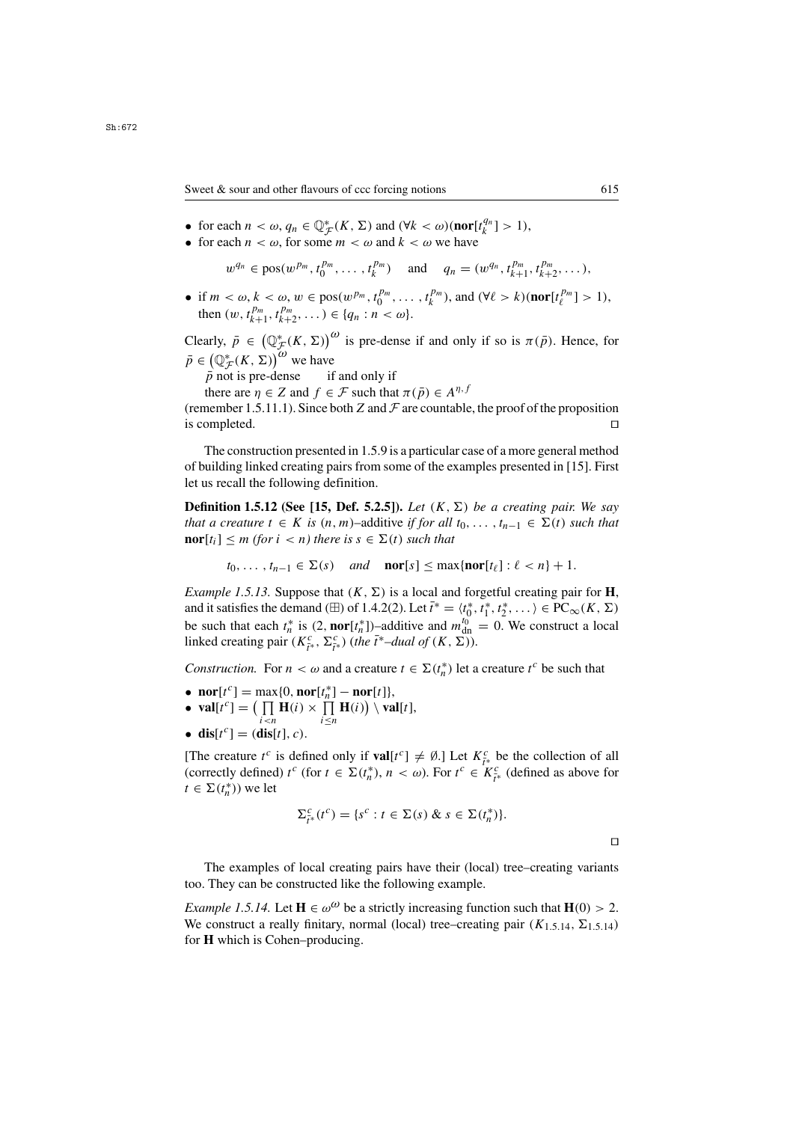Sweet & sour and other flavours of ccc forcing notions 615

- for each  $n < \omega$ ,  $q_n \in \mathbb{Q}_{\mathcal{F}}^*(K, \Sigma)$  and  $(\forall k < \omega)$  (**nor**[ $t_n^{q_n}$ ] > 1),<br>• for each  $n < \omega$ , for some  $m < \omega$  and  $k < \omega$  we have
- for each  $n < \omega$ , for some  $m < \omega$  and  $k < \omega$  we have

 $w^{q_n} \in \text{pos}(w^{p_m}, t_0^{p_m}, \dots, t_k^{p_m})$  and  $q_n = (w^{q_n}, t_{k+1}^{p_m}, t_{k+2}^{p_m}, \dots),$ 

• if  $m < \omega, k < \omega, w \in \text{pos}(w^{p_m}, t_0^{p_m}, \dots, t_k^{p_m})$ , and  $(\forall \ell > k)(\text{nor}[t_{\ell}^{p_m}] > 1)$ ,<br>then  $(w, t_{\ell}^{p_m}, t_{\ell}^{p_m}) \in \{a : n < \omega\}$ then  $(w, t_{k+1}^{p_m}, t_{k+2}^{p_m}, \dots) \in \{q_n : n < \omega\}.$ 

Clearly,  $\bar{p} \in (\mathbb{Q}_{\mathcal{F}}^*(K, \Sigma))^{\omega}$  is pre-dense if and only if so is  $\pi(\bar{p})$ . Hence, for  $\bar{p} \in (\mathbb{Q}_{\mathcal{F}}^{*}(K, \Sigma))^{\omega}$  we have

 $\bar{p}$  not is pre-dense if and only if<br>there are  $n \in \mathbb{Z}$  and  $f \in \mathbb{F}$  such that

there are  $\eta \in Z$  and  $f \in \mathcal{F}$  such that  $\pi(\bar{p}) \in A^{\eta, f}$ <br>nember 1.5.11.1). Since both Z and  $\mathcal{F}$  are countable

(remember 1.5.11.1). Since both Z and  $\mathcal F$  are countable, the proof of the proposition is completed. is completed.

The construction presented in 1.5.9 is a particular case of a more general method of building linked creating pairs from some of the examples presented in [15]. First let us recall the following definition.

**Definition 1.5.12 (See [15, Def. 5.2.5]).** *Let*  $(K, \Sigma)$  *be a creating pair. We say that a creature*  $t \in K$  *is*  $(n, m)$ –additive *if for all*  $t_0, \ldots, t_{n-1} \in \Sigma(t)$  *such that* **nor**[t<sub>i</sub>]  $\leq m$  *(for i*  $\leq n$ *)* there is  $s \in \Sigma(t)$  *such that* 

$$
t_0, \ldots, t_{n-1} \in \Sigma(s)
$$
 and **nor**[ $s$ ]  $\leq \max{\{ \text{nor}[t_\ell] : \ell < n \} + 1}.$ 

*Example 1.5.13.* Suppose that  $(K, \Sigma)$  is a local and forgetful creating pair for **H**, and it satisfies the demand ( $\boxplus$ ) of 1.4.2(2). Let  $\bar{t}^* = \langle t_0^*, t_1^*, t_2^*, \dots \rangle \in \text{PC}_{\infty}(K, \Sigma)$ <br>he such that each  $t^*$  is (2 **nor**[ $t^*$ ]) additive and  $w^{(0)} = 0$ . We construct a local be such that each  $t_n^*$  is  $(2, \text{nor}[t_n^*])$ –additive and  $m_{\text{dn}}^{t_0} = 0$ . We construct a local linked creating pair  $(K^c \Sigma^c)$  (the  $\bar{t}^*$ –dual of  $(K^c \Sigma^c)$ ) linked creating pair  $(K_{\tilde{t}^*}^c, \Sigma_{\tilde{t}^*}^c)$  (*the*  $\tilde{t}^*$ *–dual of*  $(K, \Sigma)$ ).

*Construction.* For  $n < \omega$  and a creature  $t \in \Sigma(t_n^*)$  let a creature  $t^c$  be such that

- $\textbf{nor}[t^c] = \max\{0, \textbf{nor}[t^*_{n}] \textbf{nor}[t]\},$ <br>•  $\textbf{var}[t^c] = (\prod \mathbf{H}(i) \times \prod \mathbf{H}(i)) \setminus \mathbf{var}[t^c]$
- **val**[t<sup>c</sup>] =  $\left(\prod_{i \le n} \mathbf{H}(i) \times \prod_{i \le n} \mathbf{H}(i)\right) \setminus \textbf{val}[t],$ i≤n
- **dis**[ $t^c$ ] = (**dis**[ $t$ ], *c*).

[The creature  $t^c$  is defined only if  $\text{val}[t^c] \neq \emptyset$ .] Let  $K^c_{\tau^*}$  be the collection of all  $(\text{corrected})$   $t^c$  (for  $t \in \Sigma(t^*)$   $n < \omega$ ) For  $t^c \in K^c$  (defined as above for (correctly defined)  $t^c$  (for  $t \in \Sigma(t_n^*), n < \omega$ ). For  $t^c \in K_{\tilde{t}^*}^c$  (defined as above for  $t \in \Sigma(t^*)$ ) we let  $t \in \Sigma(t_n^*))$  we let

$$
\Sigma_{\tilde{t}^*}^c(t^c) = \{s^c : t \in \Sigma(s) \& s \in \Sigma(t_n^*)\}.
$$

The examples of local creating pairs have their (local) tree–creating variants too. They can be constructed like the following example.

*Example 1.5.14.* Let  $\mathbf{H} \in \omega^{\omega}$  be a strictly increasing function such that  $\mathbf{H}(0) > 2$ . We construct a really finitary, normal (local) tree–creating pair  $(K_{1,5,14}, \Sigma_{1,5,14})$ for **H** which is Cohen–producing.

 $\Box$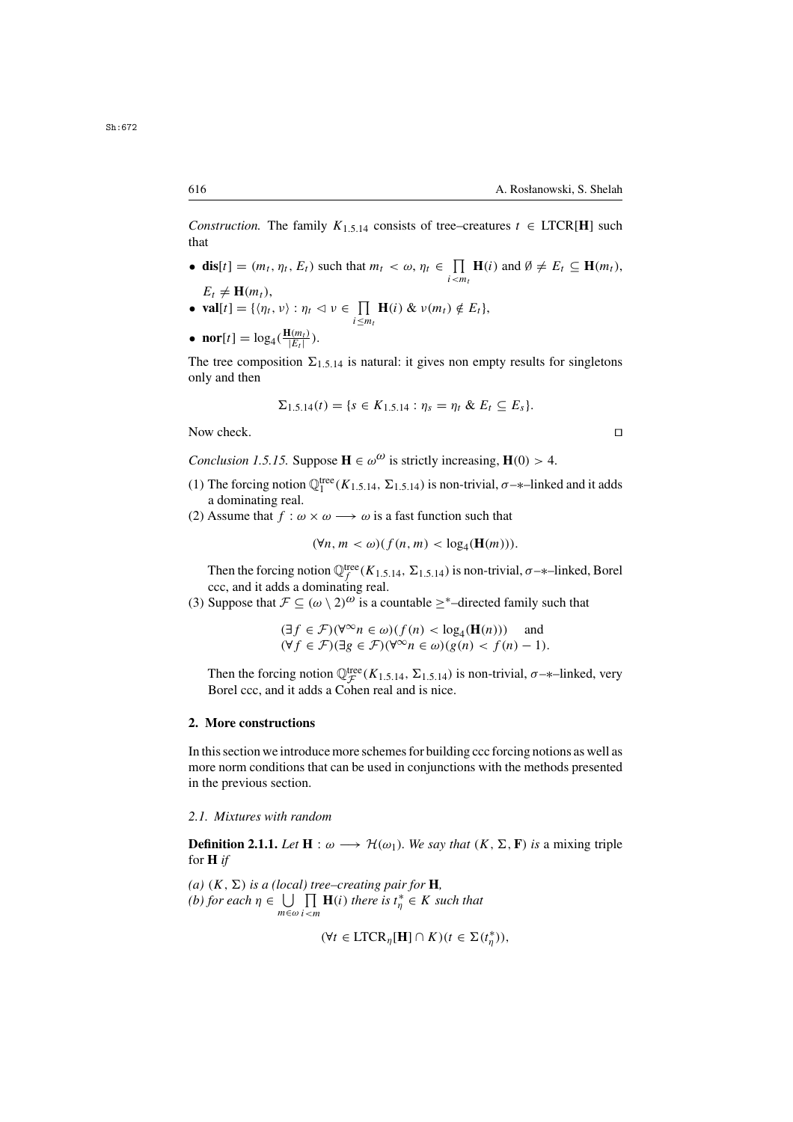*Construction.* The family  $K_{1,5,14}$  consists of tree–creatures  $t \in \text{LTCR}[\textbf{H}]$  such that

- **dis**[t] =  $(m_t, \eta_t, E_t)$  such that  $m_t < \omega, \eta_t \in \prod_{i \leq m_t} \mathbf{H}(i)$  and  $\emptyset \neq E_t \subseteq \mathbf{H}(m_t)$ ,
- $E_t \neq \mathbf{H}(m_t)$ ,<br>**val**[t] = {/n, • **val**[t] = { $\langle \eta_t, v \rangle : \eta_t \vartriangleleft v \in \prod_{i \leq m_t} \mathbf{H}(i) \& v(m_t) \notin E_t$ },  $i \leq m_t$
- **nor**[t] =  $\log_4(\frac{\mathbf{H}(m_t)}{|E_t|})$ .

The tree composition  $\Sigma_{1,5,14}$  is natural: it gives non empty results for singletons only and then

$$
\Sigma_{1,5,14}(t) = \{s \in K_{1,5,14} : \eta_s = \eta_t \& E_t \subseteq E_s\}.
$$

Now check.

*Conclusion 1.5.15.* Suppose  $\mathbf{H} \in \omega^{\omega}$  is strictly increasing,  $\mathbf{H}(0) > 4$ .

- (1) The forcing notion  $\mathbb{Q}_1^{\text{tree}}(K_{1,5,14}, \Sigma_{1,5,14})$  is non-trivial,  $\sigma$ -\*-linked and it adds a dominating real a dominating real.
- (2) Assume that  $f : \omega \times \omega \longrightarrow \omega$  is a fast function such that

$$
(\forall n, m < \omega)(f(n, m) < \log_4(\mathbf{H}(m))).
$$

Then the forcing notion  $\mathbb{Q}_f^{\text{tree}}(K_{1.5,14}, \Sigma_{1.5,14})$  is non-trivial,  $\sigma$ -\*-linked, Borel ccc, and it adds a dominating real ccc, and it adds a dominating real.

(3) Suppose that  $\mathcal{F} \subseteq (\omega \setminus 2)^{\omega}$  is a countable  $\geq^*$ -directed family such that

$$
(\exists f \in \mathcal{F})(\forall^{\infty} n \in \omega)(f(n) < \log_4(\mathbf{H}(n))) \quad \text{and} \quad (\forall f \in \mathcal{F})(\exists g \in \mathcal{F})(\forall^{\infty} n \in \omega)(g(n) < f(n) - 1).
$$

Then the forcing notion  $\mathbb{Q}_{\mathcal{F}}^{\text{tree}}(K_{1.5,14}, \Sigma_{1.5,14})$  is non-trivial,  $\sigma$ -\*-linked, very Borel ccc, and it adds a Coben real and is nice Borel ccc, and it adds a Cohen real and is nice.

### **2. More constructions**

In this section we introduce more schemes for building ccc forcing notions as well as more norm conditions that can be used in conjunctions with the methods presented in the previous section.

# *2.1. Mixtures with random*

**Definition 2.1.1.** *Let*  $H : \omega \longrightarrow H(\omega_1)$ *. We say that*  $(K, \Sigma, F)$  *is* a mixing triple for **H** *if*

*(a)*  $(K, \Sigma)$  *is a (local) tree–creating pair for* **H***, (b)* for each  $\eta \in \bigcup_{m \in \omega} \prod_{i \leq m} \mathbf{H}(i)$  there is  $t^*_{\eta} \in K$  such that  $m \in \omega$  i  $\leq m$ 

 $(\forall t \in \text{LTCR}_{\eta}[\mathbf{H}] \cap K) (t \in \Sigma(t_{\eta}^*)),$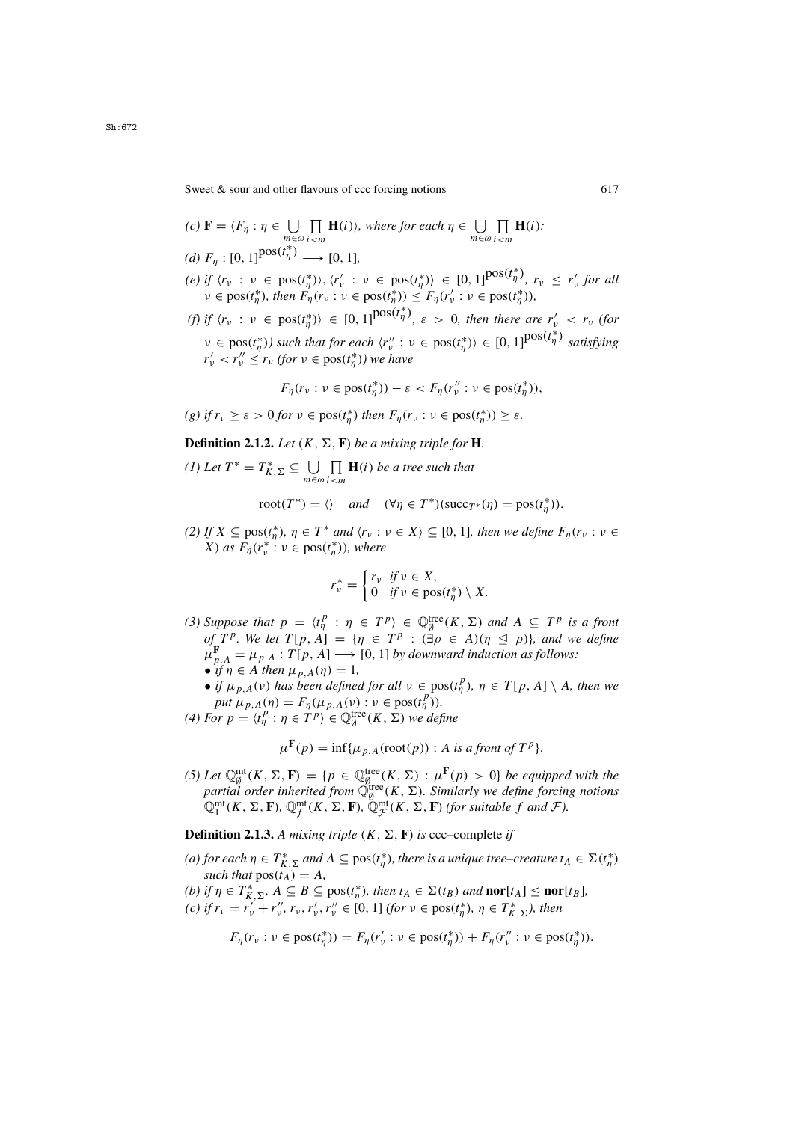- $(c) \mathbf{F} = \langle F_{\eta} : \eta \in \bigcup_{m \in \omega}$ П  $\prod_{i \leq m} \mathbf{H}(i)$ *), where for each*  $\eta \in \bigcup_{m \in \omega}$ П  $\prod_{i \leq m} \mathbf{H}(i)$ *: (d)*  $F_{\eta} : [0, 1]^{pos(t_{\eta}^{*})} \longrightarrow [0, 1],$
- *(e) if*  $\langle r_v : v \in \text{pos}(t^*_\eta) \rangle$ ,  $\langle r'_v : v \in \text{pos}(t^*_\eta) \rangle \in [0, 1]^{pos(t^*_\eta)}$ ,  $r_v \le r'_v$  for all<br> $v \in \text{pos}(t^*)$  *then*  $F_v(r_v : v \in \text{pos}(t^*)) < F_v(r' : v \in \text{pos}(t^*))$  $\nu \in \text{pos}(t_{\eta}^{*}), \text{ then } \overline{F}_{\eta}(r_{\nu} : \nu \in \text{pos}(t_{\eta}^{*})) \leq F_{\eta}(r_{\nu}': \nu \in \text{pos}(t_{\eta}^{*})),$
- *(f)* if  $\langle r_v : v \in \text{pos}(t^*_{\eta}) \rangle \in [0, 1]^{pos(t^*_{\eta})}, \varepsilon > 0$ , then there are  $r'_v < r_v$  (for  $v \in \text{pos}(t_{\eta}^*)$ *) such that for each*  $\langle r''_v : v \in \text{pos}(t_{\eta}^*) \rangle \in [0, 1]^{pos(t_{\eta}^*)}$  *satisfying*<br>  $r' < r'' \le r_v$  (for  $v \in \text{pos}(t^*)$ ) we have  $r'_{\nu} < r''_{\nu} \leq r_{\nu}$  (for  $\nu \in \text{pos}(t^*_{\eta})$ ) we have

$$
F_{\eta}(r_{\nu}: \nu \in \text{pos}(t_{\eta}^*)) - \varepsilon < F_{\eta}(r_{\nu}^{"}: \nu \in \text{pos}(t_{\eta}^*)),
$$

*(g) if*  $r_v \geq \varepsilon > 0$  *for*  $v \in \text{pos}(t_\eta^*)$  *then*  $F_\eta(r_v : v \in \text{pos}(t_\eta^*)) \geq \varepsilon$ *.* 

**Definition 2.1.2.** *Let*  $(K, \Sigma, \mathbf{F})$  *be a mixing triple for* **H***.* 

 $(I)$  *Let*  $T^* = T^*_{K,\Sigma} \subseteq \bigcup_{m \in \omega}$  $\prod_{m \leq m} \mathbf{H}(i)$  *be a tree such that* 

$$
root(T^*) = \langle
$$
 and  $(\forall \eta \in T^*)(succ_T^*(\eta) = pos(t^*_{\eta})).$ 

(2) If  $X \subseteq \text{pos}(t_n^*)$ ,  $\eta \in T^*$  *and*  $\langle r_v : v \in X \rangle \subseteq [0, 1]$ *, then we define*  $F_{\eta}(r_v : v \in X)$  *as*  $F_v(r^* : v \in \text{pos}(t^*))$  *where X*) *as*  $F_{\eta}(r_v^* : v \in \text{pos}(t_{\eta}^*))$ *, where* 

$$
r_{\nu}^* = \begin{cases} r_{\nu} & \text{if } \nu \in X, \\ 0 & \text{if } \nu \in \text{pos}(t_{\eta}^*) \setminus X. \end{cases}
$$

- (3) Suppose that  $p = \langle t_p^p : \eta \in T^p \rangle \in \mathbb{Q}_\emptyset^{\text{tree}}(K, \Sigma)$  and  $A \subseteq T^p$  is a front of  $T^p$  We let  $T[n, A] = \{n \in T^p : (\exists \alpha \in A)(n \leq \alpha)\}$  and we define *of*  $T^p$ *. We let*  $T[p, A] = \{ \eta \in T^p : (\exists \rho \in A)(\eta \trianglelefteq \rho) \}$ *, and we define*  $\mu^F$ ,  $= \mu$ ,  $\cdot$   $T[n, A] \longrightarrow [0, 1]$  by downward induction as follows:  $\mu_{p,A}^{\mathbf{F}} = \mu_{p,A} : T[p,A] \longrightarrow [0,1]$  *by downward induction as follows:*<br>• if  $p \in A$  then  $\mu_{p,A}(p) = 1$ • *if*  $\eta \in A$  *then*  $\mu_{p, A}(\eta) = 1$ ,
	- *if*  $\mu_{p,A}(v)$  *has been defined for all*  $v \in \text{pos}(t_p^p)$ ,  $\eta \in T[p, A] \setminus A$ , then we *put*  $\mu_{p,A}(\eta) = F_{\eta}(\mu_{p,A}(\nu) : \nu \in \text{pos}(t_p^p)).$ <br>  $\mu_{p,B} = (t^p : n \in TP) \in \mathbb{Q}^{\text{tree}}(K, \Sigma)$  we define
- (4) For  $p = \langle t_p^p : \eta \in T^p \rangle \in \mathbb{Q}_\emptyset^{\text{tree}}(K, \Sigma)$  *we define*

$$
\mu^{\mathbf{F}}(p) = \inf \{ \mu_{p,A}(\operatorname{root}(p)) : A \text{ is a front of } T^p \}.
$$

(5) Let  $\mathbb{Q}_{\emptyset}^{\text{mt}}(K, \Sigma, \mathbf{F}) = \{p \in \mathbb{Q}_{\emptyset}^{\text{tree}}(K, \Sigma) : \mu^{\mathbf{F}}(p) > 0\}$  be equipped with the partial order inherited from  $\mathbb{Q}_{\emptyset}^{\text{tree}}(K, \Sigma)$ . Similarly we define forcing notions  $\mathbb{Q}_{1}^{\text{mt}}(K, \Sigma, \mathbf$ 

**Definition 2.1.3.** A mixing triple  $(K, \Sigma, \mathbf{F})$  is ccc–complete if

- (a) for each  $\eta \in T^*_{K,\Sigma}$  and  $A \subseteq \text{pos}(t^*_{\eta})$ , there is a unique tree–creature  $t_A \in \Sigma(t^*_{\eta})$ <br>such that  $\text{pos}(t_A) = A$ *such that*  $pos(t_A) = A$ *,*
- *(b) if*  $\eta \in T^*_{k,\Sigma}$ ,  $A \subseteq B \subseteq \text{pos}(t^*_{\eta})$ *, then*  $t_A \in \Sigma(t_B)$  *and* **nor**[t<sub>A</sub>]  $\leq$  **nor**[t<sub>B</sub>]*, (c) if*  $r = r' + r'' r'' \leq [0, 1]$  (for  $y \in \text{pos}(t^*)$ ),  $n \in T^*$ ) *then*
- *(c) if*  $r_v = r_v^{\gamma} + r_v^{\gamma}$ ,  $r_v$ ,  $r_v^{\gamma}$ ,  $r_v^{\gamma} \in [0, 1]$  *(for*  $v \in \text{pos}(t_{\eta}^*), \eta \in T_{K, \Sigma}^*$ *), then*

$$
F_{\eta}(r_{\nu} : \nu \in \text{pos}(t_{\eta}^*)) = F_{\eta}(r_{\nu}': \nu \in \text{pos}(t_{\eta}^*)) + F_{\eta}(r_{\nu}'' : \nu \in \text{pos}(t_{\eta}^*)).
$$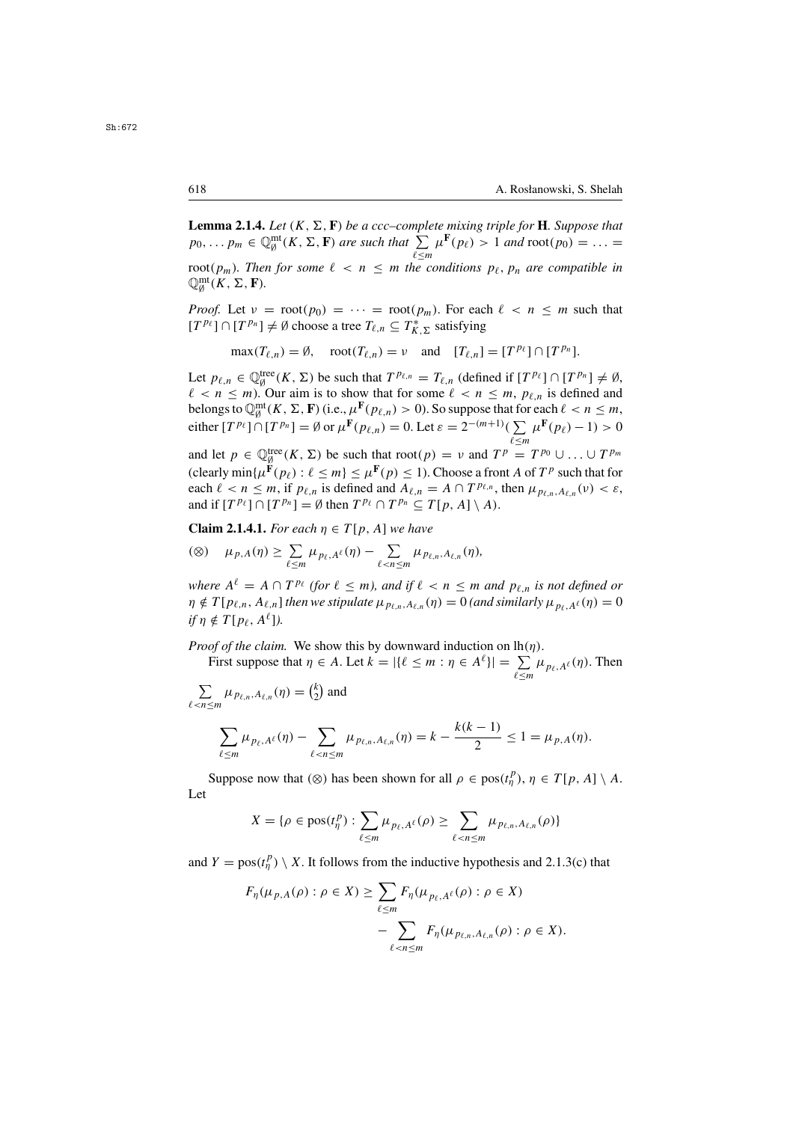**Lemma 2.1.4.** *Let*  $(K, \Sigma, \mathbf{F})$  *be a ccc–complete mixing triple for* **H***. Suppose that*  $P_0$   $\qquad \qquad m_{\mathbf{m}} \in \mathbb{O}^{\text{mt}}(K, \Sigma, \mathbf{F})$  *are such that*  $\sum_{\mu} \mu^{\mathbf{F}}(n_{\ell}) > 1$  *and* root( $n_0$ ) =  $\qquad$  $p_0, \ldots p_m \in \mathbb{Q}_{\emptyset}^{m}(\mathbb{K}, \Sigma, \mathbf{F})$  are such that  $\sum_{\ell \leq m} \mu^{\mathbf{F}}(p_\ell) > 1$  and  $\text{root}(p_0) = \ldots =$ l≤m<br>1e c root( $p_m$ ). Then for some  $\ell < n \le m$  the conditions  $p_\ell, p_n$  are compatible in  $\mathbb{D}^{\text{mt}}(K, \Sigma, \mathbf{F})$  $\mathbb{Q}_{\emptyset}^{\mathrm{mt}}(K, \Sigma, \mathbf{F}).$ 

*Proof.* Let  $v = \text{root}(p_0) = \cdots = \text{root}(p_m)$ . For each  $\ell < n \leq m$  such that  $[T^{p_\ell}] \cap [T^{p_n}] \neq \emptyset$  choose a tree  $T_{\ell,n} \subseteq T^*_{K,\Sigma}$  satisfying

 $\max(T_{\ell,n}) = \emptyset$ ,  $\text{root}(T_{\ell,n}) = \nu$  and  $[T_{\ell,n}] = [T^{p_{\ell}}] \cap [T^{p_n}].$ 

Let  $p_{\ell,n} \in \mathbb{Q}_\beta^{\text{tree}}(K,\Sigma)$  be such that  $T^{p_{\ell,n}} = T_{\ell,n}$  (defined if  $[T^{p_\ell}] \cap [T^{p_n}] \neq \emptyset$ ,  $\ell < n < m$ ) Our aim is to show that for some  $\ell < n < m$ ,  $p_\ell$  is defined and  $\ell < n \leq m$ ). Our aim is to show that for some  $\ell < n \leq m$ ,  $p_{\ell,n}$  is defined and helongs to  $\mathbb{O}^{\text{mt}}(K_{\ell} \Sigma_{\ell} \mathbf{F})$  (i.e.  $\mu^{\mathbf{F}}(p_{\ell,n}) > 0$ ). So suppose that for each  $\ell < n \leq m$ belongs to  $\mathbb{Q}_{\emptyset}^{\text{mt}}(K, \Sigma, \mathbf{F})$  (i.e.,  $\mu^{\mathbf{F}}(p_{\ell,n}) > 0$ ). So suppose that for each  $\ell < n \leq m$ ,<br>either  $\{TP_{\ell}\} \cap \{TP_{\ell} \} = \emptyset$  or  $\mu^{\mathbf{F}}(n_0) = 0$ . Let  $\epsilon = 2^{-(m+1)}(\sum \mu^{\mathbf{F}}(n_0) = 1) > 0$ . either  $[T^{p_\ell}] \cap [T^{p_n}] = \emptyset$  or  $\mu^{\mathbf{F}}(p_{\ell,n}) = 0$ . Let  $\varepsilon = 2^{-(m+1)}(\sum_{\ell \le n}$  $\sum_{\ell \le m} \mu^{\mathbf{F}}(p_{\ell}) - 1) > 0$ <br>  $T^{p_{0}} + T^{p_{m}}$ 

and let  $p \in \mathbb{Q}_{g}^{\text{tree}}(K, \Sigma)$  be such that  $\text{root}(p) = \nu$  and  $T^p = T^{p_0} \cup ... \cup T^{p_m}$ <br>(clearly min $\{u\in K(n): \ell \leq m\} \leq u\in K(n) \leq 1$ ). Choose a front 4 of  $T^p$  such that for (clearly  $\min{\{\mu^{\mathbf{F}}(p_{\ell}) : \ell \leq m\}} \leq \mu^{\mathbf{F}}(p) \leq 1$ ). Choose a front A of  $T^p$  such that for each  $\ell < n \le m$ , if  $p_{\ell,n}$  is defined and  $A_{\ell,n} = A \cap T^{p_{\ell,n}}$ , then  $\mu_{p_{\ell,n},A_{\ell,n}}(\nu) < \varepsilon$ , and if  $[T^{p_\ell}] \cap [T^{p_n}] = \emptyset$  then  $T^{p_\ell} \cap T^{p_n} \subseteq T[p, A] \setminus A$ .

**Claim 2.1.4.1.** *For each*  $n \in T[p, A]$  *we have* 

$$
\textcircled{\scriptsize$\varphi$}) \quad \mu_{p,A}(\eta) \geq \sum_{\ell \leq m} \mu_{p_\ell,A^\ell}(\eta) - \sum_{\ell < n \leq m} \mu_{p_{\ell,n},A_{\ell,n}}(\eta),
$$

*where*  $A^{\ell} = A \cap T^{p_{\ell}}$  (for  $\ell \leq m$ ), and if  $\ell < n \leq m$  and  $p_{\ell,n}$  is not defined or  $\eta \notin T[p_{\ell,n}, A_{\ell,n}]$  *then we stipulate*  $\mu_{p_{\ell,n}, A_{\ell,n}}(\eta) = 0$  *(and similarly*  $\mu_{p_{\ell,n}, A_{\ell}}(\eta) = 0$ *if*  $n \notin T[p_{\ell}, A^{\ell}]$ .

*Proof of the claim.* We show this by downward induction on  $lh(\eta)$ .

First suppose that  $\eta \in A$ . Let  $k = |\{\ell \leq m : \eta \in A^{\ell}\}| = \sum_{\ell \leq m} \mu_{p_{\ell}, A^{\ell}}(\eta)$ . Then

$$
\sum_{\ell < n \le m} \mu_{p_{\ell,n}, A_{\ell,n}}(\eta) = \binom{k}{2}
$$
 and

$$
\sum_{\ell \le m} \mu_{p_{\ell}, A^{\ell}}(\eta) - \sum_{\ell < n \le m} \mu_{p_{\ell, n}, A_{\ell, n}}(\eta) = k - \frac{k(k-1)}{2} \le 1 = \mu_{p, A}(\eta).
$$

Suppose now that (⊗) has been shown for all  $\rho \in \text{pos}(t_{\eta}^p), \eta \in T[p, A] \setminus A$ . Let

$$
X = \{ \rho \in \text{pos}(t_{\eta}^{p}) : \sum_{\ell \leq m} \mu_{p_{\ell},A^{\ell}}(\rho) \geq \sum_{\ell < n \leq m} \mu_{p_{\ell,n},A_{\ell,n}}(\rho) \}
$$

and  $Y = \text{pos}(t_{\eta}^p) \setminus X$ . It follows from the inductive hypothesis and 2.1.3(c) that

$$
F_{\eta}(\mu_{p,A}(\rho) : \rho \in X) \ge \sum_{\ell \le m} F_{\eta}(\mu_{p_{\ell,A}\ell}(\rho) : \rho \in X)
$$

$$
- \sum_{\ell < n \le m} F_{\eta}(\mu_{p_{\ell,n},A_{\ell,n}}(\rho) : \rho \in X).
$$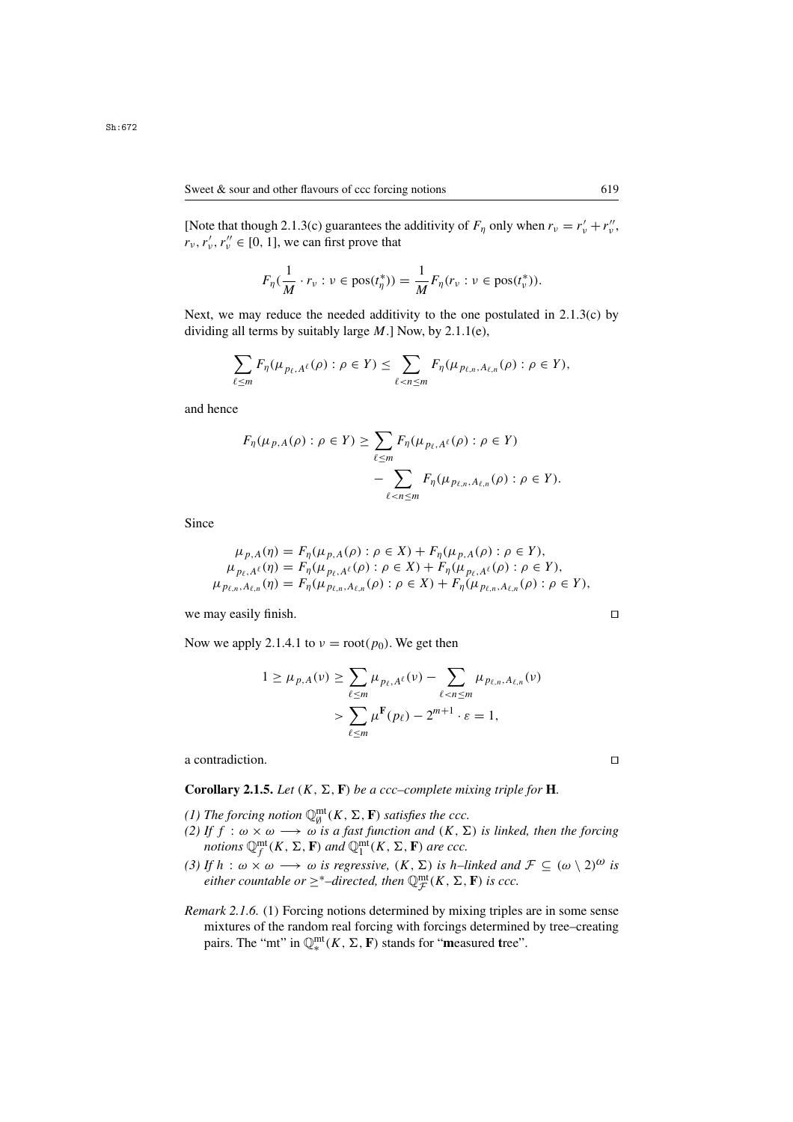[Note that though 2.1.3(c) guarantees the additivity of  $F_{\eta}$  only when  $r_v = r'_v + r''_v$ ,<br> $r'_v + r''_v \in [0, 1]$  we can first prove that  $r_v, r'_v, r''_v \in [0, 1]$ , we can first prove that

$$
F_{\eta}(\frac{1}{M}\cdot r_{\nu}:\nu\in\text{pos}(t_{\eta}^*))=\frac{1}{M}F_{\eta}(r_{\nu}:\nu\in\text{pos}(t_{\nu}^*)).
$$

Next, we may reduce the needed additivity to the one postulated in  $2.1.3(c)$  by dividing all terms by suitably large  $M$ .] Now, by 2.1.1(e),

$$
\sum_{\ell \leq m} F_{\eta}(\mu_{p_{\ell},A^{\ell}}(\rho) : \rho \in Y) \leq \sum_{\ell < n \leq m} F_{\eta}(\mu_{p_{\ell,n},A_{\ell,n}}(\rho) : \rho \in Y),
$$

and hence

$$
F_{\eta}(\mu_{p,A}(\rho) : \rho \in Y) \ge \sum_{\ell \le m} F_{\eta}(\mu_{p_{\ell,A}\ell}(\rho) : \rho \in Y)
$$

$$
- \sum_{\ell < n \le m} F_{\eta}(\mu_{p_{\ell,n},A_{\ell,n}}(\rho) : \rho \in Y).
$$

Since

$$
\mu_{p,A}(\eta) = F_{\eta}(\mu_{p,A}(\rho) : \rho \in X) + F_{\eta}(\mu_{p,A}(\rho) : \rho \in Y),
$$
  
\n
$$
\mu_{p_{\ell,A}(\ell)}(\eta) = F_{\eta}(\mu_{p_{\ell,A}(\ell)} \circ \rho \in X) + F_{\eta}(\mu_{p_{\ell,A}(\ell)} \circ \rho \in Y),
$$
  
\n
$$
\mu_{p_{\ell,n},A_{\ell,n}}(\eta) = F_{\eta}(\mu_{p_{\ell,n},A_{\ell,n}}(\rho) : \rho \in X) + F_{\eta}(\mu_{p_{\ell,n},A_{\ell,n}}(\rho) : \rho \in Y),
$$

we may easily finish.  $\square$ 

Now we apply 2.1.4.1 to  $v = root(p_0)$ . We get then

$$
1 \geq \mu_{p,A}(\nu) \geq \sum_{\ell \leq m} \mu_{p_{\ell,A}\ell}(\nu) - \sum_{\ell < n \leq m} \mu_{p_{\ell,n},A_{\ell,n}}(\nu) \\ > \sum_{\ell \leq m} \mu^{\mathbf{F}}(p_{\ell}) - 2^{m+1} \cdot \varepsilon = 1,
$$

a contradiction.

**Corollary 2.1.5.** *Let* 
$$
(K, \Sigma, \mathbf{F})
$$
 *be a ccc–complete mixing triple for* **H**.

- (1) The forcing notion  $\mathbb{Q}_{0}^{m}((K, \Sigma, \mathbf{F}))$  satisfies the ccc.<br>(2) If  $f : \omega \times \omega \longrightarrow \omega$  is a fast function and  $(K, \Sigma))$
- *(2) If*  $f : \omega \times \omega \longrightarrow \omega$  *is a fast function and*  $(K, \Sigma)$  *is linked, then the forcing* notions  $\mathbb{O}^{\text{mt}}(K, \Sigma, \mathbf{F})$  and  $\mathbb{O}^{\text{mt}}(K, \Sigma, \mathbf{F})$  are ccc. *notions*  $\mathbb{Q}_{f}^{\text{mt}}(K, \Sigma, \mathbf{F})$  *and*  $\mathbb{Q}_{1}^{\text{mt}}(K, \Sigma, \mathbf{F})$  *are ccc.*<br>*If*  $h : \mathbb{Q} \times \mathbb{Q} \longrightarrow \mathbb{Q}$  is regressive,  $(K, \Sigma)$  is  $h, h$
- *(3) If*  $h : \omega \times \omega \longrightarrow \omega$  *is regressive,*  $(K, \Sigma)$  *is h–linked and*  $\mathcal{F} \subseteq (\omega \setminus 2)^{\omega}$  *is*  $\mathcal{E}$  *either countable or*  $\geq^*$ –*directed, then*  $\mathbb{Q}_{\mathcal{F}}^{\text{mt}}(K, \Sigma, \mathbf{F})$  *is ccc.*
- *Remark 2.1.6.* (1) Forcing notions determined by mixing triples are in some sense mixtures of the random real forcing with forcings determined by tree–creating pairs. The "mt" in  $\mathbb{Q}_{*}^{\text{mt}}(K, \Sigma, \mathbf{F})$  stands for "**measured tree"**.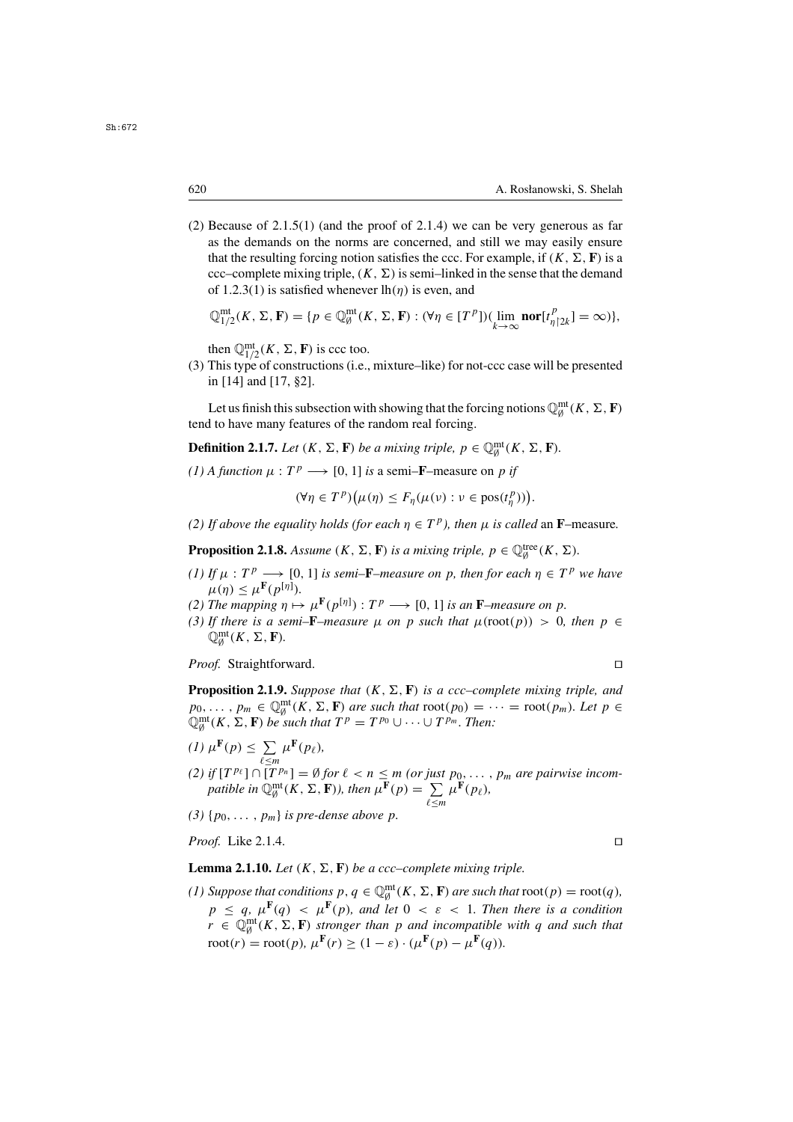(2) Because of  $2.1.5(1)$  (and the proof of  $2.1.4$ ) we can be very generous as far as the demands on the norms are concerned, and still we may easily ensure that the resulting forcing notion satisfies the ccc. For example, if  $(K, \Sigma, \mathbf{F})$  is a ccc–complete mixing triple,  $(K, \Sigma)$  is semi–linked in the sense that the demand of 1.2.3(1) is satisfied whenever  $lh(n)$  is even, and

$$
\mathbb{Q}_{1/2}^{\mathsf{mt}}(K, \Sigma, \mathbf{F}) = \{ p \in \mathbb{Q}_{\emptyset}^{\mathsf{mt}}(K, \Sigma, \mathbf{F}) : (\forall \eta \in [T^p])(\lim_{k \to \infty} \mathsf{nor}[t_{\eta \upharpoonright 2k}^p] = \infty) \},
$$

then  $\mathbb{Q}_{1/2}^{\text{mt}}(K, \Sigma, \mathbf{F})$  is ccc too.<br>This type of constructions (i.e.

(3) This type of constructions (i.e., mixture–like) for not-ccc case will be presented in [14] and [17, §2].

Let us finish this subsection with showing that the forcing notions  $\mathbb{Q}_{\emptyset}^{\text{mt}}(K, \Sigma, \mathbf{F})$ <br>I to have many features of the random real forcing tend to have many features of the random real forcing.

**Definition 2.1.7.** *Let*  $(K, \Sigma, \mathbf{F})$  *be a mixing triple,*  $p \in \mathbb{Q}_{\emptyset}^{\text{mt}}(K, \Sigma, \mathbf{F})$ *.* 

*(1) A function*  $\mu : T^p \longrightarrow [0, 1]$  *is* a semi–**F**–measure on p *if* 

$$
(\forall \eta \in T^p) \big(\mu(\eta) \leq F_{\eta}(\mu(\nu) : \nu \in \text{pos}(t^p_{\eta}))\big).
$$

*(2) If above the equality holds (for each*  $\eta \in T^p$ ), then  $\mu$  *is called* an **F**–measure.

**Proposition 2.1.8.** *Assume*  $(K, \Sigma, \mathbf{F})$  *is a mixing triple,*  $p \in \mathbb{Q}_{\emptyset}^{\text{tree}}(K, \Sigma)$ *.* 

- *(1) If*  $\mu$  :  $T^p \longrightarrow [0, 1]$  *is semi*–**F**–*measure on p, then for each*  $\eta \in T^p$  *we have*  $\mu(n) \leq \mu^{\mathbf{F}}(p^{[\eta]})$ .  $\mu(\eta) \leq \mu^{\mathbf{F}}(p^{[\eta]}).$ <br>The manning  $n \mapsto$
- *(2) The mapping*  $\eta \mapsto \mu^{\mathbf{F}}(p^{[\eta]}) : T^p \longrightarrow [0, 1]$  *is an* **F***–measure on* p.<br> *(3) If there is a semi–F–measure <i>y* on p such that *y*(root(p)) > 0.
- *(3) If there is a semi–F–measure*  $\mu$  *on p such that*  $\mu$ (root(*p*)) > 0*, then*  $p \in$  $\mathbb{Q}_{\emptyset}^{\mathrm{mt}}(K, \Sigma, \mathbf{F}).$

*Proof.* Straightforward. □

**Proposition 2.1.9.** *Suppose that*  $(K, \Sigma, \mathbf{F})$  *is a ccc–complete mixing triple, and*  $p_0, \ldots, p_m \in \mathbb{Q}_\emptyset^{\text{mt}}(K, \Sigma, \mathbf{F})$  are such that  $\text{root}(p_0) = \cdots = \text{root}(p_m)$ *. Let*  $p \in \mathbb{Q}_\emptyset^{\text{mt}}(K, \Sigma, \mathbf{F})$  be such that  $TP - TP_0 + \cdots + TP_m$ . Then:  $\mathbb{Q}_{\emptyset}^{\text{mt}}(K, \Sigma, \mathbf{F})$  *be such that*  $T^p = T^{p_0} \cup \cdots \cup T^{p_m}$ . Then:

(1) 
$$
\mu^{\mathbf{F}}(p) \le \sum_{\ell \le m} \mu^{\mathbf{F}}(p_{\ell}),
$$
  
\n(2) if  $[T^{p_{\ell}}] \cap [T^{p_n}] = \emptyset$  for  $\ell < n \le m$  (or just  $p_0, \ldots, p_m$  are pairwise incom*pathle in*  $\mathbb{Q}_{\emptyset}^{\mathfrak{m} \mathfrak{t}}(K, \Sigma, \mathbf{F}),$  then  $\mu^{\mathbf{F}}(p) = \sum_{\ell \le m} \mu^{\mathbf{F}}(p_{\ell}),$ 

<sup>≤</sup>m

(3)  $\{p_0, \ldots, p_m\}$  *is pre-dense above p*.

*Proof.* Like 2.1.4. □

## **Lemma 2.1.10.** *Let*  $(K, \Sigma, \mathbf{F})$  *be a ccc–complete mixing triple.*

(1) Suppose that conditions  $p, q \in \mathbb{Q}_p^{\text{mt}}(K, \Sigma, \mathbf{F})$  are such that  $\text{root}(p) = \text{root}(q)$ ,  $p \leq q$ ,  $\mu^{\mathbf{F}}(q) < \mu^{\mathbf{F}}(p)$ , and let  $0 < \varepsilon < 1$ . Then there is a condition  $r \in \mathbb{Q}_{\theta}^{\text{mt}}(K, \Sigma, \mathbf{F})$  *stronger than* p *and incompatible with* q *and such that*<br>root(n) = root(n)  $\mu(\mathbf{F}(\mathbf{r})) \geq (1-\epsilon)(\mu(\mathbf{F}(\mathbf{r})) - \mu(\mathbf{F}(\epsilon)))$  $\text{root}(r) = \text{root}(p)$ ,  $\mu^{\mathbf{F}}(r) > (1 - \varepsilon) \cdot (\mu^{\mathbf{F}}(p) - \mu^{\mathbf{F}}(q))$ .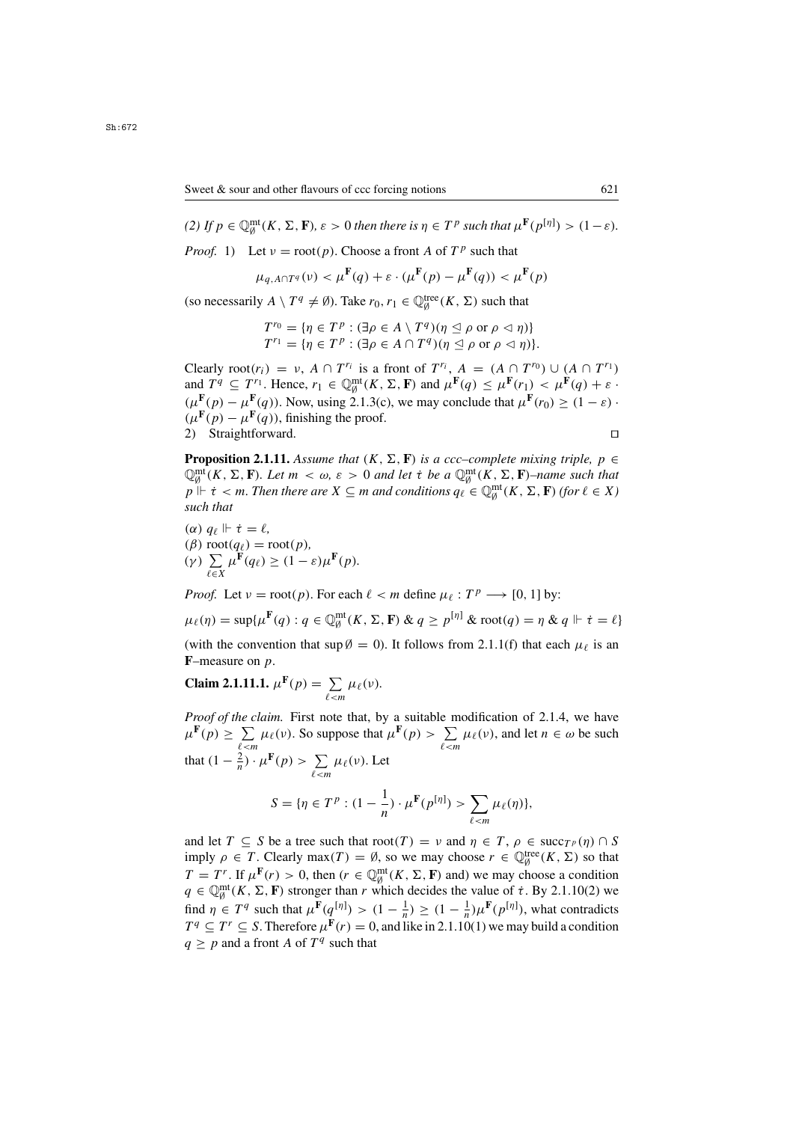(2) If  $p \in \mathbb{Q}_{\emptyset}^{\text{mt}}(K, \Sigma, \mathbf{F})$ ,  $\varepsilon > 0$  then there is  $\eta \in T^p$  such that  $\mu^{\mathbf{F}}(p^{[\eta]}) > (1 - \varepsilon)$ .

*Proof.* 1) Let  $v = root(p)$ . Choose a front A of  $T^p$  such that

$$
\mu_{q, A \cap T^q}(\nu) < \mu^{\mathbf{F}}(q) + \varepsilon \cdot (\mu^{\mathbf{F}}(p) - \mu^{\mathbf{F}}(q)) < \mu^{\mathbf{F}}(p)
$$

(so necessarily  $A \setminus T^q \neq \emptyset$ ). Take  $r_0, r_1 \in \mathbb{Q}_\emptyset^{\text{tree}}(K, \Sigma)$  such that

$$
T^{r_0} = \{ \eta \in T^p : (\exists \rho \in A \setminus T^q) (\eta \leq \rho \text{ or } \rho \lhd \eta) \}
$$
  

$$
T^{r_1} = \{ \eta \in T^p : (\exists \rho \in A \cap T^q) (\eta \leq \rho \text{ or } \rho \lhd \eta) \}.
$$

Clearly  $\text{root}(r_i) = v$ ,  $A \cap T^{r_i}$  is a front of  $T^{r_i}$ ,  $A = (A \cap T^{r_0}) \cup (A \cap T^{r_1})$ <br>and  $T^q \subset T^{r_1}$  Hence  $r_i \in \mathbb{O}^{\text{mt}}(K, \Sigma, \mathbf{F})$  and  $\mu^{\mathbf{F}}(a) \leq \mu^{\mathbf{F}}(r_i) \leq \mu^{\mathbf{F}}(a) + \varepsilon$ . and  $T^q \subseteq T^{r_1}$ . Hence,  $r_1 \in \mathbb{Q}_\emptyset^{\text{mt}}(K, \Sigma, \mathbf{F})$  and  $\mu^{\mathbf{F}}(q) \leq \mu^{\mathbf{F}}(r_1) < \mu^{\mathbf{F}}(q) + \varepsilon$  ·<br> $(\mu^{\mathbf{F}}(r_1) \sim \mu^{\mathbf{F}}(q))$ . Now using 2.1.3(c), we may conclude that  $\mu^{\mathbf{F}}(r_2) > (1 - \varepsilon)$ .  $(\mu^{\mathbf{F}}(p) - \mu^{\mathbf{F}}(q))$ . Now, using 2.1.3(c), we may conclude that  $\mu^{\mathbf{F}}(r_0) \geq (1 - \varepsilon)$ .  $(\mu^{\mathbf{F}}(p) - \mu^{\mathbf{F}}(q))$ , finishing the proof. 2) Straightforward.

**Proposition 2.1.11.** *Assume that*  $(K, \Sigma, \mathbf{F})$  *is a ccc–complete mixing triple, p*  $\in$  $\mathbb{Q}_{\beta}^{\text{mt}}(K, \Sigma, \mathbf{F})$ . Let  $m < \omega, \varepsilon > 0$  and let  $\dot{\tau}$  be a  $\mathbb{Q}_{\beta}^{\text{mt}}(K, \Sigma, \mathbf{F})$ –name such that  $n \Vdash \dot{\tau} < m$ . Then there are  $X \subseteq m$  and conditions  $a_{\varepsilon} \in \mathbb{Q}^{\text{mt}}(K, \Sigma, \mathbf{F})$  (for  $\ell \in X$ )  $p \Vdash t < m$ . Then there are  $X \subseteq m$  and conditions  $q_\ell \in \mathbb{Q}_{\emptyset}^{\rm mt}(K, \Sigma, \mathbf{F})$  (for  $\ell \in X$ ) such that *such that*

(*α*)  $q_\ell \Vdash \dot{\tau} = \ell$ ,<br>(*β*) root(*a*<sub>*i*</sub>) = 1</sub> (β) root( $q_\ell$ ) = root(p),<br>(γ)  $\sum u^{\mathbf{F}}(q_\ell) > (1 (\gamma)$   $\sum_{\ell \in X} \mu^{\mathbf{F}}(q_{\ell}) \geq (1 - \varepsilon)\mu^{\mathbf{F}}(p).$ 

*Proof.* Let  $v = \text{root}(p)$ . For each  $\ell < m$  define  $\mu_{\ell} : T^p \longrightarrow [0, 1]$  by:

$$
\mu_{\ell}(\eta) = \sup \{ \mu^{\mathbf{F}}(q) : q \in \mathbb{Q}_{\emptyset}^{\text{mt}}(K, \Sigma, \mathbf{F}) \& q \ge p^{[\eta]} \& \text{root}(q) = \eta \& q \Vdash \dot{\tau} = \ell \}
$$
\n(with the convention that  $\sup \emptyset = 0$ ). It follows from 2.1.1(f) that each  $\mu_{\ell}$  is an **F**-measure on *p*.

$$
\textbf{Claim 2.1.11.1. } \mu^{\mathbf{F}}(p) = \sum_{\ell < m} \mu_{\ell}(\nu).
$$

*Proof of the claim.* First note that, by a suitable modification of 2.1.4, we have  $\mu^{\mathbf{F}}(p) \ge \sum_{\ell < m} \mu_{\ell}(\nu)$ . So suppose that  $\mu^{\mathbf{F}}(p) > \sum_{\ell < m} \mu_{\ell}(\nu)$ , and let  $n \in \omega$  be such that  $(1 - \frac{2}{n}) \cdot \mu^{\mathbf{F}}(p) > \sum_{\ell < m} \mu_{\ell}(\nu)$ . Let S = { $\eta \in T^p : (1 - \frac{1}{n}) \cdot \mu^{\mathbf{F}}(p^{[\eta]}) > \sum_{\ell < m} \mu_\ell(\eta)$ },

and let  $T \subseteq S$  be a tree such that  $\text{root}(T) = \nu$  and  $\eta \in T$ ,  $\rho \in \text{succ}_{T}(\eta) \cap S$ <br>imply  $\rho \in T$  Clearly  $\max(T) = \emptyset$  so we may choose  $r \in \mathbb{O}^{\text{tree}}(K, \Sigma)$  so that imply  $\rho \in T$ . Clearly  $\max(T) = \emptyset$ , so we may choose  $r \in \mathbb{Q}_\emptyset^{\text{tree}}(K, \Sigma)$  so that  $T - Tf$ . If  $\iota(\mathbf{F}(\mathbf{a}) > 0$  than  $(\mathbf{r} \in \mathbb{Q})^{\text{null}}(K, \Sigma)$  and we may choose a condition  $T = T^r$ . If  $\mu^F(r) > 0$ , then  $(r \in \mathbb{Q}_\theta^{\text{mt}}(K, \Sigma, \mathbf{F})$  and) we may choose a condition  $a \in \mathbb{Q}^{\text{mt}}(K, \Sigma, \mathbf{F})$  stronger than r which decides the value of  $\tau$ , By 2.1.10(2) we  $q \in \mathbb{Q}_{p}^{\text{mt}}(K, \Sigma, \mathbf{F})$  stronger than r which decides the value of  $\tau$ . By 2.1.10(2) we<br>find u.  $\tau$   $\mathcal{F}_{q}^{q}$  such that uff( $q^{[n]}$ )  $\rightarrow$  (1  $q^{[n]}$ )  $\rightarrow$  (1  $q^{[n]}$ ) what contradicts find  $\eta \in T^q$  such that  $\mu^{\mathbf{F}}(q^{[\eta]}) > (1 - \frac{1}{n}) \geq (1 - \frac{1}{n})\mu^{\mathbf{F}}(p^{[\eta]})$ , what contradicts  $T^q \subset T^r \subset S$ . Therefore  $\mu^{\mathbf{F}}(r) = 0$  and like in 2.1.10(1) we may huild a condition  $T^q \subseteq T^r \subseteq S$ . Therefore  $\mu^{\mathbf{F}}(r) = 0$ , and like in 2.1.10(1) we may build a condition  $q \geq p$  and a front A of  $T<sup>q</sup>$  such that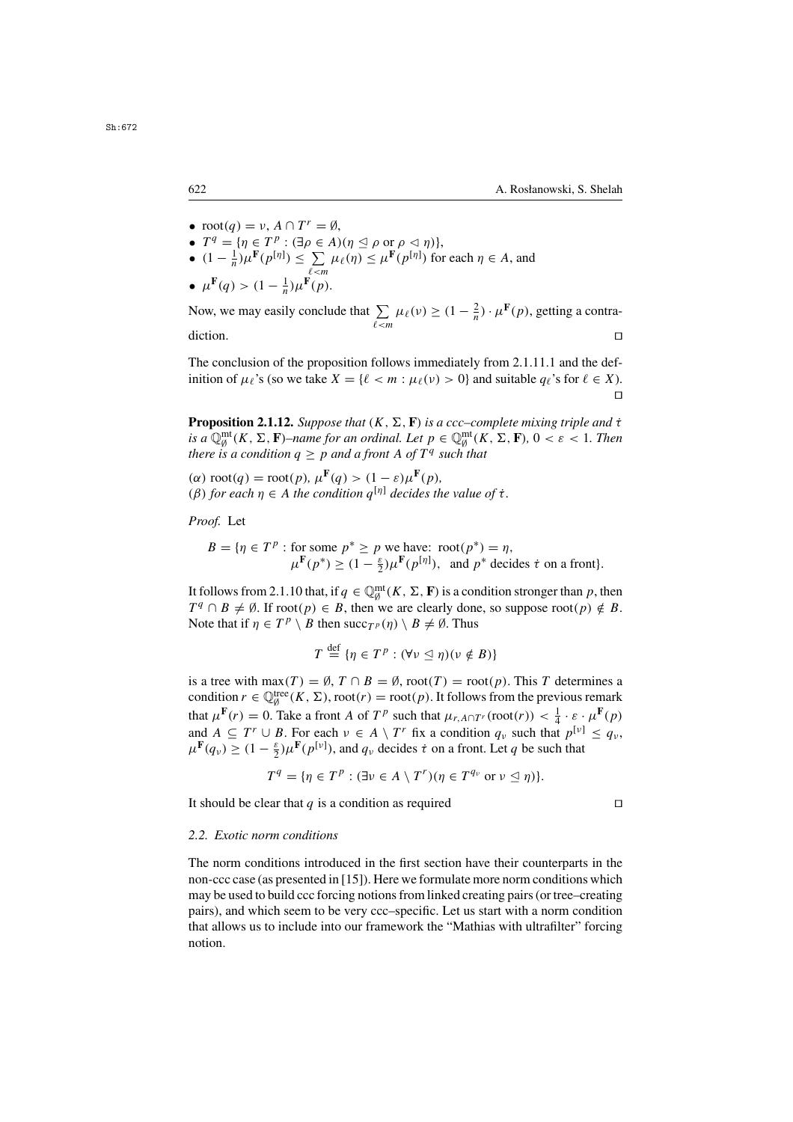- 
- $\text{root}(q) = \nu$ ,  $A \cap T^r = \emptyset$ ,<br>
  $T^q = {\eta \in T^p : (\exists \rho \in A)(\eta \leq \rho \text{ or } \rho \lhd \eta)},$ •  $T^q = \{ \eta \in T^p : (\exists \rho \in A)(\eta \leq \rho \text{ or } \rho \leq \eta) \},$ <br>
•  $(1 - \frac{1}{\eta}) \mu^F(n^{[\eta]}) \leq \sum_{\mu \in (n)} \mu^F(n^{[\eta]})$  for
- $(1 \frac{1}{n})\mu^{\mathbf{F}}(p^{[\eta]}) \le \sum_{\ell < m} \mu_{\ell}(\eta) \le \mu^{\mathbf{F}}(p^{[\eta]})$  for each  $\eta \in A$ , and<br>  $\mu^{\mathbf{F}}(q) > (1 \frac{1}{n})\mu^{\mathbf{F}}(p)$

$$
\bullet \ \mu^{\mathbf{F}}(q) > (1 - \tfrac{1}{n})\mu^{\mathbf{F}}(p).
$$

Now, we may easily conclude that  $\sum$  $\sum_{\ell \le m} \mu_{\ell}(\nu) \ge (1 - \frac{2}{n}) \cdot \mu^{\mathbf{F}}(p)$ , getting a contra- $\Box$ 

The conclusion of the proposition follows immediately from 2.1.11.1 and the definition of  $\mu_{\ell}$ 's (so we take  $X = {\ell < m : \mu_{\ell}(v) > 0}$  and suitable  $q_{\ell}$ 's for  $\ell \in X$ ).  $\Box$ 

**Proposition 2.1.12.** *Suppose that*  $(K, \Sigma, \mathbf{F})$  *is a ccc–complete mixing triple and*  $\dot{\tau}$ *is a*  $\mathbb{Q}_{\theta}^{\text{mt}}(K, \Sigma, \mathbf{F})$ –*name for an ordinal. Let*  $p \in \mathbb{Q}_{\theta}^{\text{mt}}(K, \Sigma, \mathbf{F})$ ,  $0 < \varepsilon < 1$ . Then there is a condition  $a > p$  and a front A of  $T<sup>q</sup>$  such that *there is a condition*  $q \geq p$  *and a front* A *of*  $T<sup>q</sup>$  *such that* 

( $\alpha$ ) root( $q$ ) = root( $p$ ),  $\mu^{\mathbf{F}}(q) > (1 - \varepsilon)\mu^{\mathbf{F}}(p)$ , (β) for each  $\eta \in A$  *the condition*  $q^{[\eta]}$  *decides the value of*  $\tau$ *.* 

*Proof.* Let

$$
B = \{ \eta \in T^p : \text{for some } p^* \ge p \text{ we have: } \text{root}(p^*) = \eta, \mu^{\mathbf{F}}(p^*) \ge (1 - \frac{\varepsilon}{2})\mu^{\mathbf{F}}(p^{\lfloor \eta \rfloor}), \text{ and } p^* \text{ decides } \dot{\tau} \text{ on a front} \}.
$$

It follows from 2.1.10 that, if  $q \in \mathbb{Q}_p^{\text{mt}}(K, \Sigma, \mathbf{F})$  is a condition stronger than p, then  $T^q \cap B \neq \emptyset$  If root $(n) \in B$  then we are clearly done, so suppose root $(n) \notin B$  $T^q \cap B \neq \emptyset$ . If root $(p) \in B$ , then we are clearly done, so suppose root $(p) \notin B$ . Note that if  $\eta \in T^p \setminus B$  then succ $_{T^p}(\eta) \setminus B \neq \emptyset$ . Thus

$$
T \stackrel{\text{def}}{=} \{ \eta \in T^p : (\forall v \leq \eta)(v \notin B) \}
$$

is a tree with max(T) =  $\emptyset$ ,  $T \cap B = \emptyset$ , root(T) = root(p). This T determines a condition  $r \in \mathbb{Q}_\theta^{\text{tree}}(K, \Sigma)$ , root $(r) = \text{root}(p)$ . It follows from the previous remark that  $\mu^{\mathbf{F}}(r) = 0$ . Take a front A of  $T^p$  such that  $\mu_{r, A \cap T^r}(\text{root}(r)) < \frac{1}{4} \cdot \varepsilon \cdot \mu^{\mathbf{F}}(p)$ <br>and  $A \subseteq T^r \sqcup B$ . For each  $y \in A \setminus T^r$  fix a condition a such that  $n^{[y]} \leq c$ . and  $A \subseteq T^r \cup B$ . For each  $v \in A \setminus T^r$  fix a condition  $q_v$  such that  $p^{[v]} \leq q_v$ ,  $\mu^{\mathbf{F}}(q_{\nu}) \geq (1 - \frac{\varepsilon}{2}) \mu^{\mathbf{F}}(p^{[\nu]})$ , and  $q_{\nu}$  decides  $\dot{\tau}$  on a front. Let q be such that

$$
T^{q} = \{ \eta \in T^{p} : (\exists \nu \in A \setminus T^{r})(\eta \in T^{q_{\nu}} \text{ or } \nu \leq \eta) \}.
$$

It should be clear that q is a condition as required  $\Box$ 

## *2.2. Exotic norm conditions*

The norm conditions introduced in the first section have their counterparts in the non-ccc case (as presented in [15]). Here we formulate more norm conditions which may be used to build ccc forcing notions from linked creating pairs (or tree–creating pairs), and which seem to be very ccc–specific. Let us start with a norm condition that allows us to include into our framework the "Mathias with ultrafilter" forcing notion.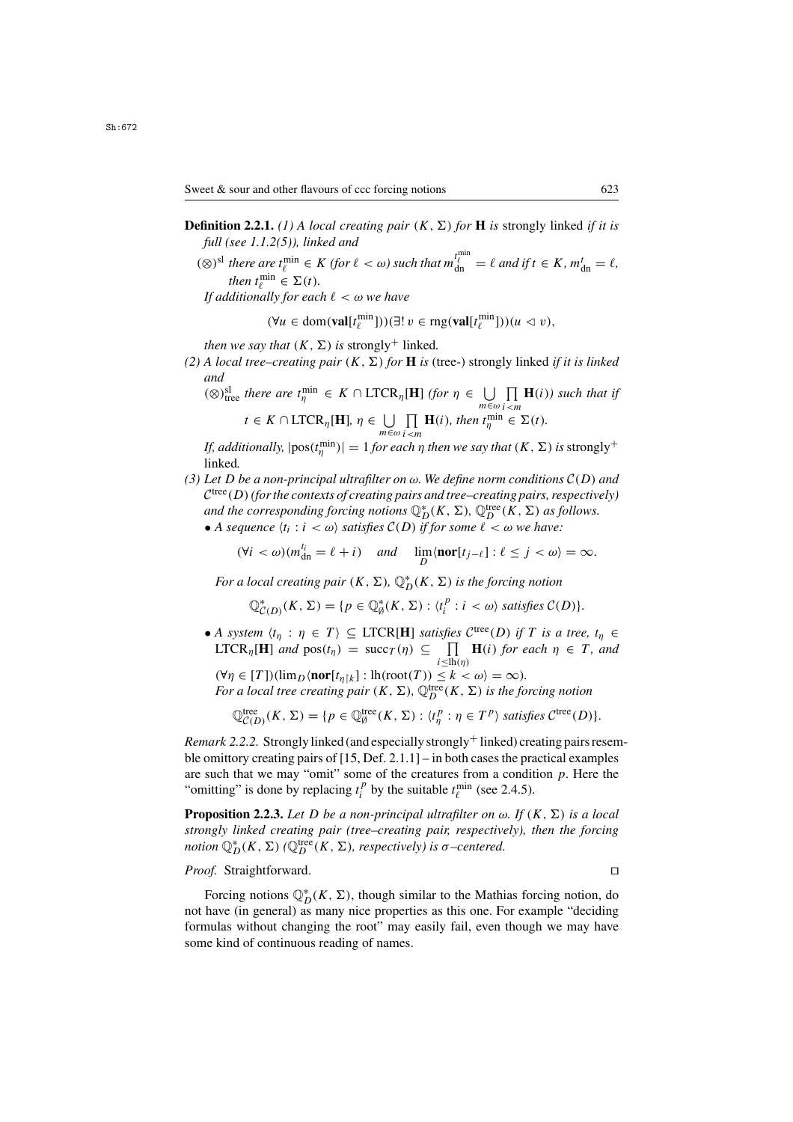- **Definition 2.2.1.** *(1) A local creating pair*  $(K, \Sigma)$  *for* **H** *is* strongly linked *if it is full (see 1.1.2(5)), linked and*
	- $(\otimes)^{\text{sl}}$  *there are*  $t_{\ell}^{\min} \in K$  *(for*  $\ell < \omega$ *) such that*  $m_{dn}^{t_{\ell}^{\min}}$  *then*  $t^{\min} \in \Sigma(t)$  $\ell_{dn}^{\ell} = \ell$  and if  $t \in K$ ,  $m_{dn}^{\ell} = \ell$ , *then*  $t_{\ell}^{\min} \in \Sigma(t)$ .<br>*ditionally for eac*

*If additionally for each*  $\ell < \omega$  *we have* 

$$
(\forall u \in \text{dom}(\textbf{val}[t_\ell^{\min}]))(\exists! v \in \text{rng}(\textbf{val}[t_\ell^{\min}]))(u \lhd v),
$$

*then we say that*  $(K, \Sigma)$  *is strongly<sup>+</sup>* linked.

(2) A local tree–creating pair  $(K, \Sigma)$  for **H** is (tree-) strongly linked *if it is linked and*

(⊗)<sup>sl</sup>ue *there are*  $t_{\eta}^{\min} \in K \cap \text{LTCR}_{\eta}[\mathbf{H}]$  *(for*  $\eta \in \bigcup_{m \in \omega}$ <br>  $t \in K \cap \text{TTCR}$   $[\mathbf{H}]$   $[n \in \mathbb{H}] \cap \mathbf{H}(i)$ , then  $\{\min_{m \in \mathbb{N}} \mathbb{H} \mid \mathbb{H} \cap \mathbf{H}(i)\}$ П  $\prod_{i \le m}$ **H**(i)*)* such that if  $t \in K \cap \text{LTCR}_{\eta}[\mathbf{H}], \eta \in \bigcup_{m \in \omega}$ П  $\prod_{i \le m} \mathbf{H}(i)$ *, then*  $t_{\eta}^{\min} \in \Sigma(t)$ *.*<br> *ch n* then we say that  $(K, \Sigma)$ 

*If, additionally,*  $|pos(t^{min}_{\eta})| = 1$  *for each*  $\eta$  *then we say that*  $(K, \Sigma)$  *is* strongly<sup>+</sup> linked linked*.*

*(3) Let* D *be a non-principal ultrafilter on* ω*. We define norm conditions* <sup>C</sup>(D) *and*  $\mathcal{C}^{tree}(D)$  (for the contexts of creating pairs and tree–creating pairs, respectively) *and the corresponding forcing notions*  $\mathbb{Q}_D^*(K, \Sigma)$ ,  $\mathbb{Q}_D^{\text{tree}}(K, \Sigma)$  *as follows.*<br>● A sequence  $\langle t_i : i \leq \omega \rangle$  satisfies  $C(D)$  if for some  $\ell \leq \omega$  we have:

• A sequence  $\langle t_i : i \langle \omega \rangle \rangle$  satisfies  $\mathcal{C}(D)$  *if for some*  $\ell \langle \omega \rangle \rangle$  we have:

$$
(\forall i < \omega)(m_{\rm dn}^{l_i} = \ell + i) \quad \text{and} \quad \lim_{D} \langle \textbf{nor}[t_{j-\ell}] : \ell \le j < \omega \rangle = \infty.
$$

*For a local creating pair*  $(K, \Sigma)$ ,  $\mathbb{Q}_D^*(K, \Sigma)$  *is the forcing notion* 

$$
\mathbb{Q}_{\mathcal{C}(D)}^*(K,\Sigma) = \{p \in \mathbb{Q}_{\beta}^*(K,\Sigma) : \langle t_i^p : i \langle \omega \rangle \text{ satisfies } \mathcal{C}(D) \}.
$$

• *A system*  $\langle t_\eta : \eta \in T \rangle \subseteq \text{LTCR}[\mathbf{H}]$  *satisfies*  $\mathcal{C}^{\text{tree}}(D)$  *if* T *is a tree,*  $t_\eta \in$  $\text{LTCR}_{\eta}[\mathbf{H}]$  *and*  $\text{pos}(t_{\eta}) = \text{succ}_{T}(\eta) \subseteq \prod_{i \leq \text{lh}(\eta)} \mathbf{H}(i)$  *for each*  $\eta \in T$ *, and* 

 $i \leq lh(\eta)$  $(\forall \eta \in [T])(\lim_{D} \{\text{nor}[t_{\eta}]_k\} : \text{lh}(\text{root}(T)) \leq k < \omega) = \infty).$ <br>For a local tree creating pair  $(K, \Sigma)$  ( $\mathbb{D}^{\text{tree}}(K, \Sigma)$ ) is the fo *For a local tree creating pair*  $(K, \Sigma)$ ,  $\mathbb{Q}_D^{\text{tree}}(K, \Sigma)$  *is the forcing notion* 

$$
\mathbb{Q}_{\mathcal{C}(D)}^{\text{tree}}(K,\Sigma) = \{p \in \mathbb{Q}_{\emptyset}^{\text{tree}}(K,\Sigma) : \langle t_{\eta}^p : \eta \in T^p \rangle \text{ satisfies } C^{\text{tree}}(D) \}.
$$

*Remark 2.2.2.* Strongly linked (and especially strongly  $^+$  linked) creating pairs resemble omittory creating pairs of  $[15, Det, 2.1.1]$  – in both cases the practical examples are such that we may "omit" some of the creatures from a condition  $p$ . Here the "omitting" is done by replacing  $t_i^p$  by the suitable  $t_\ell^{\min}$  (see 2.4.5).

**Proposition 2.2.3.** Let D be a non-principal ultrafilter on  $\omega$ . If  $(K, \Sigma)$  is a local *strongly linked creating pair (tree–creating pair, respectively), then the forcing notion*  $\mathbb{Q}_D^*(K, \Sigma)$  *(* $\mathbb{Q}_D^{\text{tree}}(K, \Sigma)$ *, respectively) is*  $\sigma$ *-centered.* 

*Proof.* Straightforward. □

Forcing notions  $\mathbb{Q}_D^*(K, \Sigma)$ , though similar to the Mathias forcing notion, do have (in general) as many nice properties as this one. For example "deciding not have (in general) as many nice properties as this one. For example "deciding formulas without changing the root" may easily fail, even though we may have some kind of continuous reading of names.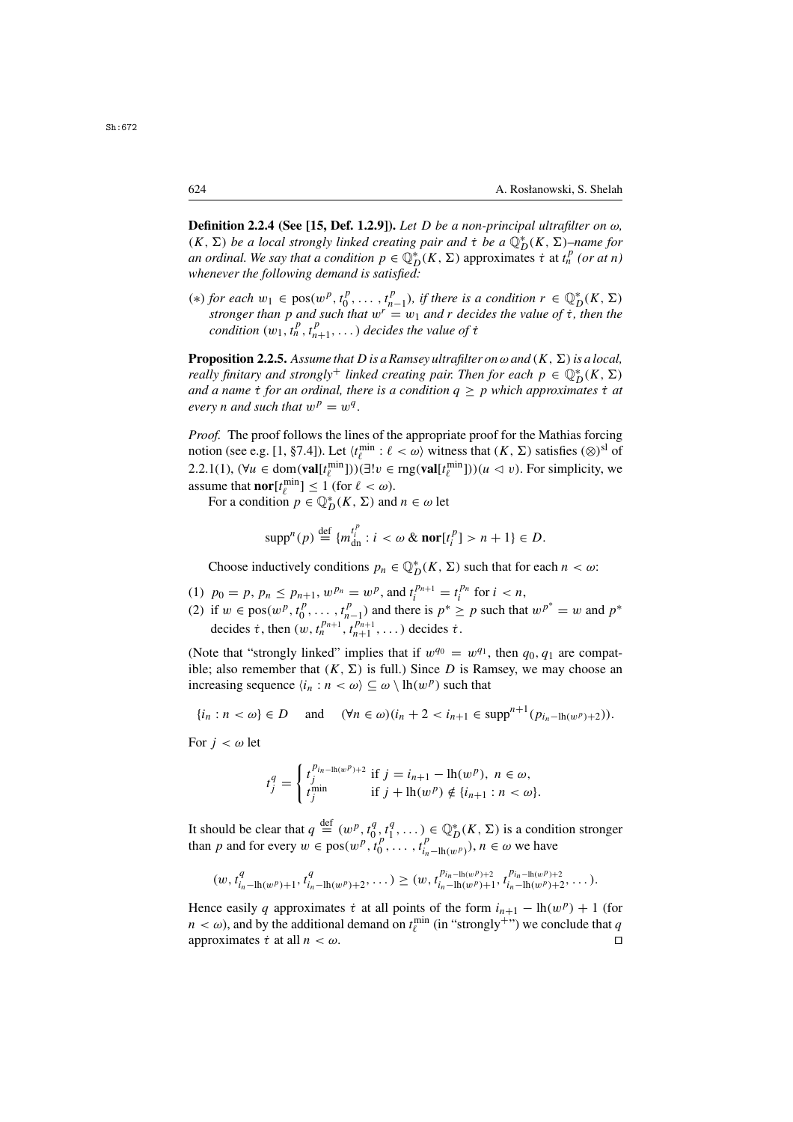Sh:672

**Definition 2.2.4 (See [15, Def. 1.2.9]).** *Let* D *be a non-principal ultrafilter on* ω*,*  $(K, \Sigma)$  *be a local strongly linked creating pair and*  $\tau$  *be a*  $\mathbb{Q}_{D}^{*}(K, \Sigma)$ *–name for an ordinal. We say that a condition*  $p \in \mathbb{Q}^{*}(K, \Sigma)$  *approximates*  $\tau$  at  $t^{p}$  (*or at n*) *an ordinal. We say that a condition*  $p \in \mathbb{Q}_{D}^{*}(K, \Sigma)$  approximates  $\dot{\tau}$  at  $t_n^p$  (*or at n*) whenever the following demand is satisfied: *whenever the following demand is satisfied:*

(\*) *for each*  $w_1 \in \text{pos}(w^p, t_0^p, \ldots, t_{n-1}^p)$ , *if there is a condition*  $r \in \mathbb{Q}_L^*$  *stroneer than n and such that*  $w^r = w_1$  *and r decides the value of t. for each*  $w_1 \in \text{pos}(w^{\nu}, t_0^{\nu}, \dots, t_{n-1}^{\nu}),$  *if there is a condition*  $r \in \mathbb{Q}_D^{\nu}(K, \Sigma)$  *stronger than p and such that*  $w^{\nu} = w_1$  *and r decides the value of t*, *then the condition*  $(w_1, t_1^p, t_$ *condition*  $(w_1, t_n^p, t_{n+1}^p, \ldots)$  *decides the value of*  $\tau$ 

**Proposition 2.2.5.** Assume that D is a Ramsey ultrafilter on  $\omega$  and  $(K, \Sigma)$  is a local, *really finitary and strongly<sup>+</sup> linked creating pair. Then for each*  $p \in \mathbb{Q}_D^*(K, \Sigma)$ and a name  $\tau$  for an ordinal, there is a condition  $q \geq p$  which approximates  $\tau$  at every n and such that  $w^p = w^q$ *every n and such that*  $w^p = w^q$ *.* 

*Proof.* The proof follows the lines of the appropriate proof for the Mathias forcing notion (see e.g. [1, §7.4]). Let  $\langle t_{\ell}^{\min} : \ell < \omega \rangle$  witness that  $(K, \Sigma)$  satisfies  $(\otimes)^{sl}$  of <br>2.2.1(1)  $(\forall u \in \text{dom}(\text{val}[t^{\min}]))$  $(\exists u \in \text{mod}(\text{val}[t^{\min}]))$  $(u \leq v)$ . For simplicity we 2.2.1(1),  $(\forall u \in \text{dom}(\textbf{val}[t_e^{\min}]))(\exists! v \in \text{rng}(\textbf{val}[t_e^{\min}]))(u \leq v)$ . For simplicity, we assume that **nor**[t<sup>min</sup>] < 1 (for  $\ell < \omega$ ) assume that **nor** $[t_{\ell}^{\min}] \leq 1$  (for  $\ell < \omega$ ).<br>For a condition  $p \in \mathbb{O}_{\infty}^{*}$  ( $K > 1$ ) and

For a condition  $p \in \mathbb{Q}_D^*(K, \Sigma)$  and  $n \in \omega$  let

$$
\mathrm{supp}^n(p) \stackrel{\mathrm{def}}{=} \{m_{\mathrm{dn}}^{t_i^p} : i < \omega \& \mathrm{nor}[t_i^p] > n+1\} \in D.
$$

Choose inductively conditions  $p_n \in \mathbb{Q}_D^*(K, \Sigma)$  such that for each  $n < \omega$ :

- (1)  $p_0 = p$ ,  $p_n \le p_{n+1}$ ,  $w^{p_n} = w^p$ , and  $t_i^{p_{n+1}} = t_i^{p_n}$  for  $i < n$ ,<br>(2) if  $w \in \text{pos}(w^{p_{n+1}}, t^{p_{n+1}})$  and there is  $n^* > n$  such that  $t_i^{p_{n+1}} = t_i^{p_n}$
- (2) if  $w \in \text{pos}(w^p, t_0^p, \dots, t_{n-1}^p)$  and there is  $p^* \geq p$  such that  $w^{p^*} = w$  and  $p^*$ <br>decides  $\dot{\tau}$  then  $(w, t^{p_{n+1}}, t^{p_{n+1}})$  decides  $\dot{\tau}$ decides  $\dot{\tau}$ , then  $(w, t_n^{p_{n+1}}, t_{n+1}^{p_{n+1}}, \dots)$  decides  $\dot{\tau}$ .

(Note that "strongly linked" implies that if  $w^{q_0} = w^{q_1}$ , then  $q_0, q_1$  are compatible; also remember that  $(K, \Sigma)$  is full.) Since D is Ramsey, we may choose an increasing sequence  $\langle i_n : n \langle \omega \rangle \subseteq \omega \setminus \ln(w^p)$  such that

$$
\{i_n : n < \omega\} \in D \quad \text{and} \quad (\forall n \in \omega)(i_n + 2 < i_{n+1} \in \text{supp}^{n+1}(p_{i_n - \text{lh}(w^p) + 2})).
$$

For  $j < \omega$  let

$$
t_j^q = \begin{cases} t_j^{p_{i_n - \ln(w^p) + 2}} & \text{if } j = i_{n+1} - \ln(w^p), \ n \in \omega, \\ t_j^{\min} & \text{if } j + \ln(w^p) \notin \{i_{n+1} : n < \omega\}. \end{cases}
$$

It should be clear that  $q \stackrel{\text{def}}{=} (w^p, t_0^q, t_1^q, \dots) \in \mathbb{Q}_D^*(K, \Sigma)$  is a condition stronger<br>than *n* and for every  $w \in \text{pos}(w^p, t_0^p, \dots, t_{p-1}^p, \dots)$   $n \in \omega$  we have than p and for every  $w \in pos(w^p, t^p_0, \dots, t^p_{i_n-\ln(w^p)})$ ,  $n \in \omega$  we have

$$
(w, t_{i_n-\text{lh}(w^p)+1}^q, t_{i_n-\text{lh}(w^p)+2}^q, \dots) \geq (w, t_{i_n-\text{lh}(w^p)+1}^{p_{i_n-\text{lh}(w^p)+2}}, t_{i_n-\text{lh}(w^p)+2}^{p_{i_n-\text{lh}(w^p)+2}}, \dots).
$$

Hence easily q approximates  $\dot{\tau}$  at all points of the form  $i_{n+1} - \text{lh}(w^p) + 1$  (for  $n < \omega$ ), and by the additional demand on  $t_{\ell}^{\min}$  (in "strongly<sup>+")</sup>) we conclude that q approximates  $\dot{\tau}$  at all  $n < \omega$ approximates  $\dot{\tau}$  at all  $n < \omega$ .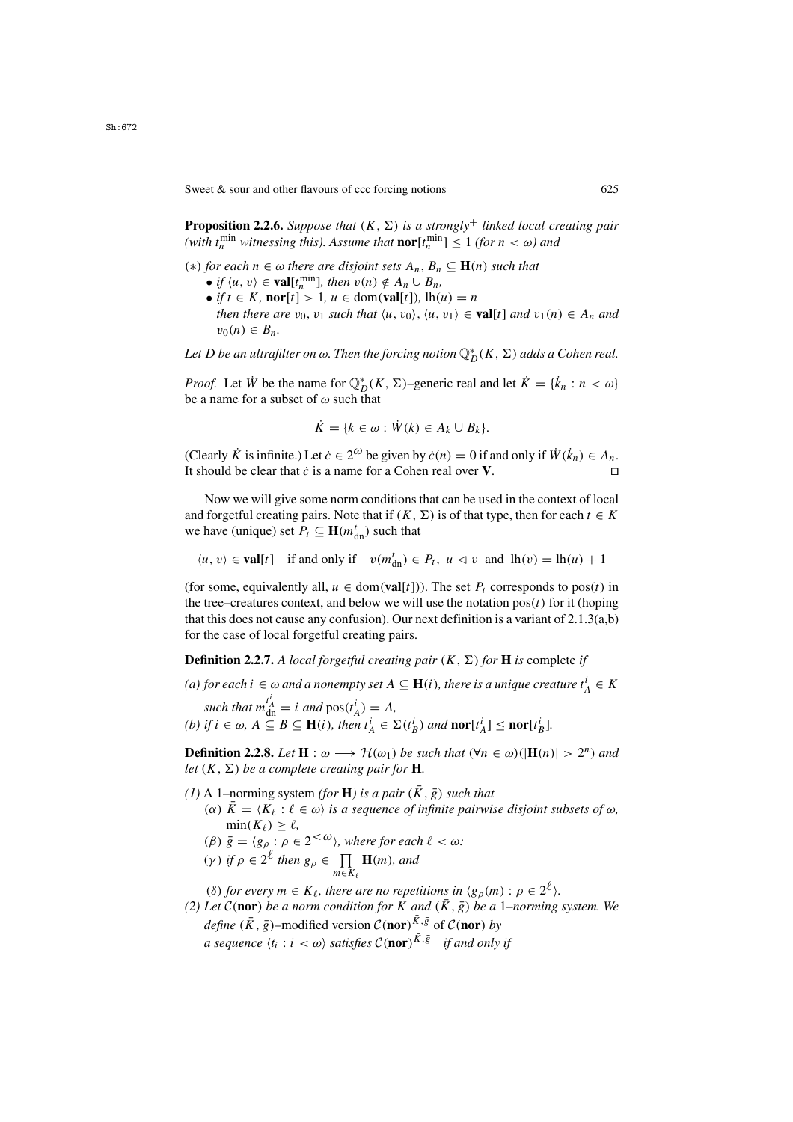**Proposition 2.2.6.** *Suppose that*  $(K, \Sigma)$  *is a strongly<sup>+</sup> linked local creating pair*  $(with\ t_n^{\min}$  *witnessing this). Assume that*  $\operatorname{nor}[t_n^{\min}] \leq 1$  *(for*  $n < \omega$ *) and* 

- (\*) *for each*  $n \in ∞$  *there are disjoint sets*  $A_n$ ,  $B_n \subseteq$  **H**(n) *such that* 
	- *if*  $\langle u, v \rangle \in \text{val}[t_n^{\min}],$  then  $v(n) \notin A_n \cup B_n$ ,<br>• *if*  $t \in K$  **nor**[t] > 1  $u \in \text{dom}(\text{val}[t])$  [h(*i*)
	- *if*  $t \in K$ , **nor**[t] > 1,  $u \in \text{dom}(\text{val}[t])$ ,  $\text{lh}(u) = n$ *then there are*  $v_0$ ,  $v_1$  *such that*  $\langle u, v_0 \rangle$ ,  $\langle u, v_1 \rangle \in \textbf{val}[t]$  *and*  $v_1(n) \in A_n$  *and*  $v_0(n) \in B_n$ .

Let D be an ultrafilter on  $\omega$ . Then the forcing notion  $\mathbb{Q}_D^*(K,\Sigma)$  adds a Cohen real.

*Proof.* Let  $\dot{W}$  be the name for  $\mathbb{Q}_D^*(K, \Sigma)$ –generic real and let  $\dot{K} = \{\dot{k}_n : n < \omega\}$ <br>be a name for a subset of  $\omega$  such that be a name for a subset of  $\omega$  such that

$$
\dot{K} = \{k \in \omega : \dot{W}(k) \in A_k \cup B_k\}.
$$

(Clearly  $\hat{K}$  is infinite.) Let  $\dot{c} \in 2^{\omega}$  be given by  $\dot{c}(n) = 0$  if and only if  $\hat{W}(k_n) \in A_n$ .<br>It should be clear that  $\dot{c}$  is a name for a Coben real over **V** It should be clear that  $\dot{c}$  is a name for a Cohen real over **V**.

Now we will give some norm conditions that can be used in the context of local and forgetful creating pairs. Note that if  $(K, \Sigma)$  is of that type, then for each  $t \in K$ we have (unique) set  $P_t \subseteq \mathbf{H}(m_{dn}^t)$  such that

 $\langle u, v \rangle \in \textbf{val}[t]$  if and only if  $v(m_{dn}^t) \in P_t$ ,  $u \le v$  and  $lh(v) = lh(u) + 1$ 

(for some, equivalently all,  $u \in \text{dom}(\text{val}[t])$ ). The set  $P_t$  corresponds to pos(t) in the tree–creatures context, and below we will use the notation  $pos(t)$  for it (hoping that this does not cause any confusion). Our next definition is a variant of  $2.1.3(a,b)$ for the case of local forgetful creating pairs.

**Definition 2.2.7.** A local forgetful creating pair  $(K, \Sigma)$  for **H** is complete if

- (a) for each  $i \in \omega$  and a nonempty set  $A \subseteq \mathbf{H}(i)$ , there is a unique creature  $t_A^i \in K$ *such that*  $m_{\text{dn}}^{t_A} = i$  *and*  $pos(t_A^i)$  $\binom{l}{A} = A,$ <br> $\binom{l}{B} = \sum_{i=1}^{n} A_i$
- *(b) if*  $i \in \omega$ ,  $A \subseteq B \subseteq \mathbf{H}(i)$ *, then*  $t_A^i \in \Sigma(t_B^i)$  *and* **nor** $[t_A^i] \leq \mathbf{nor}[t_B^i]$ *.*

**Definition 2.2.8.** *Let*  $H : \omega \longrightarrow H(\omega_1)$  *be such that*  $(\forall n \in \omega)(|H(n)| > 2^n)$  *and let*  $(K, \Sigma)$  *be a complete creating pair for* **H***.* 

- $(1)$  A 1–norming system *(for* **H**) is a pair  $(\bar{K}, \bar{g})$  such that
	- ( $\alpha$ )  $\overline{K} = \langle K_{\ell} : \ell \in \omega \rangle$  *is a sequence of infinite pairwise disjoint subsets of*  $\omega$ *,*  $\min(K_{\ell}) > \ell$ ,  $\min(K_{\ell}) \geq \ell,$ <br> $\overline{a} = \{a : a \in \mathbb{R}\}$
	- (*β*)  $\bar{g} = \langle g_{\rho} : \rho \in 2^{<\omega} \rangle$ , where for each  $\ell < \omega$ :
	- $(\gamma)$  *if*  $\rho \in 2^{\ell}$  *then*  $g_{\rho} \in \prod_{m \in K_{\ell}} \mathbf{H}(m)$ *, and*  $m \in K_{\ell}$

(δ) for every  $m \in K_{\ell}$ , there are no repetitions in  $\langle g_{\rho}(m) : \rho \in 2^{\ell} \rangle$ .<br>Let  $C(\text{nor})$  be a norm condition for K and  $(\overline{K}, \overline{\rho})$  be a l-norming.

*(2) Let*  $C$ (nor) *be a norm condition for* K *and*  $(K, \overline{g})$  *be a 1–norming system. We define*  $(K, \bar{g})$ –modified version  $C(\text{nor})^{\bar{K}, \bar{g}}$  of  $C(\text{nor})$  *by*<br>*a gazy mag (t, i, j, ()) atticker*  $C(\text{nor})^{\bar{K}, \bar{g}}$  if and only *a sequence*  $\langle t_i : i < \omega \rangle$  *satisfies*  $C(\textbf{nor})^{\overline{K}, \overline{g}}$  *if and only if*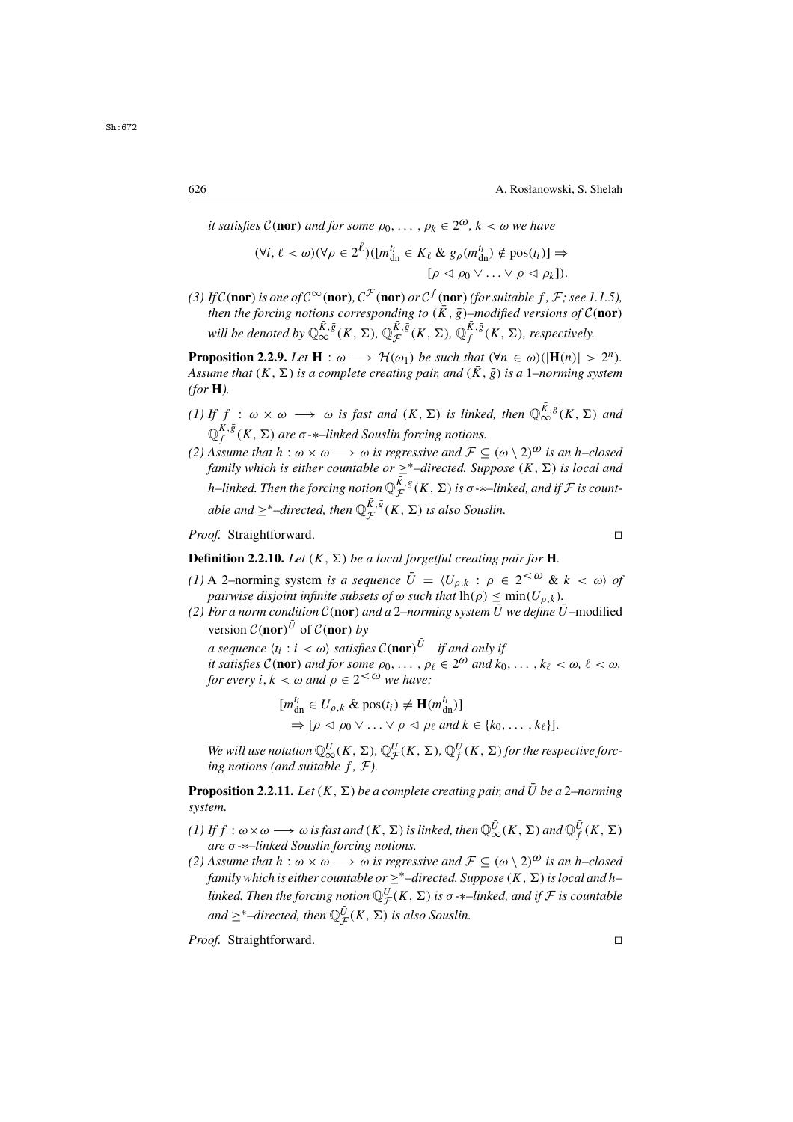*it satisfies*  $C(\textbf{nor})$  *and for some*  $\rho_0, \ldots, \rho_k \in 2^{\omega}$ ,  $k < \omega$  we have

$$
(\forall i, \ell < \omega)(\forall \rho \in 2^{\ell})( [m_{\mathrm{dn}}^{t_i} \in K_{\ell} \& g_{\rho}(m_{\mathrm{dn}}^{t_i}) \notin \mathrm{pos}(t_i) ] \Rightarrow [ \rho \triangleleft \rho_0 \vee ... \vee \rho \triangleleft \rho_k ].
$$

(3) If  $C(\textbf{nor})$  is one of  $C^{\infty}(\textbf{nor}), C^{\mathcal{F}}(\textbf{nor})$  or  $C^f(\textbf{nor})$  (for suitable f, F; see 1.1.5),<br>then the forcing notions corresponding to  $(\overline{K}, \overline{\phi})$ -modified versions of  $C(\textbf{nor})$ *then the forcing notions corresponding to*  $(\bar{K}, \bar{g})$ *–modified versions of*  $C(\textbf{nor})$ will be denoted by  $\mathbb{Q}_{\infty}^{\bar{K},\bar{g}}(K,\Sigma)$ ,  $\mathbb{Q}_{\mathcal{F}}^{\bar{K},\bar{g}}(K,\Sigma)$ ,  $\mathbb{Q}_{f}^{\bar{K},\bar{g}}(K,\Sigma)$ , respectively.

**Proposition 2.2.9.** *Let*  $H : \omega \longrightarrow H(\omega_1)$  *be such that*  $(\forall n \in \omega)(|H(n)| > 2^n)$ *. Assume that*  $(K, \Sigma)$  *is a complete creating pair, and*  $(K, \overline{g})$  *is a 1–norming system (for* **H***).*

- *(1)* If  $f : \omega \times \omega \longrightarrow \omega$  *is fast and*  $(K, \Sigma)$  *is linked, then*  $\mathbb{Q}_{\infty}^{\overline{K}, \overline{g}}(K, \Sigma)$  *and*<br> $\mathbb{Q}_{f}^{\overline{K}, \overline{g}}(K, \Sigma)$  *are*  $\sigma$ *-*\**–linked Souslin forcing notions.*<br>(2) *A ssume that b*  $\therefore \omega \times \omega \longrightarrow \omega$  is
- *(2) Assume that*  $h : \omega \times \omega \longrightarrow \omega$  *is regressive and*  $\mathcal{F} \subseteq (\omega \setminus 2)^{\omega}$  *is an h–closed* family which is either countable or  $\geq^*$ -directed. Suppose  $(K, \Sigma)$  is local and *family which is either countable or*  $\geq$ <sup>\*</sup>–directed. Suppose  $(K, \Sigma)$  *is local and* h–linked. Then the forcing notion  $\mathbb{Q}_{\mathcal{F}}^{\bar{K},\bar{g}}(K,\Sigma)$  is  $\sigma$ - $\ast$ –linked, and if  $\mathcal F$  is count- $\triangle$ *able and*  $\geq$ <sup>\*</sup>–directed, then  $\mathbb{Q}_{\mathcal{F}}^{\overline{K},\overline{g}}(K,\Sigma)$  *is also Souslin.*

*Proof.* Straightforward. □

**Definition 2.2.10.** *Let*  $(K, \Sigma)$  *be a local forgetful creating pair for* **H***.* 

- *(1)* A 2–norming system *is a sequence*  $\bar{U} = \langle U_{\rho,k} : \rho \in 2^{<\omega} \& k < \omega \rangle$  of *pairwise disjoint infinite subsets of*  $\omega$  *such that*  $lh(\rho) < min(U_{\rho, k})$ .
- *(2) For a norm condition*  $C$  (nor) *and a* 2–*norming system*  $\overline{U}$  *we define*  $\overline{U}$  –modified version  $C(\text{nor})^{\bar{U}}$  of  $C(\text{nor})$  *by*<br>a sequence  $\langle t, t \rangle \leq C$  satisfies

*a sequence*  $\langle t_i : i < \omega \rangle$  *satisfies*  $\mathcal{C}(\text{nor})$ <br>*it satisfies*  $\mathcal{C}(\text{nor})$  *and for some*  $\rho_0$ *a sequence*  $\langle t_i : i \rangle \langle \omega \rangle$  *satisfies*  $C(\text{nor})^{\bar{U}}$  *if and only if* 

*it satisfies*  $C(\textbf{nor})$  *and for some*  $\rho_0, \ldots, \rho_\ell \in 2^\omega$  *and*  $k_0, \ldots, k_\ell < \omega, \ell < \omega$ , for every  $i, k < \omega$  and  $0 \in 2^{<\omega}$  we have *for every i, k* <  $\omega$  *and*  $\rho \in 2^{\lt \omega}$  *we have:* 

$$
[m_{\mathrm{dn}}^{t_i} \in U_{\rho,k} \& \mathrm{pos}(t_i) \neq \mathbf{H}(m_{\mathrm{dn}}^{t_i})]
$$
  
\n
$$
\Rightarrow [\rho \triangleleft \rho_0 \vee \ldots \vee \rho \triangleleft \rho_\ell \text{ and } k \in \{k_0, \ldots, k_\ell\}].
$$

 $We will use notation  $\mathbb{Q}_{\infty}^{\overline{U}}(K, \Sigma)$ ,  $\mathbb{Q}_{\mathcal{F}}^{\overline{U}}(K, \Sigma)$ ,  $\mathbb{Q}_{f}^{\overline{U}}(K, \Sigma)$  for the respective force-  
ing notions (and suitable  $f \in \mathcal{F}$ )$ *ing notions (and suitable f,*  $F$ *).* 

**Proposition 2.2.11.** *Let*  $(K, \Sigma)$  *be a complete creating pair, and*  $\overline{U}$  *be a* 2–*norming system.*

- *(1)* If  $f : \omega \times \omega \longrightarrow \omega$  is fast and  $(K, \Sigma)$  is linked, then  $\mathbb{Q}_{\infty}^{\overline{U}}(K, \Sigma)$  and  $\mathbb{Q}_{f}^{\overline{U}}(K, \Sigma)$  are  $\sigma$ - $*$ -linked Souslin forcing notions *are* σ*-*∗*–linked Souslin forcing notions.*
- *(2) Assume that*  $h : \omega \times \omega \longrightarrow \omega$  *is regressive and*  $\mathcal{F} \subseteq (\omega \setminus 2)^{\omega}$  *is an h–closed family which is either countable or*  $\geq$ <sup>\*</sup>–directed. Suppose  $(K, \Sigma)$  is local and h– *linked. Then the forcing notion*  $\mathbb{Q}_{\mathcal{F}}^{\bar{U}}(K, \Sigma)$  *is*  $\sigma$ - $\ast$ *-linked, and if*  $\mathcal{F}$  *is countable*  $and \geq^*$ –directed, then  $\mathbb{Q}_{\mathcal{F}}^{\overline{U}}(K, \Sigma)$  *is also Souslin.*

*Proof.* Straightforward. □

Sh:672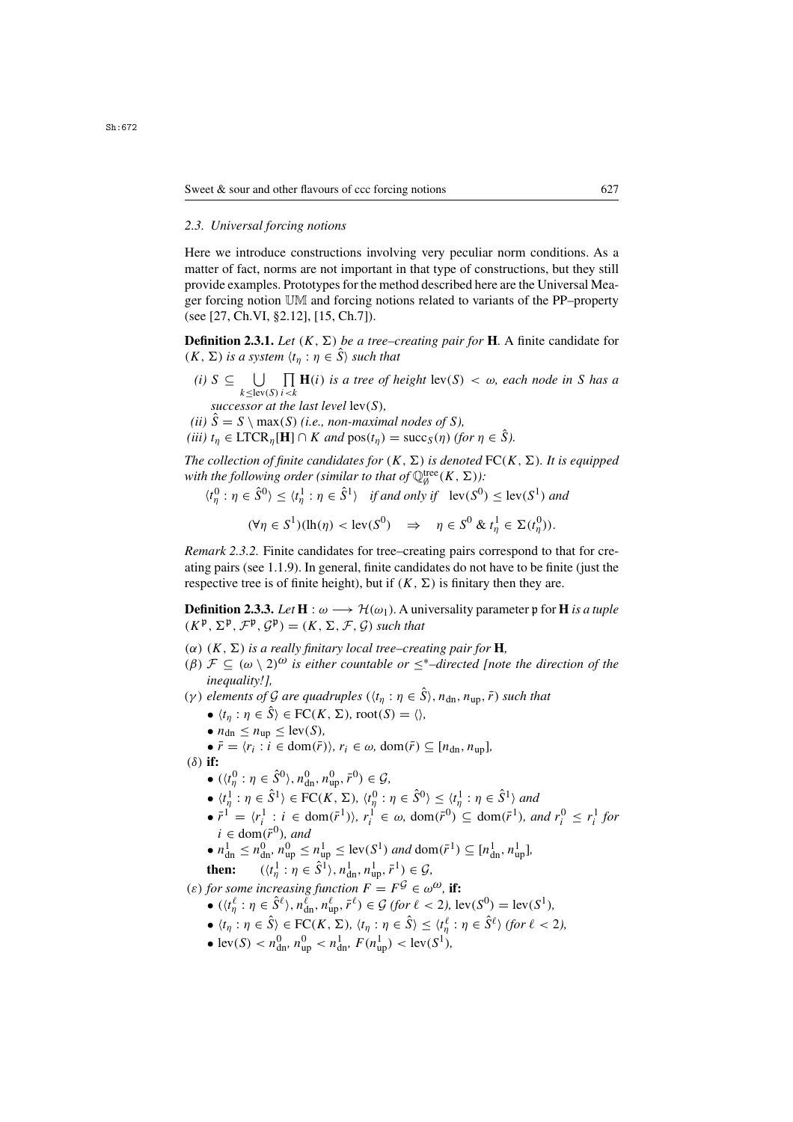## *2.3. Universal forcing notions*

Here we introduce constructions involving very peculiar norm conditions. As a matter of fact, norms are not important in that type of constructions, but they still provide examples. Prototypes for the method described here are the Universal Meager forcing notion UM and forcing notions related to variants of the PP–property (see [27, Ch.VI, §2.12], [15, Ch.7]).

**Definition 2.3.1.** *Let*  $(K, \Sigma)$  *be a tree–creating pair for* **H***.* A finite candidate for  $(K, \Sigma)$  *is a system*  $\langle t_n : \eta \in \hat{S} \rangle$  *such that* 

- (*i*)  $S \subseteq \bigcup_{k \leq \text{lev}(S)} \prod_{i < k} \mathbf{H}(i)$  *is a tree of height*  $\text{lev}(S) < \omega$ *, each node in* S *has a*  $k \leq \text{lev}(S)$  *i* < k<br>successor at the last level  $\text{lev}(S)$ ,<br> $\hat{S} = S \setminus \max(S)$  (*i e* non-maxim
- *(ii)*  $\hat{S} = S \setminus max(S)$  *(i.e., non-maximal nodes of S),*

*(iii)*  $t_n \in \text{LTCR}_n[\mathbf{H}] \cap K$  *and*  $pos(t_n) = succ_S(\eta)$  *(for*  $\eta \in \hat{S}$ *).* 

*The collection of finite candidates for*  $(K, \Sigma)$  *is denoted*  $FC(K, \Sigma)$ *. It is equipped with the following order (similar to that of*  $\mathbb{Q}_p^{\text{tree}}(K, \Sigma)$ ):<br>  $(0, y, z, \hat{\epsilon}_p^0) \leq (1, y, z, \hat{\epsilon}_p^0)$ , if and only if  $\text{Im}(\epsilon_p^0)$ 

$$
\langle t_\eta^0 : \eta \in \hat{S}^0 \rangle \le \langle t_\eta^1 : \eta \in \hat{S}^1 \rangle \quad \text{if and only if} \quad \text{lev}(S^0) \le \text{lev}(S^1) \text{ and}
$$

$$
(\forall \eta \in S^1)(\mathrm{lh}(\eta) < \mathrm{lev}(S^0) \quad \Rightarrow \quad \eta \in S^0 \ \& \ t_\eta^1 \in \Sigma(t_\eta^0)).
$$

*Remark 2.3.2.* Finite candidates for tree–creating pairs correspond to that for creating pairs (see 1.1.9). In general, finite candidates do not have to be finite (just the respective tree is of finite height), but if  $(K, \Sigma)$  is finitary then they are.

**Definition 2.3.3.** *Let*  $H : \omega \longrightarrow \mathcal{H}(\omega_1)$ . A universality parameter p for H *is a tuple*  $(K^{\mathfrak{p}}, \Sigma^{\mathfrak{p}}, \mathcal{F}^{\mathfrak{p}}, \mathcal{G}^{\mathfrak{p}}) = (K, \Sigma, \mathcal{F}, \mathcal{G})$  *such that* 

- ( $\alpha$ ) (K,  $\Sigma$ ) *is a really finitary local tree–creating pair for* **H***,*
- (β)  $\mathcal{F} \subseteq (\omega \setminus 2)^{\omega}$  *is either countable or*  $\leq^*$ -directed [note the direction of the *inequality!],*
- (γ) elements of G are quadruples  $(\langle t_n : \eta \in \hat{S} \rangle, n_{dn}, n_{un}, \bar{r})$  such that
	- $\langle t_{\eta} : \eta \in \hat{S} \rangle \in FC(K, \Sigma)$ , root $(S) = \langle \rangle$ ,
	- $n_{\text{dn}} \leq n_{\text{un}} \leq \text{lev}(S)$ ,
	- $\bullet \bar{r} = \langle r_i : i \in \text{dom}(\bar{r}) \rangle, r_i \in \omega, \text{dom}(\bar{r}) \subseteq [n_{dn}, n_{un}],$
- (δ) **if:**

$$
\bullet \ (\langle t_n^0 : \eta \in \hat{S}^0 \rangle, n_{\text{dn}}^0, n_{\text{up}}^0, \bar{r}^0 \rangle \in \mathcal{G},
$$

- $\langle t_n^1 : \eta \in \hat{S}^1 \rangle \in \text{FC}(K, \Sigma), \langle t_n^0 : \eta \in \hat{S}^0 \rangle \le \langle t_n^1 : \eta \in \hat{S}^1 \rangle$  and<br> $\sum_{n=1}^{\infty} \frac{1}{n!} \cdot \langle t_n^1 : i \in \text{dom}(\bar{a}) \rangle, \quad n! \in \{1, 2, \dots, \text{dom}(\bar{a}) \}$
- $\bar{r}^1 = \langle r_i^1 : i \in \text{dom}(\bar{r}^1) \rangle$ ,  $r_i^1 \in \omega$ ,  $\text{dom}(\bar{r}^0) \subseteq \text{dom}(\bar{r}^1)$ , and  $r_i^0 \le r_i^1$  for  $i \in \text{dom}(\bar{r}^0)$  and  $i \in \text{dom}(\bar{r}^0)$ , and<br> $n^1 \le n^0 \le n^0 \le$
- $n_{\text{dn}}^1 \leq n_{\text{dn}}^0, n_{\text{up}}^0 \leq n_{\text{up}}^1 \leq \text{lev}(S^1) \text{ and } \text{dom}(\bar{r}^1) \subseteq [n_{\text{dn}}^1, n_{\text{up}}^1],$

then: 
$$
(\langle t_n^1 : \eta \in \hat{S}^1 \rangle, n_{dn}^1, n_{up}^1, \bar{r}^1) \in \mathcal{G}
$$
,  
for some invariance function  $F$ ,  $F^{\hat{G}} \in \mathcal{A}$ 

(ε) for some increasing function  $F = F^{\mathcal{G}} \in \omega^{\omega}$ , if:<br>  $\omega^{(1+\ell)} \cdot n \in \hat{S}^{\ell}$ ,  $n^{\ell} \cdot n^{\ell} \cdot \bar{r}^{\ell} \in G$  (for  $\ell > 2$ ) le

- $((t_1^\ell : \eta \in \hat{S}^\ell), n_{\text{dn}}^\ell, n_{\text{up}}^\ell, \bar{r}^\ell) \in \mathcal{G}$  *(for*  $\ell < 2$ *)*, lev $(S^0) = \text{lev}(S^1)$ ,  $\frac{d_n}{d}$ ,  $\frac{n_u}{d}$
- $\bullet$   $\langle t_{\eta} : \eta \in \hat{S} \rangle \in \text{FC}(K, \Sigma), \langle t_{\eta} : \eta \in \hat{S} \rangle \leq \langle t_{\eta}^{\ell} : \eta \in \hat{S}^{\ell} \rangle \text{ (for } \ell < 2),$ <br>  $\bullet$   $\exists w(S) \leq x^0, w^0 \leq x^1, E(x^1) \leq \exists w(S^1).$
- lev(S) <  $n_{\text{dn}}^0$ ,  $n_{\text{up}}^0$  <  $n_{\text{dn}}^1$ ,  $F(n_{\text{up}}^1)$  < lev(S<sup>1</sup>),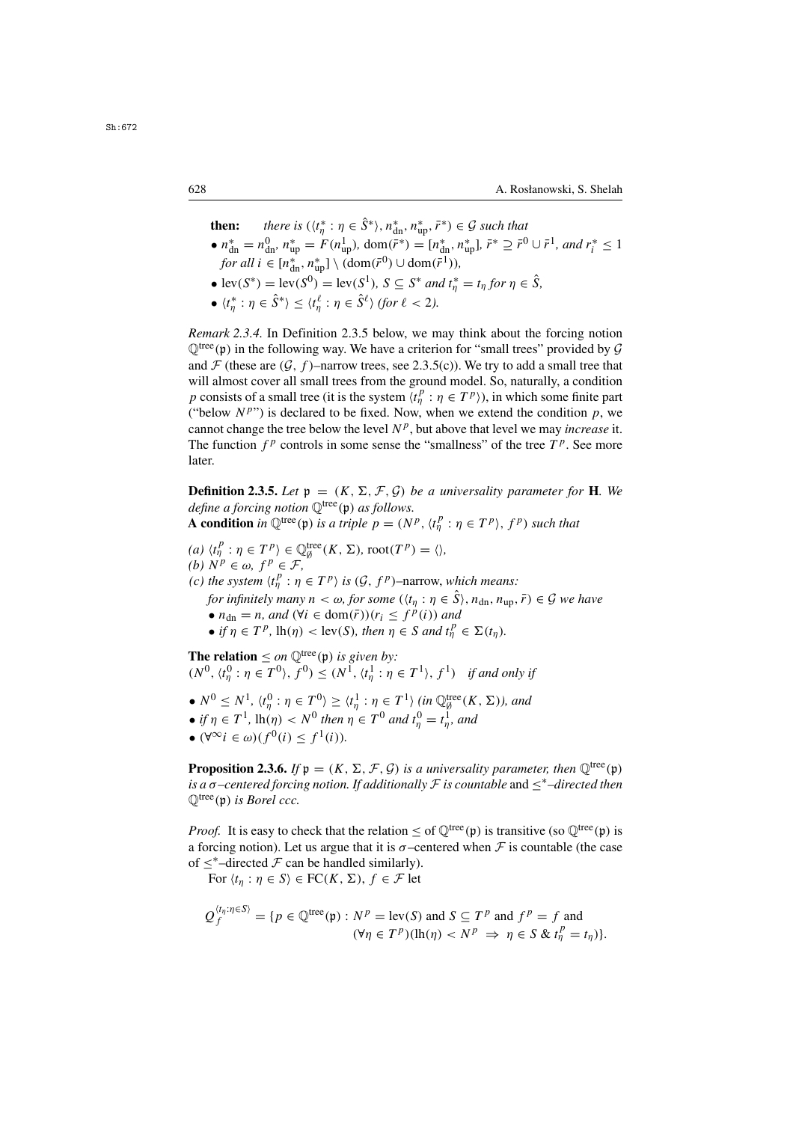**then:** *there is*  $(\langle t_n^* \rangle$  $\eta^* : \eta \in \hat{S}^* \rangle$ ,  $n^*_{\text{dn}}, n^*_{\text{up}}, \bar{r}^* \rangle \in \mathcal{G}$  such that<br> $E(u^1)$ , dom $(\bar{r}^*) = [u^* - u^*] \cdot \bar{r}^* \supset \bar{r}^*$ 

- $n_{\text{dn}}^* = n_{\text{dn}}^0$ ,  $n_{\text{up}}^* = F(n_{\text{up}}^1)$ ,  $\text{dom}(\bar{r}^*) = [n_{\text{dn}}^*, n_{\text{up}}^*], \bar{r}^* \supseteq \bar{r}^0 \cup \bar{r}^1$ , and  $r_i^* \leq 1$ <br>for all i  $\subset [n^*, n^*] \setminus (\text{dom}(\bar{r}^0) + |\text{dom}(\bar{r}^1))$  $\int \frac{d\mathbf{r}}{d\mathbf{r}} \, d\mathbf{r} = \left[ n_{\text{m}}^*, n_{\text{up}}^* \right] \setminus \left( \frac{d\mathbf{r}}{d\mathbf{r}} \right) \cup \mathrm{dom}(\bar{r}^1)$ ,<br>  $\int \frac{d\mathbf{r}}{d\mathbf{r}} \, d\mathbf{r} \, d\mathbf{r}$ ,  $\int \frac{d\mathbf{r}}{d\mathbf{r}} \, d\mathbf{r} \, d\mathbf{r}$ ,  $\int \frac{d\mathbf{r}}{d\mathbf{r}} \, d\mathbf{r} \, d\mathbf$
- $\text{lev}(S^*) = \text{lev}(S^0) = \text{lev}(S^1), S \subseteq S^* \text{ and } t^*_\eta = t_\eta \text{ for } \eta \in \hat{S},$ <br>  $\mathcal{L}^{(k)} = \hat{S}^{(k)} \times \mathcal{L}^{(k)} \text{ and } \hat{S}^{(k)} \times \hat{S}^{(k)} \text{ and } \hat{S}^{(k)} \text{ are } \hat{S}^{(k)} \text{ and } \hat{S}^{(k)} \text{ are } \hat{S}^{(k)} \text{ and } \hat{S}^{(k)} \text{ are } \hat{S}^{(k)} \text{ and } \hat{S}^{$
- $\langle t_{\eta}^* : \eta \in \hat{S}^* \rangle \leq \langle t_{\eta}^{\ell} : \eta \in \hat{S}^{\ell} \rangle$  (for  $\ell < 2$ ).

*Remark 2.3.4.* In Definition 2.3.5 below, we may think about the forcing notion  $\mathbb{Q}^{\text{tree}}(\mathfrak{p})$  in the following way. We have a criterion for "small trees" provided by  $\mathcal G$ and  $\mathcal F$  (these are  $(\mathcal G, f)$ –narrow trees, see 2.3.5(c)). We try to add a small tree that will almost cover all small trees from the ground model. So, naturally, a condition p consists of a small tree (it is the system  $\langle t_p^p : \eta \in T^p \rangle$ ), in which some finite part<br>("below  $N^{p}$ ") is declared to be fixed. Now when we extend the condition n we ("below  $N^{p}$ ") is declared to be fixed. Now, when we extend the condition p, we cannot change the tree below the level  $N<sup>p</sup>$ , but above that level we may *increase* it. The function  $f^p$  controls in some sense the "smallness" of the tree  $T^p$ . See more later.

**Definition 2.3.5.** Let  $p = (K, \Sigma, \mathcal{F}, \mathcal{G})$  be a universality parameter for **H**. We *define a forcing notion*  $\mathbb{Q}^{\text{tree}}(\mathfrak{p})$  *as follows.* 

**A condition** *in*  $\mathbb{Q}^{\text{tree}}(\mathfrak{p})$  *is a triple*  $p = (N^p, \langle t^p_\eta : \eta \in T^p \rangle, f^p)$  *such that* 

 $(a) \langle t_p^p : \eta \in T^p \rangle \in \mathbb{Q}_\theta^{\text{tree}}(K, \Sigma)$ , root $(T^p) = \langle \rangle$ ,<br>(b)  $N^p \in \omega$ ,  $f^p \in \mathcal{F}$ *(b)*  $N^p \in \omega$ *,*  $f^p \in \mathcal{F}$ *,* (c) the system  $\langle t_1^p : \eta \in T^p \rangle$  is  $(\mathcal{G}, f^p)$ –narrow, which means:<br>for infinitely many  $\eta \leq \epsilon_1$  for some  $((t, \eta \in \hat{\mathcal{S}}), \eta \in \mathcal{S})$ *for infinitely many*  $n < \omega$ , *for some*  $(\langle t_n : \eta \in \hat{S} \rangle, n_{dn}, n_{up}, \bar{r}) \in \mathcal{G}$  *we have* •  $n_{dn} = n$ , and  $(\forall i \in \text{dom}(\bar{r})) (r_i \leq f^p(i))$  and • *if*  $\eta \in T^p$ ,  $\text{lh}(\eta) < \text{lev}(S)$ *, then*  $\eta \in S$  *and*  $t^p_\eta \in \Sigma(t_\eta)$ *.* 

**The relation**  $\leq$  *on*  $\mathbb{Q}^{\text{tree}}(\mathfrak{p})$  *is given by:*<br> $(N^0 \tcdot t^0 \cdot n \in T^0) \leq N^1 \tcdot t^1 \cdot n$  $(N^0, \langle t_\eta^0 : \eta \in T^0 \rangle, f^0) \le (N^1, \langle t_\eta^1 : \eta \in T^1 \rangle, f^1)$  *if and only if* 

- $N^0 \leq N^1$ ,  $\langle t_0^0 : \eta \in T^0 \rangle \geq \langle t_0^1 : \eta \in T^1 \rangle$  (in  $\mathbb{Q}_g^{\text{tree}}(K, \Sigma)$ ), and
- *if*  $\eta \in T^1$ ,  $\text{lh}(\eta) < N^0$  *then*  $\eta \in T^0$  *and*  $t_\eta^0 = t_\eta^1$ *, and*<br>*i*  $\alpha^{00}$  *i*  $\in \Omega(G)$   $\leq f_1(G)$
- $(\forall^\infty i \in \omega)(f^0(i) < f^1(i))$ .

**Proposition 2.3.6.** *If*  $p = (K, \Sigma, \mathcal{F}, \mathcal{G})$  *is a universality parameter, then*  $\mathbb{Q}^{\text{tree}}(p)$ *is a* σ*–centered forcing notion. If additionally* <sup>F</sup> *is countable* and ≤∗*–directed then*  $\mathbb{Q}^{\text{tree}}(\mathfrak{p})$  *is Borel ccc.* 

*Proof.* It is easy to check that the relation  $\leq$  of  $\mathbb{O}^{tree}(\mathfrak{p})$  is transitive (so  $\mathbb{O}^{tree}(\mathfrak{p})$  is a forcing notion). Let us argue that it is  $\sigma$ -centered when  $\mathcal F$  is countable (the case of  $\leq^*$ –directed  $\mathcal F$  can be handled similarly).

For  $\langle t_n : \eta \in S \rangle \in FC(K, \Sigma)$ ,  $f \in \mathcal{F}$  let

$$
Q_f^{\langle t_\eta:\eta\in S\rangle} = \{p \in \mathbb{Q}^{\text{tree}}(\mathfrak{p}) : N^p = \text{lev}(S) \text{ and } S \subseteq T^p \text{ and } f^p = f \text{ and}
$$
  

$$
(\forall \eta \in T^p)(\text{lh}(\eta) < N^p \implies \eta \in S \& t_\eta^p = t_\eta)\}.
$$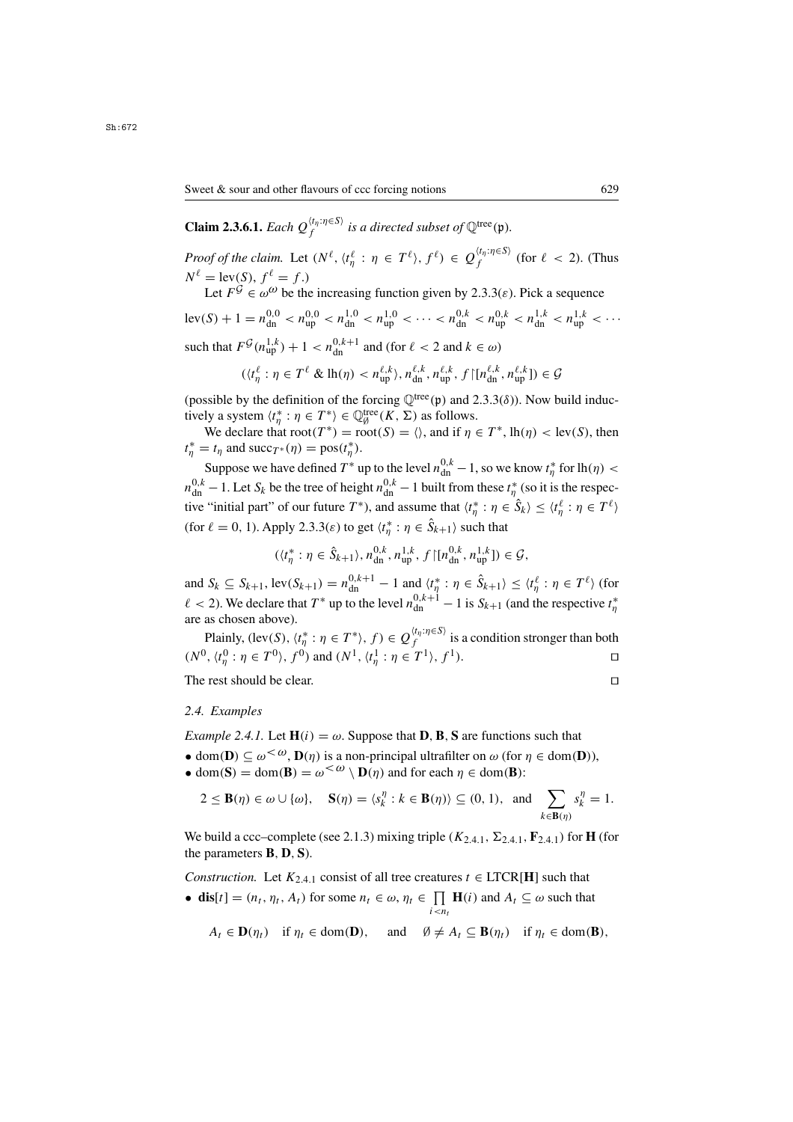**Claim 2.3.6.1.** *Each*  $Q_f^{\langle t_{\eta}:\eta \in S \rangle}$  *is a directed subset of*  $\mathbb{Q}^{\text{tree}}(\mathfrak{p})$ *.* 

*Proof of the claim.* Let  $(N^{\ell}, \langle t_n^{\ell} : \eta \in T^{\ell} \rangle, f^{\ell}) \in Q_f^{\langle t_n : \eta \in S \rangle}$  (for  $\ell < 2$ ). (Thus  $N^{\ell} = \{ \text{ev}(S), f^{\ell} = f \}$ )  $N^{\ell} = \text{lev}(S), f^{\ell} = f.$ 

Let  $F^{\mathcal{G}} \in \omega^{\omega}$  be the increasing function given by 2.3.3(*ε*). Pick a sequence

 $\text{lev}(S) + 1 = n_{\text{dn}}^{0,0} < n_{\text{up}}^{0,0} < n_{\text{dn}}^{1,0} < n_{\text{up}}^{1,0} < \cdots < n_{\text{dn}}^{0,k} < n_{\text{up}}^{0,k} < n_{\text{up}}^{1,k} < \cdots$ such that  $F^{\mathcal{G}}(n_{\text{up}}^{1,k}) + 1 < n_{\text{dn}}^{0,k+1}$  and (for  $\ell < 2$  and  $k \in \omega$ )

$$
(\langle t^\ell_\eta : \eta \in T^\ell \& \operatorname{lh}(\eta) < n_{\text{up}}^{\ell,k}, n_{\text{dn}}^{\ell,k}, n_{\text{up}}^{\ell,k}, f \upharpoonright [n_{\text{dn}}^{\ell,k}, n_{\text{up}}^{\ell,k}] ) \in \mathcal{G}
$$

(possible by the definition of the forcing  $\mathbb{Q}^{tree}(\mathfrak{p})$  and 2.3.3( $\delta$ )). Now build inductively a system  $\langle t_n^* : \eta \in T^* \rangle \in \mathbb{Q}_\theta^{\text{tree}}(K, \Sigma)$  as follows.<br>We declare that  $\text{root}(T^*) = \text{root}(S) = \langle \rangle$  and if n

We declare that  $\text{root}(T^*) = \text{root}(S) = \langle \rangle$ , and if  $\eta \in T^*$ ,  $\text{lh}(\eta) < \text{lev}(S)$ , then  $t_{\eta}^* = t_{\eta}$  and succ<sub>T\*</sub>( $\eta$ ) = pos( $t_{\eta}^*$ ).

Suppose we have defined  $T^*$  up to the level  $n_0^{0,k} - 1$ , so we know  $t^*_\eta$  for  $\ln(\eta) <$  $n_{\text{obs}}^{0,k} - 1$ . Let  $S_k$  be the tree of height  $n_{\text{obs}}^{0,k} - 1$  built from these  $t^*_{n}$  (so it is the respec-<br> $\hat{C}_{n}$  is the respective to the respective of the respective to the respective of  $\hat{C}_{n}$ tive "initial part" of our future  $T^*$ ), and assume that  $\langle t_n^* : \eta \in \hat{S}_k \rangle \le \langle t_n^{\ell} : \eta \in T^{\ell} \rangle$ (for  $\ell = 0, 1$ ). Apply 2.3.3( $\varepsilon$ ) to get  $\langle t_{\eta}^* : \eta \in \hat{S}_{k+1} \rangle$  such that

$$
(\langle t_n^* : \eta \in \hat{S}_{k+1} \rangle, n_{\text{dn}}^{0,k}, n_{\text{up}}^{1,k}, f \mid [n_{\text{dn}}^{0,k}, n_{\text{up}}^{1,k}] \rangle \in \mathcal{G},
$$

and  $S_k \subseteq S_{k+1}$ ,  $\text{lev}(S_{k+1}) = n_{\text{dn}}^{0,k+1} - 1$  and  $\langle t_\eta^* : \eta \in \hat{S}_{k+1} \rangle \le \langle t_\eta^\ell : \eta \in T^\ell \rangle$  (for  $\ell < 2$ ). We declare that  $T^*$  up to the level  $n_{dn}^{0,k+1} - 1$  is  $S_{k+1}$  (and the respective  $t^*_{\eta}$ η are as chosen above).

Plainly,  $(\text{lev}(S), \langle t_n^* : \eta \in T^* \rangle, f) \in Q_f^{\langle t_n : \eta \in S \rangle}$  is a condition stronger than both  $(N^0, \langle t^0_\eta : \eta \in T^0 \rangle, f^0)$  and  $(N^1, \langle t^1_\eta : \eta \in T^1 \rangle, f^1)$ .

The rest should be clear.

#### *2.4. Examples*

*Example 2.4.1.* Let  $H(i) = \omega$ . Suppose that **D**, **B**, **S** are functions such that

- dom(**D**)  $\subseteq \omega^{\leq \omega}$ , **D**( $\eta$ ) is a non-principal ultrafilter on  $\omega$  (for  $\eta \in \text{dom}(\mathbf{D})$ ),
- dom(**S**) = dom(**B**) =  $\omega^{\lt \omega} \setminus \mathbf{D}(\eta)$  and for each  $\eta \in \text{dom}(\mathbf{B})$ :

$$
2 \leq \mathbf{B}(\eta) \in \omega \cup \{\omega\}, \quad \mathbf{S}(\eta) = \langle s_k^{\eta} : k \in \mathbf{B}(\eta) \rangle \subseteq (0, 1), \text{ and } \sum_{k \in \mathbf{B}(\eta)} s_k^{\eta} = 1.
$$

We build a ccc–complete (see 2.1.3) mixing triple  $(K_{2,4,1}, \Sigma_{2,4,1}, \mathbf{F}_{2,4,1})$  for **H** (for the parameters **<sup>B</sup>**, **<sup>D</sup>**, **<sup>S</sup>**).

*Construction.* Let  $K_{2,4,1}$  consist of all tree creatures  $t \in \text{LTCR}[\mathbf{H}]$  such that

• **dis**[t] =  $(n_t, \eta_t, A_t)$  for some  $n_t \in \omega, \eta_t \in \prod_{i \leq n_t} \mathbf{H}(i)$  and  $A_t \subseteq \omega$  such that

$$
A_t \in \mathbf{D}(\eta_t)
$$
 if  $\eta_t \in \text{dom}(\mathbf{D})$ , and  $\emptyset \neq A_t \subseteq \mathbf{B}(\eta_t)$  if  $\eta_t \in \text{dom}(\mathbf{B})$ ,

 $\mathbf{r}$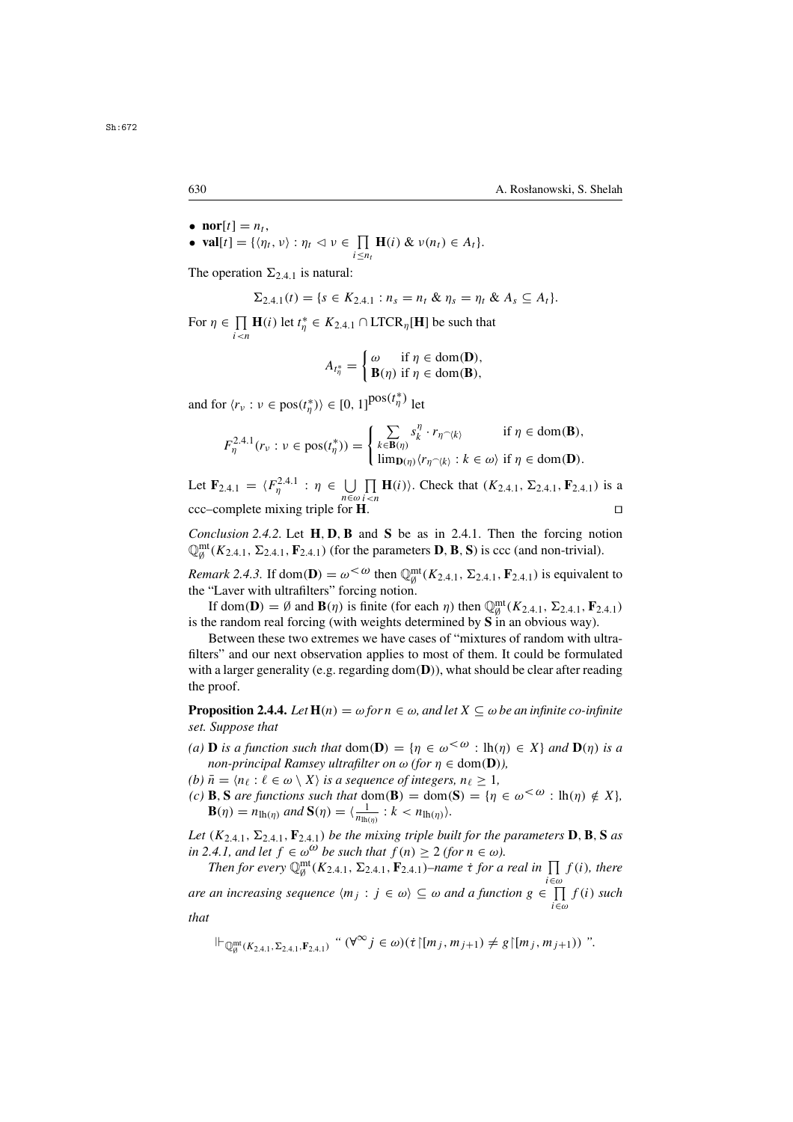- $\text{nor}[t] = n_t,$ <br>•  $\text{val}[t] = \{n_t\}$
- **val**[t] = { $\langle \eta_t, v \rangle : \eta_t \vartriangleleft v \in \prod_{i \leq n_t} \mathbf{H}(i) \& v(n_t) \in A_t$  }.  $i \leq n_t$

The operation  $\Sigma_{2,4,1}$  is natural:

$$
\Sigma_{2,4,1}(t) = \{s \in K_{2,4,1} : n_s = n_t \& \eta_s = \eta_t \& A_s \subseteq A_t\}.
$$

For  $\eta \in \prod_{i \leq n} \mathbf{H}(i)$  let  $t_{\eta}^* \in K_{2,4,1} \cap \text{LTCR}_{\eta}[\mathbf{H}]$  be such that

$$
A_{t_{\eta}^*} = \begin{cases} \omega & \text{if } \eta \in \text{dom}(\mathbf{D}), \\ \mathbf{B}(\eta) & \text{if } \eta \in \text{dom}(\mathbf{B}), \end{cases}
$$

and for  $\langle r_v : v \in \text{pos}(t^*_\eta) \rangle \in [0, 1]^{pos(t^*_\eta)}$  let

$$
F_{\eta}^{2.4.1}(r_{\nu} : \nu \in \text{pos}(t_{\eta}^*)) = \begin{cases} \sum_{k \in \mathbf{B}(\eta)} s_k^{\eta} \cdot r_{\eta} \sim \langle k \rangle & \text{if } \eta \in \text{dom}(\mathbf{B}), \\ \lim_{\mathbf{D}(\eta)} \langle r_{\eta} \sim \langle k \rangle : k \in \omega \rangle & \text{if } \eta \in \text{dom}(\mathbf{D}). \end{cases}
$$

Let  $\mathbf{F}_{2,4,1} = \langle F_{\eta}^{2,4,1} : \eta \in \bigcup_{n \in \omega}$ <br>ccc-complete mixing triple for **I**  $\prod_{i \le n}$  **H**(*i*)). Check that (*K*<sub>2.4.1</sub>,  $\Sigma_{2.4.1}$ , **F**<sub>2.4.1</sub>) is a  $\text{ccc}-\text{complete mixing triple for } \mathbf{H}.$ 

*Conclusion 2.4.2.* Let **<sup>H</sup>**, **<sup>D</sup>**,**<sup>B</sup>** and **<sup>S</sup>** be as in 2.4.1. Then the forcing notion  $\mathbb{Q}_{\emptyset}^{\text{mt}}(K_{2,4,1}, \Sigma_{2,4,1}, \mathbf{F}_{2,4,1})$  (for the parameters **D**, **B**, **S**) is ccc (and non-trivial).

*Remark 2.4.3.* If dom(**D**) =  $\omega^{\leq \omega}$  then  $\mathbb{Q}_{q}^{\text{mt}}(K_{2,4,1}, \Sigma_{2,4,1}, \mathbf{F}_{2,4,1})$  is equivalent to the "I aver with ultrafilters" forcing notion the "Laver with ultrafilters" forcing notion.

If dom(**D**) = Ø and **B**( $\eta$ ) is finite (for each  $\eta$ ) then  $\mathbb{Q}_{\theta}^{\text{mt}}(K_{2,4,1}, \Sigma_{2,4,1}, \mathbf{F}_{2,4,1})$ <br>le random real forcing (with weights determined by  $\mathbf{S}_{\theta}$  in an obvious way) is the random real forcing (with weights determined by **S** in an obvious way).

Between these two extremes we have cases of "mixtures of random with ultrafilters" and our next observation applies to most of them. It could be formulated with a larger generality (e.g. regarding dom(**D**)), what should be clear after reading the proof.

**Proposition 2.4.4.** *Let*  $H(n) = \omega$  *for*  $n \in \omega$ *, and let*  $X \subseteq \omega$  *be an infinite co-infinite set. Suppose that*

- *(a)* **D** *is a function such that*  $dom(\mathbf{D}) = \{ \eta \in \omega^{\leq \omega} : lh(\eta) \in X \}$  *and*  $\mathbf{D}(\eta)$  *is a non-principal Ramsey ultrafilter on*  $\omega$  *(for*  $\eta \in \text{dom}(\mathbf{D})$ *),*<br>*(b)*  $\bar{n} = \langle n_{\ell} : \ell \in \omega \setminus X \rangle$  *is a sequence of integers,*  $n_{\ell} \geq 1$ ,
- *(b)*  $\bar{n} = \langle n_{\ell} : \ell \in \omega \setminus X \rangle$  is a sequence of integers,  $n_{\ell} \geq 1$ ,  $\langle c \rangle$  **B** *S* are functions such that dom(**S**) dom(**S**) ln
- *(c)* **B**, **S** *are functions such that* dom(**B**) = dom(**S**) = { $\eta \in \omega^{<\omega}$  : lh( $\eta$ )  $\notin X$ },<br>**B**( $n$ ) =  $n_{\text{max}}$  and **S**( $n$ ) = { $\frac{1}{\sqrt{2}}$  :  $k \le n_{\text{max}}$  \)  $\mathbf{B}(\eta) = n_{\text{lh}(\eta)}$  *and*  $\mathbf{S}(\eta) = \langle \frac{1}{n_{\text{lh}(\eta)}} : k < n_{\text{lh}(\eta)} \rangle$ .

*Let*  $(K_{2,4,1}, \Sigma_{2,4,1}, \mathbf{F}_{2,4,1})$  *be the mixing triple built for the parameters* **D**, **B**, **S** *as in 2.4.1, and let*  $f \in \omega^{\omega}$  *be such that*  $f(n) \geq 2$  *(for*  $n \in \omega$ *).* 

*Then for every*  $\mathbb{Q}_{\emptyset}^{\text{mt}}(K_{2,4,1}, \Sigma_{2,4,1}, \mathbf{F}_{2,4,1})$ *–name t for a real in*  $\prod_{i \in \omega} f(i)$ *, there are an increasing sequence*  $\langle m_j : j \in \omega \rangle \subseteq \omega$  *and a function*  $g \in \prod_{i \in \omega}^{i \in \omega} f(i)$  *such* that

*that*

$$
\Vdash_{\mathbb{Q}_{\emptyset}^{\text{mt}}(K_{2,4,1},\Sigma_{2,4,1},\mathbf{F}_{2,4,1})} \text{``}(\forall^{\infty}j\in\omega)(\dot{\tau}\upharpoonright[m_j,m_{j+1})\neq g\upharpoonright[m_j,m_{j+1}))\text{''}.
$$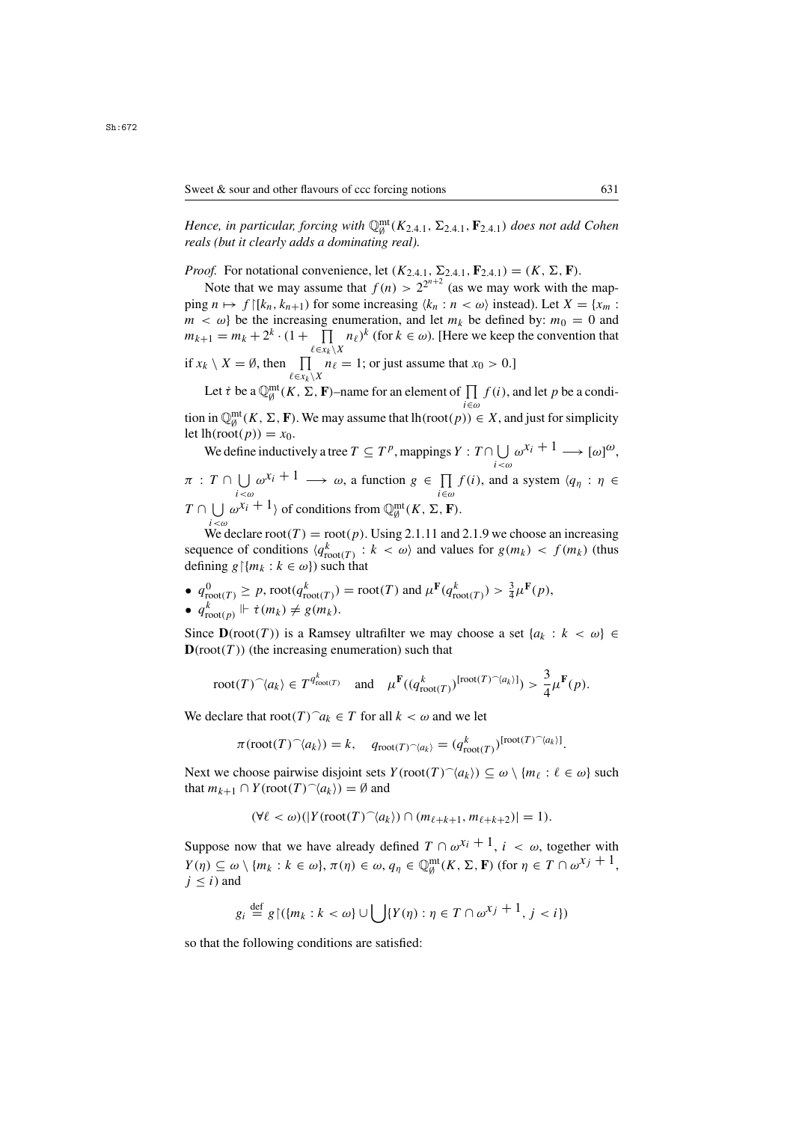*Hence, in particular, forcing with*  $\mathbb{Q}_{g}^{\text{mt}}(K_{2,4,1}, \Sigma_{2,4,1}, \mathbf{F}_{2,4,1})$  *does not add Cohen* reals (but it clearly adds a dominating real) *reals (but it clearly adds a dominating real).*

*Proof.* For notational convenience, let  $(K_{2,4,1}, \Sigma_{2,4,1}, \mathbf{F}_{2,4,1}) = (K, \Sigma, \mathbf{F})$ .

Note that we may assume that  $f(n) > 2^{2^{n+2}}$  (as we may work with the map-<br> $f \in \mathbb{R}^n$   $k \geq 0$  for some increasing  $(k + n < \omega)$  instead) Let  $X = \{x \}$ . ping  $n \mapsto f$  [[ $k_n, k_{n+1}$ ] for some increasing  $\langle k_n : n \langle \omega \rangle$  instead). Let  $X = \{x_m : n \leq n\}$  $m < \omega$  be the increasing enumeration, and let  $m_k$  be defined by:  $m_0 = 0$  and  $m_{k+1} = m_k + 2^k \cdot (1 + \prod_{\ell \in x_k \setminus X} n_\ell)^k$  (for  $k \in \omega$ ). [Here we keep the convention that  $\ell \in x_k \setminus X$ if  $x_k \setminus X = \emptyset$ , then  $\prod_{\ell \in x_k \setminus X} n_\ell = 1$ ; or just assume that  $x_0 > 0$ .]

Let  $\dot{\tau}$  be a  $\mathbb{Q}_{\beta}^{\text{mt}}(K, \Sigma, \mathbf{F})$ –name for an element of  $\prod_{i \in \omega} f(i)$ , and let p be a condition in  $\mathbb{Q}_{\emptyset}^{\text{mt}}(K, \Sigma, \mathbf{F})$ . We may assume that  $lh(\text{root}(p)) \in X$ , and just for simplicity let  $lh(\text{root}(p)) = x_0$ let  $lh(root(p)) = x_0$ .

We define inductively a tree  $T \subseteq T^p$ , mappings  $Y : T \cap \bigcup_{i < \omega} \omega^{x_i} + 1 \longrightarrow [\omega]^{\omega}$ ,

 $\pi$ :  $T \cap \bigcup_{i < \omega} \omega^{x_i} + 1 \longrightarrow \omega$ , a function  $g \in \prod_{i \in \omega} f(i)$ , and a system  $\langle q_\eta : \eta \in \mathbb{R}^n \rangle$  $T \cap \bigcup_{i < \omega} \omega^{x_i} + 1$  of conditions from  $\mathbb{Q}_{\emptyset}^{\text{mt}}(K, \Sigma, \mathbf{F})$ .

We declare root(T) = root(p). Using 2.1.11 and 2.1.9 we choose an increasing<br>uence of conditions  $(a^k \t k < \omega)$  and values for  $g(m) < f(m)$  (thus) sequence of conditions  $\langle q_{\text{root}(T)}^k : k < \omega \rangle$  and values for  $g(m_k) < f(m_k)$  (thus defining  $g\{m_k : k \in \omega\}$ ) such that defining  $g{\upharpoonright} \{m_k : k \in \omega\}$  such that

•  $q_{\text{root}(T)}^0 \ge p$ ,  $\text{root}(q_{\text{root}(T)}^k) = \text{root}(T)$  and  $\mu^{\mathbf{F}}(q_{\text{root}(T)}^k) > \frac{3}{4}\mu^{\mathbf{F}}(p)$ , •  $q_{\text{root}(p)}^k \Vdash \dot{\tau}(m_k) \neq g(m_k).$ 

Since  $\mathbf{D}(\text{root}(T))$  is a Ramsey ultrafilter we may choose a set  $\{a_k : k < \omega\} \in$  $D(root(T))$  (the increasing enumeration) such that

$$
\text{root}(T)^{\frown}\langle a_k\rangle \in T^{q^k_{\text{root}(T)}} \quad \text{and} \quad \mu^{\mathbf{F}}((q^k_{\text{root}(T)})^{[\text{root}(T)^{\frown}\langle a_k\rangle]}) > \frac{3}{4}\mu^{\mathbf{F}}(p).
$$

We declare that  $\text{root}(T)^\frown a_k \in T$  for all  $k < \omega$  and we let

$$
\pi(\text{root}(T)^{\frown}\langle a_k \rangle) = k, \quad q_{\text{root}(T)^{\frown}\langle a_k \rangle} = (q_{\text{root}(T)}^k)^{[\text{root}(T)^{\frown}\langle a_k \rangle]}
$$

Next we choose pairwise disjoint sets  $Y(\text{root}(T) \hat{ }\langle a_k \rangle) \subseteq \omega \setminus \{m_\ell : \ell \in \omega\}$  such that  $m_{\ell+1} \cap Y(\text{root}(T) \hat{ }\langle a_k \rangle) = \emptyset$  and that  $m_{k+1} \cap Y(\text{root}(T) \hat{\;} \langle a_k \rangle) = \emptyset$  and

$$
(\forall \ell < \omega)(|Y(\text{root}(T)^{\frown}\langle a_k \rangle) \cap (m_{\ell+k+1}, m_{\ell+k+2})| = 1).
$$

Suppose now that we have already defined  $T \cap \omega^{x_i + 1}$ ,  $i < \omega$ , together with  $Y(\eta) \subseteq \omega \setminus \{m_k : k \in \omega\}, \pi(\eta) \in \omega, q_\eta \in \mathbb{Q}_{\emptyset}^{\text{mt}}(K, \Sigma, \mathbf{F}) \text{ (for } \eta \in T \cap \omega^{X_j} + 1,$ <br>*i < i)* and  $j \leq i$ ) and

$$
g_i \stackrel{\text{def}}{=} g \upharpoonright (\{m_k : k < \omega\} \cup \bigcup \{Y(\eta) : \eta \in T \cap \omega^{x_j + 1}, j < i\})
$$

so that the following conditions are satisfied: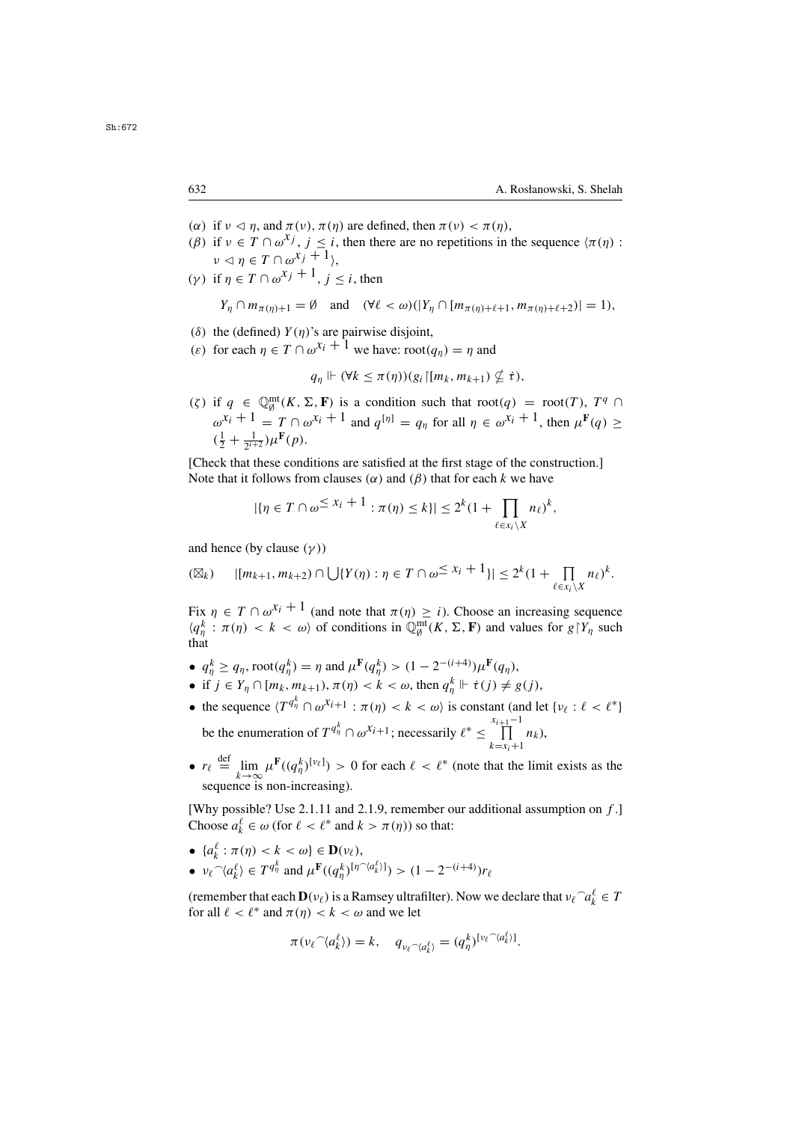- (α) if  $v \le \eta$ , and  $\pi(v)$ ,  $\pi(\eta)$  are defined, then  $\pi(v) < \pi(\eta)$ ,<br>(β) if  $v \in T \cap \omega^X$ ,  $i \le i$  then there are no repetitions in
- (β) if  $v \in T \cap \omega^{x_j}$ ,  $j \le i$ , then there are no repetitions in the sequence  $\langle \pi(\eta) :$ <br> $\omega \in T \cap \omega^{x_j} + 1$  $\nu \lhd \eta \in T \cap \omega^{x_j+1}$ .
- (γ) if  $\eta \in T \cap \omega^{x_j+1}$ ,  $i < i$ , then

$$
Y_{\eta} \cap m_{\pi(\eta)+1} = \emptyset \quad \text{and} \quad (\forall \ell < \omega)(|Y_{\eta} \cap [m_{\pi(\eta)+\ell+1}, m_{\pi(\eta)+\ell+2})| = 1),
$$

- (δ) the (defined)  $Y(\eta)$ 's are pairwise disjoint,<br>(c) for each  $n \in T \cap \omega^{X_i} + 1$  we have root(
- (ε) for each  $\eta \in T \cap \omega^{x_i} + 1$  we have:  $\text{root}(q_\eta) = \eta$  and

$$
q_{\eta} \Vdash (\forall k \leq \pi(\eta))(g_i \upharpoonright [m_k, m_{k+1}) \nsubseteq \dot{\tau}),
$$

(ζ) if  $q \in \mathbb{Q}_{\emptyset}^{\text{mt}}(K, \Sigma, \mathbf{F})$  is a condition such that  $\text{root}(q) = \text{root}(T), T^q \cap$ <br> $x_i + 1$   $T \cap \mathbb{Q}$ ,  $x_i + 1$  and  $[x]$  for  $\mathbb{Q}_{\emptyset}$  for  $\mathbb{Q}_{\emptyset}$ .  $\omega^{x_i}$  + 1 = T  $\cap$   $\omega^{x_i}$  + 1 and  $q^{[\eta]} = q_{\eta}$  for all  $\eta \in \omega^{x_i}$  + 1, then  $\mu^{\mathbf{F}}(q) \geq$  $(\frac{1}{2} + \frac{1}{2^{i+2}})\mu^{\mathbf{F}}(p).$ 

[Check that these conditions are satisfied at the first stage of the construction.] Note that it follows from clauses ( $\alpha$ ) and ( $\beta$ ) that for each k we have

$$
|\{\eta \in T \cap \omega^{\leq X_i+1} : \pi(\eta) \leq k\}| \leq 2^k (1 + \prod_{\ell \in x_i \setminus X} n_\ell)^k,
$$

and hence (by clause  $(\gamma)$ )

$$
(\boxtimes_k) \qquad |[m_{k+1},m_{k+2}) \cap \bigcup \{Y(\eta): \eta \in T \cap \omega \leq x_i+1\}| \leq 2^k (1+\prod_{\ell \in x_i \setminus X} n_\ell)^k.
$$

Fix  $\eta \in T \cap \omega^{x_i+1}$  (and note that  $\pi(\eta) \geq i$ ). Choose an increasing sequence  $\langle q_n^k : \pi(\eta) < k < \omega \rangle$  of conditions in  $\mathbb{Q}_{\emptyset}^{\text{mt}}(K, \Sigma, \mathbf{F})$  and values for  $g|Y_{\eta}$  such that that

- $q_h^k \ge q_\eta$ , root $(q_\eta^k) = \eta$  and  $\mu^F(q_h^k) > (1 2^{-(i+4)})\mu^F(q_\eta)$ ,
- if  $j \in Y_\eta \cap [m_k, m_{k+1}), \pi(\eta) < k < \omega$ , then  $q_\eta^k \Vdash \dot{\tau}(j) \neq g(j)$ ,
- the sequence  $\langle T^{q_n^k} \cap \omega^{x_{i+1}} : \pi(\eta) < k < \omega \rangle$  is constant (and let  $\{v_\ell : \ell < \ell^* \}$ ) be the enumeration of  $T^{q_{\eta}^k} \cap \omega^{x_{i+1}}$ ; necessarily  $\ell^* \leq \prod_{k=x_i+1}^{x_{i+1}-1}$  $\prod_{k=x_i+1} n_k$
- $r_{\ell} \stackrel{\text{def}}{=} \lim_{k \to \infty} \mu^{\mathbf{F}}((q_{\eta}^k)^{[\nu_{\ell}]}) > 0$  for each  $\ell < \ell^*$  (note that the limit exists as the sequence is non-increasing) sequence is non-increasing).

[Why possible? Use 2.1.11 and 2.1.9, remember our additional assumption on  $f$ .] Choose  $a_k^{\ell} \in \omega$  (for  $\ell < \ell^*$  and  $k > \pi(\eta)$ ) so that:

•  $\{a_k^{\ell} : \pi(\eta) < k < \omega\} \in \mathbf{D}(\nu_{\ell}),$ <br>  $\widehat{\phantom{a}}$ ,  $\widehat{\phantom{a}}$ ,  $\widehat{\phantom{a}}$ ,  $\widehat{\phantom{a}}$ ,  $\widehat{\phantom{a}}$ ,  $\widehat{\phantom{a}}$ ,  $\widehat{\phantom{a}}$ ,  $\widehat{\phantom{a}}$ ,  $\widehat{\phantom{a}}$ ,  $\widehat{\phantom{a}}$ ,  $\widehat{\phantom{a}}$ ,  $\widehat{\phantom{a}}$ ,  $\widehat{\phantom{a}}$ ,  $\widehat{\phantom{a}}$ •  $v_{\ell} \hat{a}_{k}^{(\ell)} \in T^{q_{\eta}^{k}}$  and  $\mu^{\mathbf{F}}((q_{\eta}^{k})^{[\eta \hat{a}_{k}^{(\ell)}])} > (1 - 2^{-(i+4)})$ η )  $\overline{\phantom{a}}$ 

(remember that each  $\mathbf{D}(v_\ell)$  is a Ramsey ultrafilter). Now we declare that  $v_\ell \cap a_k^\ell \in T$  for all  $\ell < \ell^*$  and  $\pi(n) < k < \omega$  and we let for all  $\ell < \ell^*$  and  $\pi(\eta) < k < \omega$  and we let

$$
\pi(\nu_{\ell} \widehat{\phantom{\alpha}} \langle a_k^{\ell} \rangle) = k, \quad q_{\nu_{\ell} \widehat{\phantom{\alpha}} \langle a_k^{\ell} \rangle} = (q_{\eta}^{k})^{[\nu_{\ell} \widehat{\phantom{\alpha}} \langle a_k^{\ell} \rangle]}.
$$

Sh:672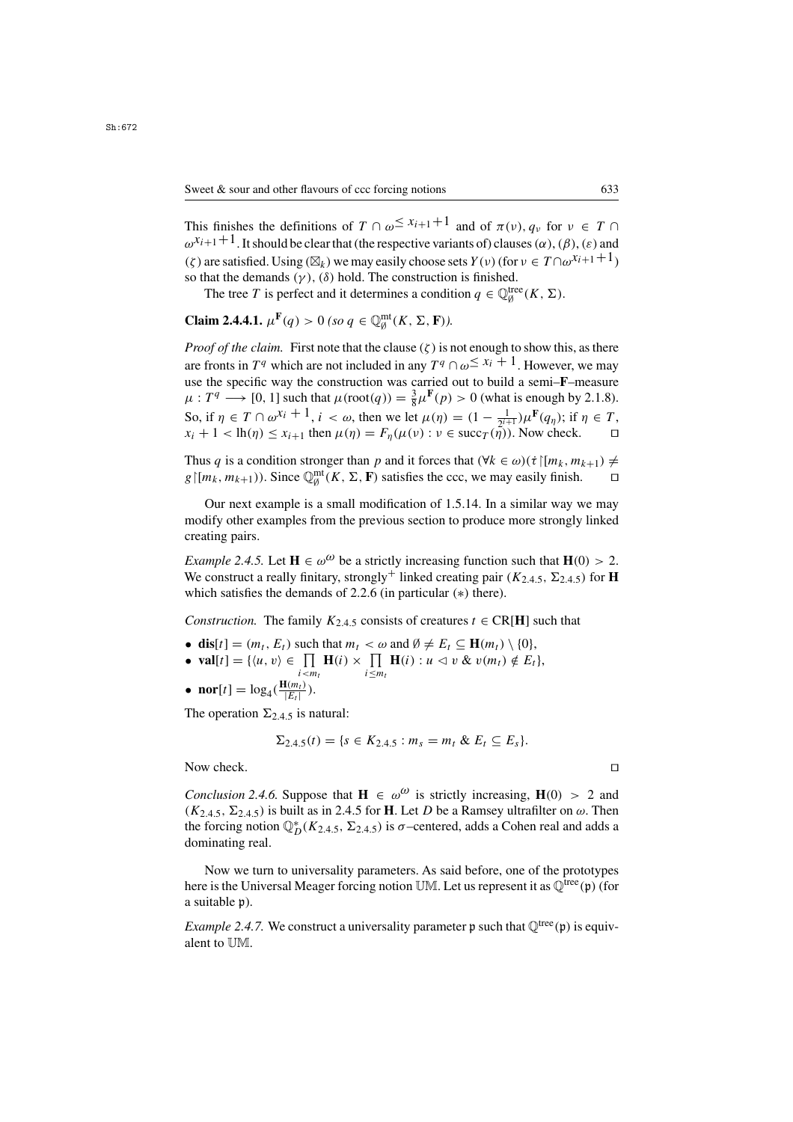This finishes the definitions of  $T \cap \omega \leq x_{i+1}+1$  and of  $\pi(\nu)$ ,  $q_{\nu}$  for  $\nu \in T \cap$  $\omega^{x_{i+1}+1}$ . It should be clear that (the respective variants of) clauses ( $\alpha$ ), ( $\beta$ ), ( $\varepsilon$ ) and (ζ) are satisfied. Using  $(\boxtimes_k)$  we may easily choose sets  $Y(v)$  (for  $v \in T \cap \omega^{x_i+1}$ ) so that the demands  $(\gamma)$ ,  $(\delta)$  hold. The construction is finished.

The tree T is perfect and it determines a condition  $q \in \mathbb{Q}_\emptyset^{\text{tree}}(K, \Sigma)$ .

**Claim 2.4.4.1.**  $\mu^{\mathbf{F}}(q) > 0$  *(so q*  $\in \mathbb{Q}_{\emptyset}^{\text{mt}}(K, \Sigma, \mathbf{F})$ *).* 

*Proof of the claim.* First note that the clause  $(\zeta)$  is not enough to show this, as there are fronts in  $T^q$  which are not included in any  $T^q \cap \omega \leq x_i + 1$ . However, we may use the specific way the construction was carried out to build a semi–**F**–measure  $\mu: T^q \longrightarrow [0, 1]$  such that  $\mu(\text{root}(q)) = \frac{3}{8} \mu^F(p) > 0$  (what is enough by 2.1.8). So, if  $\eta \in T \cap \omega^{X_i} + 1$ ,  $i < \omega$ , then we let  $\mu(\eta) = (1 - \frac{1}{2^{i+1}})\mu^F(q_\eta)$ ; if  $\eta \in T$ ,  $x_i + 1 < h(n) < x_{i+1}$  then  $\mu(n) = F_n(\mu(\nu) : \nu \in \text{succ}(T(n))$ . Now check  $x_i + 1 < \text{lh}(\eta) \le x_{i+1}$  then  $\mu(\eta) = F_{\eta}(\mu(\nu) : \nu \in \text{succ}_T(\eta))$ . Now check.

Thus q is a condition stronger than p and it forces that  $(\forall k \in \omega)(\tau \mid [m_k, m_{k+1}) \neq$ <br> $e \mid [m_k, m_{k+1})$ ). Since  $\mathbb{O}_{m}^{\text{mt}}(K, \Sigma, \mathbf{F})$  satisfies the ccc, we may easily finish.  $g \mid [m_k, m_{k+1})$ ). Since  $\mathbb{Q}_{\emptyset}^{\text{mt}}(K, \Sigma, \mathbf{F})$  satisfies the ccc, we may easily finish. □

Our next example is a small modification of 1.5.14. In a similar way we may modify other examples from the previous section to produce more strongly linked creating pairs.

*Example 2.4.5.* Let  $\mathbf{H} \in \omega^{\omega}$  be a strictly increasing function such that  $\mathbf{H}(0) > 2$ . We construct a really finitary, strongly<sup>+</sup> linked creating pair ( $K_{2,4,5}$ ,  $\Sigma_{2,4,5}$ ) for **H** which satisfies the demands of 2.2.6 (in particular (∗) there).

*Construction.* The family  $K_{2,4,5}$  consists of creatures  $t \in \text{CR}[\mathbf{H}]$  such that

• **dis**[t] =  $(m_t, E_t)$  such that  $m_t < \omega$  and  $\emptyset \neq E_t \subseteq \mathbf{H}(m_t) \setminus \{0\},\$ 

• 
$$
\text{val}[t] = \{ \langle u, v \rangle \in \prod_{i < m_t} \mathbf{H}(i) \times \prod_{i \le m_t} \mathbf{H}(i) : u \le v \& v(m_t) \notin E_t \},\
$$

• **nor**[t] =  $\log_4(\frac{\mathbf{H}(m_t)}{|E_t|})$ .

The operation  $\Sigma_{2,4,5}$  is natural:

$$
\Sigma_{2,4.5}(t) = \{s \in K_{2,4.5} : m_s = m_t \& E_t \subseteq E_s\}.
$$

Now check.

*Conclusion 2.4.6.* Suppose that  $H \in \omega^{\omega}$  is strictly increasing,  $H(0) > 2$  and  $(K_{2,4,5}, \Sigma_{2,4,5})$  is built as in 2.4.5 for **H**. Let D be a Ramsey ultrafilter on  $\omega$ . Then the forcing notion  $\mathbb{Q}_D^*(K_{2,4,5}, \Sigma_{2,4,5})$  is  $\sigma$ -centered, adds a Cohen real and adds a dominating real dominating real.

Now we turn to universality parameters. As said before, one of the prototypes here is the Universal Meager forcing notion UM. Let us represent it as  $\mathbb{Q}^{\text{tree}}(\mathfrak{p})$  (for a suitable p).

*Example 2.4.7.* We construct a universality parameter  $p$  such that  $\mathbb{Q}^{\text{tree}}(p)$  is equivalent to UM.

$$
\Box
$$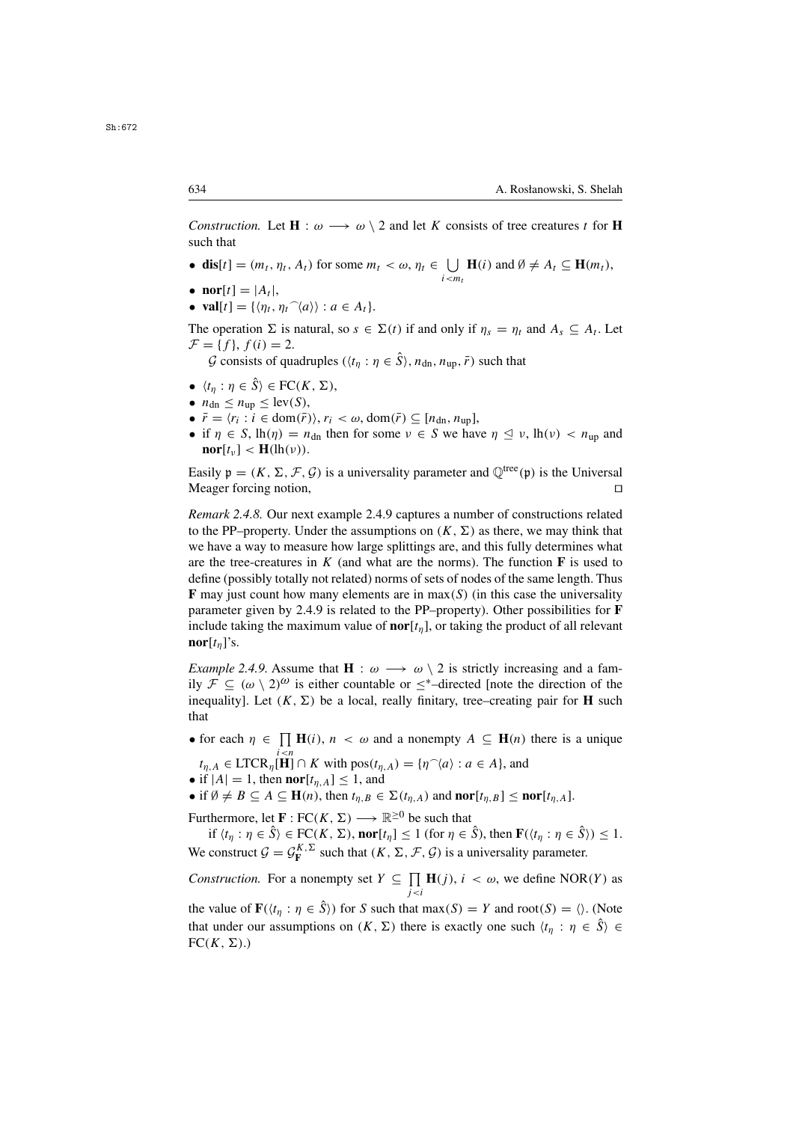*Construction.* Let  $\mathbf{H}$  :  $\omega \longrightarrow \omega \setminus 2$  and let K consists of tree creatures t for **H** such that

• **dis**[t] =  $(m_t, \eta_t, A_t)$  for some  $m_t < \omega, \eta_t \in \bigcup_{i \le m_t} \mathbf{H}(i)$  and  $\emptyset \neq A_t \subseteq \mathbf{H}(m_t)$ ,

 $\mathcal{L}$ 

- $\textbf{nor}[t] = |A_t|$ ,
- **val**[t] = { $\langle \eta_t, \eta_t \hat{\;} \langle a \rangle \rangle : a \in A_t$  }.

The operation  $\Sigma$  is natural, so  $s \in \Sigma(t)$  if and only if  $\eta_s = \eta_t$  and  $A_s \subseteq A_t$ . Let  $\mathcal{F} = \{f\}, f(i) = 2.$ G consists of quadruples  $(\langle t_n : \eta \in \hat{S} \rangle, n_{dn}, n_{up}, \bar{r})$  such that

- $\langle t_n : \eta \in \hat{S} \rangle \in FC(K, \Sigma),$
- $n_{\text{dn}} < n_{\text{un}} < \text{lev}(S)$ ,
- $\bar{r} = \langle r_i : i \in \text{dom}(\bar{r}) \rangle, r_i \langle \omega, \text{dom}(\bar{r}) \rangle \subseteq [n_{dn}, n_{un}],$
- if  $\eta \in S$ ,  $lh(\eta) = n_{dn}$  then for some  $\nu \in S$  we have  $\eta \leq \nu$ ,  $lh(\nu) < n_{up}$  and nor  $[t, \cdot] < H(lh(\nu))$  $\mathbf{nor}[t_{\nu}] < \mathbf{H}(\mathrm{lh}(\nu)).$

Easily  $\mathfrak{p} = (K, \Sigma, \mathcal{F}, \mathcal{G})$  is a universality parameter and  $\mathbb{Q}^{\text{tree}}(\mathfrak{p})$  is the Universal Meager forcing notion Meager forcing notion,

*Remark 2.4.8.* Our next example 2.4.9 captures a number of constructions related to the PP–property. Under the assumptions on  $(K, \Sigma)$  as there, we may think that we have a way to measure how large splittings are, and this fully determines what are the tree-creatures in  $K$  (and what are the norms). The function  $\bf{F}$  is used to define (possibly totally not related) norms of sets of nodes of the same length. Thus **F** may just count how many elements are in  $max(S)$  (in this case the universality parameter given by 2.4.9 is related to the PP–property). Other possibilities for **F** include taking the maximum value of  $\text{nor}[t_n]$ , or taking the product of all relevant **nor** $[t_n]$ 's.

*Example 2.4.9.* Assume that **H** :  $\omega \rightarrow \omega \setminus 2$  is strictly increasing and a family  $\mathcal{F} \subseteq (\omega \setminus 2)^{\omega}$  is either countable or  $\leq^*$ -directed [note the direction of the inequality]. Let  $(K, \Sigma)$  be a local, really finitary, tree–creating pair for **H** such that

• for each  $\eta \in \prod_{i \leq n} \mathbf{H}(i)$ ,  $n < \omega$  and a nonempty  $A \subseteq \mathbf{H}(n)$  there is a unique

 $t_{\eta,A} \in \text{LTCR}_{\eta}[\mathbf{H}] \cap K$  with  $\text{pos}(t_{\eta,A}) = {\eta^{\frown}(a) : a \in A}$ , and if  $|A| = 1$ , then **nor**[ $t_{\eta,A}$ ] < 1 and

• if  $|A| = 1$ , then **nor** $[t_{\eta,A}] \leq 1$ , and

• if  $\emptyset \neq B \subseteq A \subseteq \mathbf{H}(n)$ , then  $t_{\eta,B} \in \Sigma(t_{\eta,A})$  and  $\textbf{nor}[t_{\eta,B}] \leq \textbf{nor}[t_{\eta,A}]$ .

Furthermore, let **F** :  $FC(K, \Sigma) \longrightarrow \mathbb{R}^{\geq 0}$  be such that

if  $\langle t_n : \eta \in \hat{S} \rangle \in FC(K, \Sigma)$ , **nor** $[t_n] \leq 1$  (for  $\eta \in \hat{S}$ ), then  $\mathbf{F}(\langle t_n : \eta \in \hat{S} \rangle) \leq 1$ . We construct  $\mathcal{G} = \mathcal{G}_{\mathbf{F}}^{K,2}$  such that  $(K, \Sigma, \mathcal{F}, \mathcal{G})$  is a universality parameter.

*Construction.* For a nonempty set  $Y \subseteq \prod_{j < i} \mathbf{H}(j)$ ,  $i < \omega$ , we define NOR(Y) as

the value of **F**( $\langle t_{\eta} : \eta \in \hat{S} \rangle$ ) for S such that max(S) = Y and root(S) =  $\langle \rangle$ . (Note that under our assumptions on  $(K, \Sigma)$  there is exactly one such  $\langle t_n : \eta \in \hat{S} \rangle \in$  $FC(K, \Sigma).$ 

Sh:672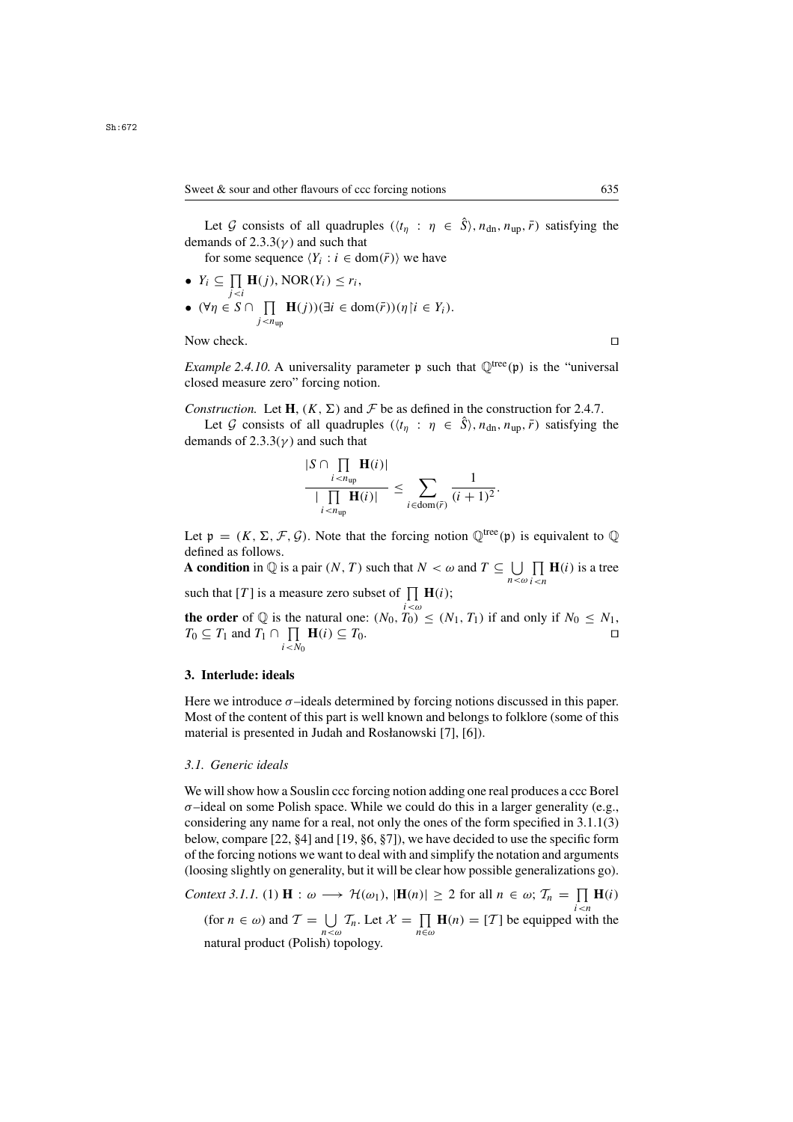Let G consists of all quadruples  $((t_n : \eta \in \hat{S}), n_{dn}, n_{up}, \bar{r})$  satisfying the demands of  $2.3.3(\nu)$  and such that

for some sequence  $\langle Y_i : i \in \text{dom}(\bar{r}) \rangle$  we have

•  $Y_i \subseteq \prod_{j, NOR $(Y_i) \leq r_i$ ,<br>
•  $\Theta \subseteq S \cap \prod_{j$$ •  $(\forall \eta \in S \cap \prod_{j \le n_{\text{up}}}$ **H** $(j)$ )(∃*i* ∈ dom $(\bar{r})$ )( $\eta$ | $i \in Y_i$ ).  $j$  <  $n_{\text{up}}$ 

Now check.

*Example 2.4.10.* A universality parameter  $p$  such that  $\mathbb{Q}^{tree}(p)$  is the "universal closed measure zero" forcing notion.

*Construction.* Let **H**,  $(K, \Sigma)$  and  $\mathcal F$  be as defined in the construction for 2.4.7.

Let G consists of all quadruples  $(\langle t_n : \eta \in \hat{S} \rangle, n_{dn}, n_{up}, \bar{r})$  satisfying the demands of  $2.3.3(\nu)$  and such that

$$
\frac{|S \cap \prod_{i < n_{\text{up}}} \mathbf{H}(i)|}{|\prod_{i < n_{\text{up}}} \mathbf{H}(i)|} \leq \sum_{i \in \text{dom}(\overline{r})} \frac{1}{(i+1)^2}.
$$

Let  $\mathfrak{p} = (K, \Sigma, \mathcal{F}, \mathcal{G})$ . Note that the forcing notion  $\mathbb{Q}^{\text{tree}}(\mathfrak{p})$  is equivalent to  $\mathbb{Q}$ defined as follows.

**A condition** in  $\mathbb{Q}$  is a pair  $(N, T)$  such that  $N < \omega$  and  $T \subseteq \bigcup_{n < \omega}$ <br>such that [T] is a measure zero subset of  $\Pi$  **H**(i).  $\prod_{i \leq n}$ **H**(*i*) is a tree

such that [T] is a measure zero subset of  $\prod_{i < \omega} \mathbf{H}(i)$ ; **the order** of  $\mathbb{Q}$  is the natural one:  $(N_0, T_0) \leq (N_1, T_1)$  if and only if  $N_0 \leq N_1$ ,  $T_0 \subset T_1$  and  $T_1 \cap \prod_{i=1}^n H(i) \subset T_0$  $T_0 \subseteq T_1$  and  $T_1 \cap \prod_{i \leq N_0} \mathbf{H}(i) \subseteq T_0$ .

#### **3. Interlude: ideals**

Here we introduce  $\sigma$ -ideals determined by forcing notions discussed in this paper. Most of the content of this part is well known and belongs to folklore (some of this material is presented in Judah and Rosłanowski [7], [6]).

## *3.1. Generic ideals*

We will show how a Souslin ccc forcing notion adding one real produces a ccc Borel  $\sigma$ –ideal on some Polish space. While we could do this in a larger generality (e.g., considering any name for a real, not only the ones of the form specified in 3.1.1(3) below, compare [22, §4] and [19, §6, §7]), we have decided to use the specific form of the forcing notions we want to deal with and simplify the notation and arguments (loosing slightly on generality, but it will be clear how possible generalizations go).

*Context 3.1.1.* (1) **H** :  $\omega \longrightarrow \mathcal{H}(\omega_1)$ ,  $|\mathbf{H}(n)| \geq 2$  for all  $n \in \omega$ ;  $\mathcal{T}_n = \prod_{i \leq n} \mathbf{H}(i)$ (for  $n \in \omega$ ) and  $\mathcal{T} = \bigcup_{n \leq \omega} \mathcal{T}_n$ . Let  $\mathcal{X} = \prod_{n \in \omega} \mathbf{H}(n) = [\mathcal{T}]$  be equipped with the natural product (Polish) topology natural product (Polish) topology.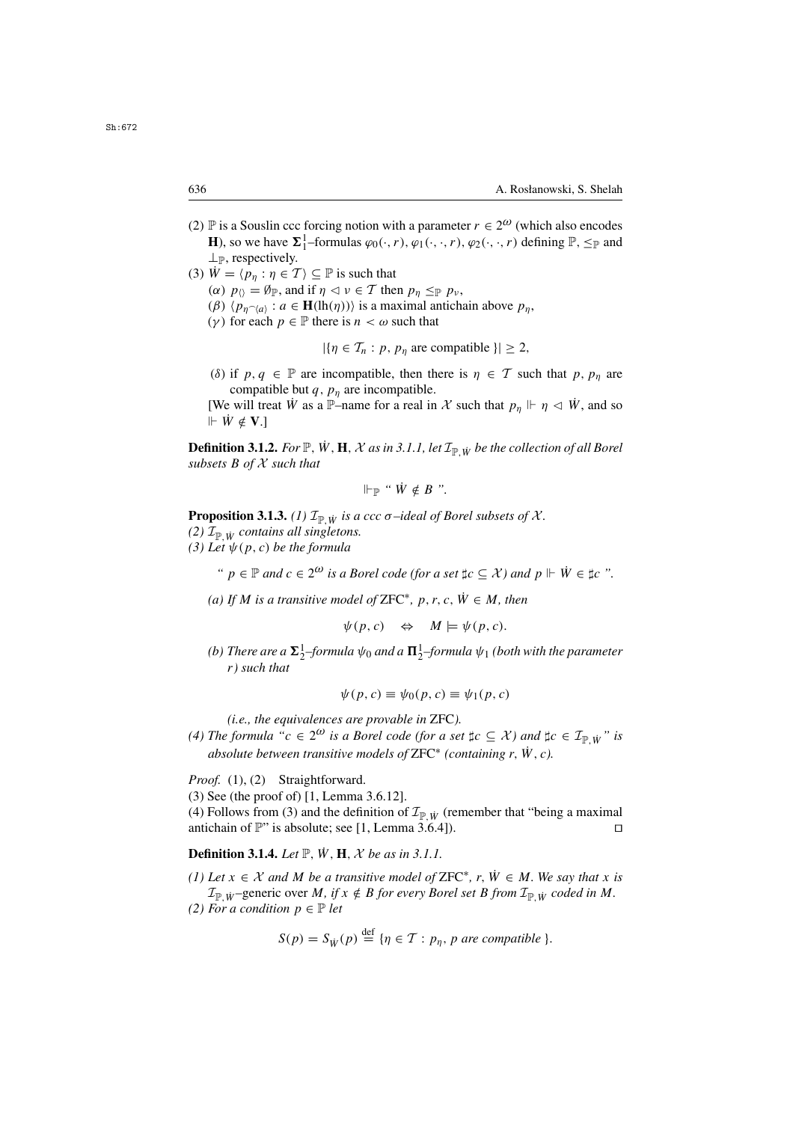- (2) P is a Souslin ccc forcing notion with a parameter  $r \in 2^{\omega}$  (which also encodes **H**), so we have  $\Sigma_1^1$ -formulas  $\varphi_0(\cdot, r)$ ,  $\varphi_1(\cdot, \cdot, r)$ ,  $\varphi_2(\cdot, \cdot, r)$  defining  $\mathbb{P}, \leq_{\mathbb{P}}$  and  $\perp_{\mathbb{P}}$ , respectively.
- (3)  $\dot{W} = \langle p_n : \eta \in \mathcal{T} \rangle \subseteq \mathbb{P}$  is such that ( $\alpha$ )  $p_{\langle} = \emptyset_{\mathbb{P}}$ , and if  $\eta \leq \nu \in \mathcal{T}$  then  $p_{\eta} \leq_{\mathbb{P}} p_{\nu}$ , (β)  $\langle p_{\eta \gamma(a)} : a \in \mathbf{H}(\text{lh}(\eta)) \rangle$  is a maximal antichain above  $p_{\eta}$ ,<br>(γ) for each  $n \in \mathbb{P}$  there is  $n < \omega$  such that
	- (γ) for each  $p \in \mathbb{P}$  there is  $n < \omega$  such that

 $|\{\eta \in \mathcal{T}_n : p, p_\eta \text{ are compatible }\}| \geq 2,$ 

(δ) if  $p, q \in \mathbb{P}$  are incompatible, then there is  $\eta \in \mathcal{T}$  such that p,  $p_n$  are compatible but  $q$ ,  $p_n$  are incompatible.

[We will treat W as a P–name for a real in X such that  $p_n \Vdash \eta \vartriangleleft W$ , and so  $\Vdash \dot{W} \notin \mathbf{V}$ .]

**Definition 3.1.2.** *For*  $\mathbb{P}$ *,*  $\dot{W}$ *,*  $H$ *,*  $\mathcal{X}$  *as in 3.1.1, let*  $\mathcal{I}_{\mathbb{P}}$  *iv be the collection of all Borel subsets* B *of* <sup>X</sup> *such that*

$$
\Vdash_{\mathbb{P}} \text{``}\dot{W} \notin B \text{''}.
$$

**Proposition 3.1.3.** *(1)*  $\mathcal{I}_{\mathbb{P}}$  *is a ccc*  $\sigma$ *-ideal of Borel subsets of*  $\mathcal{X}$ *.* 

- *(2)*  $\mathcal{I}_{\mathbb{P}}$  *iy contains all singletons.*
- $(3)$  *Let*  $\psi(p, c)$  *be the formula*

*"*  $p \in \mathbb{P}$  *and*  $c \in 2^{\omega}$  *is a Borel code (for a set*  $\sharp c \subseteq \mathcal{X}$ *) and*  $p \Vdash \dot{W} \in \sharp c$  ".

*(a)* If *M* is a transitive model of ZFC<sup>\*</sup>, p, r, c,  $\dot{W} \in M$ , then

 $\psi(p, c) \Leftrightarrow M \models \psi(p, c).$ 

*(b)* There are a  $\Sigma_2^1$ –formula  $\psi_0$  and a  $\Pi_2^1$ –formula  $\psi_1$  *(both with the parameter* r) such that r*) such that*

$$
\psi(p,c) \equiv \psi_0(p,c) \equiv \psi_1(p,c)
$$

*(i.e., the equivalences are provable in* ZFC*).*

*(4) The formula*  $^{\alpha}c \in 2^{\omega}$  *is a Borel code (for a set*  $\sharp c \subseteq \mathcal{X}$ *) and*  $\sharp c \in \mathcal{I}_{\mathbb{P}} w$  *" is absolute between transitive models of*  $ZFC^*$  *(containing r, W, c).* 

Proof. (1), (2) Straightforward.

(3) See (the proof of) [1, Lemma 3.6.12].

(4) Follows from (3) and the definition of  $\mathcal{I}_{\mathbb{P},\dot{W}}$  (remember that "being a maximal antichain of  $\mathbb{P}$ " is absolute; see [1, Lemma 3.6.4]). antichain of  $\mathbb{P}$ " is absolute; see [1, Lemma 3.6.4]).

**Definition 3.1.4.** *Let*  $\mathbb{P}$ ,  $\dot{W}$ ,  $H$ ,  $\mathcal{X}$  *be as in 3.1.1.* 

*(1)* Let  $x \in \mathcal{X}$  and M be a transitive model of ZFC<sup>\*</sup>, r,  $\dot{W} \in M$ . We say that x is  $\mathcal{I}_{\mathbb{P}\times\mathbb{W}}$  –generic over M, if  $x \notin B$  *for every Borel set* B *from*  $\mathcal{I}_{\mathbb{P}\times\mathbb{W}}$  *coded in* M. *(2) For a condition*  $p \in \mathbb{P}$  *let* 

$$
S(p) = S_{\dot{W}}(p) \stackrel{\text{def}}{=} \{ \eta \in \mathcal{T} : p_{\eta}, \, p \text{ are compatible } \}.
$$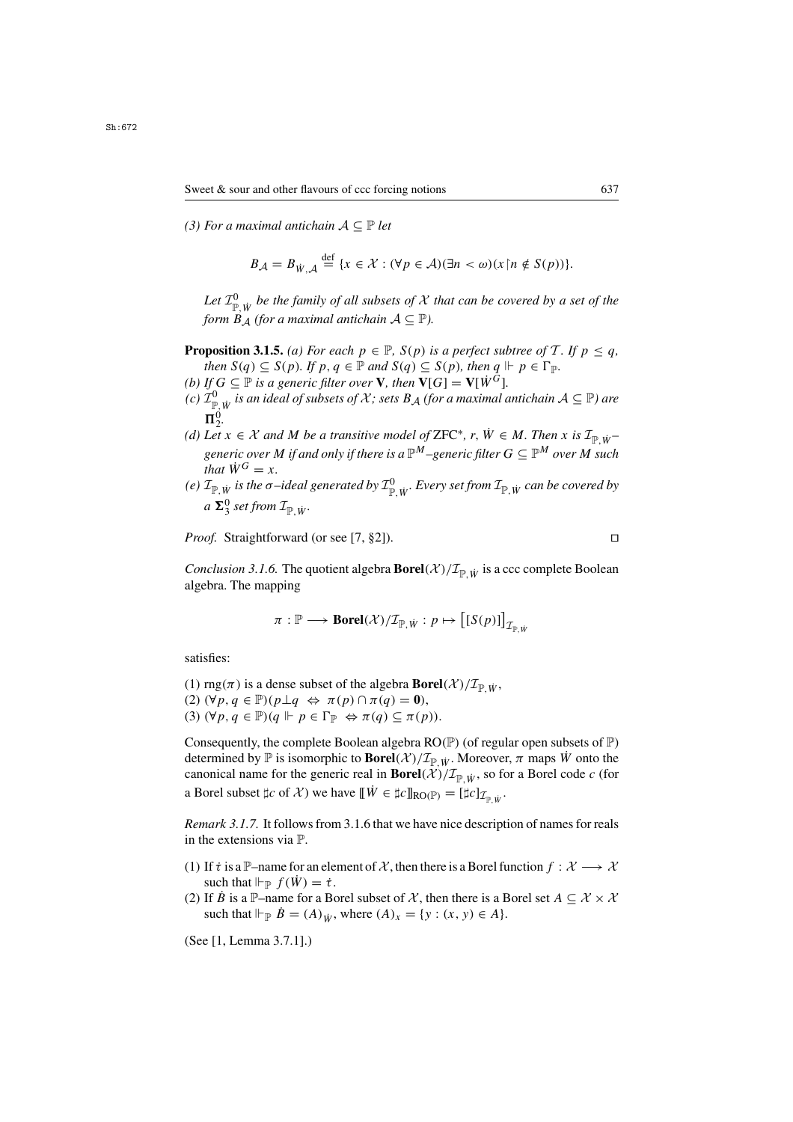*(3) For a maximal antichain*  $A \subseteq \mathbb{P}$  *let* 

$$
B_{\mathcal{A}} = B_{\dot{W}, \mathcal{A}} \stackrel{\text{def}}{=} \{ x \in \mathcal{X} : (\forall p \in \mathcal{A})(\exists n < \omega)(x \, \vert n \notin S(p)) \}.
$$

Let  $\mathcal{I}_{\mathbb{P}, \dot{W}}^0$  *be the family of all subsets of*  $\mathcal X$  *that can be covered by a set of the*<br>form  $B_A$  (for a maximal antichain  $A \subseteq \mathbb{P}$ ). *form*  $B_A$  *(for a maximal antichain*  $A \subseteq \mathbb{P}$ *).* 

- **Proposition 3.1.5.** *(a) For each*  $p \in \mathbb{P}$ *, S(p) is a perfect subtree of* T*. If*  $p \leq q$ *, then*  $S(q) \subseteq S(p)$ *. If*  $p, q \in \mathbb{P}$  *and*  $S(q) \subseteq S(p)$ *, then*  $q \Vdash p \in \Gamma_{\mathbb{P}}$ *.*
- *(b)* If  $G \subseteq \mathbb{P}$  *is a generic filter over* **V***, then*  $\mathbf{V}[G] = \mathbf{V}[\dot{W}^G]$ *.*
- *(c)*  $\mathcal{I}_{\mathbb{P},\dot{W}}^0$  *is an ideal of subsets of*  $X$ *; sets*  $B_A$  *(for a maximal antichain*  $A \subseteq \mathbb{P}$ *) are*<br> $\blacksquare^0$  $\Pi_2^0$ .
- *(d)* Let  $x \in \mathcal{X}$  and M be a transitive model of ZFC<sup>\*</sup>, r,  $\dot{W} \in M$ . Then x is  $\mathcal{I}_{\mathbb{P},\dot{W}}$ *generic over M if and only if there is a*  $\mathbb{P}^M$ –*generic filter*  $G \subseteq \mathbb{P}^M$  *over M such that*  $\dot{W}^G = x$ .
- *(e)*  $\mathcal{I}_{\mathbb{P},\dot{W}}$  *is the*  $\sigma$ *-ideal generated by*  $\mathcal{I}_{\mathbb{P},\dot{W}}^0$ *. Every set from*  $\mathcal{I}_{\mathbb{P},\dot{W}}$  *can be covered by*  $\sigma \sum_{i=1}^{n} \sigma_i$  *a*  $\sum_{i=1}^{n} \sigma_i$  $a \ \mathbf{\Sigma}_3^0$  set from  $\mathcal{I}_{\mathbb{P},\dot{W}}$ *.*

*Proof.* Straightforward (or see [7, §2]). □

*Conclusion 3.1.6.* The quotient algebra **Borel** $(\mathcal{X})/\mathcal{I}_{\mathbb{P} \times W}$  is a ccc complete Boolean algebra. The mapping

$$
\pi: \mathbb{P} \longrightarrow \text{Borel}(\mathcal{X})/\mathcal{I}_{\mathbb{P}, \dot{W}}: p \mapsto \big[[S(p)]\big]_{\mathcal{I}_{\mathbb{P}, \dot{W}}}
$$

satisfies:

(1)  $\text{rng}(\pi)$  is a dense subset of the algebra **Borel** $(\mathcal{X})/\mathcal{I}_{\text{p}}|_{\dot{W}},$ (2)  $(\forall p, q \in \mathbb{P})(p \perp q \Leftrightarrow \pi(p) \cap \pi(q) = 0),$ (3)  $(\forall p, q \in \mathbb{P})(q \Vdash p \in \Gamma_{\mathbb{P}} \Leftrightarrow \pi(q) \subseteq \pi(p)).$ 

Consequently, the complete Boolean algebra  $RO(\mathbb{P})$  (of regular open subsets of  $\mathbb{P}$ ) determined by  $\mathbb P$  is isomorphic to **Borel** $(\mathcal X)/\mathcal I_{\mathbb P \times W}$ . Moreover,  $\pi$  maps  $\dot{W}$  onto the canonical name for the generic real in **Borel** $(\mathcal{X})/\mathcal{I}_{\mathbb{P} W}$ , so for a Borel code c (for a Borel subset  $\sharp c$  of X) we have  $[\![\dot{W} \in \sharp c]\!]_{\text{RO}(\mathbb{P})} = [\sharp c]_{\mathcal{I}_{\mathbb{P} \cdot \dot{W}}}$ .

*Remark 3.1.7.* It follows from 3.1.6 that we have nice description of names for reals in the extensions via P.

- (1) If  $\tau$  is a P–name for an element of X, then there is a Borel function  $f: \mathcal{X} \longrightarrow \mathcal{X}$ such that  $\Vdash_{\mathbb{P}} f(\dot{W}) = \dot{\tau}$ .
- (2) If B is a P–name for a Borel subset of X, then there is a Borel set  $A \subseteq \mathcal{X} \times \mathcal{X}$ such that  $\Vdash_{\mathbb{P}} \dot{B} = (A)_{\dot{W}}$ , where  $(A)_{x} = \{y : (x, y) \in A\}.$

(See [1, Lemma 3.7.1].)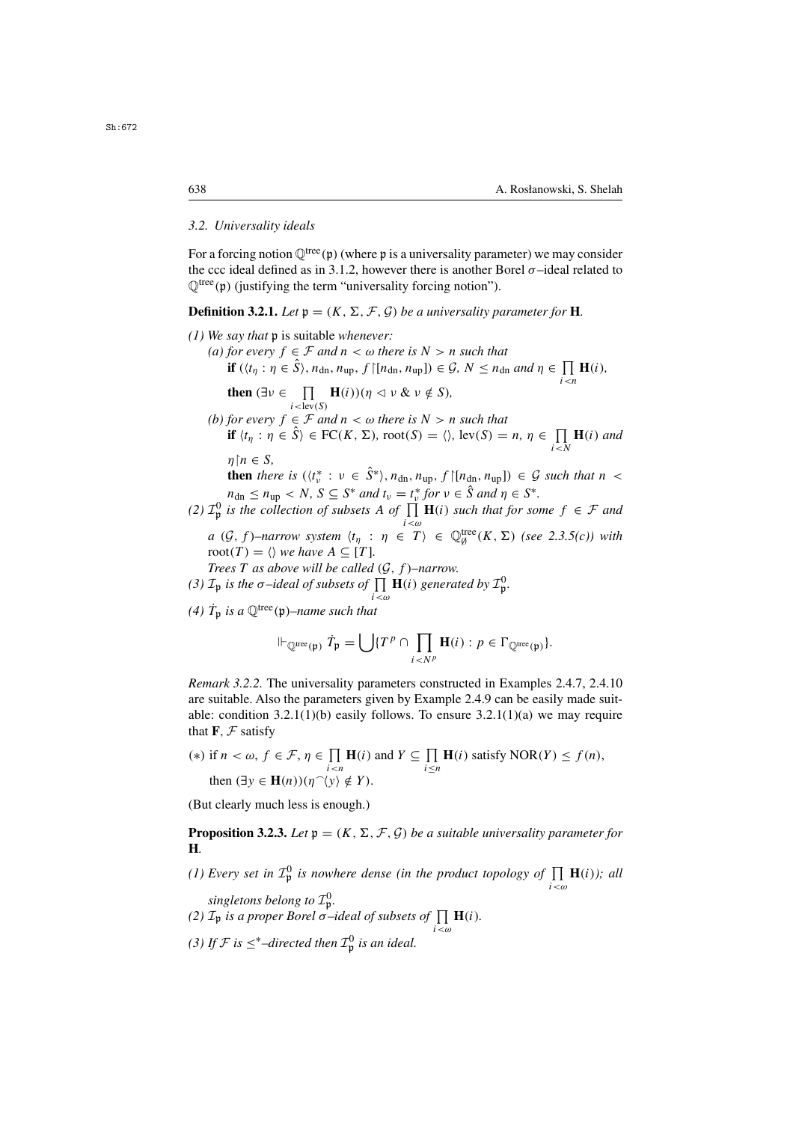## *3.2. Universality ideals*

For a forcing notion  $\mathbb{Q}^{\text{tree}}(\mathfrak{p})$  (where p is a universality parameter) we may consider the ccc ideal defined as in 3.1.2, however there is another Borel  $\sigma$ -ideal related to  $\mathbb{Q}^{\text{tree}}(\mathfrak{p})$  (justifying the term "universality forcing notion").

**Definition 3.2.1.** *Let*  $p = (K, \Sigma, \mathcal{F}, \mathcal{G})$  *be a universality parameter for* **H***.* 

*(1) We say that* **p** is suitable *whenever:*<br>*(a)* for every  $f \in \mathcal{F}$  and  $n < \omega$  there is  $N > n$  such that *(a) for every*  $f \in \mathcal{F}$  *and*  $n < \omega$  *there is*  $N > n$  *such that*<br> **if**  $((t \cdot n \in \hat{S})_{n \times n}$   $f([n \cdot n \cdot \hat{S})_{n \times n})$ **if**  $(\langle t_{\eta} : \eta \in \hat{S} \rangle, n_{\text{dn}}, n_{\text{up}}, f \mid [n_{\text{dn}}, n_{\text{up}}]) \in \mathcal{G}, N \leq n_{\text{dn}} \text{ and } \eta \in \prod_{i \leq n} \mathbf{H}(i),$ **then**  $(\exists v \in \prod_{i < \text{lev}(S)} \mathbf{H}(i)) (\eta \le v \& v \notin S)$ ,<br>
for every  $f \in \mathcal{F}$  and  $n < \omega$  there is  $N > v$ *(b) for every*  $f \in \mathcal{F}$  *and*  $n < \omega$  *there is*  $N > n$  *such that*<br>**if**  $\{t : n \in \hat{S} \} \in FC(K, \Sigma)$  root $(S) = \emptyset$  lev $(S) =$ **if**  $\langle t_\eta : \eta \in \hat{S} \rangle \in \text{FC}(K, \Sigma)$ ,  $\text{root}(S) = \langle \rangle$ ,  $\text{lev}(S) = n, \eta \in \prod_{i \leq N} \mathbf{H}(i)$  and  $\eta{\restriction} n \in S,$ <br>then the **then** *there is*  $(t^*_v : v \in \hat{S}^*), n_{dn}, n_{up}, f \mid [n_{dn}, n_{up}] \in \mathcal{G}$  *such that*  $n < n$  $n_{\text{dn}} \leq n_{\text{up}} < N$ ,  $S \subseteq S^*$  *and*  $t_v = t_v^*$  *for*  $v \in \hat{S}$  *and*  $\eta \in S^*$ .<br>
(2)  $\mathcal{I}_{\mathfrak{p}}^0$  *is the collection of subsets* A *of*  $\prod_{i < \omega} \mathbf{H}(i)$  *such that for some*  $f \in \mathcal{F}$  *and*  $a \left( G, f \right)$ –narrow system  $\langle t_{\eta} : \eta \in T \rangle \in \mathbb{Q}_{\emptyset}^{\text{tree}}(K, \Sigma)$  (see 2.3.5(c)) with root  $(T) - \langle \cdot \rangle$  we have  $A \subset [T]$ root(*T*) =  $\langle \rangle$  we have  $A \subseteq [T]$ .<br>*Trees T as above will be called* (*G*, *f*)-narrow. *Trees T as above will be called* (*G*, *f*)−narrow.<br>*T<sub>u</sub> is the*  $\sigma$ -ideal of subsets of □ H(i) general *(3)*  $\mathcal{I}_{\mathfrak{p}}$  *is the*  $\sigma$ *-ideal of subsets of*  $\prod_{i<\omega} \mathbf{H}(i)$  generated by  $\mathcal{I}_{\mathfrak{p}}^0$ . (4)  $\dot{T}_{\mathfrak{p}}$  *is a*  $\mathbb{Q}^{\text{tree}}(\mathfrak{p})$ *–name such that* 

$$
\Vdash_{\mathbb{Q}^{\text{tree}}(\mathfrak{p})} \dot{T}_{\mathfrak{p}} = \bigcup \{ T^p \cap \prod_{i < N^p} \mathbf{H}(i) : p \in \Gamma_{\mathbb{Q}^{\text{tree}}(\mathfrak{p})} \}.
$$

*Remark 3.2.2.* The universality parameters constructed in Examples 2.4.7, 2.4.10 are suitable. Also the parameters given by Example 2.4.9 can be easily made suitable: condition  $3.2.1(1)(b)$  easily follows. To ensure  $3.2.1(1)(a)$  we may require that  $\mathbf{F}, \mathcal{F}$  satisfy

(\*) if  $n < \omega$ ,  $f \in \mathcal{F}$ ,  $\eta \in \prod_{i \le n} \mathbf{H}(i)$  and  $Y \subseteq \prod_{i \le n} \mathbf{H}(i)$  satisfy  $NOR(Y) \le f(n)$ ,<br>then  $(\exists y \in \mathbf{H}(n))(p\gamma|y) \notin Y$ then  $(\exists y \in \mathbf{H}(n))(\eta^{\frown}\langle y \rangle \notin Y)$ .

(But clearly much less is enough.)

**Proposition 3.2.3.** *Let*  $\mathfrak{p} = (K, \Sigma, \mathcal{F}, \mathcal{G})$  *be a suitable universality parameter for* **H***.*

*(1) Every set in*  $\mathcal{I}_{\mathfrak{p}}^0$  *is nowhere dense (in the product topology of*  $\prod_{i<\omega} \mathbf{H}(i)$ *); all* 

*singletons belong to*  $\mathcal{I}_{\mathfrak{p}}^{0}$ .

- *(2)*  $\mathcal{I}_\mathfrak{p}$  *is a proper Borel*  $\sigma$ *–ideal of subsets of*  $\prod_{i < \omega} \mathbf{H}(i)$ *.*
- *(3)* If  $\mathcal{F}$  is  $\leq^*$ -directed then  $\mathcal{I}_{\mathfrak{p}}^0$  is an ideal.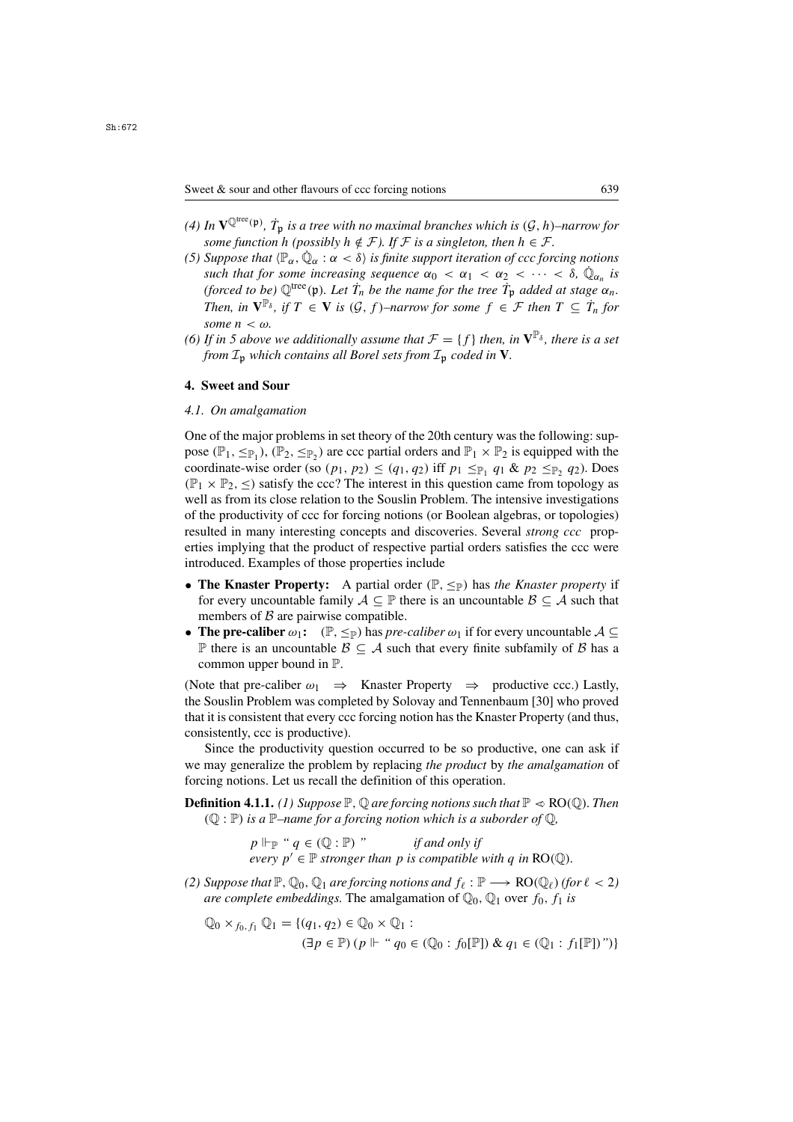- (4) In  $\mathbf{V}^{\mathbb{Q}^{\text{tree}}(\mathfrak{p})}$ ,  $\dot{T}_{\mathfrak{p}}$  *is a tree with no maximal branches which is*  $(\mathcal{G}, h)$ *–narrow for* some function h (possibly  $h \notin \mathcal{F}$ ) If  $\mathcal{F}$  is a singleton then  $h \in \mathcal{F}$ *some function* h *(possibly*  $h \notin \mathcal{F}$ ). If  $\mathcal{F}$  *is a singleton, then*  $h \in \mathcal{F}$ .
- *(5) Suppose that*  $\langle \mathbb{P}_{\alpha}, \dot{\mathbb{Q}}_{\alpha} : \alpha < \delta \rangle$  *is finite support iteration of ccc forcing notions such that for some increasing sequence*  $\alpha_0 < \alpha_1 < \alpha_2 < \cdots < \delta$ ,  $\dot{\mathbb{Q}}_{\alpha_n}$  *is* (forced to be)  $\mathbb{Q}^{\text{tree}}(\mathfrak{p})$ *. Let*  $\dot{T}_n$  be the name for the tree  $\dot{T}_p$  added at stage  $\alpha_n$ .<br>Then  $\text{in } \mathbb{R}^{\mathbb{P}_\delta}$  if  $T \subset \mathbb{V}$  is  $(C, f)$  parrow for some  $f \subset \mathcal{F}$  then  $T \subset \dot{T}$  for *Then, in*  $\mathbf{V}^{\mathbb{P}_{\delta}}$ *, if*  $T \in \mathbf{V}$  *is* ( $\mathcal{G}, f$ )–*narrow for some*  $f \in \mathcal{F}$  *then*  $T \subseteq \dot{T}_n$  *for some*  $n \leq \omega$ *some n < ω.*<br>If in 5 above
- *(6) If in 5 above we additionally assume that*  $\mathcal{F} = \{f\}$  *then, in*  $\mathbf{V}^{\mathbb{P}_{\delta}}$ *, there is a set* from  $\mathcal{T}_{\alpha}$  which contains all Borel sets from  $\mathcal{T}_{\alpha}$  coded in  $\mathbf{V}$ *from*  $\mathcal{I}_p$  *which contains all Borel sets from*  $\mathcal{I}_p$  *coded in* **V***.*

#### **4. Sweet and Sour**

## *4.1. On amalgamation*

One of the major problems in set theory of the 20th century was the following: suppose  $(\mathbb{P}_1, \leq_{\mathbb{P}_1})$ ,  $(\mathbb{P}_2, \leq_{\mathbb{P}_2})$  are ccc partial orders and  $\mathbb{P}_1 \times \mathbb{P}_2$  is equipped with the coordinate-wise order (so  $(p_1, p_2) \le (q_1, q_2)$  iff  $p_1 \le p_1 q_1 \& p_2 \le p_2 q_2$ ). Does  $(\mathbb{P}_1 \times \mathbb{P}_2, \leq)$  satisfy the ccc? The interest in this question came from topology as well as from its close relation to the Souslin Problem. The intensive investigations of the productivity of ccc for forcing notions (or Boolean algebras, or topologies) resulted in many interesting concepts and discoveries. Several *strong ccc* properties implying that the product of respective partial orders satisfies the ccc were introduced. Examples of those properties include

- **The Knaster Property:** A partial order  $(\mathbb{P}, \leq_{\mathbb{P}})$  has *the Knaster property* if for every uncountable family  $A \subseteq \mathbb{P}$  there is an uncountable  $\mathcal{B} \subseteq A$  such that members of  $\beta$  are pairwise compatible.
- **The pre-caliber**  $\omega_1$ : ( $\mathbb{P}, \leq_{\mathbb{P}}$ ) has *pre-caliber*  $\omega_1$  if for every uncountable  $\mathcal{A} \subseteq$ P there is an uncountable  $\beta$  ⊂ A such that every finite subfamily of  $\beta$  has a common upper bound in P.

(Note that pre-caliber  $\omega_1 \Rightarrow$  Knaster Property  $\Rightarrow$  productive ccc.) Lastly, the Souslin Problem was completed by Solovay and Tennenbaum [30] who proved that it is consistent that every ccc forcing notion has the Knaster Property (and thus, consistently, ccc is productive).

Since the productivity question occurred to be so productive, one can ask if we may generalize the problem by replacing *the product* by *the amalgamation* of forcing notions. Let us recall the definition of this operation.

**Definition 4.1.1.** *(1)* Suppose  $\mathbb{P}$ ,  $\mathbb{Q}$  are forcing notions such that  $\mathbb{P} \ll \text{RO}(\mathbb{Q})$ . Then ( $\mathbb{Q} : \mathbb{P}$ ) *is a*  $\mathbb{P}$ *–name for a forcing notion which is a suborder of*  $\mathbb{Q}$ ,<br>  $p \Vdash_{\mathbb{P}}$  "  $q \in (\mathbb{Q} : \mathbb{P})$  " *if and only if* 

 $p \Vdash_{\mathbb{P}} "q \in (\mathbb{Q} : \mathbb{P})"$  *if and only if*<br>every  $p' \in \mathbb{P}$  stronger than *n* is compatible *every*  $p' \in \mathbb{P}$  *stronger than* p *is compatible with* q *in* RO( $\mathbb{Q}$ ).

*(2) Suppose that*  $\mathbb{P}, \mathbb{Q}_0, \mathbb{Q}_1$  *are forcing notions and*  $f_\ell : \mathbb{P} \longrightarrow \text{RO}(\mathbb{Q}_\ell)$  *(for*  $\ell < 2$ *) are complete embeddings.* The amalgamation of  $\mathbb{Q}_0$ ,  $\mathbb{Q}_1$  over  $f_0$ ,  $f_1$  *is* 

$$
\mathbb{Q}_0 \times_{f_0, f_1} \mathbb{Q}_1 = \{ (q_1, q_2) \in \mathbb{Q}_0 \times \mathbb{Q}_1 : \\ (\exists p \in \mathbb{P}) \left( p \Vdash \text{`` } q_0 \in (\mathbb{Q}_0 : f_0[\mathbb{P}]) \& q_1 \in (\mathbb{Q}_1 : f_1[\mathbb{P}]) \text{''} \right) \}
$$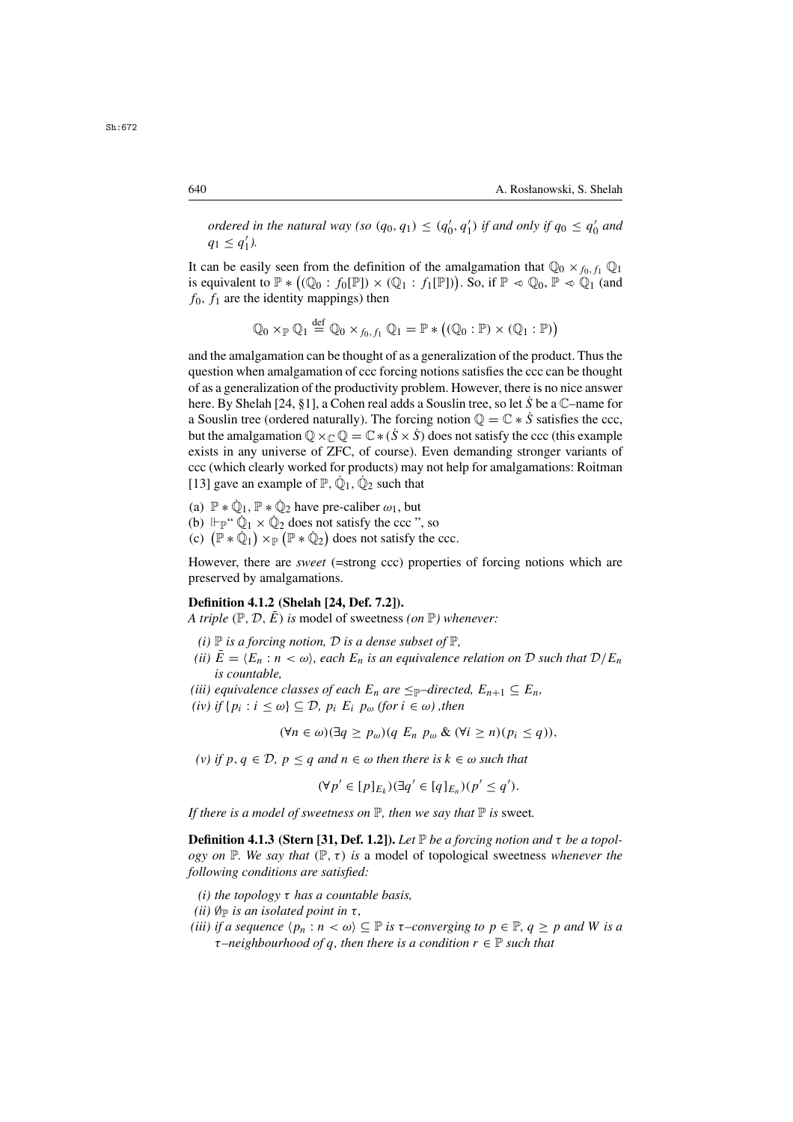*ordered in the natural way (so*  $(q_0, q_1) \leq (q'_0, q'_1)$  *if and only if*  $q_0 \leq q'_0$  *and*  $q_1 \leq q'_1$  *a*  $q_1 \leq q'_1$ ).

It can be easily seen from the definition of the amalgamation that  $\mathbb{Q}_0 \times_{f_0, f_1} \mathbb{Q}_1$ is equivalent to  $\mathbb{P} * ((\mathbb{Q}_0 : f_0[\mathbb{P}]) \times (\mathbb{Q}_1 : f_1[\mathbb{P}]))$ . So, if  $\mathbb{P} \ll \mathbb{Q}_0$ ,  $\mathbb{P} \ll \mathbb{Q}_1$  (and  $f_0$  f, are the identity mannings) then  $f_0$ ,  $f_1$  are the identity mappings) then

$$
\mathbb{Q}_0 \times_{\mathbb{P}} \mathbb{Q}_1 \stackrel{\text{def}}{=} \mathbb{Q}_0 \times_{f_0, f_1} \mathbb{Q}_1 = \mathbb{P} * ((\mathbb{Q}_0 : \mathbb{P}) \times (\mathbb{Q}_1 : \mathbb{P}))
$$

and the amalgamation can be thought of as a generalization of the product. Thus the question when amalgamation of ccc forcing notions satisfies the ccc can be thought of as a generalization of the productivity problem. However, there is no nice answer here. By Shelah [24, §1], a Cohen real adds a Souslin tree, so let S be a  $\mathbb{C}$ -name for a Souslin tree (ordered naturally). The forcing notion  $\mathbb{Q} = \mathbb{C} * \dot{S}$  satisfies the ccc, but the amalgamation  $\mathbb{Q} \times_{\mathbb{C}} \mathbb{Q} = \mathbb{C} \times (\dot{S} \times \dot{S})$  does not satisfy the ccc (this example exists in any universe of ZFC, of course). Even demanding stronger variants of ccc (which clearly worked for products) may not help for amalgamations: Roitman [13] gave an example of  $\mathbb{P}, \dot{\mathbb{Q}}_1, \dot{\mathbb{Q}}_2$  such that

(a)  $\mathbb{P} * \dot{\mathbb{Q}}_1$ ,  $\mathbb{P} * \dot{\mathbb{Q}}_2$  have pre-caliber  $\omega_1$ , but

- (b)  $\mathbb{P}(\mathfrak{p}^{\prime\prime}) \to \mathbb{Q}_1 \times \mathbb{Q}_2$  does not satisfy the ccc ", so
- (c)  $(\mathbb{P} * \dot{\mathbb{Q}}_1) \times_{\mathbb{P}} (\mathbb{P} * \dot{\mathbb{Q}}_2)$  does not satisfy the ccc.

However, there are *sweet* (=strong ccc) properties of forcing notions which are preserved by amalgamations.

### **Definition 4.1.2 (Shelah [24, Def. 7.2]).**

*A triple*  $(\mathbb{P}, \mathcal{D}, E)$  *is* model of sweetness *(on*  $\mathbb{P}$ *) whenever:* 

- *(i)*  $\mathbb P$  *is a forcing notion,*  $\mathcal D$  *is a dense subset of*  $\mathbb P$ *,*
- *(ii)*  $E = \langle E_n : n \langle \omega \rangle$ , each  $E_n$  *is an equivalence relation on* D *such that*  $D/E_n$ *is countable,*
- *(iii) equivalence classes of each*  $E_n$  *are*  $\leq_P$ –*directed,*  $E_{n+1} \subseteq E_n$ *,*
- $(iv)$  if  $\{p_i : i \leq \omega\} \subseteq \mathcal{D}$ ,  $p_i$   $E_i$   $p_\omega$  *(for*  $i \in \omega$ *)*, then

$$
(\forall n \in \omega)(\exists q \ge p_{\omega})(q \ E_n \ p_{\omega} \ \& \ (\forall i \ge n)(p_i \le q)),
$$

*(v) if* p, q <sup>∈</sup> <sup>D</sup>*,* p <sup>≤</sup> q *and* n <sup>∈</sup> ω *then there is* k <sup>∈</sup> ω *such that*

$$
(\forall p' \in [p]_{E_k})(\exists q' \in [q]_{E_n})(p' \leq q').
$$

*If there is a model of sweetness on*  $\mathbb{P}$ *, then we say that*  $\mathbb{P}$  *is sweet.* 

**Definition 4.1.3 (Stern [31, Def. 1.2]).** *Let*  $\mathbb{P}$  *be a forcing notion and*  $\tau$  *be a topology on*  $\mathbb P$ *. We say that*  $(\mathbb P, \tau)$  *is* a model of topological sweetness *whenever the following conditions are satisfied:*

- *(i) the topology* τ *has a countable basis,*
- *(ii)*  $\emptyset_{\mathbb{P}}$  *is an isolated point in*  $\tau$ *,*
- *(iii) if a sequence*  $\langle p_n : n < \omega \rangle \subseteq \mathbb{P}$  *is*  $\tau$ *–converging to*  $p \in \mathbb{P}, q \geq p$  *and* W *is a*  $\tau$ *–neighbourhood of q, then there is a condition*  $r \in \mathbb{P}$  *such that*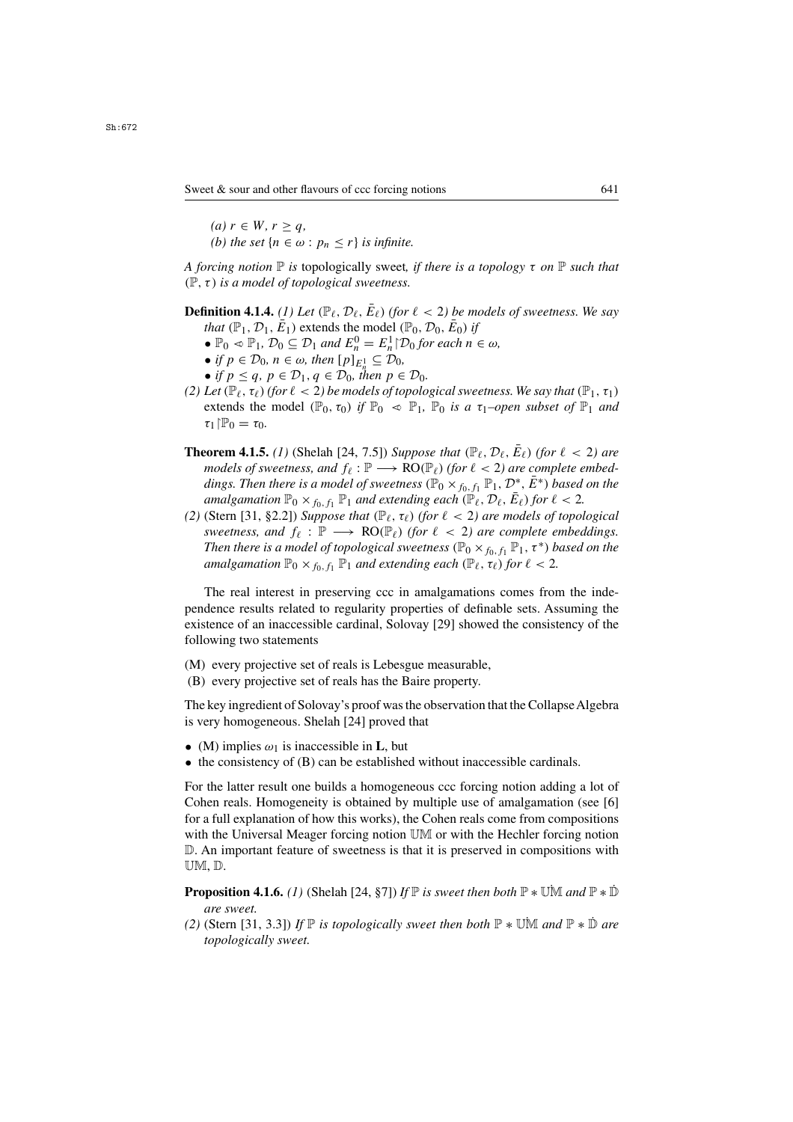$(a)$   $r \in W, r > a$ *(b) the set*  $\{n \in \omega : p_n \leq r\}$  *is infinite.* 

*A forcing notion* <sup>P</sup> *is* topologically sweet*, if there is a topology* τ *on* <sup>P</sup> *such that* (P,τ) *is a model of topological sweetness.*

# **Definition 4.1.4.** *(1)* Let  $(\mathbb{P}_{\ell}, \mathcal{D}_{\ell}, \bar{E}_{\ell})$  *(for*  $\ell < 2$ *)* be models of sweetness. We say *that*  $(\mathbb{P}_1, \mathcal{D}_1, \overline{E}_1)$  extends the model  $(\mathbb{P}_0, \mathcal{D}_0, \overline{E}_0)$  *if*

- $\mathbb{P}_0 \ll \mathbb{P}_1$ ,  $\mathcal{D}_0 \subseteq \mathcal{D}_1$  and  $E_n^0 = E_n^1 | \mathcal{D}_0$  for each  $n \in \omega$ ,<br>• if  $n \in \mathcal{D}_0$ ,  $n \in \omega$ , then  $[n]_{n \in \omega} \subseteq \mathcal{D}_0$
- *if*  $p \in \mathcal{D}_0$ ,  $n \in \omega$ , then  $[p]_{E_n^1} \subseteq \mathcal{D}_0$ ,<br>• *if*  $n \le a, n \in \mathcal{D}_1$ ,  $a \in \mathcal{D}_0$ , then  $n \in \mathcal{D}_0$
- *if*  $p \le q$ ,  $p \in \mathcal{D}_1$ ,  $q \in \mathcal{D}_0$ , then  $p \in \mathcal{D}_0$ .
- *(2) Let*  $(\mathbb{P}_{\ell}, \tau_{\ell})$  *(for*  $\ell < 2$ *) be models of topological sweetness. We say that*  $(\mathbb{P}_{1}, \tau_{1})$ extends the model  $(\mathbb{P}_0, \tau_0)$  *if*  $\mathbb{P}_0 \ll \mathbb{P}_1$ ,  $\mathbb{P}_0$  *is a*  $\tau_1$ *-open subset of*  $\mathbb{P}_1$  *and*  $\tau_1$ |  $\mathbb{P}_0 = \tau_0$ .
- **Theorem 4.1.5.** *(1)* (Shelah [24, 7.5]) *Suppose that*  $(\mathbb{P}_{\ell}, \mathcal{D}_{\ell}, E_{\ell})$  *(for*  $\ell < 2$ *) are models of sweetness, and*  $f_{\ell} : \mathbb{P} \longrightarrow \text{RO}(\mathbb{P}_{\ell})$  *(for*  $\ell < 2$ *) are complete embeddings. Then there is a model of sweetness* ( $\mathbb{P}_0 \times_{f_0, f_1} \mathbb{P}_1$ ,  $\mathcal{D}^*, \overline{E}^*$ ) *based on the amalgamation*  $\mathbb{P}_0 \times_{f_0, f_1} \mathbb{P}_1$  *and extending each*  $(\mathbb{P}_\ell, \mathcal{D}_\ell, \overline{E}_\ell)$  *for*  $\ell < 2$ *.*
- *(2)* (Stern [31, §2.2]) *Suppose that*  $(\mathbb{P}_{\ell}, \tau_{\ell})$  *(for*  $\ell < 2$ *) are models of topological sweetness, and*  $f_{\ell} : \mathbb{P} \longrightarrow \text{RO}(\mathbb{P}_{\ell})$  *(for*  $\ell < 2$ *) are complete embeddings. Then there is a model of topological sweetness* ( $\mathbb{P}_0 \times_{f_0, f_1} \mathbb{P}_1$ ,  $\tau^*$ ) *based on the amalgamation*  $\mathbb{P}_0 \times_{f_0, f_1} \mathbb{P}_1$  *and extending each*  $(\mathbb{P}_\ell, \tau_\ell)$  *for*  $\ell < 2$ *.*

The real interest in preserving ccc in amalgamations comes from the independence results related to regularity properties of definable sets. Assuming the existence of an inaccessible cardinal, Solovay [29] showed the consistency of the following two statements

- (M) every projective set of reals is Lebesgue measurable,
- (B) every projective set of reals has the Baire property.

The key ingredient of Solovay's proof was the observation that the CollapseAlgebra is very homogeneous. Shelah [24] proved that

- (M) implies  $\omega_1$  is inaccessible in **L**, but
- the consistency of (B) can be established without inaccessible cardinals.

For the latter result one builds a homogeneous ccc forcing notion adding a lot of Cohen reals. Homogeneity is obtained by multiple use of amalgamation (see [6] for a full explanation of how this works), the Cohen reals come from compositions with the Universal Meager forcing notion UM or with the Hechler forcing notion D. An important feature of sweetness is that it is preserved in compositions with UM, D.

**Proposition 4.1.6.** *(1)* (Shelah [24, §7]) *If*  $\mathbb P$  *is sweet then both*  $\mathbb P * \mathbb U \mathbb M$  *and*  $\mathbb P * \mathbb D$ *are sweet.*

*(2)* (Stern [31, 3.3]) *If*  $\mathbb P$  *is topologically sweet then both*  $\mathbb P * \mathbb U \mathbb M$  *and*  $\mathbb P * \mathbb D$  *are topologically sweet.*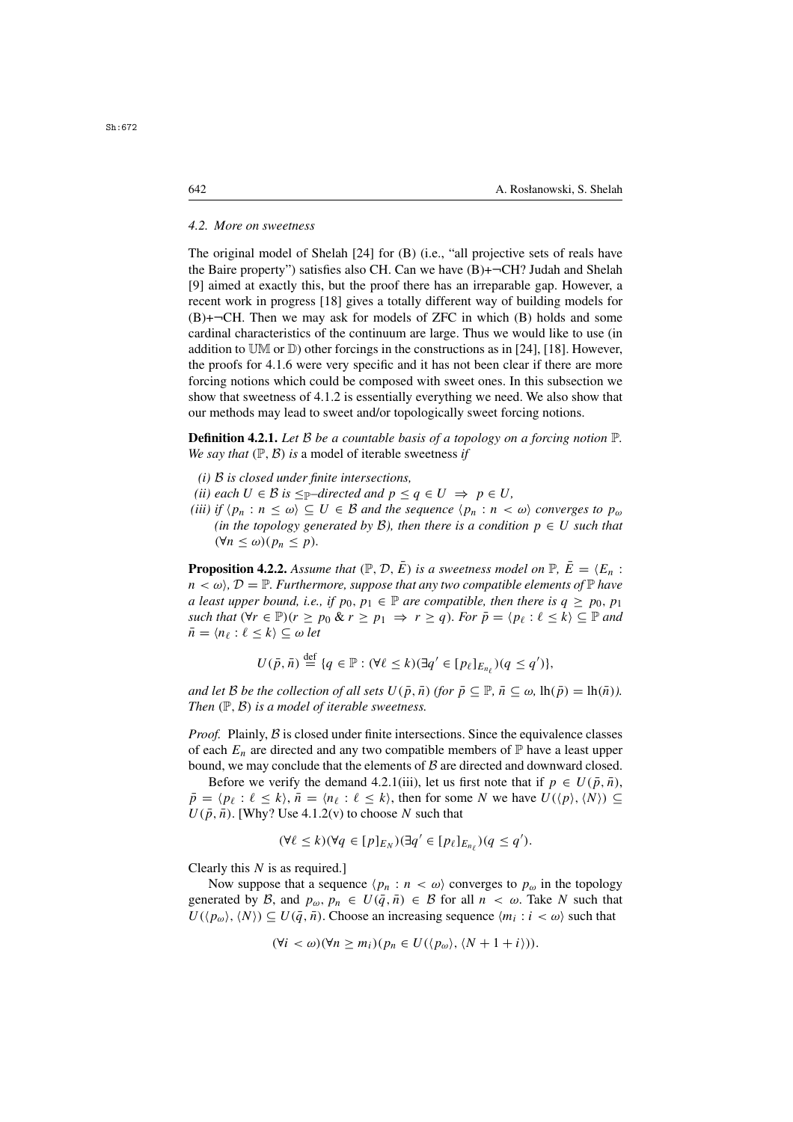#### *4.2. More on sweetness*

The original model of Shelah [24] for (B) (i.e., "all projective sets of reals have the Baire property") satisfies also CH. Can we have  $(B)$ + $\neg$ CH? Judah and Shelah [9] aimed at exactly this, but the proof there has an irreparable gap. However, a recent work in progress [18] gives a totally different way of building models for  $(B)$ + $\neg$ CH. Then we may ask for models of ZFC in which  $(B)$  holds and some cardinal characteristics of the continuum are large. Thus we would like to use (in addition to  $\mathbb{UM}$  or  $\mathbb{D}$ ) other forcings in the constructions as in [24], [18]. However, the proofs for 4.1.6 were very specific and it has not been clear if there are more forcing notions which could be composed with sweet ones. In this subsection we show that sweetness of 4.1.2 is essentially everything we need. We also show that our methods may lead to sweet and/or topologically sweet forcing notions.

**Definition 4.2.1.** *Let* <sup>B</sup> *be a countable basis of a topology on a forcing notion* <sup>P</sup>*. We say that*  $(\mathbb{P}, \mathcal{B})$  *is* a model of iterable sweetness *if* 

- *(i)* B *is closed under finite intersections,*
- *(ii) each*  $U \in \mathcal{B}$  *is*  $\leq_{\mathbb{P}}$ *–directed and*  $p \leq q \in U \Rightarrow p \in U$ *,*
- *(iii) if*  $\langle p_n : n \leq \omega \rangle \subseteq U \in \mathcal{B}$  *and the sequence*  $\langle p_n : n \leq \omega \rangle$  *converges to*  $p_\omega$ *(in the topology generated by B), then there is a condition*  $p \in U$  *such that*  $(\forall n \leq \omega)(p_n \leq p).$

**Proposition 4.2.2.** Assume that  $(\mathbb{P}, \mathcal{D}, \overline{E})$  is a sweetness model on  $\mathbb{P}, \overline{E} = \langle E_n :$  $n < \omega$ ,  $D = \mathbb{P}$ . Furthermore, suppose that any two compatible elements of  $\mathbb{P}$  have *a least upper bound, i.e., if*  $p_0, p_1 \in \mathbb{P}$  *are compatible, then there is*  $q \geq p_0, p_1$ *such that*  $(\forall r \in \mathbb{P})(r \geq p_0 \& r \geq p_1 \Rightarrow r \geq q)$ *. For*  $\overline{p} = \langle p_\ell : \ell \leq k \rangle \subseteq \mathbb{P}$  *and*  $\bar{n} = \langle n_\ell : \ell \leq k \rangle \subseteq \omega$  *let* 

$$
U(\bar{p}, \bar{n}) \stackrel{\text{def}}{=} \{q \in \mathbb{P} : (\forall \ell \leq k)(\exists q' \in [p_{\ell}]_{E_{n_{\ell}}})(q \leq q')\},\
$$

*and let* B *be the collection of all sets*  $U(\bar{p}, \bar{n})$  *(for*  $\bar{p} \subseteq \mathbb{P}$ ,  $\bar{n} \subseteq \omega$ , lh $(\bar{p}) =$ lh $(\bar{n})$ ). *Then*  $(\mathbb{P}, \mathcal{B})$  *is a model of iterable sweetness.* 

*Proof.* Plainly, B is closed under finite intersections. Since the equivalence classes of each  $E_n$  are directed and any two compatible members of  $\mathbb P$  have a least upper bound, we may conclude that the elements of  $\beta$  are directed and downward closed.

Before we verify the demand 4.2.1(iii), let us first note that if  $p \in U(\bar{p}, \bar{n})$ ,  $\bar{p} = \langle p_{\ell} : \ell \leq k \rangle$ ,  $\bar{n} = \langle n_{\ell} : \ell \leq k \rangle$ , then for some N we have  $U(\langle p \rangle, \langle N \rangle) \subseteq$  $U(\bar{p}, \bar{n})$ . [Why? Use 4.1.2(v) to choose N such that

$$
(\forall \ell \leq k)(\forall q \in [p]_{E_N})(\exists q' \in [p_\ell]_{E_{n_\ell}})(q \leq q').
$$

Clearly this  $N$  is as required.

Now suppose that a sequence  $\langle p_n : n \langle \omega \rangle$  converges to  $p_\omega$  in the topology generated by B, and  $p_{\omega}, p_n \in U(\bar{q}, \bar{n}) \in \mathcal{B}$  for all  $n < \omega$ . Take N such that  $U(\langle p_{\omega} \rangle, \langle N \rangle) \subseteq U(\bar{q}, \bar{n})$ . Choose an increasing sequence  $\langle m_i : i \langle \omega \rangle$  such that

$$
(\forall i < \omega)(\forall n \ge m_i)(p_n \in U(\langle p_\omega \rangle, \langle N+1+i \rangle)).
$$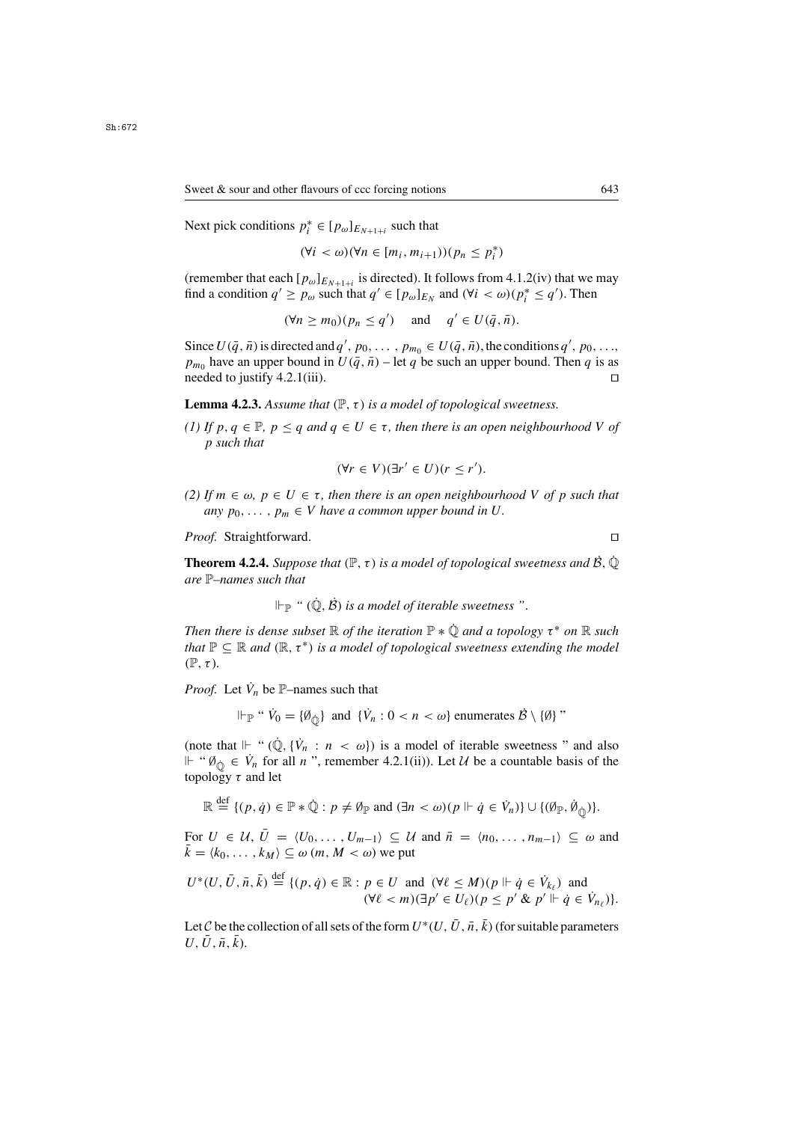Sweet & sour and other flavours of ccc forcing notions 643

Next pick conditions  $p_i^* \in [p_\omega]_{E_{N+1+i}}$  such that

 $(\forall i < \omega)(\forall n \in [m_i, m_{i+1}))(p_n \leq p_i^*)$  $\mathbf{a}$ 

(remember that each  $[p_{\omega}]_{E_{N+1+i}}$  is directed). It follows from 4.1.2(iv) that we may<br>find a condition  $a' > n$ , such that  $a' \in [n]$  leg and  $(\forall i < \omega)(n^* < a')$ . Then find a condition  $q' \ge p_\omega$  such that  $q' \in [p_\omega]_{E_N}$  and  $(\forall i < \omega)(p_i^* \le q')$ . Then

 $(\forall n \ge m_0)(p_n \le q')$  and  $q' \in U(\bar{q}, \bar{n}).$ 

Since  $U(\bar{q}, \bar{n})$  is directed and  $q'$ ,  $p_0, \ldots, p_{m_0} \in U(\bar{q}, \bar{n})$ , the conditions  $q'$ <br> $p$  have an upper bound in  $U(\bar{q}, \bar{n})$  – let  $q$  be such an upper bound. The ,  $p_0$ , . . .,<br>en *a* is as  $p_{m_0}$  have an upper bound in  $U(\bar{q}, \bar{n})$  – let q be such an upper bound. Then q is as needed to justify 4.2.1(jii) needed to justify 4.2.1(iii).  $\Box$ 

**Lemma 4.2.3.** Assume that  $(\mathbb{P}, \tau)$  is a model of topological sweetness.

*(1)* If  $p, q \in \mathbb{P}$ ,  $p \leq q$  and  $q \in U \in \tau$ , then there is an open neighbourhood V of p *such that*

$$
(\forall r \in V)(\exists r' \in U)(r \leq r').
$$

*(2) If m* ∈  $ω$ ,  $p$  ∈ *U* ∈  $τ$ , *then there is an open neighbourhood V of p such that any*  $p_0, \ldots, p_m \in V$  *have a common upper bound in U.* 

*Proof.* Straightforward. □

**Theorem 4.2.4.** *Suppose that*  $(\mathbb{P}, \tau)$  *is a model of topological sweetness and*  $\dot{\mathcal{B}}$ *,*  $\dot{\mathbb{Q}}$ *are* P*–names such that*

 $\Vdash_{\mathbb{P}}$  " $(\dot{\mathbb{O}}, \dot{\mathcal{B}})$  *is a model of iterable sweetness* ".

*Then there is dense subset*  $\mathbb R$  *of the iteration*  $\mathbb P * \mathbb Q$  *and a topology*  $\tau^*$  *on*  $\mathbb R$  *such that*  $\mathbb{P} \subseteq \mathbb{R}$  *and*  $(\mathbb{R}, \tau^*)$  *is a model of topological sweetness extending the model* (P,τ)*.*

*Proof.* Let  $\dot{V}_n$  be  $\mathbb{P}-$ names such that

 $\Vdash_{\mathbb{P}}$  "  $\dot{V}_0 = {\emptyset_{\dot{\mathbb{Q}}}}$  and  ${\{\dot{V}_n : 0 < n < \omega\}}$  enumerates  $\dot{\mathcal{B}} \setminus {\{\emptyset\}}$ "

(note that  $\Vdash$  " $(\mathbb{Q}, {\{\dot{V}_n : n < \omega\}})$  is a model of iterable sweetness " and also<br> $\Vdash$  " $\mathcal{U}_k \in \mathcal{V}$  for all n" remember 4.2.1(ii)) Let  $\mathcal{U}_k$  be a countable basis of the  $\mathbb{H}$  "  $\emptyset_{\mathbb{Q}} \in V_n$  for all *n* ", remember 4.2.1(ii)). Let *U* be a countable basis of the topology *r* and let topology  $\tau$  and let

$$
\mathbb{R} \stackrel{\text{def}}{=} \{ (p, \dot{q}) \in \mathbb{P} * \dot{\mathbb{Q}} : p \neq \emptyset \mathbb{P} \text{ and } (\exists n < \omega) (p \Vdash \dot{q} \in \dot{V}_n) \} \cup \{ (\emptyset \mathbb{P}, \dot{\emptyset} \dot{\mathbb{Q}}) \}.
$$

For  $U \in \mathcal{U}, \overline{U} = \langle U_0, \ldots, U_{m-1} \rangle \subseteq \mathcal{U}$  and  $\overline{n} = \langle n_0, \ldots, n_{m-1} \rangle \subseteq \omega$  and  $\bar{k} = \langle k_0, \dots, k_M \rangle \subseteq \omega$   $(m, M < \omega)$  we put

$$
U^*(U, \bar{U}, \bar{n}, \bar{k}) \stackrel{\text{def}}{=} \{ (p, \dot{q}) \in \mathbb{R} : p \in U \text{ and } (\forall \ell \leq M) (p \Vdash \dot{q} \in \dot{V}_{k_\ell}) \text{ and } (\forall \ell < m) (\exists p' \in U_\ell) (p \leq p' \& p' \Vdash \dot{q} \in \dot{V}_{n_\ell}) \}.
$$

Let C be the collection of all sets of the form  $U^*(U, \bar{U}, \bar{n}, \bar{k})$  (for suitable parameters  $U, \overline{U}, \overline{n}, \overline{k}$ ).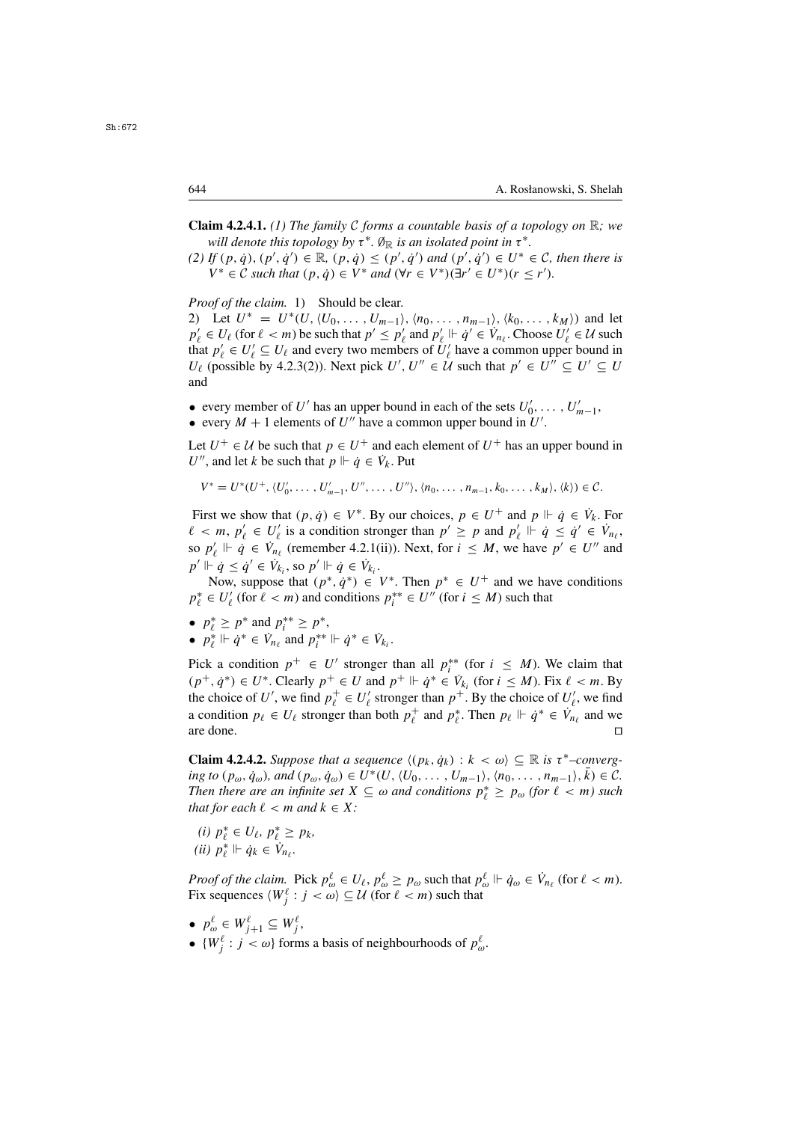- **Claim 4.2.4.1.** *(1) The family* <sup>C</sup> *forms a countable basis of a topology on* <sup>R</sup>*; we will denote this topology by*  $\tau^*$ *.*  $\emptyset_{\mathbb{R}}$  *is an isolated point in*  $\tau^*$ *.*
- (2) If  $(p, \dot{q})$ ,  $(p', \dot{q}') \in \mathbb{R}$ ,  $(p, \dot{q}) \leq (p', \dot{q}')$  and  $(p', \dot{q}') \in U^* \in C$ , then there is  $V^* \in C$  such that  $(p, \dot{q}) \in V^*$  and  $(\forall r \in V^*)(\exists r' \in U^*)(r \leq r')$  $V^* \in \mathcal{C}$  *such that*  $(p, \dot{q}) \in V^*$  *and*  $(\forall r \in V^*)(\exists r' \in U^*)(r \leq r').$

*Proof of the claim.* 1) Should be clear.

2) Let  $U^* = U^*(U, \langle U_0, \ldots, U_{m-1} \rangle, \langle n_0, \ldots, n_{m-1} \rangle, \langle k_0, \ldots, k_M \rangle)$  and let  $p'_\ell \in U_\ell$  (for  $\ell < m$ ) be such that  $p' \le p'_\ell$  and  $p'_\ell \Vdash \dot{q}' \in V_{n_\ell}$ . Choose  $U'_\ell \in \mathcal{U}$  such that  $p'_\ell \in U'_\ell \subset U_\ell$  and every two members of  $U'_\ell$  have a common upper bound in that  $p'_\ell \in U'_\ell \subseteq U_\ell$  and every two members of  $U'_\ell$  have a common upper bound in  $U_\ell$  (possible by 4.2.3(2)). Next pick  $U'_\ell, U'' \in U$  such that  $p' \in U'' \subseteq U' \subseteq U$  $U_{\ell}$  (possible by 4.2.3(2)). Next pick  $U', U'' \in \check{\mathcal{U}}$  such that  $p' \in U'' \subseteq U' \subseteq U$ <br>and and

- every member of U' has an upper bound in each of the sets  $U'_0, \ldots, U'_{m-1}$ ,<br>• every  $M + 1$  elements of  $U''$  have a common upper bound in  $U'$
- every  $M + 1$  elements of U'' have a common upper bound in U'.

Let  $U^+ \in \mathcal{U}$  be such that  $p \in U^+$  and each element of  $U^+$  has an upper bound in U'', and let k be such that  $p \Vdash \dot{q} \in V_k$ . Put

$$
V^* = U^*(U^+, \langle U'_0, \ldots, U'_{m-1}, U'', \ldots, U'' \rangle, \langle n_0, \ldots, n_{m-1}, k_0, \ldots, k_M \rangle, \langle k \rangle) \in \mathcal{C}.
$$

First we show that  $(p, \dot{q}) \in V^*$ . By our choices,  $p \in U^+$  and  $p \Vdash \dot{q} \in V_k$ . For  $\chi' \in W' \in U'$  is a condition stronger than  $p' > p$  and  $p' \Vdash \dot{q} < \dot{q}' \in V$  $\ell < m$ ,  $p'_\ell \in U'_\ell$  is a condition stronger than  $p' \geq p$  and  $p'_\ell \Vdash \dot{q} \leq \dot{q}' \in \dot{V}_{n_\ell}$ ,<br>so  $p' \Vdash \dot{q} \in \dot{V}$  (remember 4.2.1(ii)) Next, for  $i < M$ , we have  $p' \in U''$  and so  $p'_\ell \Vdash \dot{q} \in V_{n_\ell}$  (remember 4.2.1(ii)). Next, for  $i \leq M$ , we have  $p' \in U''$  and  $p' \Vdash \dot{q} \leq \dot{p}' \leq V_1$ , so  $p' \Vdash \dot{q} \in V_1$ .  $p' \Vdash \dot{q} \leq \dot{q}' \in \dot{V}_{k_i}$ , so  $p' \Vdash \dot{q} \in \dot{V}_{k_i}$ .<br>Now suppose that  $(n^* \dot{q}^*) \in \dot{Q}$ .

Now, suppose that  $(p^*, \dot{q}^*) \in V^*$ . Then  $p^* \in U^+$  and we have conditions  $p_\ell^* \in U'_\ell$  (for  $\ell < m$ ) and conditions  $p_i^{**} \in U''$  (for  $i \leq M$ ) such that

- $p_{\ell}^* \geq p^*$  and  $p_i^{**} \geq p^*$ ,<br>•  $p^* \vDash \dot{a}^* \in V$  and  $p^{**}$
- $p_{\ell}^* \Vdash \dot{q}^* \in \dot{V}_{n_{\ell}}$  and  $p_i^{**} \Vdash \dot{q}^* \in \dot{V}_{k_i}$ .

Pick a condition  $p^+ \in U'$  stronger than all  $p_i^{**}$  (for  $i \leq M$ ). We claim that  $(n^+ \dot{a}^*) \in U^*$  Clearly  $n^+ \in U$  and  $n^+ \vdash \dot{a}^* \in V$ , (for  $i \leq M$ ) Fix  $\ell \leq m$  By  $(p^+, \dot{q}^*) \in U^*$ . Clearly  $p^+ \in U$  and  $p^+ \Vdash \dot{q}^* \in V_{k_i}$  (for  $i \leq M$ ). Fix  $\ell < m$ . By the choice of  $U'$  we find  $p^+ \in U'$  stronger than  $p^+$ . By the choice of  $U'$  we find the choice of U', we find  $p_t^+ \in U'_\ell$  stronger than  $p^+$ . By the choice of  $U'_\ell$ , we find<br>a condition  $p_i \in U_\ell$  stronger than both  $p^+$  and  $p^*$ . Then  $p_\ell \Vdash \phi^* \in V$  and we a condition  $p_{\ell} \in U_{\ell}$  stronger than both  $p_{\ell}^{+}$  and  $p_{\ell}^{*}$ . Then  $p_{\ell} \Vdash \dot{q}^{*} \in V_{n_{\ell}}$  and we are done. are done.  $\Box$ 

**Claim 4.2.4.2.** *Suppose that a sequence*  $\langle (p_k, \dot{q}_k) : k < \omega \rangle \subseteq \mathbb{R}$  *is*  $\tau^*$ –*converging to*  $(p_\omega, \dot{q}_\omega)$ *, and*  $(p_\omega, \dot{q}_\omega) \in U^*(U, \langle U_0, \ldots, U_{m-1} \rangle, \langle n_0, \ldots, n_{m-1} \rangle, k) \in \mathcal{C}$ *. Then there are an infinite set*  $X \subseteq \omega$  *and conditions*  $p_{\ell}^* \geq p_{\omega}$  *(for*  $\ell < m$ *) such that for each*  $\ell < m$  *and*  $k \in X$ · *that for each*  $\ell < m$  *and*  $k \in X$ *:* 

*(i)*  $p_{\ell}^{*} \in U_{\ell}, p_{\ell}^{*} \geq p_{k}$ ,<br>*ii*)  $p_{\ell}^{*} \vdash \dot{p}_{\ell} \in V$  $(ii)$   $p_{\ell}^* \Vdash \dot{q}_k \in \dot{V}_{n_{\ell}}.$ 

*Proof of the claim.* Pick  $p_{\omega}^{\ell} \in U_{\ell}, p_{\omega}^{\ell} \ge p_{\omega}$  such that  $p_{\omega}^{\ell} \Vdash \dot{q}_{\omega} \in V_{n_{\ell}}$  (for  $\ell < m$ ).<br>Fix sequences  $\langle W^{\ell} : j < \omega \rangle \subseteq \mathcal{U}$  (for  $\ell < m$ ) such that Fix sequences  $\langle W_j^{\ell} : j < \omega \rangle \subseteq \mathcal{U}$  (for  $\ell < m$ ) such that

- $p_{\omega}^{\ell} \in W_{j+1}^{\ell} \subseteq W_j^{\ell}$ ,<br>c  $W_{\ell}^{\ell}$ , i.e. of form
- $\{W_j^{\ell} : j < \omega\}$  forms a basis of neighbourhoods of  $p_{\omega}^{\ell}$ .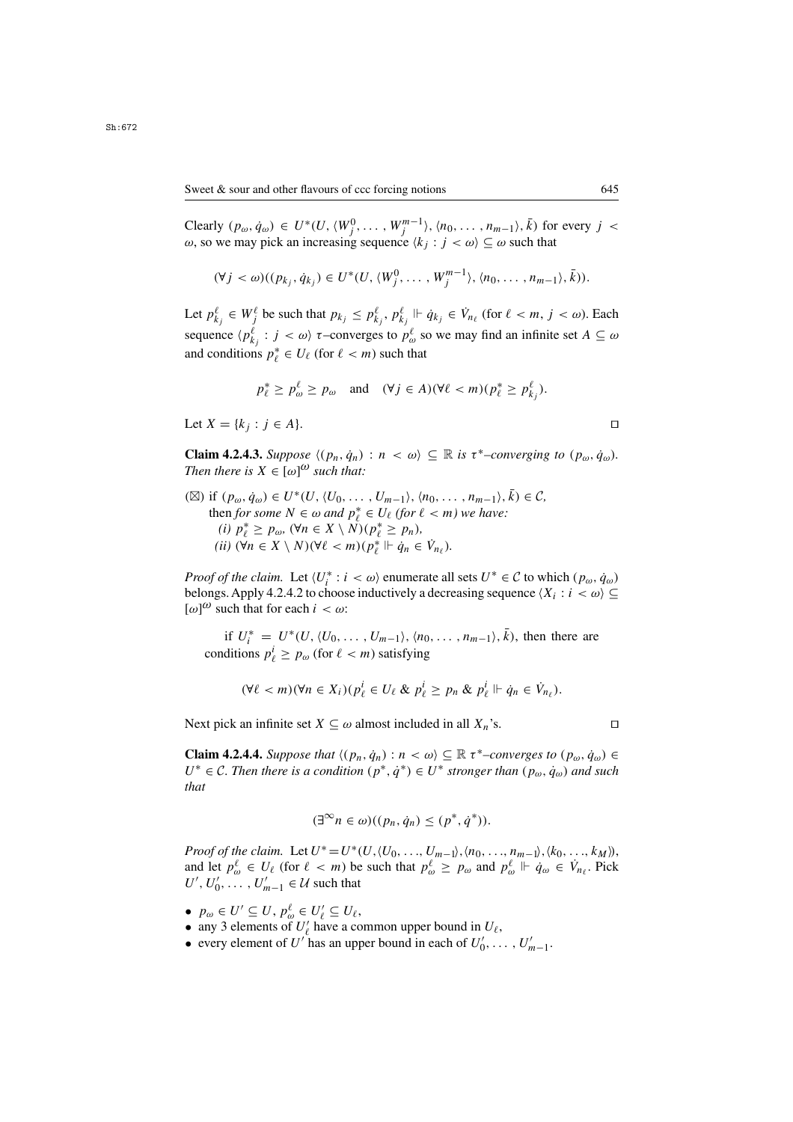Clearly  $(p_{\omega}, \dot{q}_{\omega}) \in U^*(U, \langle W_j^0, \dots, W_j^{m-1} \rangle, \langle n_0, \dots, n_{m-1} \rangle, \overline{k})$  for every  $j < \omega$ , so we may pick an increasing sequence  $\langle k_i : j < \omega \rangle \subseteq \omega$  such that ω, so we may pick an increasing sequence  $\langle k_i : j < \omega \rangle \subseteq \omega$  such that

$$
(\forall j < \omega)((p_{k_j}, \dot{q}_{k_j}) \in U^*(U, \langle W_j^0, \ldots, W_j^{m-1} \rangle, \langle n_0, \ldots, n_{m-1} \rangle, \overline{k})).
$$

Let  $p_{k_j}^{\ell} \in W_j^{\ell}$  be such that  $p_{k_j} \leq p_{k_j}^{\ell}, p_{k_j}^{\ell} \Vdash \dot{q}_{k_j} \in V_{n_{\ell}}$  (for  $\ell < m, j < \omega$ ). Each sequence  $\langle p_{k_j}^{\ell} : j < \omega \rangle$   $\tau$ -converges to  $p_{\omega}^{\ell}$  so we may find an infinite set  $A \subseteq \omega$ and conditions  $p_{\ell}^* \in U_{\ell}$  (for  $\ell < m$ ) such that

$$
p_{\ell}^* \ge p_{\omega}^{\ell} \ge p_{\omega} \quad \text{and} \quad (\forall j \in A)(\forall \ell < m)(p_{\ell}^* \ge p_{k_j}^{\ell}).
$$

Let  $X = \{k_j : j \in A\}.$ 

**Claim 4.2.4.3.** *Suppose*  $\langle (p_n, \dot{q}_n) : n \langle \omega \rangle \subseteq \mathbb{R}$  *is*  $\tau^*$ –*converging to*  $(p_\omega, \dot{q}_\omega)$ *. Then there is*  $X \in [\omega]^{(\omega)}$  *such that:* 

(⊠) if  $(p_\omega, \dot{q}_\omega) \in U^*(U, \langle U_0, \ldots, U_{m-1} \rangle, \langle n_0, \ldots, n_{m-1} \rangle, k) \in \mathcal{C}$ then *for some*  $N \in \omega$  *and*  $p_\ell^* \in U_\ell$  (for  $\ell < m$ ) we have:<br>(i)  $p^* > p_\infty$  ( $\forall n \in X \setminus N$ )( $p^* > p_n$ ). *(i)*  $p^*_{\ell} \geq p_{\omega}$ ,  $(\forall n \in X \setminus N)(p^*_{\ell} \geq p_n)$ ,<br>*ii)*  $(\forall n \in X \setminus N)(\forall \ell < m)(n^* \Vdash \dot{\alpha} \in$  $(iii)$  (∀n ∈ X \ N)(∀ $\ell < m$ )( $p_{\ell}^*$   $\Vdash \dot{q}_n \in \dot{V}_{n_{\ell}}$ ).

*Proof of the claim.* Let  $\langle U_i^* : i \rangle \langle \omega \rangle$  enumerate all sets  $U^* \in \mathcal{C}$  to which  $(p_\omega, \dot{q}_\omega)$ <br>belongs. Apply 4.2.4.2 to choose inductively a decreasing sequence  $\langle X_i : i \rangle \langle \omega \rangle$ belongs. Apply 4.2.4.2 to choose inductively a decreasing sequence  $\langle X_i : i \langle \omega \rangle \subseteq$  $[\omega]^\omega$  such that for each  $i < \omega$ :

if  $U_i^* = U^*(U, \langle U_0, \ldots, U_{m-1} \rangle, \langle n_0, \ldots, n_{m-1} \rangle, \overline{k})$ , then there are ditions  $n^i > n$  (for  $\ell > m$ ) satisfying conditions  $p_{\ell}^l \ge p_{\omega}$  (for  $\ell < m$ ) satisfying

$$
(\forall \ell < m)(\forall n \in X_i)(p_{\ell}^i \in U_{\ell} \& p_{\ell}^i \geq p_n \& p_{\ell}^i \Vdash \dot{q}_n \in \dot{V}_{n_{\ell}}).
$$

Next pick an infinite set  $X \subseteq \omega$  almost included in all  $X_n$ 's.

**Claim 4.2.4.4.** *Suppose that*  $\langle (p_n, \dot{q}_n) : n < \omega \rangle \subseteq \mathbb{R} \tau^*$ –converges to  $(p_\omega, \dot{q}_\omega) \in$  $U^*$  ∈ C. Then there is a condition  $(p^*, \dot{q}^*)$  ∈  $U^*$  *stronger than*  $(p_\omega, \dot{q}_\omega)$  and such *that*

$$
(\exists^{\infty} n \in \omega)((p_n, \dot{q}_n) \leq (p^*, \dot{q}^*)\mathbf{)}.
$$

*Proof of the claim.* Let  $U^* = U^*(U, \langle U_0, \ldots, U_{m-1} \rangle, \langle n_0, \ldots, n_{m-1} \rangle, \langle k_0, \ldots, k_M \rangle)$ , and let  $p^{\ell}_{\omega} \in U_{\ell}$  (for  $\ell < m$ ) be such that  $p^{\ell}_{\omega} \geq p_{\omega}$  and  $p^{\ell}_{\omega} \Vdash \dot{q}_{\omega} \in V_{n_{\ell}}$ . Pick  $U' \cup U' = U'$ ,  $\in \mathcal{U}$  such that  $U', U'_0, \ldots, U'_{m-1} \in \mathcal{U}$  such that

- $p_{\omega} \in U' \subseteq U$ ,  $p_{\omega}^{\ell} \in U'_{\ell} \subseteq U_{\ell}$ ,<br>• any 3 elements of  $U'_{\ell}$  have a co-
- any 3 elements of  $U'_\ell$  have a common upper bound in  $U_\ell$ ,<br>• every element of  $U'_\ell$  has an upper bound in each of  $U'_\ell$ .
- every element of U' has an upper bound in each of  $U'_0, \ldots, U'_{m-1}$ .

$$
\Box
$$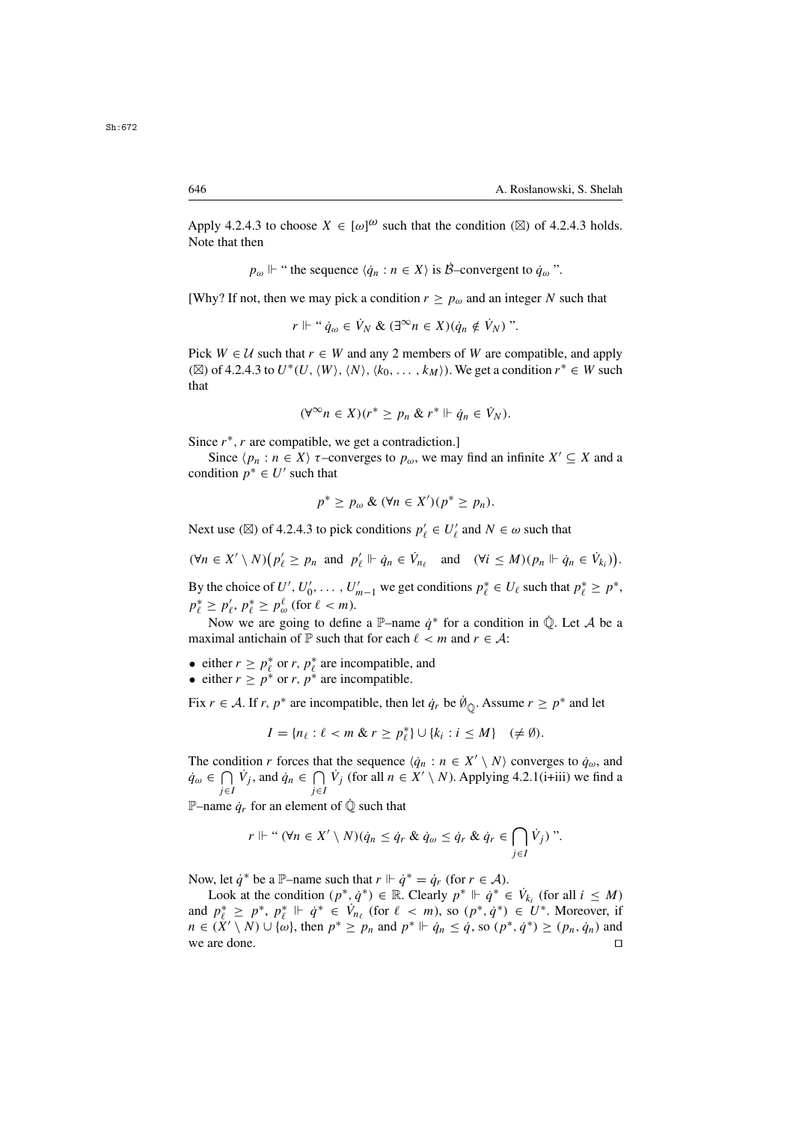Apply 4.2.4.3 to choose  $X \in [\omega]^{\omega}$  such that the condition ( $\boxtimes$ ) of 4.2.4.3 holds.<br>Note that then Note that then

 $p_{\omega}$   $\Vdash$  " the sequence  $\langle \dot{q}_n : n \in X \rangle$  is  $\dot{\mathcal{B}}$ -convergent to  $\dot{q}_{\omega}$ ".

[Why? If not, then we may pick a condition  $r > p_\omega$  and an integer N such that

$$
r \Vdash " \dot{q}_{\omega} \in \dot{V}_N \& (\exists^{\infty} n \in X) (\dot{q}_n \notin \dot{V}_N)".
$$

Pick  $W \in \mathcal{U}$  such that  $r \in W$  and any 2 members of W are compatible, and apply ( $\boxtimes$ ) of 4.2.4.3 to  $U^*(U,\langle W\rangle,\langle N\rangle,\langle k_0,\ldots,k_M\rangle)$ . We get a condition  $r^* \in W$  such that

$$
(\forall^\infty n \in X)(r^* \geq p_n \& r^* \Vdash \dot{q}_n \in \dot{V}_N).
$$

Since  $r^*$ , r are compatible, we get a contradiction.]

Since  $\langle p_n : n \in X \rangle$   $\tau$ –converges to  $p_\omega$ , we may find an infinite  $X' \subseteq X$  and a condition  $p^* \in U'$  such that

$$
p^* \geq p_\omega \& (\forall n \in X')(p^* \geq p_n).
$$

Next use ( $\boxtimes$ ) of 4.2.4.3 to pick conditions  $p'_\ell \in U'_\ell$  and  $N \in \omega$  such that

$$
(\forall n \in X' \setminus N) \big( p'_\ell \geq p_n \text{ and } p'_\ell \Vdash \dot{q}_n \in \dot{V}_{n_\ell} \text{ and } (\forall i \leq M) (p_n \Vdash \dot{q}_n \in \dot{V}_{k_i}) \big).
$$

By the choice of  $U', U'_0, \ldots, U'_{m-1}$  we get conditions  $p_\ell^* \in U_\ell$  such that  $p_\ell^* \geq p^*$ ,<br> $p^* \geq p' \cdot p^* \geq p^\ell$  (for  $\ell \leq m$ )  $p_{\ell}^* \geq p_{\ell}^{\prime}, p_{\ell}^* \geq p_{\omega}^{\ell}$  (for  $\ell < m$ ).<br>Now we are going to define

Now we are going to define a P–name  $\dot{q}^*$  for a condition in  $\dot{\mathbb{Q}}$ . Let A be a maximal antichain of P such that for each  $\ell < m$  and  $r \in \mathcal{A}$ :

- either  $r \ge p_\ell^*$  or r,  $p_\ell^*$  are incompatible, and<br>• either  $r > n^*$  or r,  $n^*$  are incompatible.
- either  $r > p^*$  or r,  $p^*$  are incompatible.

Fix  $r \in A$ . If  $r, p^*$  are incompatible, then let  $\dot{q}_r$  be  $\dot{\emptyset}_{\dot{\mathbb{Q}}}$ . Assume  $r \geq p^*$  and let

$$
I = \{n_\ell : \ell < m \& r \geq p_\ell^* \} \cup \{k_i : i \leq M\} \quad (\neq \emptyset).
$$

The condition r forces that the sequence  $\langle \dot{q}_n : n \in X' \setminus N \rangle$  converges to  $\dot{q}_\omega$ , and  $\dot{q}_{\omega} \in \bigcap_{j \in I} \dot{V}_j$ , and  $\dot{q}_n \in \bigcap_{j \in I} \dot{V}_j$  (for all  $n \in \dot{X}' \setminus N$ ). Applying 4.2.1(i+iii) we find a j∈I j∈I

P–name  $\dot{q}_r$  for an element of  $\dot{\mathbb{Q}}$  such that

$$
r \Vdash `` (\forall n \in X' \setminus N)(\dot{q}_n \leq \dot{q}_r \& \dot{q}_\omega \leq \dot{q}_r \& \dot{q}_r \in \bigcap_{j \in I} \dot{V}_j)''.
$$

Now, let  $\dot{q}^*$  be a P–name such that  $r \Vdash \dot{q}^* = \dot{q}_r$  (for  $r \in \mathcal{A}$ ).

Look at the condition  $(p^*, \dot{q}^*) \in \mathbb{R}$ . Clearly  $p^* \Vdash \dot{q}^* \in V_{k_i}$  (for all  $i \leq M$ )<br>  $p^* > p^* \Vdash \dot{q}^* \in V$  (for  $\ell > m$ ) so  $(p^*, \dot{q}^*) \in U^*$ . Moreover, if and  $p_\ell^* \geq p^*$ ,  $p_\ell^* \Vdash \dot{q}^* \in V_{n_\ell}$  (for  $\ell < m$ ), so  $(p^*, \dot{q}^*) \in U^*$ . Moreover, if  $n \in (X' \setminus N) \cup \{\omega\}$  then  $n^* > n$ , and  $n^* \Vdash \dot{q}_* < \dot{q}$  so  $(n^*, \dot{q}^*) > (n, \dot{q}_*)$  and  $n \in (\tilde{X}' \setminus N) \cup \{\omega\}$ , then  $p^* \geq p_n$  and  $p^* \Vdash \dot{q}_n \leq \dot{q}$ , so  $(p^*, \dot{q}^*) \geq (p_n, \dot{q}_n)$  and we are done. we are done.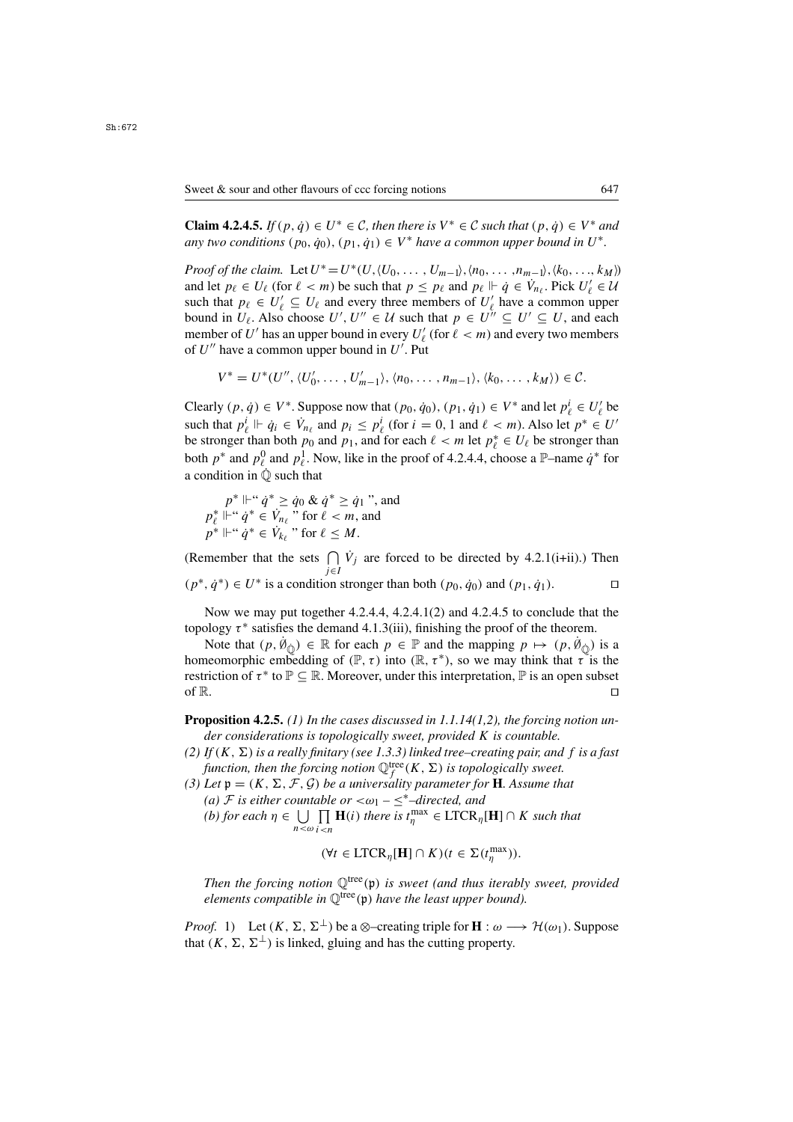**Claim 4.2.4.5.** *If*  $(p, \dot{q}) \in U^* \in \mathcal{C}$ , then there is  $V^* \in \mathcal{C}$  such that  $(p, \dot{q}) \in V^*$  and *any two conditions*  $(p_0, \dot{q}_0), (p_1, \dot{q}_1) \in V^*$  *have a common upper bound in*  $U^*$ .

*Proof of the claim.* Let  $U^* = U^*(U, \langle U_0, \ldots, U_{m-1} \rangle, \langle n_0, \ldots, n_{m-1} \rangle, \langle k_0, \ldots, k_M \rangle)$ and let  $p_{\ell} \in U_{\ell}$  (for  $\ell < m$ ) be such that  $p \leq p_{\ell}$  and  $p_{\ell} \Vdash \dot{q} \in V_{n_{\ell}}$ . Pick  $U'_{\ell} \in U_{\ell}$ <br>such that  $p_{\ell} \in U'_{\ell} \subset U_{\ell}$  and every three members of  $U'_{\ell}$  have a common upper such that  $p_{\ell} \in U'_{\ell} \subseteq U_{\ell}$  and every three members of  $U'_{\ell}$  have a common upper<br>bound in  $U_{\ell}$ . Also choose  $U'$ ,  $U'' \in U$  such that  $p \in U'' \subseteq U' \subseteq U$ , and each bound in  $U_{\ell}$ . Also choose  $U', U'' \in \mathcal{U}$  such that  $p \in U'' \subseteq U' \subseteq U$ , and each member of  $U'$  has an upper bound in every  $U'$  (for  $\ell < m$ ) and every two members member of U' has an upper bound in every  $U'_{\ell}$  (for  $\ell < m$ ) and every two members of U'' have a common upper bound in U'. Put of  $U''$  have a common upper bound in  $U'$ . Put

$$
V^* = U^*(U'', \langle U'_0, \ldots, U'_{m-1} \rangle, \langle n_0, \ldots, n_{m-1} \rangle, \langle k_0, \ldots, k_M \rangle) \in \mathcal{C}.
$$

Clearly  $(p, \dot{q}) \in V^*$ . Suppose now that  $(p_0, \dot{q}_0), (p_1, \dot{q}_1) \in V^*$  and let  $p_\ell^i \in U_\ell^i$  be such that  $n^i \Vdash \dot{q} \in V$  and  $p \le n^i$  (for  $i = 0, 1$  and  $\ell \le m$ ). Also let  $n^* \in U_\ell^i$ such that  $p_{\ell}^{i} \Vdash \dot{q}_{i} \in \dot{V}_{n_{\ell}}$  and  $p_{i} \leq p_{\ell}^{i}$  (for  $i = 0, 1$  and  $\ell < m$ ). Also let  $p^* \in U'$ <br>be stronger than both  $p_0$  and  $p_1$ , and for each  $\ell < m$  let  $p^* \in U_{\ell}$  be stronger than be stronger than both  $p_0$  and  $p_1$ , and for each  $\ell < m$  let  $p_\ell^* \in U_\ell$  be stronger than both  $p^*$  and  $p^0$  and  $p^1$ . Now like in the proof of 4.2.4.4, choose a  $\mathbb{P}_{\ell}$ -name  $\phi^*$  for both  $p^*$  and  $p_\ell^0$  and  $p_\ell^1$ . Now, like in the proof of 4.2.4.4, choose a  $\mathbb{P}$ –name  $\dot{q}^*$  for a condition in  $\dot{\mathbb{O}}$  such that

$$
p^* \Vdash ``\dot{q}^* \ge \dot{q}_0 \& \dot{q}^* \ge \dot{q}_1",
$$
 and  

$$
p_\ell^* \Vdash ``\dot{q}^* \in \dot{V}_{n_\ell}"
$$
 for  $\ell < m$ , and  

$$
p^* \Vdash ``\dot{q}^* \in \dot{V}_{k_\ell}"
$$
 for  $\ell \le M$ .

(Remember that the sets  $\bigcap_{j \in I} V_j$  are forced to be directed by 4.2.1(i+ii).) Then  $(p^*, \dot{q}^*) \in U^*$  is a condition stronger than both  $(p_0, \dot{q}_0)$  and  $(p_1, \dot{q}_1)$ .  $\Box$ 

Now we may put together 4.2.4.4, 4.2.4.1(2) and 4.2.4.5 to conclude that the topology  $\tau^*$  satisfies the demand 4.1.3(iii), finishing the proof of the theorem.

Note that  $(p, \dot{N}_{\dot{Q}}) \in \mathbb{R}$  for each  $p \in \mathbb{P}$  and the mapping  $p \mapsto (p, \dot{N}_{\dot{Q}})$  is a neomorphic embedding of  $(\mathbb{P}, \tau)$  into  $(\mathbb{R}, \tau^*)$  so we may think that  $\tau$  is the homeomorphic embedding of  $(\mathbb{P}, \tau)$  into  $(\mathbb{R}, \tau^*)$ , so we may think that  $\tau$  is the restriction of  $\tau^*$  to  $\mathbb{P} \subseteq \mathbb{R}$ . Moreover, under this interpretation,  $\mathbb{P}$  is an open subset of  $\mathbb{R}$ . of R.

**Proposition 4.2.5.** *(1) In the cases discussed in 1.1.14(1,2), the forcing notion under considerations is topologically sweet, provided* K *is countable.*

- (2) If  $(K, \Sigma)$  *is a really finitary (see 1.3.3) linked tree–creating pair, and f is a fast function, then the forcing notion*  $\mathbb{Q}_f^{\text{tree}}(K, \Sigma)$  *is topologically sweet.*<br>Let  $\mathbf{n} = (K \Sigma \mathcal{F} \mathcal{G})$  *be a universality narameter for* **H** Assume the
- *(3) Let*  $\mathfrak{p} = (K, \Sigma, \mathcal{F}, \mathcal{G})$  *be a universality parameter for* **H***. Assume that (a)*  $\mathcal{F}$  *is either countable or*  $\langle \omega_1 \leq^* \rangle$ *-directed, and (a) F* is either countable or  $\langle \omega_1 - \leq^*$ –directed, and *(b)* for each  $n \in 1$  **I**  $\prod$  **H**(*i)* there is t<sup>max</sup> ∈ **I** TCR
	- *(b) for each*  $η ∈ ∪<sub>n < ω</sub>$ П  $\prod_{i \leq n} \mathbf{H}(i)$  *there is*  $t_{\eta}^{\max} \in \text{LTCR}_{\eta}[\mathbf{H}] \cap K$  *such that*

$$
(\forall t \in \text{LTCR}_{\eta}[\mathbf{H}] \cap K)(t \in \Sigma(t_{\eta}^{\max})).
$$

*Then the forcing notion*  $\mathbb{Q}^{\text{tree}}(\mathfrak{p})$  *is sweet (and thus iterably sweet, provided elements compatible in*  $\mathbb{Q}^{\text{tree}}(\mathfrak{p})$  *have the least upper bound*).

*Proof.* 1) Let  $(K, \Sigma, \Sigma^{\perp})$  be a ⊗–creating triple for **H** :  $\omega \longrightarrow \mathcal{H}(\omega_1)$ . Suppose that  $(K, \Sigma, \Sigma^{\perp})$  is linked, gluing and has the cutting property.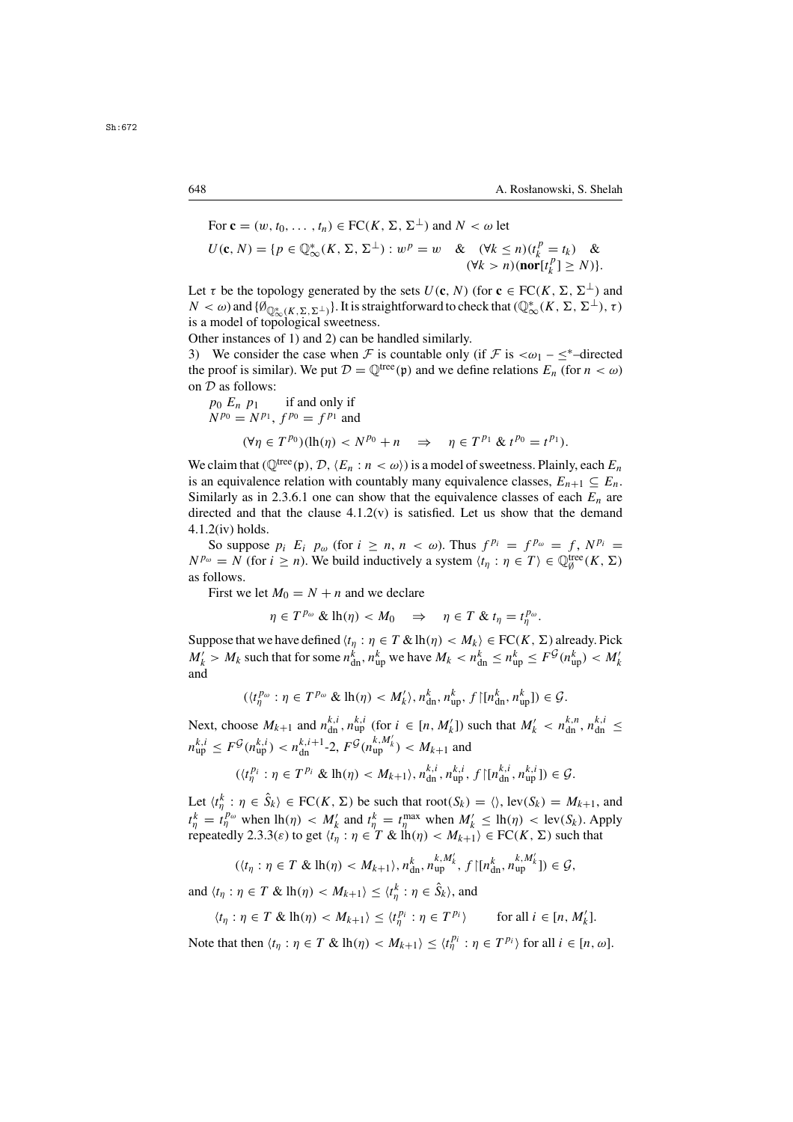For 
$$
\mathbf{c} = (w, t_0, \dots, t_n) \in \mathrm{FC}(K, \Sigma, \Sigma^{\perp})
$$
 and  $N < \omega$  let  
\n
$$
U(\mathbf{c}, N) = \{p \in \mathbb{Q}_{\infty}^*(K, \Sigma, \Sigma^{\perp}) : w^p = w \quad \& \quad (\forall k \le n)(t_k^p = t_k) \quad \& \quad (\forall k > n)(\mathrm{nor}[t_k^p] \ge N)\}.
$$

Let  $\tau$  be the topology generated by the sets  $U(\mathbf{c},N)$  (for  $\mathbf{c} \in FC(K, \Sigma, \Sigma^{\perp})$  and  $N < \omega$ ) and  $\{\emptyset_{\mathbb{Q}^*_{\infty}(K,\Sigma,\Sigma^{\perp})}\}\.$  It is straightforward to check that  $(\mathbb{Q}^*_{\infty}(K,\Sigma,\Sigma^{\perp}), \tau)$ <br>is a model of topological sweetness is a model of topological sweetness.

Other instances of 1) and 2) can be handled similarly.

3) We consider the case when F is countable only (if F is  $\langle \omega_1 - \leq^*$ -directed the proof is similar). We put  $\mathcal{D} = \mathbb{Q}^{\text{tree}}(\mathfrak{p})$  and we define relations  $E_n$  (for  $n < \omega$ ) on  $D$  as follows:

$$
p_0 E_n p_1 \text{ if and only if}
$$
  
\n
$$
N^{p_0} = N^{p_1}, f^{p_0} = f^{p_1} \text{ and}
$$
  
\n
$$
(\forall \eta \in T^{p_0})(\text{lh}(\eta) < N^{p_0} + n \implies \eta \in T^{p_1} \& t^{p_0} = t^{p_1}).
$$

We claim that ( $\mathbb{Q}^{tree}(\mathfrak{p}), \mathcal{D}, \langle E_n : n \langle \omega \rangle$ ) is a model of sweetness. Plainly, each  $E_n$ is an equivalence relation with countably many equivalence classes,  $E_{n+1} \subseteq E_n$ . Similarly as in 2.3.6.1 one can show that the equivalence classes of each  $E_n$  are directed and that the clause  $4.1.2(v)$  is satisfied. Let us show that the demand 4.1.2(iv) holds.

So suppose  $p_i$   $E_i$   $p_\omega$  (for  $i \ge n, n < \omega$ ). Thus  $f^{p_i} = f^{p_\omega} = f, N^{p_i} =$  $N^{p_{\omega}} = N$  (for  $i \ge n$ ). We build inductively a system  $\langle t_{\eta} : \eta \in T \rangle \in \mathbb{Q}_{\emptyset}^{\text{tree}}(K, \Sigma)$ as follows.

First we let  $M_0 = N + n$  and we declare

$$
\eta \in T^{p_{\omega}} \& \mathrm{lh}(\eta) < M_0 \quad \Rightarrow \quad \eta \in T \& t_{\eta} = t_{\eta}^{p_{\omega}}.
$$

Suppose that we have defined  $\langle t_n : \eta \in T \& \text{lh}(\eta) < M_k \rangle \in FC(K, \Sigma)$  already. Pick Suppose that we have defined  $\langle t_\eta : \eta \in T \& \text{lh}(\eta) < M_k \rangle \in \text{FC}(K, \Sigma)$  already. Pick  $M' \geq M$ , such that for some  $n^k \leq n^k$ ,  $\leq n^k \leq n^k \leq n^k \leq \mathbb{F}^{\mathcal{G}}(n^k) < M'$  $M'_k > M_k$  such that for some  $n_{dn}^k$ ,  $n_{up}^k$  we have  $M_k < n_{dn}^k \le n_{up}^k \le F^{\mathcal{G}}(n_{up}^k) < M'_k$ <br>and and

$$
(\langle t_n^{p_\omega} : \eta \in T^{p_\omega} \& \operatorname{lh}(\eta) < M'_k \rangle, n_{\text{dn}}^k, n_{\text{up}}^k, f \upharpoonright [n_{\text{dn}}^k, n_{\text{up}}^k] \in \mathcal{G}.
$$

Next, choose  $M_{k+1}$  and  $n_{di}^{k,i}$ ,  $n_{di}^{k,i}$  (for  $i \in [n, M'_k]$ ) such that  $M'_k < n_{di}^{k,n}$ ,  $n_{di}^{k,i} \leq$  $n_{\text{up}}^{k,i} \le F^{\mathcal{G}}(n_{\text{up}}^{k,i}) < n_{\text{dn}}^{k,i+1}$ -2,  $F^{\mathcal{G}}(n_{\text{up}}^{k,M'_k}) < M_{k+1}$  and

$$
(\langle t^{p_i}_{\eta} : \eta \in T^{p_i} \& \operatorname{lh}(\eta) < M_{k+1} \rangle, n^{k,i}_{\text{dn}}, n^{k,i}_{\text{up}}, f \upharpoonright [n^{k,i}_{\text{dn}}, n^{k,i}_{\text{up}}] \leq \mathcal{G}.
$$

Let  $\langle t_0^k : \eta \in \hat{S}_k \rangle \in \text{FC}(K, \Sigma)$  be such that  $\text{root}(S_k) = \langle \rangle$ ,  $\text{lev}(S_k) = M_{k+1}$ , and  $\mathcal{W}_{k+1}$ ,  $\mathcal{W}_{k+1}$ ,  $\mathcal{W}_{k+1}$ ,  $\mathcal{W}_{k+1}$ ,  $\mathcal{W}_{k+1}$ ,  $\mathcal{W}_{k+1}$ ,  $\mathcal{W}_{k+1}$ ,  $\mathcal{W}_{k+1}$ ,  $\mathcal{W}_{k+1}$ ,  $\math$  $t_{\eta} = t_{\eta}$  when  $m(\eta) < m_k$  and  $t_{\eta} = t_{\eta}$  when  $m_k \le m(\eta) < m(v)$ , Afree repeatedly 2.3.3( $\varepsilon$ ) to get  $\langle t_{\eta} : \eta \in T \& \ln(\eta) < M_{k+1} \rangle \in FC(K, \Sigma)$  such that  $\frac{k}{\eta} = t_0^{p_{\omega}}$  when  $\ln(\eta) < M'_k$  and  $t_0^k = t_0^{\max}$  when  $M'_k \le \ln(\eta) < \ln(k)$ . Apply<br>repeatedly 2.3.3(s) to get  $(t_0 : n \in T, \Re(\ln(n)) < M_{k+1}) \in \text{FC}(K, \Sigma)$  such that

$$
(\langle t_\eta:\eta\in T\ \&\ \mathrm{lh}(\eta)\langle M_{k+1}\rangle,\,n_{\mathrm{dn}}^k,\,n_{\mathrm{up}}^{k,M'_k},\,f\,\big|\big[n_{\mathrm{dn}}^k,\,n_{\mathrm{up}}^{k,M'_k}\big]\big)\in\mathcal{G},
$$

and  $\langle t_\eta : \eta \in T \& \ln(\eta) < M_{k+1} \rangle \leq \langle t_\eta^k : \eta \in \hat{S}_k \rangle$ , and

$$
\langle t_\eta : \eta \in T \& \operatorname{lh}(\eta) < M_{k+1} \rangle \leq \langle t_\eta^{p_i} : \eta \in T^{p_i} \rangle \qquad \text{for all } i \in [n, M'_k].
$$

Note that then  $\langle t_{\eta} : \eta \in T \& \ln(\eta) < M_{k+1} \rangle \leq \langle t_{\eta}^{p_i} : \eta \in T^{p_i} \rangle$  for all  $i \in [n, \omega]$ .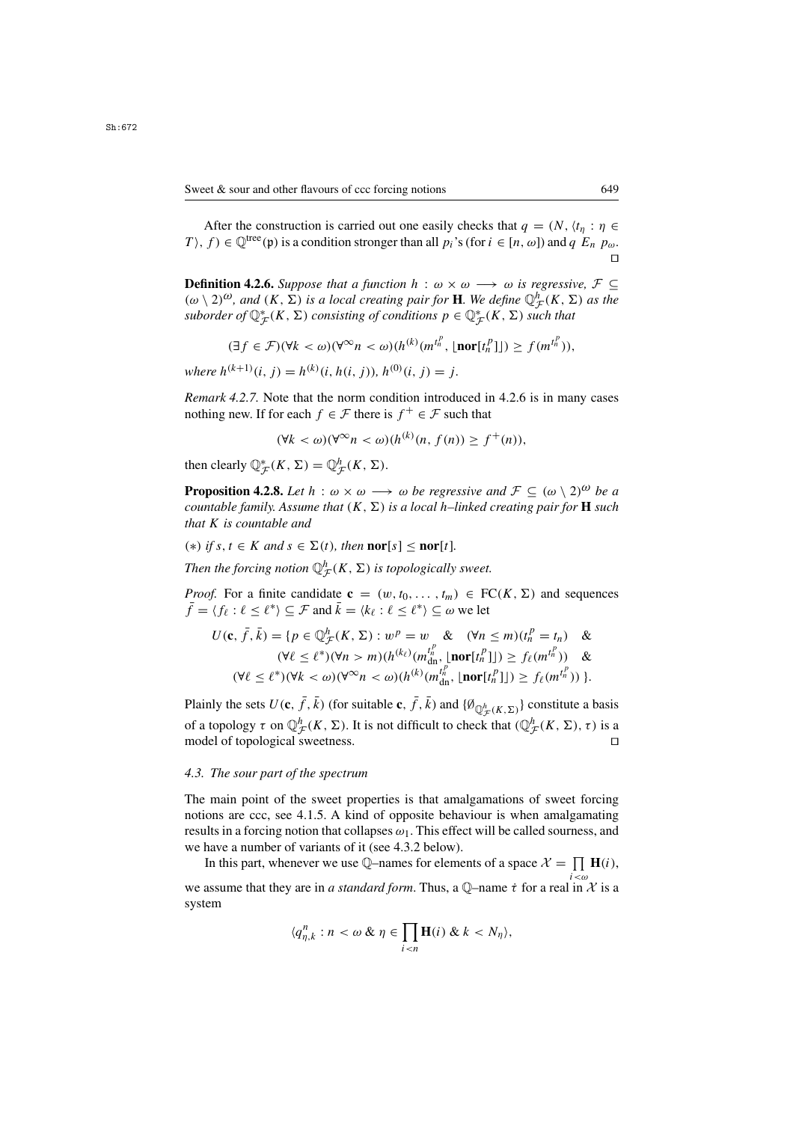After the construction is carried out one easily checks that  $q = (N, \langle t_n : \eta \in \mathbb{R}^N)$ T), f)  $\in \mathbb{Q}^{\text{tree}}(\mathfrak{p})$  is a condition stronger than all  $p_i$ 's (for  $i \in [n, \omega]$ ) and  $q E_n p_\omega$ .  $\Box$ 

**Definition 4.2.6.** *Suppose that a function*  $h : \omega \times \omega \longrightarrow \omega$  *is regressive,*  $\mathcal{F} \subseteq$  $(\omega \setminus 2)^{\omega}$ , and  $(K, \Sigma)$  is a local creating pair for **H**. We define  $\mathbb{Q}_{\mathcal{F}}^{h}(K, \Sigma)$  as the suborder of  $\mathbb{O}^{\ast}(K, \Sigma)$  consisting of conditions  $n \in \mathbb{O}^{\ast}(K, \Sigma)$  such that suborder of  $\mathbb{Q}_{\mathcal{F}}^{*}(K, \Sigma)$  consisting of conditions  $p \in \mathbb{Q}_{\mathcal{F}}^{*}(K, \Sigma)$  such that

$$
(\exists f \in \mathcal{F})(\forall k < \omega)(\forall^{\infty} n < \omega)(h^{(k)}(m^{t_n^{\mu}}, \lfloor \mathbf{nor}[t_n^{\rho}] \rfloor) \ge f(m^{t_n^{\mu}})),
$$

*where*  $h^{(k+1)}(i, j) = h^{(k)}(i, h(i, j))$ ,  $h^{(0)}(i, j) = j$ .

*Remark 4.2.7.* Note that the norm condition introduced in 4.2.6 is in many cases nothing new. If for each  $f \in \mathcal{F}$  there is  $f^+ \in \mathcal{F}$  such that

$$
(\forall k < \omega)(\forall^{\infty} n < \omega)(h^{(k)}(n, f(n)) \ge f^+(n)),
$$

then clearly  $\mathbb{Q}_{\mathcal{F}}^*(K, \Sigma) = \mathbb{Q}_{\mathcal{F}}^h(K, \Sigma)$ .

**Proposition 4.2.8.** *Let*  $h : \omega \times \omega \longrightarrow \omega$  *be regressive and*  $\mathcal{F} \subseteq (\omega \setminus 2)^{\omega}$  *be a countable family. Assume that*  $(K, \Sigma)$  *is a local h–linked creating pair for* **H** *such that* K *is countable and*

 $(*)$  *if*  $s, t \in K$  *and*  $s \in \Sigma(t)$ *, then* **nor**[s]  $\leq$  **nor**[t]*.* 

Then the forcing notion  $\mathbb{Q}_{\mathcal{F}}^{h}(K,\Sigma)$  is topologically sweet.

*Proof.* For a finite candidate  $\mathbf{c} = (w, t_0, \dots, t_m) \in \text{FC}(K, \Sigma)$  and sequences  $\bar{f} = \langle f_\ell : \ell \leq \ell^* \rangle \subseteq \mathcal{F}$  and  $\bar{k} = \langle k_\ell : \ell \leq \ell^* \rangle \subseteq \omega$  we let

$$
U(\mathbf{c}, \bar{f}, \bar{k}) = \{ p \in \mathbb{Q}_{\mathcal{F}}^h(K, \Sigma) : w^p = w \& (\forall n \le m)(t_n^p = t_n) \& (\forall \ell \le \ell^*)(\forall n > m)(h^{(k_{\ell})}(m_{\mathrm{dn}}^{t_n}, \lfloor \mathbf{nor}[t_n^p \rfloor]) \ge f_{\ell}(m^{t_n^p})) \& (\forall \ell \le \ell^*)(\forall k < \omega)(\forall^{\infty} n < \omega)(h^{(k)}(m_{\mathrm{dn}}^{t_n}, \lfloor \mathbf{nor}[t_n^p \rfloor]) \ge f_{\ell}(m^{t_n^p})) \}.
$$

Plainly the sets  $U(\mathbf{c}, \bar{f}, \bar{k})$  (for suitable  $\mathbf{c}, \bar{f}, \bar{k}$ ) and  $\{\emptyset_{\mathbb{Q}_{\mathcal{F}}^h(K,\Sigma)}\}$  constitute a basis of a topology  $\tau$  on  $\mathbb{Q}_{\mathcal{F}}^h(K,\Sigma)$ . It is not difficult to check that  $(\mathbb{Q}_{\mathcal{F}}^h(K,\Sigma),\tau)$  is a model of topological sweetness model of topological sweetness.

#### *4.3. The sour part of the spectrum*

The main point of the sweet properties is that amalgamations of sweet forcing notions are ccc, see 4.1.5. A kind of opposite behaviour is when amalgamating results in a forcing notion that collapses  $\omega_1$ . This effect will be called sourness, and we have a number of variants of it (see 4.3.2 below).

In this part, whenever we use Q-names for elements of a space  $\mathcal{X} = \prod_{i < \omega} \mathbf{H}(i)$ , we assume that they are in *a standard form*. Thus, a Q–name  $\dot{\tau}$  for a real in  $\dot{\chi}$  is a system system

$$
\langle q_{\eta,k}^n : n < \omega \& \eta \in \prod_{i < n} \mathbf{H}(i) \& k < N_\eta \rangle,
$$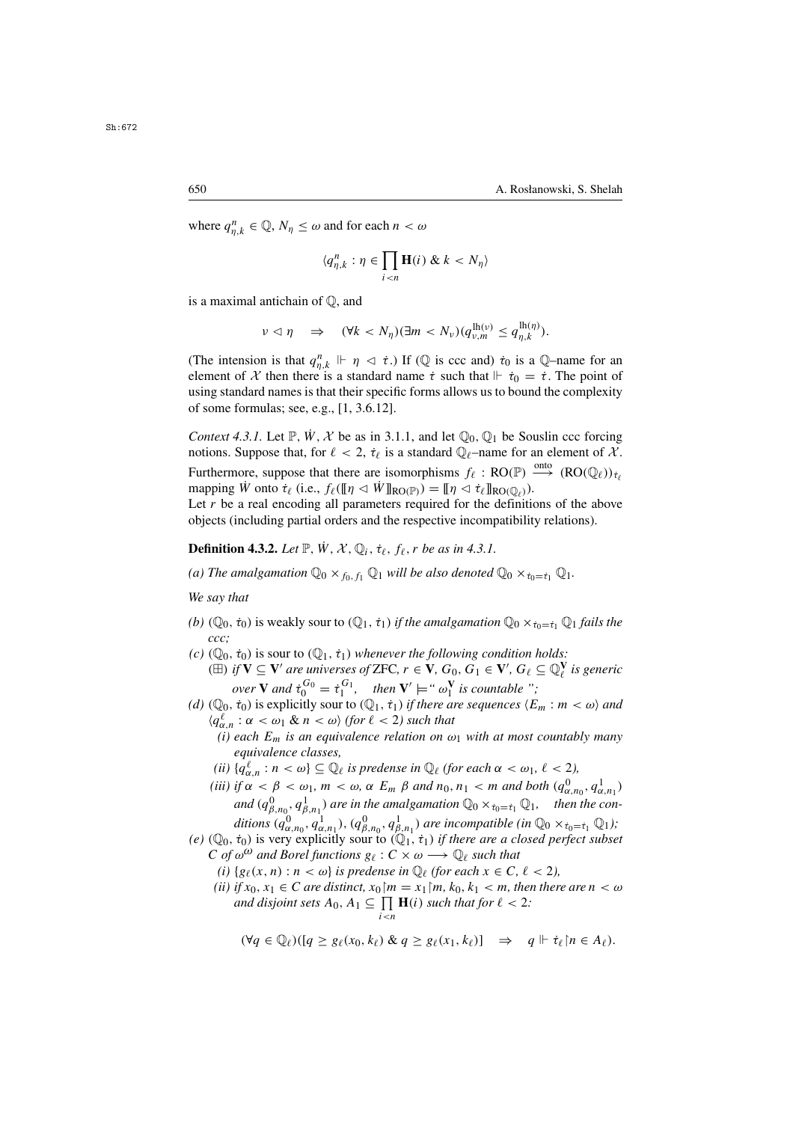where  $q_{\eta,k}^n \in \mathbb{Q}$ ,  $N_\eta \leq \omega$  and for each  $n < \omega$ 

$$
\langle q_{\eta,k}^n : \eta \in \prod_{i < n} \mathbf{H}(i) \& k < N_\eta \rangle
$$

is a maximal antichain of Q, and

$$
\nu \lhd \eta \quad \Rightarrow \quad (\forall k < N_\eta) (\exists m < N_\nu) (q_{\nu,m}^{\text{lh}(\nu)} \leq q_{\eta,k}^{\text{lh}(\eta)}).
$$

(The intension is that  $q_{\eta,k}^n \Vdash \eta \vartriangleleft \dot{\tau}$ .) If ( $\mathbb{Q}$  is ccc and)  $\dot{\tau}_0$  is a  $\mathbb{Q}$ -name for an element of  $\mathcal{X}$  then there is a standard name  $\dot{\tau}$  such that  $\mathbb{H} \dot{\tau}_0 = \dot{\tau}$ . The point of element of X then there is a standard name  $\dot{\tau}$  such that  $\|\dot{\tau}_0 = \dot{\tau}$ . The point of using standard names is that their specific forms allows us to bound the complexity of some formulas; see, e.g., [1, 3.6.12].

*Context 4.3.1.* Let  $\mathbb{P}$ ,  $\dot{W}$ ,  $\mathcal{X}$  be as in 3.1.1, and let  $\mathbb{O}_0$ ,  $\mathbb{O}_1$  be Souslin ccc forcing notions. Suppose that, for  $\ell < 2$ ,  $\dot{\tau}_{\ell}$  is a standard  $\mathbb{Q}_{\ell}$ -name for an element of X. Furthermore, suppose that there are isomorphisms  $f_{\ell} : RO(\mathbb{P}) \xrightarrow{\text{onto}} (RO(\mathbb{Q}_{\ell}))_{t_{\ell}}$ <br>manning  $\dot{W}$  onto  $\dot{\tau}_{\ell}$  (i.e.  $f_{\ell}(\mathbb{I}_R \triangleleft \dot{W}\mathbb{I}_{\text{DO}(\mathbb{D}_{\ell})}) - \mathbb{I}_R \triangleleft \dot{\tau}_{\ell}\mathbb{I}_{\text{DO}(\mathbb{Q}_{\ell})})$ ) mapping W onto  $\dot{\tau}_{\ell}$  (i.e.,  $f_{\ell}(\lbrack\!\lbrack\eta \lbrack\otimes \dot{W}\rbrack\!\rbrack_{\text{RO}(\mathbb{P})}) = \lbrack\!\lbrack\eta \lbrack\otimes \dot{\tau}_{\ell}\rbrack\!\rbrack_{\text{RO}(\mathbb{Q}_{\ell})}).$ 

Let  $r$  be a real encoding all parameters required for the definitions of the above objects (including partial orders and the respective incompatibility relations).

**Definition 4.3.2.** *Let*  $\mathbb{P}$ ,  $\dot{W}$ ,  $\mathcal{X}$ ,  $\mathbb{Q}_i$ ,  $\dot{\tau}_{\ell}$ ,  $f_{\ell}$ ,  $r$  *be as in 4.3.1.* 

*(a)* The amalgamation  $\mathbb{Q}_0 \times_{f_0, f_1} \mathbb{Q}_1$  *will be also denoted*  $\mathbb{Q}_0 \times_{f_0 = f_1} \mathbb{Q}_1$ *.* 

*We say that*

- *(b)* ( $\mathbb{Q}_0$ ,  $\dot{\tau}_0$ ) is weakly sour to ( $\mathbb{Q}_1$ ,  $\dot{\tau}_1$ ) *if the amalgamation*  $\mathbb{Q}_0 \times_{\dot{\tau}_0 = \dot{\tau}_1} \mathbb{Q}_1$  *fails the ccc;*
- *(c)*  $(\mathbb{Q}_0, \dot{\tau}_0)$  is sour to  $(\mathbb{Q}_1, \dot{\tau}_1)$  *whenever the following condition holds:*

( $\boxplus$ ) *if* **V** ⊆ **V**' are universes of ZFC,  $r \in \mathbf{V}$ ,  $G_0$ ,  $G_1 \in \mathbf{V}'$ ,  $G_\ell \subseteq \mathbb{Q}_\ell^{\mathbf{V}}$  is generic and  $\mathbf{v}^{G_0} = \hat{\mathbf{v}}^{G_1}$  than  $\mathbf{V}' =$  "  $\infty$ " is generately ". *over* **V** *and*  $\dot{\tau}_0^{G_0} = \dot{\tau}_1^{G_1}$ , *then* **V**'  $\models$  "  $\omega_1^{\mathbf{V}}$  *is countable ";*<br>*to)* is explicitly sour to ( $\mathbb{O}_1$ , *to) if there are sequences* (*F* 

- *(d)*  $(\mathbb{Q}_0, \dot{\tau}_0)$  is explicitly sour to  $(\mathbb{Q}_1, \dot{\tau}_1)$  *if there are sequences*  $\langle E_m : m \langle \omega \rangle$  *and*  $\langle q_{\alpha,n}^{\ell} : \alpha < \omega_1 \& n < \omega \rangle$  (for  $\ell < 2$ ) such that<br>(i) each  $F_m$  is an equivalence relation on  $\omega$ 
	- *(i) each*  $E_m$  *is an equivalence relation on*  $\omega_1$  *with at most countably many equivalence classes,*
	- (*ii*)  $\{q_{\ell,n}^{\ell}: n < \omega\} \subseteq \mathbb{Q}_{\ell}$  *is predense in*  $\mathbb{Q}_{\ell}$  (*for each*  $\alpha < \omega_1, \ell < 2$ ),<br>*iii*) *if*  $\alpha < \beta < \omega$ ,  $m < \omega$  and  $F = \beta$  and  $n, n, \epsilon, m$  and hath (a)
	- (*iii*) if  $\alpha < \beta < \omega_1$ ,  $m < \omega$ ,  $\alpha$  E<sub>m</sub>  $\beta$  and  $n_0$ ,  $n_1 < m$  and both ( $q_{\alpha,n_0}^0$ ,  $q_{\alpha}^1$ )<br>and  $(\alpha^0, \alpha^1)$ , are in the amalgomation  $\mathbb{Q}_N$ ,  $\mathbb{Q}_N$ , then the a and  $(q_{\beta,n_0}^0, q_{\beta,n_1}^1)$  are in the amalgamation  $\mathbb{Q}_0 \times_{\tau_0 = \tau_1} \mathbb{Q}_1$ , then the con-<br>  $\mathbb{Q}_0$   $\mathbb{Q}_1$ ,  $\mathbb{Q}_2$  are  $\mathbb{Q}_2$  are in the amalgamation  $\mathbb{Q}_0 \times_{\tau_0 = \tau_1} \mathbb{Q}_1$ , then the conditions  $(q_{\alpha,n_0}^0, q_{\alpha,n_1}^1)$ ,  $(q_{\beta,n_0}^0, q_{\beta,n_1}^1)$  are incompatible (in  $\mathbb{Q}_0 \times_{\tau_0 = \tau_1} \mathbb{Q}_1$ );<br>  $\dot{\tau}_0$  is very explicitly sour to  $(\mathbb{Q}_1, \dot{\tau}_1)$  if there are a closed perfect subset
- (e)  $(\mathbb{Q}_0, \dot{\tau}_0)$  is very explicitly sour to  $(\mathbb{Q}_1, \dot{\tau}_1)$  *if there are a closed perfect subset*<br> $C$  of  $\omega^{\omega}$  and Borel functions  $g_{\psi}: C \times \omega \longrightarrow \mathbb{Q}_v$  such that C of  $\omega^{\omega}$  and Borel functions  $g_{\ell}: C \times \omega \longrightarrow \mathbb{Q}_{\ell}$  such that
	- *(i)*  $\{g_\ell(x, n) : n < \omega\}$  *is predense in*  $\mathbb{Q}_\ell$  *(for each*  $x \in C$ *,*  $\ell < 2$ *),*
	- *(ii)* if  $x_0, x_1 \in C$  *are distinct,*  $x_0 \in [m = x_1 \in (m, k_0, k_1 < m,$  then there are  $n < \omega$ *and disjoint sets*  $A_0, A_1 \subseteq \prod_{i \leq n} \mathbf{H}(i)$  *such that for*  $\ell < 2$ *:*

$$
(\forall q \in \mathbb{Q}_{\ell})([q \geq g_{\ell}(x_0, k_{\ell}) \& q \geq g_{\ell}(x_1, k_{\ell})] \Rightarrow q \Vdash \dot{\tau}_{\ell} \upharpoonright n \in A_{\ell}).
$$

Sh:672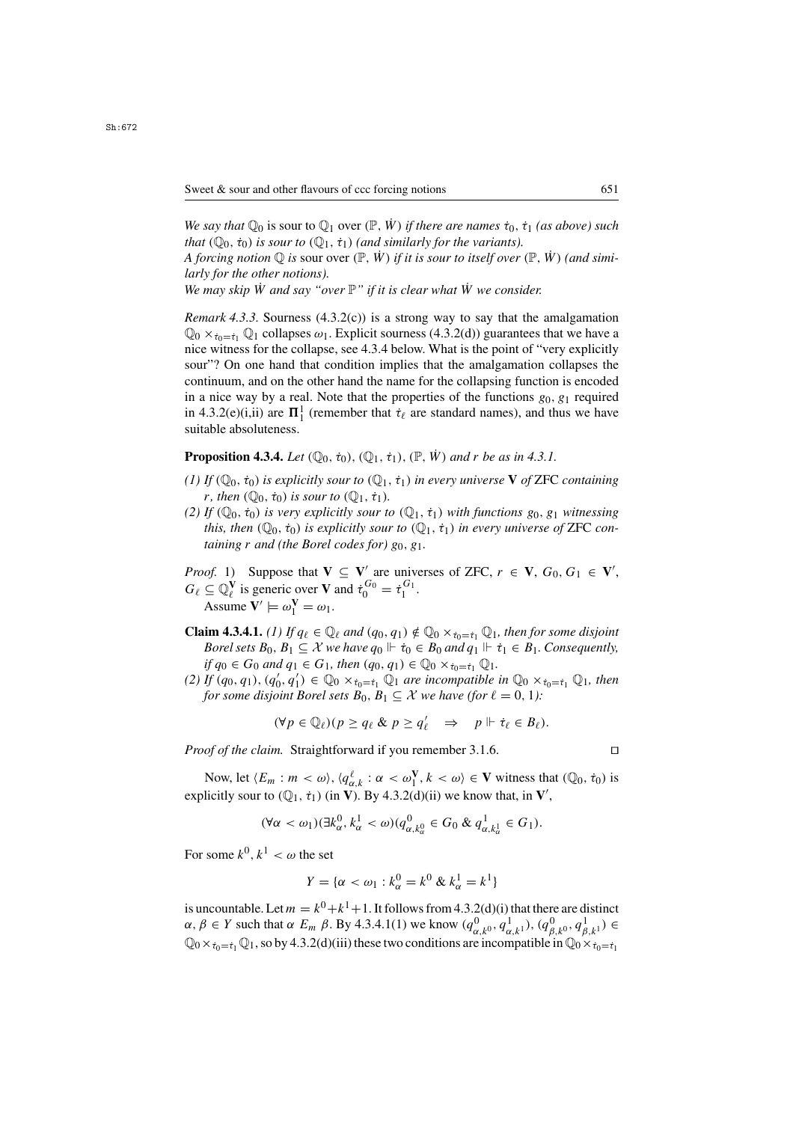*We say that*  $\mathbb{Q}_0$  is sour to  $\mathbb{Q}_1$  over  $(\mathbb{P}, \dot{W})$  *if there are names*  $\dot{\tau}_0$ ,  $\dot{\tau}_1$  *(as above) such that*  $(\mathbb{Q}_0, \dot{\tau}_0)$  *is sour to*  $(\mathbb{Q}_1, \dot{\tau}_1)$  *(and similarly for the variants).* 

*A forcing notion*  $\mathbb Q$  *is sour over*  $(\mathbb P, \dot{W})$  *if it is sour to itself over*  $(\mathbb P, \dot{W})$  *(and similarly for the other notions).*

*We may skip W and say "over*  $\mathbb{P}$ " *if it is clear what W we consider.* 

*Remark 4.3.3.* Sourness (4.3.2(c)) is a strong way to say that the amalgamation  $\mathbb{Q}_0 \times_{\dot{\tau}_0 = \dot{\tau}_1} \mathbb{Q}_1$  collapses  $\omega_1$ . Explicit sourness (4.3.2(d)) guarantees that we have a nice witness for the collapse, see 4.3.4 below. What is the point of "very explicitly sour"? On one hand that condition implies that the amalgamation collapses the continuum, and on the other hand the name for the collapsing function is encoded in a nice way by a real. Note that the properties of the functions  $g_0, g_1$  required in 4.3.2(e)(i,ii) are  $\mathbf{\Pi}^1$  (remember that  $\dot{\tau}_\ell$  are standard names), and thus we have suitable absoluteness suitable absoluteness.

**Proposition 4.3.4.** *Let*  $(\mathbb{Q}_0, \dot{\tau}_0), (\mathbb{Q}_1, \dot{\tau}_1), (\mathbb{P}, \dot{W})$  *and* r *be as in 4.3.1.* 

- $(1)$  *If*  $(\mathbb{Q}_0, \dot{\tau}_0)$  *is explicitly sour to*  $(\mathbb{Q}_1, \dot{\tau}_1)$  *in every universe* **V** *of* ZFC *containing r*, then  $(\mathbb{O}_0, \dot{\tau}_0)$  *is sour to*  $(\mathbb{O}_1, \dot{\tau}_1)$ *.*
- *(2) If*  $(\mathbb{Q}_0, \dot{\tau}_0)$  *is very explicitly sour to*  $(\mathbb{Q}_1, \dot{\tau}_1)$  *with functions*  $g_0, g_1$  *witnessing this, then*  $(\mathbb{Q}_0, \dot{\tau}_0)$  *is explicitly sour to*  $(\mathbb{Q}_1, \dot{\tau}_1)$  *in every universe of* ZFC *containing*  $r$  *and* (the Borel codes for)  $g_0$ ,  $g_1$ .
- *Proof.* 1) Suppose that  $V \subseteq V'$  are universes of ZFC,  $r \in V$ ,  $G_0, G_1 \in V'$ ,  $G_2 \subset \mathbb{N}^V$  is generic over **V** and  $\tau^{G_0} = \tau^{G_1}$  $G_{\ell} \subseteq \mathbb{Q}_{\ell}^{\mathbf{V}}$  is generic over **V** and  $\dot{\tau}_0^{G_0} = \dot{\tau}_1^{G_1}$ .<br>Assume  $\mathbf{V}' \models \omega^{\mathbf{V}} = \omega$ . Assume  $V' \models \omega_1^V = \omega_1$ .
- **Claim 4.3.4.1.** *(1)* If  $q_\ell \in \mathbb{Q}_\ell$  and  $(q_0, q_1) \notin \mathbb{Q}_0 \times_{\tau_0 = \tau_1} \mathbb{Q}_1$ , then for some disjoint *Borel sets*  $B_0$ ,  $B_1 \subseteq \mathcal{X}$  *we have*  $q_0 \Vdash \dot{\tau}_0 \in B_0$  *and*  $q_1 \Vdash \dot{\tau}_1 \in B_1$ *. Consequently,*  $if q_0 \in G_0$  *and*  $q_1 \in G_1$ *, then*  $(q_0, q_1) \in \mathbb{Q}_0 \times_{\tau_0 = \tau_1} \mathbb{Q}_1$ *.*
- (2) If  $(q_0, q_1)$ ,  $(q'_0, q'_1) \in \mathbb{Q}_0 \times_{\tau_0 = \tau_1} \mathbb{Q}_1$  *are incompatible in*  $\mathbb{Q}_0 \times_{\tau_0 = \tau_1} \mathbb{Q}_1$ *, then* for some disjoint Rorel sets  $B_0, B_1 \subset X$  we have (for  $\ell = 0, 1$ ). *for some disjoint Borel sets*  $B_0$ ,  $B_1 \subseteq \mathcal{X}$  *we have (for*  $\ell = 0, 1$ *):*

$$
(\forall p \in \mathbb{Q}_{\ell})(p \geq q_{\ell} \& p \geq q_{\ell}' \Rightarrow p \Vdash \dot{\tau}_{\ell} \in B_{\ell}).
$$

*Proof of the claim.* Straightforward if you remember 3.1.6. □

Now, let  $\langle E_m : m \langle \omega \rangle, \langle q_{\alpha,k}^{\ell} : \alpha \langle \omega \rangle, k \langle \omega \rangle \in \mathbf{V}$  witness that  $(\mathbb{Q}_0, \dot{\tau}_0)$  is licitly sour to  $(\mathbb{Q}_1, \dot{\tau}_1)$  (in  $\mathbf{V}$ ) By A 3.2(d)(ii) we know that in  $\mathbf{V}'$ explicitly sour to  $(\mathbb{Q}_1, \dot{\tau}_1)$  (in **V**). By 4.3.2(d)(ii) we know that, in **V**',

$$
(\forall \alpha < \omega_1)(\exists k_{\alpha}^0, k_{\alpha}^1 < \omega)(q_{\alpha,k_{\alpha}^0}^0 \in G_0 \& q_{\alpha,k_{\alpha}^1}^1 \in G_1).
$$

For some  $k^0, k^1 < \omega$  the set

$$
Y = \{ \alpha < \omega_1 : k_\alpha^0 = k^0 \& k_\alpha^1 = k^1 \}
$$

is uncountable. Let  $m = k^0 + k^1 + 1$ . It follows from 4.3.2(d)(i) that there are distinct  $\alpha, \beta \in Y$  such that  $\alpha E_m$   $\beta$ . By 4.3.4.1(1) we know  $(q_{\alpha,k^0}^0, q_{\alpha,k^1}^1), (q_{\beta,k^0}^0, q_{\beta,k^1}^1) \in$ <br>  $\mathbb{Q}_0 \times \cdots \mathbb{Q}_1$  so by 4.3.2(d)(iii) these two conditions are incompatible in  $\mathbb{Q}_0 \times \cdots$  $\mathbb{Q}_0 \times_{\tau_0=\tau_1} \mathbb{Q}_1$ , so by 4.3.2(d)(iii) these two conditions are incompatible in  $\mathbb{Q}_0 \times_{\tau_0=\tau_1}$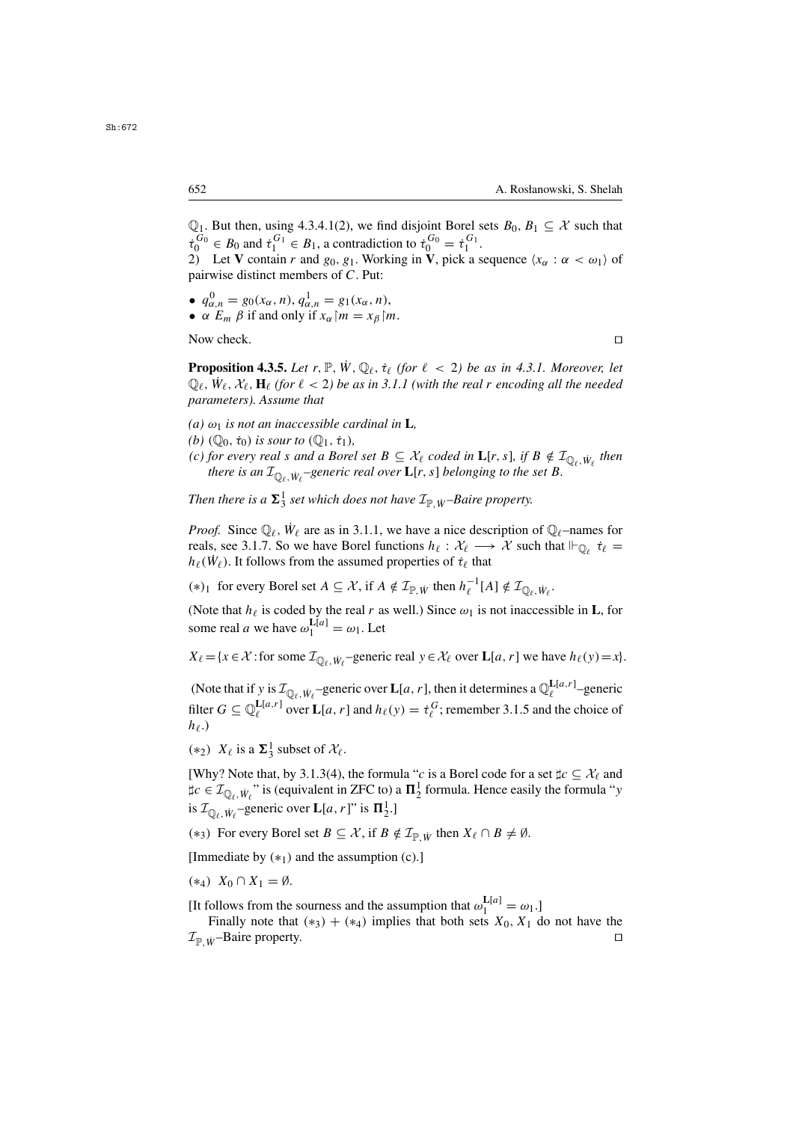$\mathbb{Q}_1$ . But then, using 4.3.4.1(2), we find disjoint Borel sets  $B_0, B_1 \subset \mathcal{X}$  such that  $\dot{\tau}_0^{U_0} \in B_0$  and  $\dot{\tau}_1^{U_1} \in B_1$ , a contradiction to  $\dot{\tau}_0^{U_0} = \dot{\tau}_1^{U_1}$ .<br>  $\dot{\tau}_1^{U_1} \in \mathbf{V}$  contain r and  $g_0, g_1$ . Working in V nick a s 2) Let **V** contain r and  $g_0, g_1$ . Working in **V**, pick a sequence  $\langle x_\alpha : \alpha < \omega_1 \rangle$  of

pairwise distinct members of C. Put:

- $q_{\alpha,n}^0 = g_0(x_\alpha, n), q_{\alpha,n}^1 = g_1(x_\alpha, n),$ <br>•  $\alpha \in \mathbb{R}$  if and only if  $x_n$ ,  $m = x_\alpha$  is
- $\alpha$   $E_m$   $\beta$  if and only if  $x_\alpha$   $\upharpoonright m = x_\beta$   $\upharpoonright m$ .

Now check.

**Proposition 4.3.5.** *Let*  $r, \mathbb{P}, \dot{W}, \mathbb{Q}_{\ell}, \dot{\tau}_{\ell}$  (for  $\ell < 2$ ) be as in 4.3.1. Moreover, let  $\mathbb{Q}_\ell$ ,  $\dot{W}_\ell$ ,  $X_\ell$ ,  $\mathbf{H}_\ell$  (for  $\ell < 2$ ) be as in 3.1.1 (with the real r encoding all the needed narameters) Assume that *parameters). Assume that*

- $(a)$   $\omega_1$  *is not an inaccessible cardinal in* **L***,*
- *(b)*  $(\mathbb{Q}_0, \dot{\tau}_0)$  *is sour to*  $(\mathbb{Q}_1, \dot{\tau}_1)$ *,*
- *(c) for every real s and a Borel set*  $B \subseteq \mathcal{X}_{\ell}$  *coded in*  $\mathbf{L}[r, s]$ *, if*  $B \notin \mathcal{I}_{\mathbb{Q}_{\ell}, \dot{W}_{\ell}}$  *then* there is an  $\mathcal{I}_{\mathbb{Q}_\ell, \dot{W}_\ell}$ -generic real over  $\mathbf{L}[r, s]$  belonging to the set B.

Then there is a  $\Sigma_3^1$  set which does not have  $\mathcal{I}_{\mathbb{P},\dot{W}}$ *–Baire property.* 

*Proof.* Since  $\mathbb{Q}_{\ell}$ ,  $\dot{W}_{\ell}$  are as in 3.1.1, we have a nice description of  $\mathbb{Q}_{\ell}$ –names for reals, see 3.1.7. So we have Borel functions  $h_{\ell} : \mathcal{X}_{\ell} \longrightarrow \mathcal{X}$  such that  $\Vdash_{\mathbb{Q}_{\ell}} \dot{\tau}_{\ell} =$  $h_{\ell}(\dot{W}_{\ell})$ . It follows from the assumed properties of  $\dot{\tau}_{\ell}$  that

(\*)<sub>1</sub> for every Borel set *A* ⊆ *X*, if *A* ∉  $\mathcal{I}_{\mathbb{P}, \dot{W}}$  then  $h_{\ell}^{-1}[A] \notin \mathcal{I}_{\mathbb{Q}_{\ell}, \dot{W}_{\ell}}$ .

(Note that  $h_{\ell}$  is coded by the real r as well.) Since  $\omega_1$  is not inaccessible in **L**, for some real *a* we have  $\omega_1^{\text{L}[a]} = \omega_1$ . Let

 $X_{\ell} = \{x \in \mathcal{X} : \text{for some } \mathcal{I}_{\mathbb{Q}_{\ell}, W_{\ell}} \text{-generic real } y \in \mathcal{X}_{\ell} \text{ over } \mathbf{L}[a, r] \text{ we have } h_{\ell}(y) = x\}.$ 

(Note that if y is  $\mathcal{I}_{\mathbb{Q}_\ell, W_\ell}$  –generic over  $\mathbf{L}[a, r]$ , then it determines a  $\mathbb{Q}_\ell^{\mathbf{L}[a, r]}$ –generic filter  $G \subseteq \mathbb{Q}_{\ell}^{\mathbf{L}[a,r]}$  over  $\mathbf{L}[a,r]$  and  $h_{\ell}(y) = \dot{\tau}_{\ell}^G$ ; remember 3.1.5 and the choice of  $h_{\ell}$ )  $h_{\ell}$ .)

(\*2)  $X_{\ell}$  is a  $\Sigma_3^1$  subset of  $\mathcal{X}_{\ell}$ .

[Why? Note that, by 3.1.3(4), the formula "c is a Borel code for a set  $\sharp c \subseteq \mathcal{X}_{\ell}$  and  $\sharp c \in \mathcal{I}_{\mathbb{Q}_\ell, W_\ell}$ " is (equivalent in ZFC to) a  $\mathbf{\Pi}^1_2$  formula. Hence easily the formula "y is  $\mathcal{I}_{\mathbb{Q}_{\ell}, \dot{W}_{\ell}}$ -generic over **L**[a, r]" is  $\mathbf{\Pi}_2^1$ .]

(\*3) For every Borel set *B* ⊆ X, if *B*  $\notin \mathcal{I}_{\mathbb{P}}$  *i*<sub>V</sub> then  $X_{\ell} \cap B \neq \emptyset$ .

[Immediate by  $(*_1)$  and the assumption  $(c)$ .]

$$
(*_4) X_0 \cap X_1 = \emptyset.
$$

[It follows from the sourness and the assumption that  $\omega_1^{\text{L}[a]} = \omega_1$ .]<br>Finally note that  $(*)$   $+$   $(*)$  implies that both sets  $X_2, X_3$ 

Finally note that (\*<sub>3</sub>) + (\*<sub>4</sub>) implies that both sets  $X_0$ ,  $X_1$  do not have the  $\Box$  $\mathcal{I}_{\mathbb{P}}$  <sub>W</sub>–Baire property.

Sh:672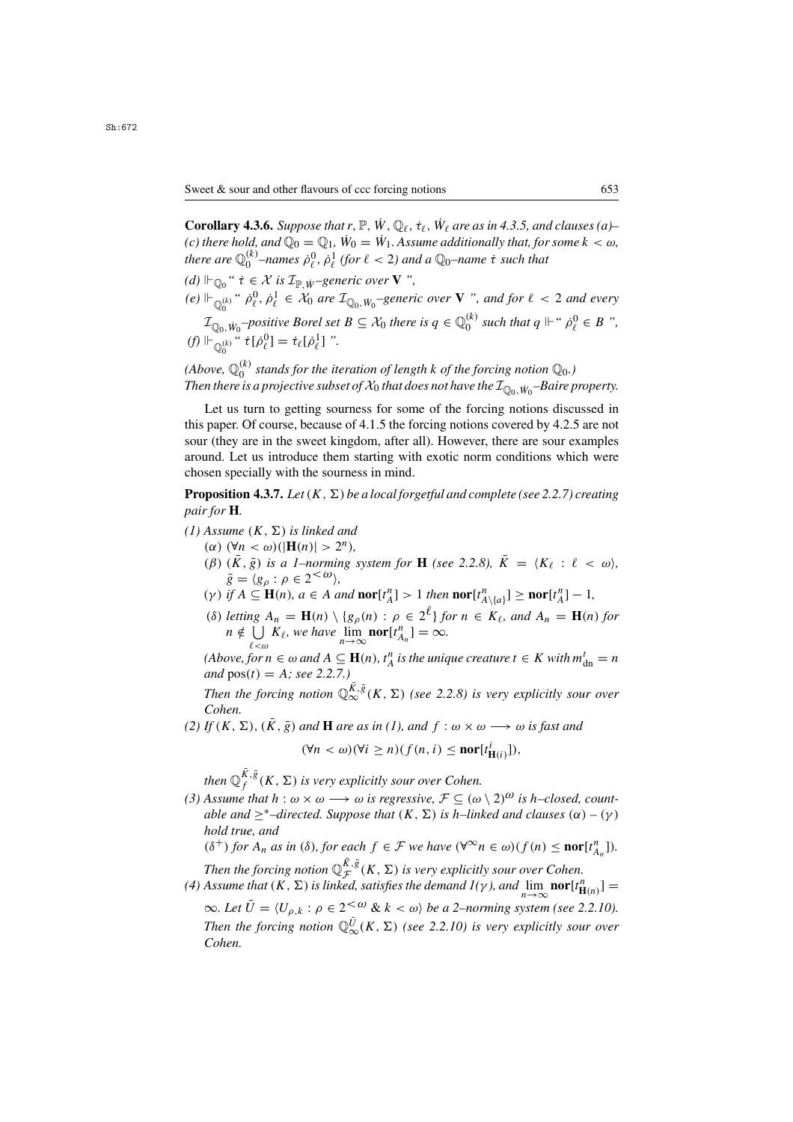**Corollary 4.3.6.** *Suppose that*  $r, \mathbb{P}, W, \mathbb{Q}_\ell, \dot{\tau}_\ell, W_\ell$  are as in 4.3.5, and clauses (a)– *(c) there hold, and*  $\widehat{\mathbb{Q}_0} = \mathbb{Q}_1$ ,  $\dot{W}_0 = \dot{W}_1$ . Assume additionally that, for some  $k < \omega$ , *there are*  $\mathbb{Q}_b^{(k)}$  –names  $\dot{\rho}_\ell^0$ ,  $\dot{\rho}_\ell^1$  (for  $\ell < 2$ ) and a  $\mathbb{Q}_0$ –name  $\dot{\tau}$  such that

- $(d)$   $\Vdash_{\mathbb{O}_0}$  "  $\dot{\tau} \in \mathcal{X}$  *is*  $\mathcal{I}_{\mathbb{P}}$  *i<sub>v</sub>*-generic over **V** ",
- $(e) \Vdash_{\mathbb{Q}_0^{(k)}} " \dot{\rho}_\ell^0, \dot{\rho}_\ell^1 \in \mathcal{X}_0$  are  $\mathcal{I}_{\mathbb{Q}_0, W_0}$ -generic over **V** ", and for  $\ell < 2$  and every 0

 $\mathcal{I}_{\mathbb{Q}_0, W_0}$ *-positive Borel set*  $B \subseteq \mathcal{X}_0$  *there is*  $q \in \mathbb{Q}_0^{(k)}$  *such that*  $q \Vdash ``\dot{p}_\ell^0 \in B"$ ,<br> $\Vdash ``\dot{p}_\ell^0 \in B"$  $(f) \Vdash_{\mathbb{Q}_0^{(k)}} " \; \dot{\tau}[\dot{\rho}_\ell^0] = \dot{\tau}_\ell[\dot{\rho}_\ell^1]$  ". 0

(Above,  $\mathbb{Q}_0^{(k)}$  stands for the iteration of length  $k$  of the forcing notion  $\mathbb{Q}_0$ .)<br>Then there is a projective subset of  $\mathcal X_0$  that does not have the  $\mathcal T_0$  ,  $\ldots$  –Baire r Then there is a projective subset of  $\mathcal{X}_0$  that does not have the  $\mathcal{I}_{\mathbb{Q}_0,\dot{W}_0}$ –Baire property.

Let us turn to getting sourness for some of the forcing notions discussed in this paper. Of course, because of 4.1.5 the forcing notions covered by 4.2.5 are not sour (they are in the sweet kingdom, after all). However, there are sour examples around. Let us introduce them starting with exotic norm conditions which were chosen specially with the sourness in mind.

**Proposition 4.3.7.** *Let*  $(K, \Sigma)$  *be a local forgetful and complete (see 2.2.7) creating pair for* **H***.*

- $(1)$  Assume  $(K, \Sigma)$  *is linked and* 
	- ( $\alpha$ ) ( $\forall n < \omega$ )( $|\mathbf{H}(n)| > 2^n$ ),
	- ( $\beta$ )  $(\bar{K}, \bar{g})$  *is a 1–norming system for* **H** (see 2.2.8),  $\bar{K} = \langle K_\ell : \ell < \omega \rangle$ ,  $\bar{g}=\langle g_\rho:\rho\in 2^{<\omega}\rangle,$
	- (*γ*) *if*  $A \subseteq \mathbf{H}(n)$ *,*  $a \in A$  *and*  $\mathbf{nor}[t_A^n] > 1$  *then*  $\mathbf{nor}[t_A^n] \geq \mathbf{nor}[t_A^n] 1$ ,<br>(8)  $A \cup \{A\}$   $\cup \{A\}$   $\cup \{A\}$   $\cup \{A\}$   $\cup \{A\}$
	- (δ) *letting*  $A_n = \mathbf{H}(n) \setminus \{g_\rho(n) : \rho \in 2^{\ell}\}$  *for*  $n \in K_\ell$ , and  $A_n = \mathbf{H}(n)$  *for*  $n \notin \Box K_\ell$ , we have  $\lim_{n \to \infty} \text{nor} [t^n] = \infty$  $n \notin \bigcup_{\ell < \omega} K_{\ell}$ , we have  $\lim_{n \to \infty} \textbf{nor}[t^n_{A_n}]$  $]=\infty$ .

(*Above, for*  $n \in \omega$  *and*  $A \subseteq$  **H**(*n*)*,*  $t_A^n$  *is the unique creature*  $t \in K$  *with*  $m_{dn}^t = n$  *and*  $pos(t) = A \cdot see$  2.2.7. *and*  $pos(t) = A$ *; see 2.2.7.*)

*Then the forcing notion*  $\mathbb{Q}_{\infty}^{\bar{K},\bar{g}}(K,\Sigma)$  *(see 2.2.8) is very explicitly sour over Cohen.*

*(2) If*  $(K, \Sigma)$ ,  $(\overline{K}, \overline{g})$  *and* **H** *are as in (1), and*  $f : \omega \times \omega \longrightarrow \omega$  *is fast and* 

$$
(\forall n < \omega)(\forall i \ge n)(f(n, i) \le \text{nor}[t^l_{\mathbf{H}(i)}]),
$$

*then*  $\mathbb{Q}_f^{\bar{K},\bar{g}}(K,\Sigma)$  *is very explicitly sour over Cohen.*<br>Assume that  $h: \omega \times \omega \longrightarrow \omega$  is regressive.  $\mathcal{F} \subseteq (\omega)$ 

*(3) Assume that*  $h : \omega \times \omega \longrightarrow \omega$  *is regressive,*  $\mathcal{F} \subseteq (\omega \setminus 2)^{\omega}$  *is h–closed, countable and*  $\geq^*$ –*directed. Suppose that*  $(K, \Sigma)$  *is h–linked and clauses*  $(\alpha) - (\gamma)$ *hold true, and*

 $(\delta^+)$  *for*  $A_n$  *as in* ( $\delta$ *), for each*  $f \in \mathcal{F}$  *we have*  $(\forall^\infty n \in \omega)(f(n) \leq \textbf{nor}[t^n_{A_n}]).$ 

Then the forcing notion  $\mathbb{Q}_{\mathcal{F}}^{\bar{K},\bar{g}}(K,\Sigma)$  is very explicitly sour over Cohen.<br>Assume that  $(K,\Sigma)$  is linked, satisfies the demand  $l(\nu)$  and  $\lim_{\varepsilon \to 0} \mathbf{nor}[t^n-1]$ 

(4) Assume that  $(K, \Sigma)$  *is linked, satisfies the demand*  $1(\gamma)$ *, and*  $\lim_{n\to\infty} \textbf{nor}[t^n_{\mathbf{H}(n)}] =$ <br>**Algebrary**  $\lim_{n\to\infty} \mathbf{I}(\mathbf{H}(\mathbf{H}(n)))$   $\mathbf{H}(\mathbf{H}(n))$   $\mathbf{H}(\mathbf{H}(n))$   $\mathbf{H}(\mathbf{H}(n))$   $\mathbf{H}(\mathbf{H}(n))$   $\mathbf$  $\infty$ *. Let*  $\bar{U} = \langle U_{\rho,k} : \rho \in 2^{<\omega} \& k < \omega \rangle$  be a 2–norming system (see 2.2.10). Then the forcing notion  $\mathbb{Q}_{\infty}^{\overline{U}}(K,\Sigma)$  *(see 2.2.10)* is very explicitly sour over<br>Cohen *Cohen.*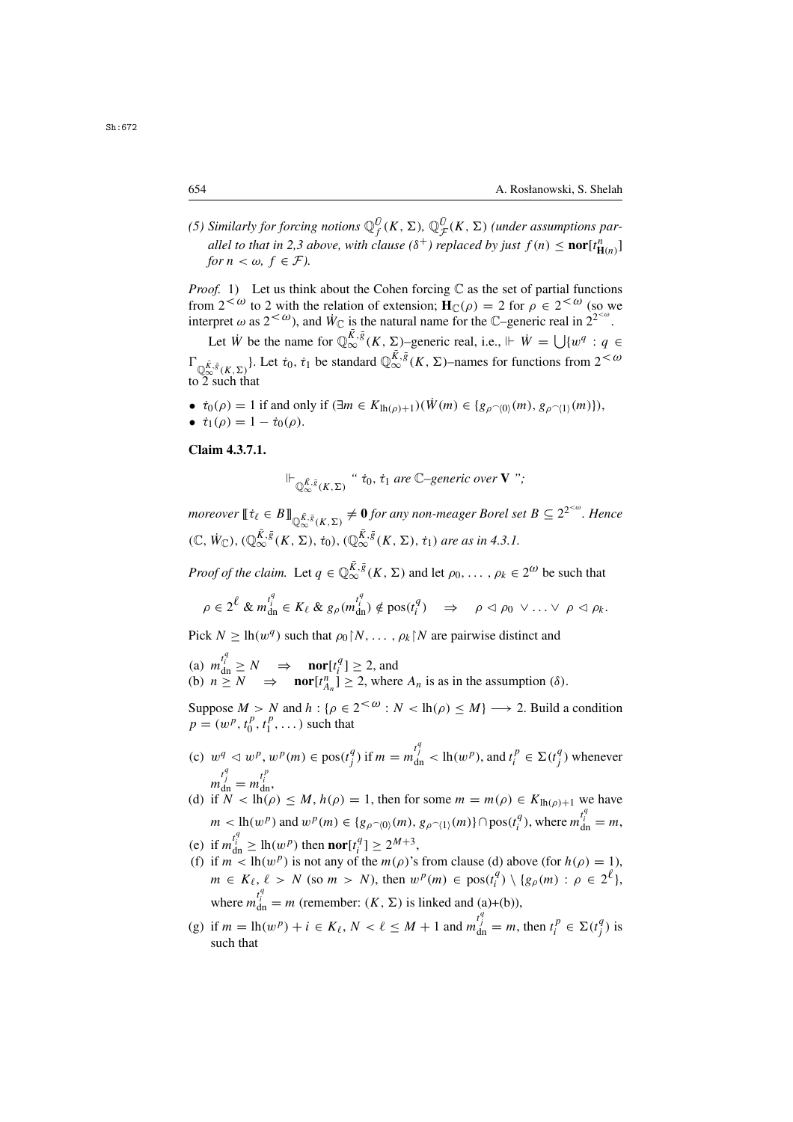(5) Similarly for forcing notions  $\mathbb{Q}_f^{\bar{U}}(K, \Sigma)$ ,  $\mathbb{Q}_\mathcal{F}^{\bar{U}}(K, \Sigma)$  (under assumptions par-<br>*allel* to that in 2.3 above, with clause  $(\delta^+)$  replaced by just  $f(n) < \text{perf}^n$ . *allel to that in 2,3 above, with clause* ( $\delta^+$ ) *replaced by just*  $f(n) \leq \textbf{nor}[t^n_{\mathbf{H}(n)}]$  for  $n < \omega$ ,  $f \in \mathcal{F}$ ). *for*  $n < \omega$ ,  $f \in \mathcal{F}$ ).

*Proof.* 1) Let us think about the Cohen forcing C as the set of partial functions from  $2^{<\omega}$  to 2 with the relation of extension;  $H_C(\rho) = 2$  for  $\rho \in 2^{<\omega}$  (so we from  $2^{<\omega}$  to 2 with the relation of extension;  $H_{\mathbb{C}}(\rho) = 2$  for  $\rho \in 2^{<\omega}$  (so we interpret  $\omega$  as  $2^{<\omega}$ ) and  $\dot{W}_{\mathbb{C}}$  is the natural name for the  $\mathbb{C}$ -generic real in  $2^{<\omega}$ interpret  $\omega$  as  $2^{<\omega}$ ), and  $W_{\mathbb{C}}$  is the natural name for the  $\mathbb{C}$ –generic real in  $2^{2^{<\omega}}$ .

Let W<sup>i</sup> be the name for  $\mathbb{Q}_{\infty}^{\bar{K},\bar{g}}(K,\Sigma)$ –generic real, i.e.,  $\Vdash \dot{W} = \bigcup \{w^q : q \in$  $\Gamma_{\mathbb{Q}^{\bar{K},\bar{g}}_{\infty}(K,\Sigma)}$ . Let  $\dot{\tau}_0, \dot{\tau}_1$  be standard  $\mathbb{Q}^{\bar{K},\bar{g}}_{\infty}(K,\Sigma)$ –names for functions from  $2<\omega$ to  $2 \text{ such that}$ 

- $\dot{\tau}_0(\rho) = 1$  if and only if  $(\exists m \in K_{lh(\rho)+1})(\dot{W}(m) \in \{g_{\rho} \sim (0)(m), g_{\rho} \sim (1)(m)\}),$ <br>•  $\dot{\tau}_1(\rho) = 1 \dot{\tau}_0(\rho)$
- $\dot{\tau}_1(\rho) = 1 \dot{\tau}_0(\rho)$ .

**Claim 4.3.7.1.**

$$
\Vdash_{\mathbb{Q}_{\infty}^{\bar{K},\bar{g}}(K,\Sigma)} \text{``}\dot{\tau}_0,\dot{\tau}_1 \text{ are } \mathbb{C}\text{-generic over } \mathbf{V} \text{''};
$$

*moreover*  $[\![\dot{\tau}_\ell \in B]\!]_{\mathbb{Q}^{\bar{K},\bar{g}}_{\infty}(K,\Sigma)} \neq \mathbf{0}$  *for any non-meager Borel set*  $B \subseteq 2^{2^{<\omega}}$ *. Hence*  $(\mathbb{C}, \dot{W}_{\mathbb{C}}), (\mathbb{Q}_{\infty}^{\bar{K}, \bar{g}}(K, \Sigma), \dot{\tau}_0), (\mathbb{Q}_{\infty}^{\bar{K}, \bar{g}}(K, \Sigma), \dot{\tau}_1)$  are as in 4.3.1.

*Proof of the claim.* Let  $q \in \mathbb{Q}_{\infty}^{\bar{K},\bar{g}}(K,\Sigma)$  and let  $\rho_0,\ldots,\rho_k \in 2^{\omega}$  be such that

$$
\rho\in 2^{\ell}\ \&\ m_{\rm dn}^{t_i^q}\in K_{\ell}\ \&\ g_{\rho}(m_{\rm dn}^{t_i^q})\notin{\rm pos}(t_i^q)\quad\Rightarrow\quad \rho\vartriangleleft \rho_0\ \vee\ldots\vee\ \rho\vartriangleleft \rho_k.
$$

Pick  $N \geq \ln(w^q)$  such that  $\rho_0 \upharpoonright N, \ldots, \rho_k \upharpoonright N$  are pairwise distinct and

(a)  $m_{\text{dn}}^{t_i^1} \ge N \implies \text{nor}[t_i^q] \ge 2$ , and<br>(b)  $n > N \implies \text{nor}[t_i^n] > 2$ , where (b)  $n \ge N \implies \text{nor}[t_{A_n}^n] \ge 2$ , where  $A_n$  is as in the assumption ( $\delta$ ). An

Suppose  $M > N$  and  $h : \{\rho \in 2^{<\omega} : N < \mathrm{lh}(\rho) \leq M\} \longrightarrow 2$ . Build a condition  $p - (\mu^p \ t^p \ t^p)$  such that  $p = (w^p, t_0^p, t_1^p, \dots)$  such that

- (c)  $w^q \lhd w^p, w^p(m) \in \text{pos}(t_j^q) \text{ if } m = m_{dn}^{t_j^r} < \text{lh}(w^p) \text{, and } t_i^p \in \Sigma(t_j^q) \text{ whenever }$  $m_{\text{dn}}^{t_j^*} = m_{\text{dn}}^{t_i^*},$ <br>if  $N < \text{lh}(c)$
- (d) if  $N < lh(\rho) \leq M$ ,  $h(\rho) = 1$ , then for some  $m = m(\rho) \in K_{lh(\rho)+1}$  we have  $m < \ln(w^p)$  and  $w^p(m) \in \{g_{\rho^{\frown}(0)}(m), g_{\rho^{\frown}(1)}(m)\} \cap \text{pos}(t_i^q)$ , where  $m_{dn}^{t_i^q} = m$ ,
- (e) if  $m_{\text{dn}}^{t_i^2} \geq \ln(w^p)$  then **nor**[ $t_i^q$ ]  $\geq 2^{M+3}$ ,<br>(f) if  $m < \ln(w^p)$  is not any of the  $m(o)$ 's
- (f) if  $m < \ln(w^p)$  is not any of the  $m(\rho)$ 's from clause (d) above (for  $h(\rho) = 1$ ),<br> $m \in K$ ,  $\ell > N$  (so  $m > N$ ), then  $w^p(m) \in \text{res}(4)$ ),  $\{g(m) \mid g \in 2^{\ell_1}$ ,  $m \in K_{\ell}, \ell > N$  (so  $m > N$ ), then  $w^p(m) \in \text{pos}(t_i^q) \setminus \{g_\rho(m) : \rho \in 2^{\ell}\},$ where  $m_{dn}^{t_i'} = m$  (remember:  $(K, \Sigma)$  is linked and (a)+(b)),
- (g) if  $m = \ln(w^p) + i \in K_\ell$ ,  $N < \ell \le M + 1$  and  $m_{\text{dn}}^{t_j^+} = m$ , then  $t_i^p \in \Sigma(t_j^q)$  is such that such that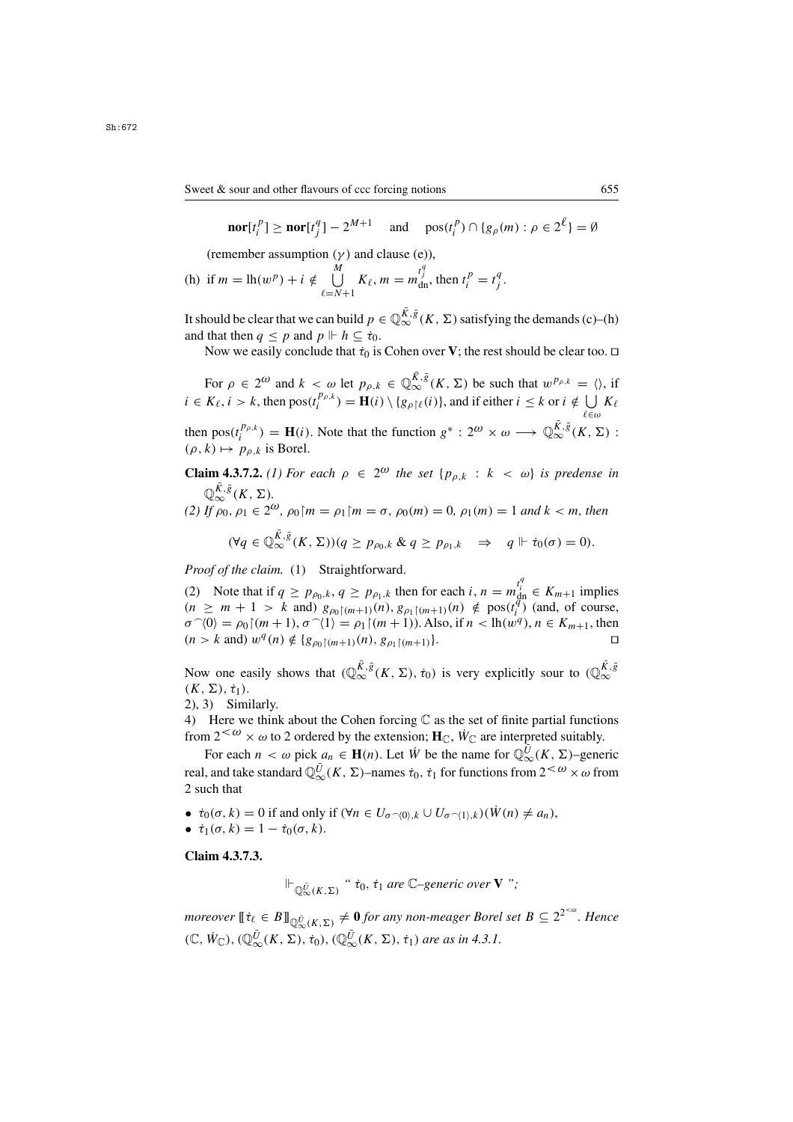$$
\mathbf{nor}[t_i^p] \ge \mathbf{nor}[t_j^q] - 2^{M+1} \quad \text{and} \quad \text{pos}(t_i^p) \cap \{g_\rho(m) : \rho \in 2^\ell\} = \emptyset
$$

(remember assumption  $(\gamma)$  and clause (e)),

(h) if 
$$
m = \ln(w^p) + i \notin \bigcup_{\ell=N+1}^M K_\ell, m = m_{\text{dn}}^{t_j^q}
$$
, then  $t_i^p = t_j^q$ .

It should be clear that we can build  $p \in \mathbb{Q}_{\infty}^{\overline{K},\overline{g}}(K,\Sigma)$  satisfying the demands (c)–(h) and that then  $q \leq p$  and  $p \Vdash h \subseteq \dot{\tau}_0$ .

Now we easily conclude that  $\dot{\tau}_0$  is Cohen over **V**; the rest should be clear too.  $\Box$ 

For  $\rho \in 2^{\omega}$  and  $k < \omega$  let  $p_{\rho,k} \in \mathbb{Q}_{\infty}^{\overline{K},\overline{g}}(K,\Sigma)$  be such that  $w^{p_{\rho,k}} = \langle \rangle$ , if  $i \in K_{\ell}, i > k$ , then  $pos(t_i^{P_{\rho,k}}) = \mathbf{H}(i) \setminus \{g_{\rho} | \ell(i)\}\text{, and if either } i \leq k \text{ or } i \notin \bigcup_{\ell \in \omega} K_{\ell}$ ∈ω

then  $pos(t_i^{p_{\rho,k}}) = \mathbf{H}(i)$ . Note that the function  $g^* : 2^{\omega} \times \omega \longrightarrow \mathbb{Q}_{\infty}^{\overline{K},\overline{g}}(K,\Sigma)$ :<br>(*o, k*)  $\mapsto p_{\rho,k}$  is Borel  $(\rho, k) \mapsto p_{\rho, k}$  is Borel.

## **Claim 4.3.7.2.** (1) For each  $\rho \in 2^{\omega}$  the set  $\{p_{\rho,k} : k < \omega\}$  is predense in  $\mathbb{Q}_{\infty}^{\bar{K},\bar{g}}(K,\Sigma).$

*(2) If*  $\rho_0$ ,  $\rho_1 \in 2^{\omega}$ ,  $\rho_0 \upharpoonright m = \rho_1 \upharpoonright m = \sigma$ ,  $\rho_0(m) = 0$ ,  $\rho_1(m) = 1$  *and*  $k < m$ , *then* 

$$
(\forall q \in \mathbb{Q}_{\infty}^{\bar{K},\bar{g}}(K,\Sigma))(q \geq p_{\rho_0,k} \& q \geq p_{\rho_1,k} \Rightarrow q \Vdash \dot{\tau}_0(\sigma) = 0).
$$

*Proof of the claim.* (1) Straightforward.

(2) Note that if  $q \ge p_{\rho_0,k}, q \ge p_{\rho_1,k}$  then for each  $i, n = m_{\text{dip}}^{l_i} \in K_{m+1}$  implies  $(n \ge m+1 \le k \text{ and } n \le k \le n)$  (n)  $q \ge k \le n(n)$ ,  $d \cdot \text{post}^{(n)}$  (and of course  $(n \ge m + 1 > k \text{ and}) g_{\rho_0(m+1)}(n), g_{\rho_1(m+1)}(n) \notin \text{pos}(t_1^q) \text{ (and, of course,})$ <br>  $\sigma^{\sim}(0) = \rho_0(m+1) \sigma^{\sim}(1) = \rho_1(m+1)$  Also if  $n < h(m^q)$ ,  $n \in K_{m+1}$  then  $\sigma$  (v) =  $\rho_0 | (m+1), \sigma$  (1) =  $\rho_1 | (m+1)$ . Also, if  $n < \ln(w^1), n \in \mathbb{N}_{m+1}$ , then<br>  $(n > k \text{ and } w^q(n) \notin \{g_{\rho_0} | (m+1)(n), g_{\rho_1} | (m+1) \}.$  $\langle 0 \rangle = \rho_0 \, [(m+1), \sigma^{\prime}(1) = \rho_1 \, [(m+1)).$  Also, if  $n < h$  (w<sup>q</sup>),  $n \in K_{m+1}$ , then  $\langle k \rangle$  and  $w^q(n) \notin \{g \in \mathbb{N} \setminus \{0\} \mid g \in \mathbb{N} \setminus \{0\} \}$ 

Now one easily shows that  $(\mathbb{Q}_{\infty}^{\bar{K},\bar{g}}(K,\Sigma),\dot{\tau}_0)$  is very explicitly sour to  $(\mathbb{Q}_{\infty}^{\bar{K},\bar{g}})$  $(K, \Sigma), \dot{\tau}_1).$ 

2), 3) Similarly.

4) Here we think about the Cohen forcing  $\mathbb C$  as the set of finite partial functions from  $2<sup>{\omega}</sup> \times \omega$  to 2 ordered by the extension; **H**<sub>C</sub>,  $\dot{W}_C$  are interpreted suitably.

For each  $n < \omega$  pick  $a_n \in \mathbf{H}(n)$ . Let  $\dot{W}$  be the name for  $\mathbb{Q}_{\infty}^{\bar{U}}(K, \Sigma)$ –generic<br>condition at and  $\mathbb{Q}_{\nu}^{\bar{U}}(K, \Sigma)$  parties  $\dot{\tau}$  for functional from  $2 \leq \omega_{\mathcal{M}}$  of the real, and take standard  $\mathbb{Q}_{\infty}^{\bar{U}}(K, \Sigma)$ –names  $\dot{\tau}_0$ ,  $\dot{\tau}_1$  for functions from  $2^{<\omega} \times \omega$  from 2 2 such that

- $\dot{\tau}_0(\sigma, k) = 0$  if and only if  $(\forall n \in U_{\sigma \cap (0), k} \cup U_{\sigma \cap (1), k})(\dot{W}(n) \neq a_n)$ ,
- $\dot{\tau}_1(\sigma, k) = 1 \dot{\tau}_0(\sigma, k).$

**Claim 4.3.7.3.**

$$
\Vdash_{\mathbb{Q}_{\infty}^{\bar{U}}(K,\Sigma)} "t0, t1 are C–generic over V";
$$

 $m$ oreover  $[\![\dot{\tau}_\ell \in B]\!]_{\mathbb{Q}^{\bar{U}}_{\infty}(K,\Sigma)} \neq \mathbf{0}$  *for any non-meager Borel set*  $B \subseteq 2^{2^{<\omega}}$ *. Hence*  $(\mathbb{C}, \dot{W}_{\mathbb{C}}), (\mathbb{Q}_{\infty}^{\bar{U}}(K, \Sigma), \dot{\tau}_0), (\mathbb{Q}_{\infty}^{\bar{U}}(K, \Sigma), \dot{\tau}_1)$  are as in 4.3.1.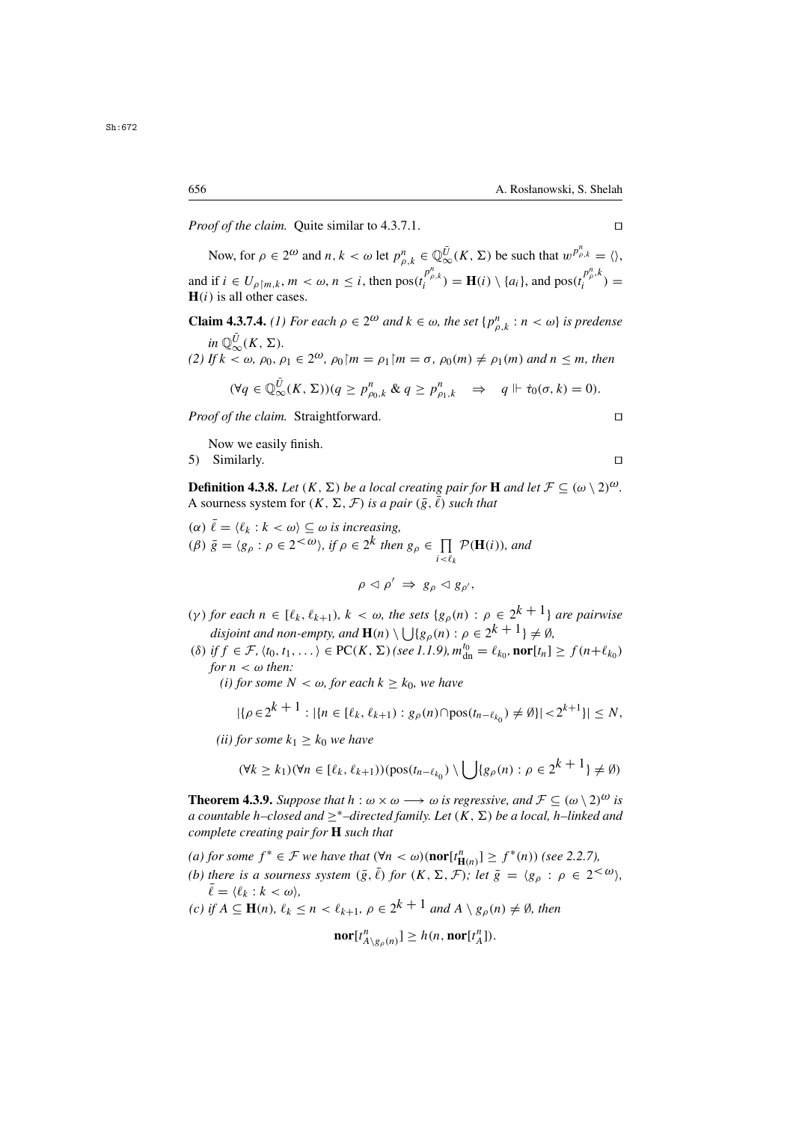*Proof of the claim.* Quite similar to 4.3.7.1. □

Now, for  $\rho \in 2^{\omega}$  and  $n, k < \omega$  let  $p_{\rho,k}^n \in \mathbb{Q}_{\infty}^{\overline{U}}(K, \Sigma)$  be such that  $w_{\rho,k}^{p_{\rho,k}^n} = \langle \rangle$ , and if  $i \in U_{\rho[m,k]}, m < \omega, n \le i$ , then  $pos(t_i^{\rho_{\rho,k}}) = \mathbf{H}(i) \setminus \{a_i\}$ , and  $pos(t_i^{\rho_{\rho,k}}) = \mathbf{H}(i)$  is all other cases.  $H(i)$  is all other cases.

**Claim 4.3.7.4.** *(1) For each*  $\rho \in 2^{\omega}$  *and*  $k \in \omega$ *, the set*  $\{p_{\rho,k}^n : n < \omega\}$  *is predense*  $in \mathbb{Q}_{\infty}^{\bar{U}}(K, \Sigma)$ .<br>If  $k < \omega$ ,  $\omega_0$ *(2) If*  $k < \omega$ ,  $\rho_0$ ,  $\rho_1 \in 2^{\omega}$ ,  $\rho_0$   $m = \rho_1$   $m = \sigma$ ,  $\rho_0(m) \neq \rho_1(m)$  and  $n < m$ , then

$$
(\forall q \in \mathbb{Q}_{\infty}^{\bar{U}}(K,\Sigma))(q \geq p_{\rho_0,k}^n \& q \geq p_{\rho_1,k}^n \Rightarrow q \Vdash \dot{\tau}_0(\sigma,k) = 0).
$$

*Proof of the claim.* Straightforward. □

Now we easily finish.

5) Similarly.

**Definition 4.3.8.** *Let*  $(K, \Sigma)$  *be a local creating pair for* **H** *and let*  $\mathcal{F} \subseteq (\omega \setminus 2)^{\omega}$ *.* A sourness system for  $(K, \Sigma, \mathcal{F})$  *is a pair*  $(\bar{g}, \bar{\ell})$  *such that*<br>  $(\alpha) \bar{\ell} = \langle \ell_k : k \langle \omega \rangle \subseteq \omega$  *is increasing*,

( $\alpha$ )  $\bar{\ell} = \langle \ell_k : k \langle \omega \rangle \subseteq \omega$  is increasing,<br>( $\beta$ )  $\bar{\alpha} = \langle \alpha : \alpha \in \mathbb{R}^{\infty} \rangle$  if  $\alpha \in \mathbb{R}^k$  then (*β*)  $\bar{g} = \langle g_\rho : \rho \in 2^{<\omega} \rangle$ , if  $\rho \in 2^k$  then  $g_\rho \in \prod_{i < \ell_k} \mathcal{P}(\mathbf{H}(i))$ , and  $\ddot{\phantom{1}}$  $\rho \triangleleft \rho' \Rightarrow g_{\rho} \triangleleft g_{\rho'},$ 

(γ) *for each*  $n \in [\ell_k, \ell_{k+1}), k < \omega$ *, the sets*  $\{g_\rho(n) : \rho \in 2^{k+1}\}\$  *are pairwise disjoint and non-empty, and*  $\mathbf{H}(n) \setminus \bigcup \{g_{\rho}(n) : \rho \in 2^k + 1\} \neq \emptyset$ ,<br>if  $f \in \mathcal{F}$ ,  $f_1$ ,  $f_2$ ,  $f_3$ ,  $f_4$ ,  $f_5$ ,  $f_6$ ,  $f_7$ ,  $f_8$ ,  $f_9$ ,  $f_9$ ,  $f_1$ ,  $f_2$ ,  $f_3$ ,  $f_4$ ,  $f_5$ ,  $f_6$ ,  $f_7$ ,  $f_8$ ,  $f$ 

- (δ) if  $f \in \mathcal{F}$ ,  $\langle t_0, t_1, \ldots \rangle \in \text{PC}(K, \Sigma)$  (see 1.1.9),  $m_{\text{dn}}^{t_0} = \ell_{k_0}$ , **nor**[ $t_n$ ]  $\geq f(n+\ell_{k_0})$ <br>for  $n < \omega$  then: *for*  $n < \omega$  *then:* 
	- *(i) for some*  $N < \omega$ , *for each*  $k \geq k_0$ *, we have*

$$
|\{\rho \in 2^{k+1} : |\{n \in [\ell_k, \ell_{k+1}) : g_{\rho}(n) \cap \text{pos}(t_{n-\ell_{k_0}}) \neq \emptyset\}| < 2^{k+1}\}| \leq N,
$$

*(ii) for some*  $k_1 \geq k_0$  *we have* 

$$
(\forall k \ge k_1)(\forall n \in [\ell_k, \ell_{k+1}))(\text{pos}(t_{n-\ell_{k_0}}) \setminus \bigcup \{g_{\rho}(n) : \rho \in 2^{k+1}\} \neq \emptyset)
$$

**Theorem 4.3.9.** *Suppose that*  $h : \omega \times \omega \longrightarrow \omega$  *is regressive, and*  $\mathcal{F} \subseteq (\omega \setminus 2)^{\omega}$  *is a countable* h–closed and  $\geq^*$ –directed family. Let  $(K, \Sigma)$  be a local, h–linked and *complete creating pair for* **H** *such that*

(a) for some  $f^* \in \mathcal{F}$  we have that  $(\forall n < \omega)$  (**nor**[ $t_{\text{H}(n)}^n$ ] ≥  $f^*(n)$ ) (see 2.2.7),<br>(b) there is a sexumese quatern ( $\frac{1}{2}$ ,  $\frac{1}{2}$ , for  $(K, \sum_{n} T)$ ), let  $\frac{1}{2}$ ,  $\frac{1}{2}$ ,  $\frac{1}{2}$ ,  $\frac{1}{2}$ ,  $\frac$ 

*(b) there is a sourness system*  $(\bar{g}, \bar{\ell})$  *for*  $(K, \Sigma, \mathcal{F})$ *; let*  $\bar{g} = \langle g_{\rho} : \rho \in 2^{<\omega} \rangle$ *,*  $\bar{\ell} = \langle \ell_k : k < \omega \rangle$ 

(c) if 
$$
A \subseteq \mathbf{H}(n)
$$
,  $\ell_k \le n < \ell_{k+1}$ ,  $\rho \in 2^{k+1}$  and  $A \setminus g_{\rho}(n) \ne \emptyset$ , then

$$
\mathbf{nor}[t_{A\setminus g_{\rho}(n)}^n] \geq h(n, \mathbf{nor}[t_A^n]).
$$

Sh:672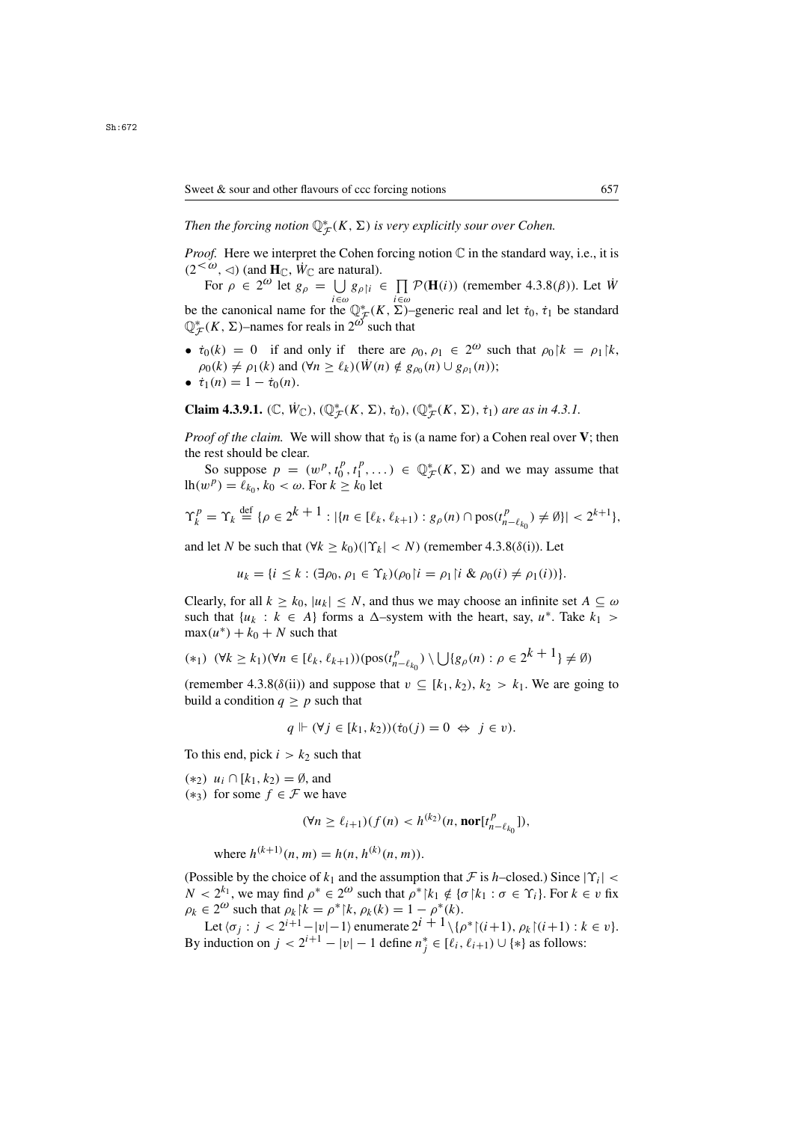Then the forcing notion  $\mathbb{Q}^*_{\mathcal{F}}(K,\Sigma)$  is very explicitly sour over Cohen.

*Proof.* Here we interpret the Cohen forcing notion  $\mathbb C$  in the standard way, i.e., it is  $(2 <sup>$\omega$</sup> ,  $\triangleleft)$  (and **H** <sub>$\mathbb{C}$</sub> ,  $\dot{W}_{\mathbb{C}}$  are natural).$ 

For  $\rho \in 2^{\omega}$  let  $g_{\rho} = \bigcup_{i \in \omega} g_{\rho \upharpoonright i} \in \prod_{i \in \omega} \mathcal{P}(\mathbf{H}(i))$  (remember 4.3.8( $\beta$ )). Let  $\dot{W}$ be the canonical name for the  $\mathbb{Q}_{\mathcal{F}}^*(K, \Sigma)$ –generic real and let  $\tau_0$ ,  $\tau_1$  be standard  $\mathbb{O}^*(K, \Sigma)$ –names for reals in  $2^{\omega}$  such that  $\mathbb{Q}_{\mathcal{F}}^*(K, \Sigma)$ –names for reals in  $2^{\omega}$  such that

•  $\dot{\tau}_0(k) = 0$  if and only if there are  $\rho_0, \rho_1 \in 2^{\omega}$  such that  $\rho_0 |k| = \rho_1 |k|$ ,  $\rho_0(k) \neq \rho_1(k)$  and  $(\forall n \geq \ell_k)(\dot{W}(n) \notin g_{\rho_0}(n) \cup g_{\rho_1}(n));$ 

$$
\bullet \ \ \dot{\tau}_1(n) = 1 - \dot{\tau}_0(n).
$$

**Claim 4.3.9.1.** ( $\mathbb{C}$ ,  $\dot{W}_{\mathbb{C}}$ ), ( $\mathbb{Q}_{\mathcal{F}}^{*}(K, \Sigma)$ ,  $\dot{\tau}_0$ ), ( $\mathbb{Q}_{\mathcal{F}}^{*}(K, \Sigma)$ ,  $\dot{\tau}_1$ ) *are as in 4.3.1.* 

*Proof of the claim.* We will show that  $\dot{\tau}_0$  is (a name for) a Cohen real over **V**; then the rest should be clear.

So suppose  $p = (w^p, t_0^p, t_1^p, \dots) \in \mathbb{Q}_{\mathcal{F}}^*(K, \Sigma)$  and we may assume that  $p^p = \ell_k$ ,  $k_0 \leq \omega$ . For  $k > k_0$  let  $lh(w^p) = \ell_{k_0}, k_0 < \omega$ . For  $k \geq k_0$  let

$$
\Upsilon_k^p = \Upsilon_k \stackrel{\text{def}}{=} {\rho \in 2^{k+1} : |\{n \in [\ell_k, \ell_{k+1}) : g_{\rho}(n) \cap \text{pos}(t_{n-\ell_{k_0}}^p) \neq \emptyset\}| < 2^{k+1}},
$$

and let N be such that  $(\forall k \ge k_0)(|\Upsilon_k| < N)$  (remember 4.3.8( $\delta(i)$ ). Let

$$
u_k = \{i \leq k : (\exists \rho_0, \rho_1 \in \Upsilon_k)(\rho_0 | i = \rho_1 | i \& \rho_0(i) \neq \rho_1(i))\}.
$$

Clearly, for all  $k \geq k_0$ ,  $|u_k| \leq N$ , and thus we may choose an infinite set  $A \subseteq \omega$ such that  $\{u_k : k \in A\}$  forms a  $\Delta$ -system with the heart, say,  $u^*$ . Take  $k_1 >$  $max(u^*) + k_0 + N$  such that

$$
(*) \quad (\forall k \ge k_1)(\forall n \in [\ell_k, \ell_{k+1})) (\text{pos}(t_{n-\ell_{k_0}}^p) \setminus \bigcup \{g_\rho(n) : \rho \in 2^{k+1}\} \neq \emptyset)
$$

(remember 4.3.8( $\delta$ (ii)) and suppose that  $v \subseteq [k_1, k_2), k_2 > k_1$ . We are going to build a condition  $q \geq p$  such that

$$
q \Vdash (\forall j \in [k_1, k_2)) (\dot{\tau}_0(j) = 0 \Leftrightarrow j \in \nu).
$$

To this end, pick  $i > k_2$  such that

 $(*_2)$   $u_i$  ∩  $[k_1, k_2) = \emptyset$ , and (\*3) for some  $f \in \mathcal{F}$  we have

$$
(\forall n \ge \ell_{i+1})(f(n) < h^{(k_2)}(n, \textbf{nor}[t_{n-\ell_{k_0}}^p]),
$$

where  $h^{(k+1)}(n, m) = h(n, h^{(k)}(n, m)).$ 

(Possible by the choice of  $k_1$  and the assumption that F is h–closed.) Since  $|\Upsilon_i|$  <  $N < 2^{k_1}$ , we may find  $\rho^* \in 2^{\omega}$  such that  $\rho^* \upharpoonright k_1 \notin {\sigma \upharpoonright k_1 : \sigma \in \Upsilon_i}$ . For  $k \in \nu$  fix  $\rho_k \in 2^{\omega}$  such that  $\rho_k | k = \rho^* | k, \rho_k(k) = 1 - \rho^*(k)$ .

Let  $\langle \sigma_i : j < 2^{i+1} - |v| - 1 \rangle$  enumerate  $2^{i+1} \setminus {\{\rho^* \mid (i+1), \rho_k \mid (i+1) : k \in v\}}$ . By induction on  $j < 2^{i+1} - |v| - 1$  define  $n_j^* \in [\ell_i, \ell_{i+1}) \cup \{*\}$  as follows: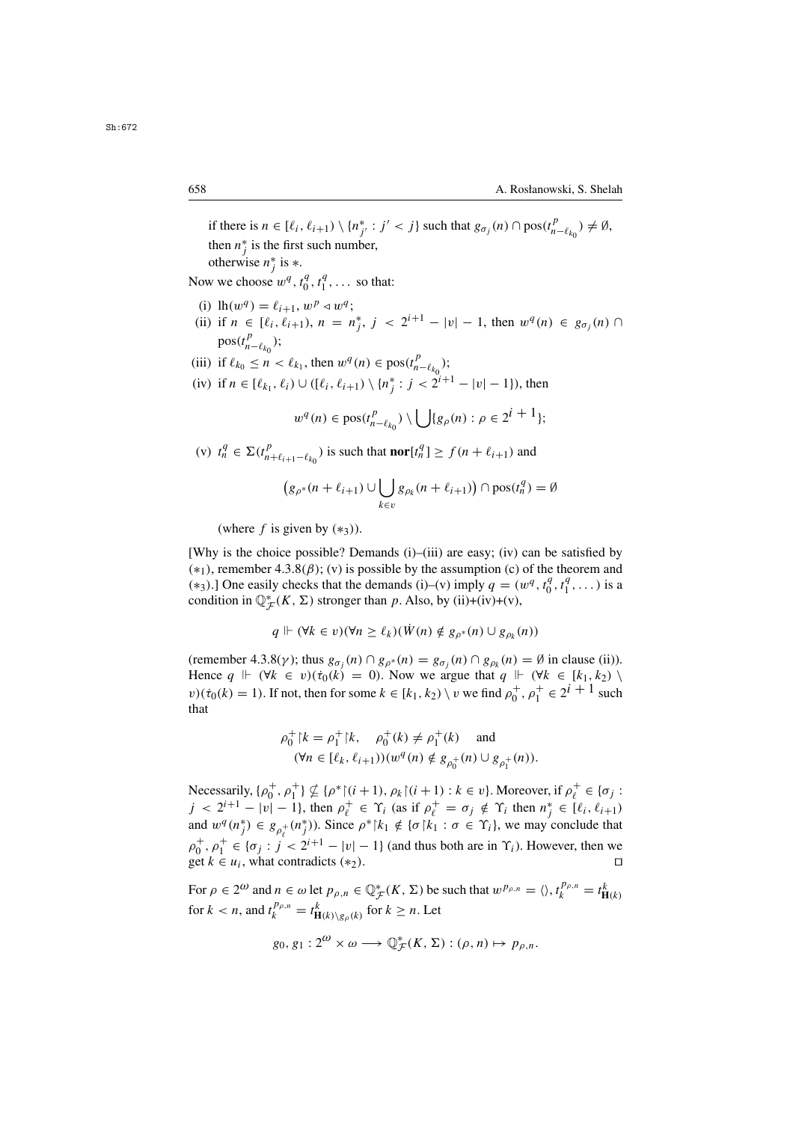if there is  $n \in [\ell_i, \ell_{i+1}) \setminus \{n_{j'}^* : j' < j\}$  such that  $g_{\sigma_j}(n) \cap \text{pos}(t_{n-\ell_{k_0}}^p) \neq \emptyset$ ,<br>then  $n^*$  is the first such number then  $n_j^*$  is the first such number,<br>otherwise  $n^*$  is  $\ast$ otherwise  $n_j^*$  is  $*$ .

Now we choose  $w^q, t_0^q, t_1^q, \ldots$  so that:

- (i)  $\text{lh}(w^q) = \ell_{i+1}, w^p \triangleleft w^q;$ <br>(ii) if  $n \in [\ell, \ell_{i+1}), n = n$
- (ii) if  $n \in [\ell_i, \ell_{i+1}), n = n_j^*, j < 2^{i+1} |v| 1$ , then  $w^q(n) \in g_{\sigma_j}(n) \cap \text{res}(t^p)$  $pos(t_{n-\ell_{k_0}}^P);$
- (iii) if  $\ell_{k_0} \le n < \ell_{k_1}$ , then  $w^q(n) \in \text{pos}(t_{n-\ell_{k_0}}^p);$

(iv) if  $n \in [\ell_{k_1}, \ell_i) \cup ([\ell_i, \ell_{i+1}) \setminus \{n_j^* : j < 2^{i+1} - |v| - 1\})$ , then

$$
w^{q}(n) \in \text{pos}(t^{p}_{n-\ell_{k_0}}) \setminus \bigcup \{g_{\rho}(n) : \rho \in 2^{i+1}\};
$$

(v)  $t_n^q \in \Sigma(t_{n+\ell_{i+1}-\ell_{k_0}}^p)$  is such that **nor**[ $t_n^q$ ]  $\geq f(n+\ell_{i+1})$  and

$$
(g_{\rho^*}(n+\ell_{i+1}) \cup \bigcup_{k \in v} g_{\rho_k}(n+\ell_{i+1}) ) \cap \text{pos}(t_n^q) = \emptyset
$$

(where f is given by  $(*_3)$ ).

[Why is the choice possible? Demands (i)–(iii) are easy; (iv) can be satisfied by  $(*<sub>1</sub>)$ , remember 4.3.8( $\beta$ ); (v) is possible by the assumption (c) of the theorem and (\*3).] One easily checks that the demands (i)–(v) imply  $q = (w^q, t_0^q, t_1^q, \dots)$  is a condition in  $\mathbb{O}^*_{\leq}(K, \Sigma)$  stronger than *n*. Also, by (ii)+(iy)+(y) condition in  $\mathbb{Q}_{\mathcal{F}}^*(K, \Sigma)$  stronger than p. Also, by (ii)+(iv)+(v),

$$
q \Vdash (\forall k \in v)(\forall n \geq \ell_k)(\dot{W}(n) \notin g_{\rho^*}(n) \cup g_{\rho_k}(n))
$$

(remember 4.3.8( $\gamma$ ); thus  $g_{\sigma_i}(n) \cap g_{\rho^*}(n) = g_{\sigma_i}(n) \cap g_{\rho_k}(n) = \emptyset$  in clause (ii)). Hence  $q \Vdash (\forall k \in v)(\dot{\tau}_0(k) = 0)$ . Now we argue that  $q \Vdash (\forall k \in [k_1, k_2) \setminus \mathcal{F}_1$  $v)(\dot{\tau}_0(k) = 1)$ . If not, then for some  $k \in [k_1, k_2) \setminus v$  we find  $\rho_0^+, \rho_1^+ \in 2^{i+1}$  such that that

$$
\rho_0^+ | k = \rho_1^+ | k, \quad \rho_0^+ (k) \neq \rho_1^+ (k) \quad \text{and}
$$
  

$$
(\forall n \in [\ell_k, \ell_{i+1}))(w^q(n) \notin g_{\rho_0^+}(n) \cup g_{\rho_1^+}(n)).
$$

Necessarily,  $\{\rho_0^+, \rho_1^+\} \nsubseteq \{\rho^* | (i+1), \rho_k | (i+1) : k \in v\}$ . Moreover, if  $\rho_\ell^+ \in \{\sigma_j : j \ge 2^{i+1} - |v| - 1\}$ , then  $\rho^+ \in \mathcal{L}$ . (as if  $\rho^+ = \sigma \cdot 4 \mathcal{L}$ , then  $p^* \in [\ell, \ell, \infty)$  $j < 2^{i+1} - |v| - 1$ , then  $\rho_{\ell}^+ \in \Upsilon_i$  (as if  $\rho_{\ell}^+ = \sigma_j \notin \Upsilon_i$  then  $n_j^* \in [\ell_i, \ell_{i+1})$ <br>and  $w_{\ell}^q(n^*) \in g_{\ell}(n^*)$ ). Since  $g^* \upharpoonright k_1 \notin [\sigma]k_1 : \sigma \in \Upsilon$ . We may conclude that and  $w^q(n_j^*) \in g_{\rho_i^+}(n_j^*)$ ). Since  $\rho^* |k_1 \notin {\sigma | k_1 : \sigma \in \Upsilon_i}$ , we may conclude that  $\rho_0^+$ ,  $\rho_1^+ \in {\sigma_j : j < 2^{i+1} - |v| - 1}$  (and thus both are in  $\Upsilon_i$ ). However, then we get  $k \in u$ , what contradicts  $(*)$ get  $k \in u_i$ , what contradicts  $(*_2)$ .

For  $\rho \in 2^{\omega}$  and  $n \in \omega$  let  $p_{\rho,n} \in \mathbb{Q}_{\mathcal{F}}^*(K, \Sigma)$  be such that  $w^{p_{\rho,n}} = \langle \rangle, t_k^{p_{\rho,n}} = t_{\mathbf{H}(k)}^k$ for  $k < n$ , and  $t_k^{P\rho,n} = t_{\mathbf{H}(k)\setminus g_\rho(k)}^k$  for  $k \ge n$ . Let

$$
g_0, g_1: 2^{\omega} \times \omega \longrightarrow \mathbb{Q}_{\mathcal{F}}^*(K, \Sigma) : (\rho, n) \mapsto p_{\rho, n}.
$$

Sh:672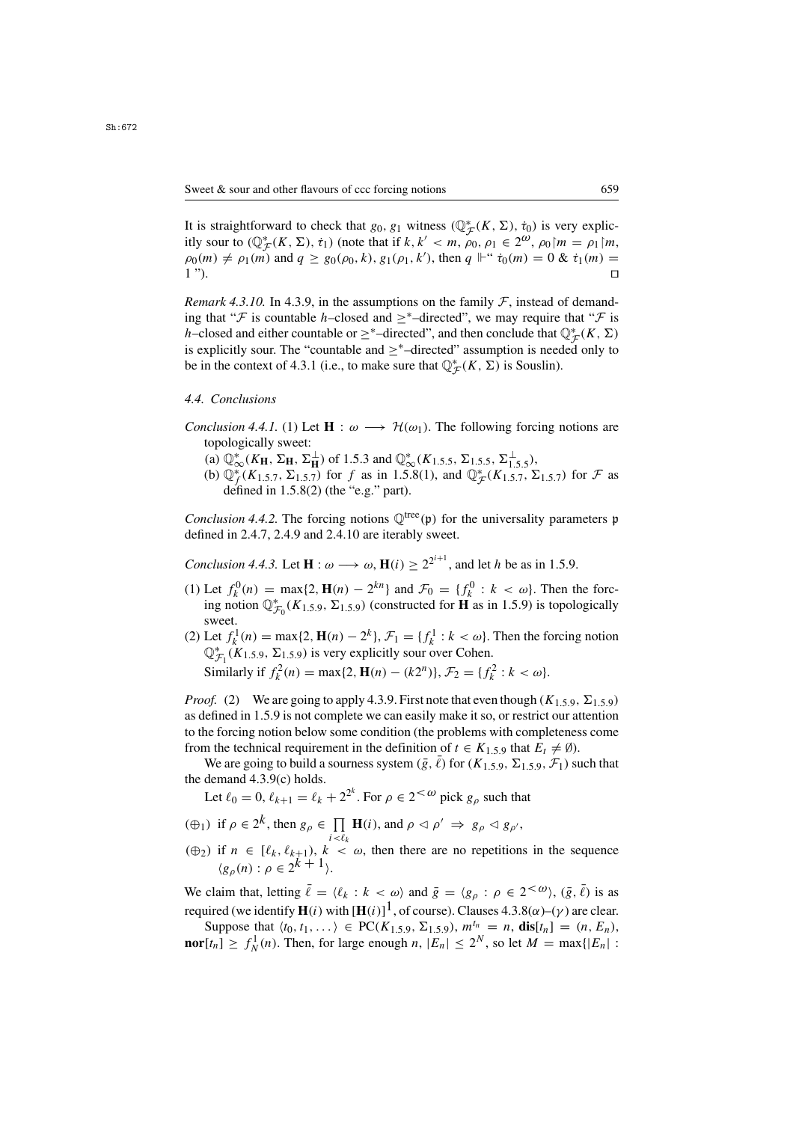It is straightforward to check that  $g_0, g_1$  witness  $(\mathbb{Q}_{\mathcal{F}}^*(K, \Sigma), \dot{\tau}_0)$  is very explicitly sour to  $(\mathbb{Q}^*_{\mathcal{F}}(K, \Sigma), \dot{\tau}_1)$  (note that if  $k, k' < m$ ,  $\omega_0, \omega_1 \in \mathcal{D}^{\omega}$ ,  $\omega_0 | m = \omega_1 | m$ itly sour to  $(\mathbb{Q}_{\mathcal{F}}^*(K, \Sigma), \dot{\tau}_1)$  (note that if  $k, k' < m, \rho_0, \rho_1 \in 2^{\omega}, \rho_0 \mid m = \rho_1 \mid m$ ,<br> $\rho_0(m) \neq \rho_1(m)$  and  $q > g_0(\rho_0, k)$ ,  $g_1(\rho_1, k')$  then  $q \mid^{\omega} \dot{\tau}_0(m) = 0$ ,  $k \dot{\tau}_1(m) =$  $\rho_0(m) \neq \rho_1(m)$  and  $q \geq g_0(\rho_0, k), g_1(\rho_1, k')$ , then  $q \Vdash`` \dot{\tau}_0(m) = 0$  &  $\dot{\tau}_1(m) = 1$ ")  $1$ ").

*Remark 4.3.10.* In 4.3.9, in the assumptions on the family  $F$ , instead of demanding that " $\mathcal F$  is countable h–closed and  $\geq^*$ –directed", we may require that " $\mathcal F$  is h–closed and either countable or  $\geq^*$ –directed", and then conclude that  $\mathbb{Q}_{\mathcal{F}}^*(K,\Sigma)$ is explicitly sour. The "countable and  $\geq^*$ –directed" assumption is needed only to be in the context of 4.3.1 (i.e., to make sure that  $\mathbb{Q}_{\mathcal{F}}^*(K, \Sigma)$  is Souslin).

## *4.4. Conclusions*

- *Conclusion 4.4.1.* (1) Let  $\mathbf{H}: \omega \longrightarrow \mathcal{H}(\omega_1)$ . The following forcing notions are topologically sweet:
	- (a)  $\mathbb{Q}_{\infty}^{*}(K_{\mathbf{H}}, \Sigma_{\mathbf{H}}, \Sigma_{\mathbf{H}}^{\perp})$  of 1.5.3 and  $\mathbb{Q}_{\infty}^{*}(K_{1.5.5}, \Sigma_{1.5.5}, \Sigma_{1.5.5}^{\perp},)$ ,<br>(b)  $\mathbb{Q}_{\infty}^{*}(K_{1.5.7}, \Sigma_{1.5.7})$  for f as in 1.5.8(1), and  $\mathbb{Q}_{\infty}^{*}(K_{1.5.7}, \Sigma_{1.5.7})$
	- (b)  $\mathbb{Q}_f^*(K_{1.5.7}, \Sigma_{1.5.7})$  for f as in 1.5.8(1), and  $\mathbb{Q}_F^*(K_{1.5.7}, \Sigma_{1.5.7})$  for F as defined in 1.5.8(2) (the "e.g." part) defined in  $1.5.8(2)$  (the "e.g." part).

*Conclusion 4.4.2.* The forcing notions  $\mathbb{Q}^{\text{tree}}(\mathfrak{p})$  for the universality parameters p defined in 2.4.7, 2.4.9 and 2.4.10 are iterably sweet.

*Conclusion 4.4.3.* Let  $\mathbf{H}: \omega \longrightarrow \omega, \mathbf{H}(i) \ge 2^{2^{i+1}}$ , and let *h* be as in 1.5.9.

- (1) Let  $f_k^0(n) = \max\{2, \mathbf{H}(n) 2^{kn}\}\$  and  $\mathcal{F}_0 = \{f_k^0 : k < \omega\}$ . Then the forc-<br>ing notion  $\mathbb{O}_{\infty}^*$  ( $K_{1,5,0}$ ,  $\Sigma_{1,5,0}$ ) (constructed for **H** as in 1.5.9) is topologically ing notion  $\mathbb{Q}_{\mathcal{F}_0}^*(K_{1,5,9}, \Sigma_{1,5,9})$  (constructed for **H** as in 1.5.9) is topologically sweet sweet.
- (2) Let  $f_k^1(n) = \max\{2, \mathbf{H}(n) 2^k\}, \mathcal{F}_1 = \{f_k^1 : k < \omega\}.$  Then the forcing notion  $\mathbb{O}_{\infty}^*$  ( $K_1$  s  $\Omega$ ) is very explicitly sour over Cohen  $\mathbb{Q}_{\mathcal{F}_1}^*(K_{1,5,9}, \Sigma_{1,5,9})$  is very explicitly sour over Cohen. Similarly if  $f_k^2(n) = \max\{2, \mathbf{H}(n) - (k2^n)\}, \mathcal{F}_2 = \{f_k^2 : k < \omega\}.$

*Proof.* (2) We are going to apply 4.3.9. First note that even though  $(K_{1,5,9}, \Sigma_{1,5,9})$ as defined in 1.5.9 is not complete we can easily make it so, or restrict our attention to the forcing notion below some condition (the problems with completeness come from the technical requirement in the definition of  $t \in K_{1,5,9}$  that  $E_t \neq \emptyset$ ).

We are going to build a sourness system  $(\bar{g}, \ell)$  for  $(K_{1,5,9}, \Sigma_{1,5,9}, \mathcal{F}_1)$  such that the demand 4.3.9(c) holds.

Let  $\ell_0 = 0$ ,  $\ell_{k+1} = \ell_k + 2^{2^k}$ . For  $\rho \in 2^{<\omega}$  pick  $g_\rho$  such that

- $(\bigoplus_1)$  if  $\rho \in 2^k$ , then  $g_\rho \in \prod_{i \leq \ell_k} \mathbf{H}(i)$ , and  $\rho \lhd \rho' \Rightarrow g_\rho \lhd g_{\rho'}$ ,
- $(\oplus_2)$  if  $n \in [\ell_k, \ell_{k+1}), k < \omega$ , then there are no repetitions in the sequence  $(g_{\rho}(n) : \rho \in 2^{k+1}).$

We claim that, letting  $\bar{\ell} = \langle \ell_k : k \langle \omega \rangle$  and  $\bar{g} = \langle g_\rho : \rho \in 2^{\langle \omega \rangle}, (\bar{g}, \bar{\ell})$  is as required (we identify **H**(i) with  $[\mathbf{H}(i)]^1$ , of course). Clauses 4.3.8( $\alpha$ )–( $\gamma$ ) are clear.<br>Suppose that  $\langle t_0, t_1 \rangle \in PC(K, \epsilon_0, \sum_{i} \epsilon_i)$ ,  $m^{t_n} = n$ , dist  $1 - (n, E)$ .

Suppose that  $\langle t_0, t_1, \ldots \rangle \in \text{PC}(K_{1,5,9}, \Sigma_{1,5,9}), m^{t_n} = n$ ,  $\text{dis}[t_n] = (n, E_n)$ , **nor**[ $t_n$ ]  $\ge f_N^1(n)$ . Then, for large enough n,  $|E_n| \le 2^N$ , so let  $M = \max\{|E_n| :$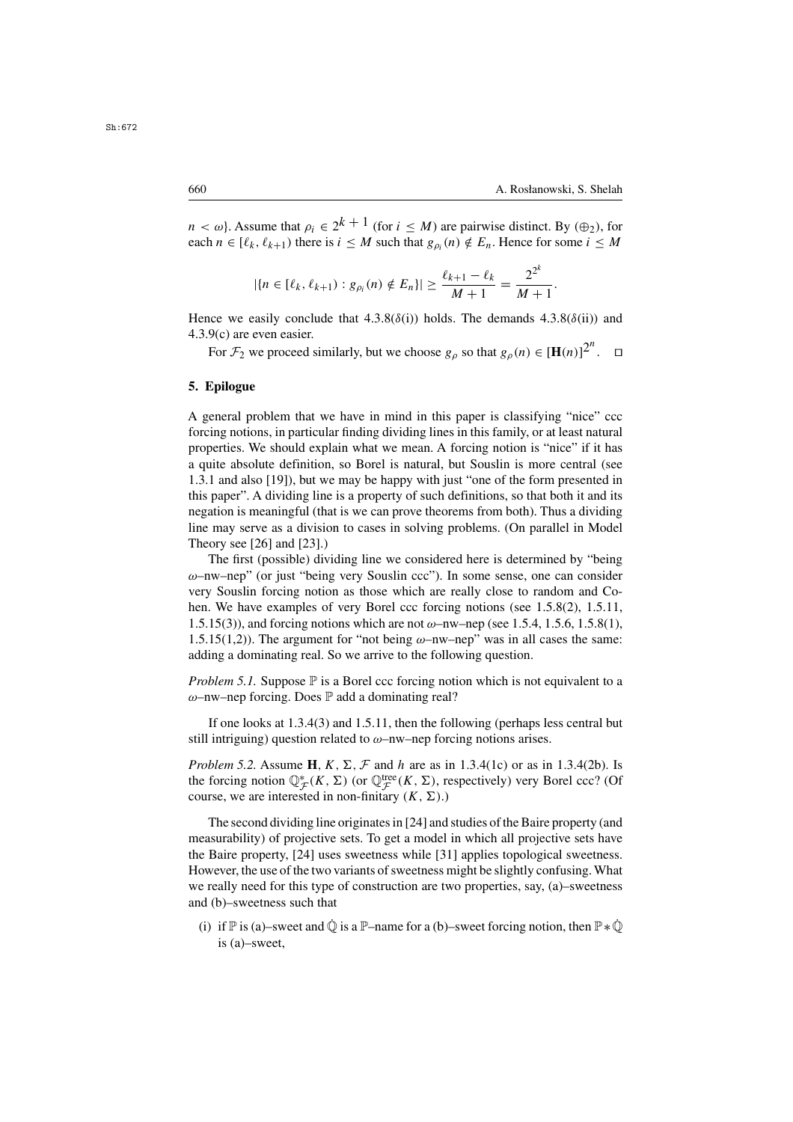$n < \omega$ . Assume that  $\rho_i \in 2^{k+1}$  (for  $i < M$ ) are pairwise distinct. By ( $\bigoplus$ ), for each  $n \in [\ell_k, \ell_{k+1})$  there is  $i \leq M$  such that  $g_{\rho_i}(n) \notin E_n$ . Hence for some  $i \leq M$ 

$$
|\{n \in [\ell_k, \ell_{k+1}) : g_{\rho_i}(n) \notin E_n\}| \geq \frac{\ell_{k+1} - \ell_k}{M+1} = \frac{2^{2^k}}{M+1}.
$$

Hence we easily conclude that  $4.3.8(\delta(i))$  holds. The demands  $4.3.8(\delta(ii))$  and 4.3.9(c) are even easier.

For  $\mathcal{F}_2$  we proceed similarly, but we choose  $g_\rho$  so that  $g_\rho(n) \in [\mathbf{H}(n)]^{2^n}$ .  $\Box$ 

## **5. Epilogue**

A general problem that we have in mind in this paper is classifying "nice" ccc forcing notions, in particular finding dividing lines in this family, or at least natural properties. We should explain what we mean. A forcing notion is "nice" if it has a quite absolute definition, so Borel is natural, but Souslin is more central (see 1.3.1 and also [19]), but we may be happy with just "one of the form presented in this paper". A dividing line is a property of such definitions, so that both it and its negation is meaningful (that is we can prove theorems from both). Thus a dividing line may serve as a division to cases in solving problems. (On parallel in Model Theory see [26] and [23].)

The first (possible) dividing line we considered here is determined by "being  $\omega$ –nw–nep" (or just "being very Souslin ccc"). In some sense, one can consider very Souslin forcing notion as those which are really close to random and Cohen. We have examples of very Borel ccc forcing notions (see 1.5.8(2), 1.5.11, 1.5.15(3)), and forcing notions which are not  $\omega$ –nw–nep (see 1.5.4, 1.5.6, 1.5.8(1), 1.5.15(1,2)). The argument for "not being  $\omega$ -nw-nep" was in all cases the same: adding a dominating real. So we arrive to the following question.

*Problem 5.1.* Suppose  $\mathbb P$  is a Borel ccc forcing notion which is not equivalent to a  $\omega$ –nw–nep forcing. Does  $\mathbb P$  add a dominating real?

If one looks at 1.3.4(3) and 1.5.11, then the following (perhaps less central but still intriguing) question related to  $\omega$ –nw–nep forcing notions arises.

*Problem 5.2.* Assume **H**,  $K$ ,  $\Sigma$ ,  $\mathcal{F}$  and  $h$  are as in 1.3.4(1c) or as in 1.3.4(2b). Is the forcing notion  $\mathbb{Q}_{\mathcal{F}}^{*}(K, \Sigma)$  (or  $\mathbb{Q}_{\mathcal{F}}^{\text{tree}}(K, \Sigma)$ , respectively) very Borel ccc? (Of course, we are interested in non-finitary  $(K, \Sigma)$ ) course, we are interested in non-finitary  $(K, \Sigma)$ .)

The second dividing line originates in [24] and studies of the Baire property (and measurability) of projective sets. To get a model in which all projective sets have the Baire property, [24] uses sweetness while [31] applies topological sweetness. However, the use of the two variants of sweetness might be slightly confusing. What we really need for this type of construction are two properties, say, (a)–sweetness and (b)–sweetness such that

(i) if  $\mathbb P$  is (a)–sweet and  $\dot{\mathbb Q}$  is a  $\mathbb P$ –name for a (b)–sweet forcing notion, then  $\mathbb P * \dot{\mathbb Q}$ is (a)–sweet,

 $Sh.672$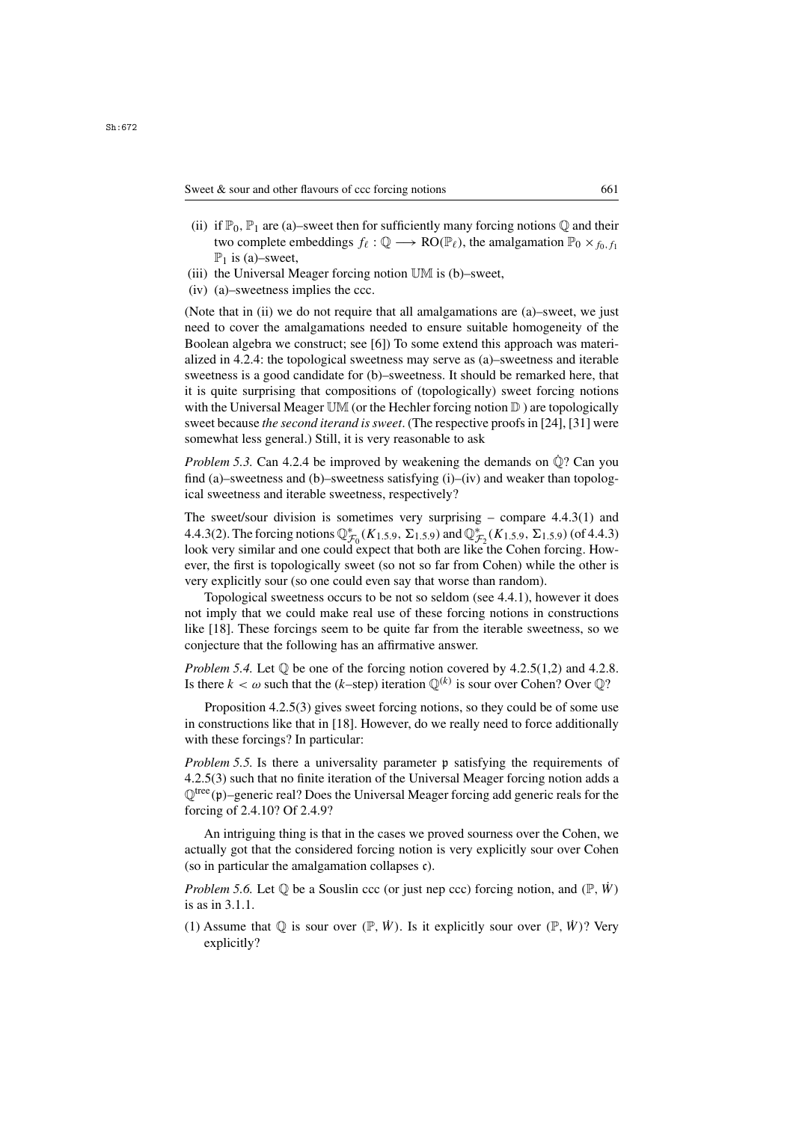- (ii) if  $\mathbb{P}_0$ ,  $\mathbb{P}_1$  are (a)–sweet then for sufficiently many forcing notions  $\mathbb{O}$  and their two complete embeddings  $f_\ell : \mathbb{Q} \longrightarrow \text{RO}(\mathbb{P}_\ell)$ , the amalgamation  $\mathbb{P}_0 \times_{f_0, f_1}$  $\mathbb{P}_1$  is (a)–sweet,
- (iii) the Universal Meager forcing notion UM is (b)–sweet,
- (iv) (a)–sweetness implies the ccc.

(Note that in (ii) we do not require that all amalgamations are (a)–sweet, we just need to cover the amalgamations needed to ensure suitable homogeneity of the Boolean algebra we construct; see [6]) To some extend this approach was materialized in 4.2.4: the topological sweetness may serve as (a)–sweetness and iterable sweetness is a good candidate for (b)–sweetness. It should be remarked here, that it is quite surprising that compositions of (topologically) sweet forcing notions with the Universal Meager  $\mathbb{UM}$  (or the Hechler forcing notion  $\mathbb D$ ) are topologically sweet because *the second iterand is sweet*. (The respective proofs in [24], [31] were somewhat less general.) Still, it is very reasonable to ask

*Problem 5.3.* Can 4.2.4 be improved by weakening the demands on  $\mathbb{Q}$ ? Can you find (a)–sweetness and (b)–sweetness satisfying  $(i)$ –(iv) and weaker than topological sweetness and iterable sweetness, respectively?

The sweet/sour division is sometimes very surprising – compare  $4.4.3(1)$  and 4.4.3(2). The forcing notions  $\mathbb{Q}_{\mathcal{F}_0}^*(K_{1,5,9}, \Sigma_{1,5,9})$  and  $\mathbb{Q}_{\mathcal{F}_2}^*(K_{1,5,9}, \Sigma_{1,5,9})$  (of 4.4.3)<br>look very similar and one could expect that both are like the Cohen forcing. Howlook very similar and one could expect that both are like the Cohen forcing. However, the first is topologically sweet (so not so far from Cohen) while the other is very explicitly sour (so one could even say that worse than random).

Topological sweetness occurs to be not so seldom (see 4.4.1), however it does not imply that we could make real use of these forcing notions in constructions like [18]. These forcings seem to be quite far from the iterable sweetness, so we conjecture that the following has an affirmative answer.

*Problem 5.4.* Let  $\mathbb{O}$  be one of the forcing notion covered by 4.2.5(1,2) and 4.2.8. Is there  $k < \omega$  such that the (k–step) iteration  $\mathbb{O}^{(k)}$  is sour over Cohen? Over  $\mathbb{O}$ ?

Proposition 4.2.5(3) gives sweet forcing notions, so they could be of some use in constructions like that in [18]. However, do we really need to force additionally with these forcings? In particular:

*Problem 5.5.* Is there a universality parameter p satisfying the requirements of 4.2.5(3) such that no finite iteration of the Universal Meager forcing notion adds a  $\mathbb{Q}^{\text{tree}}(\mathfrak{p})$ –generic real? Does the Universal Meager forcing add generic reals for the forcing of 2.4.10? Of 2.4.9?

An intriguing thing is that in the cases we proved sourness over the Cohen, we actually got that the considered forcing notion is very explicitly sour over Cohen (so in particular the amalgamation collapses c).

*Problem 5.6.* Let  $\mathbb Q$  be a Souslin ccc (or just nep ccc) forcing notion, and  $(\mathbb P, \dot{W})$ is as in 3.1.1.

(1) Assume that  $\mathbb Q$  is sour over  $(\mathbb P, \dot{W})$ . Is it explicitly sour over  $(\mathbb P, \dot{W})$ ? Very explicitly?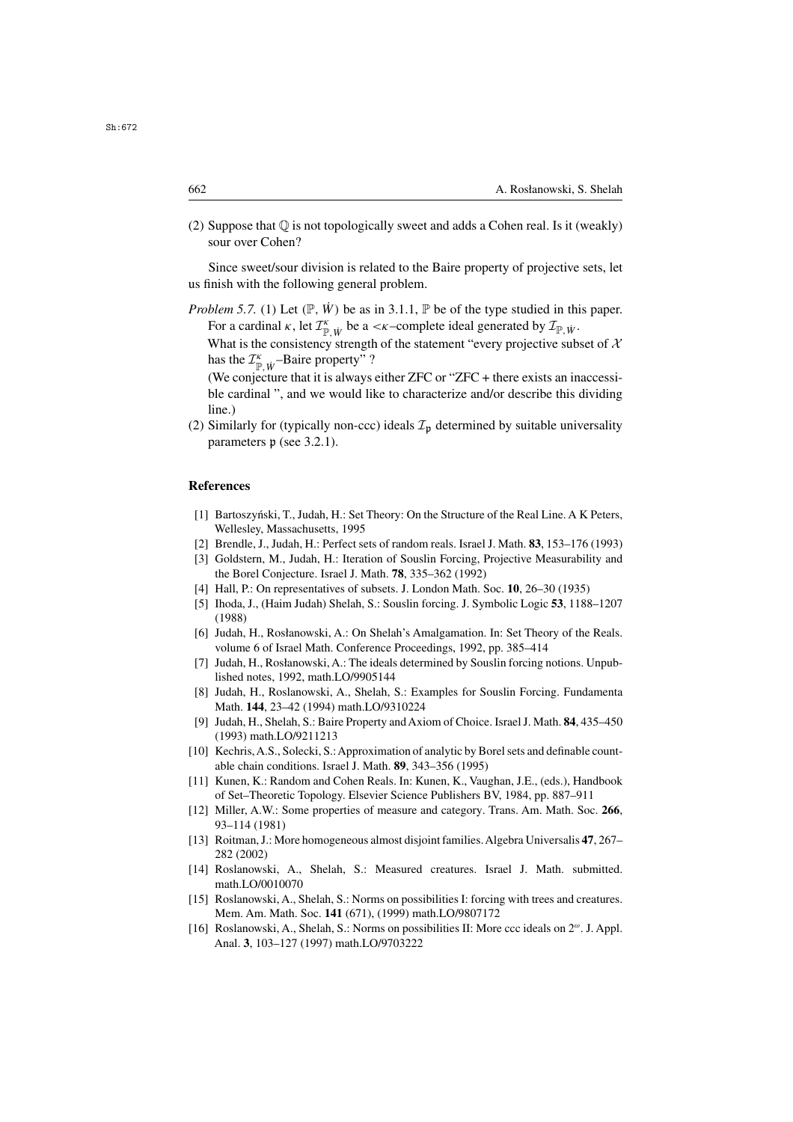(2) Suppose that  $\mathbb{Q}$  is not topologically sweet and adds a Cohen real. Is it (weakly) sour over Cohen?

Since sweet/sour division is related to the Baire property of projective sets, let us finish with the following general problem.

*Problem 5.7.* (1) Let  $(\mathbb{P}, \dot{W})$  be as in 3.1.1,  $\mathbb{P}$  be of the type studied in this paper. For a cardinal  $\kappa$ , let  $\mathcal{I}_{\mathbb{P},\dot{W}}^{\kappa}$  be a <  $\kappa$ –complete ideal generated by  $\mathcal{I}_{\mathbb{P},\dot{W}}$ .<br>What is the consistency strength of the statement "every projective sub

What is the consistency strength of the statement "every projective subset of  $\mathcal{X}$ has the  $\mathcal{I}^{\kappa}_{\mathbb{P},\dot{W}}$ -Baire property" ?<br>(We conjecture that it is always

(We conjecture that it is always either ZFC or "ZFC + there exists an inaccessible cardinal ", and we would like to characterize and/or describe this dividing line.)

(2) Similarly for (typically non-ccc) ideals  $\mathcal{I}_p$  determined by suitable universality parameters  $\mathfrak p$  (see 3.2.1).

## **References**

- [1] Bartoszyński, T., Judah, H.: Set Theory: On the Structure of the Real Line. A K Peters, Wellesley, Massachusetts, 1995
- [2] Brendle, J., Judah, H.: Perfect sets of random reals. Israel J. Math. **83**, 153–176 (1993)
- [3] Goldstern, M., Judah, H.: Iteration of Souslin Forcing, Projective Measurability and the Borel Conjecture. Israel J. Math. **78**, 335–362 (1992)
- [4] Hall, P.: On representatives of subsets. J. London Math. Soc. **10**, 26–30 (1935)
- [5] Ihoda, J., (Haim Judah) Shelah, S.: Souslin forcing. J. Symbolic Logic **53**, 1188–1207 (1988)
- [6] Judah, H., Rosłanowski, A.: On Shelah's Amalgamation. In: Set Theory of the Reals. volume 6 of Israel Math. Conference Proceedings, 1992, pp. 385–414
- [7] Judah, H., Rosłanowski, A.: The ideals determined by Souslin forcing notions. Unpublished notes, 1992, math.LO/9905144
- [8] Judah, H., Roslanowski, A., Shelah, S.: Examples for Souslin Forcing. Fundamenta Math. **144**, 23–42 (1994) math.LO/9310224
- [9] Judah, H., Shelah, S.: Baire Property and Axiom of Choice. Israel J. Math. **84**, 435–450 (1993) math.LO/9211213
- [10] Kechris,A.S., Solecki, S.:Approximation of analytic by Borel sets and definable countable chain conditions. Israel J. Math. **89**, 343–356 (1995)
- [11] Kunen, K.: Random and Cohen Reals. In: Kunen, K., Vaughan, J.E., (eds.), Handbook of Set–Theoretic Topology. Elsevier Science Publishers BV, 1984, pp. 887–911
- [12] Miller, A.W.: Some properties of measure and category. Trans. Am. Math. Soc. **266**, 93–114 (1981)
- [13] Roitman, J.: More homogeneous almost disjoint families.Algebra Universalis **47**, 267– 282 (2002)
- [14] Roslanowski, A., Shelah, S.: Measured creatures. Israel J. Math. submitted. math.LO/0010070
- [15] Roslanowski, A., Shelah, S.: Norms on possibilities I: forcing with trees and creatures. Mem. Am. Math. Soc. **141** (671), (1999) math.LO/9807172
- [16] Roslanowski, A., Shelah, S.: Norms on possibilities II: More ccc ideals on  $2^{\omega}$ . J. Appl. Anal. **3**, 103–127 (1997) math.LO/9703222